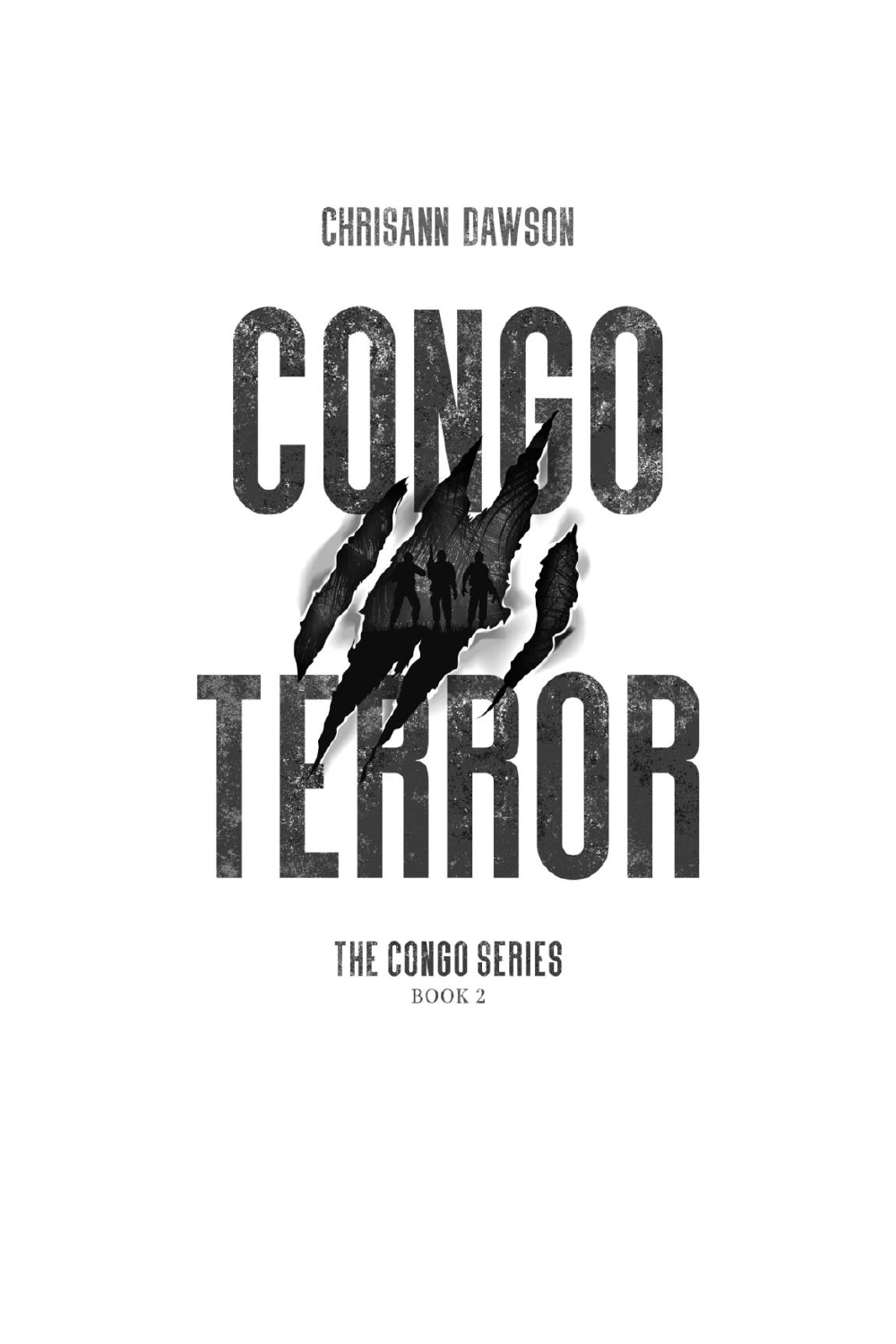# CHRISANN DAWSON



THE CONGO SERIES BOOK<sub>2</sub>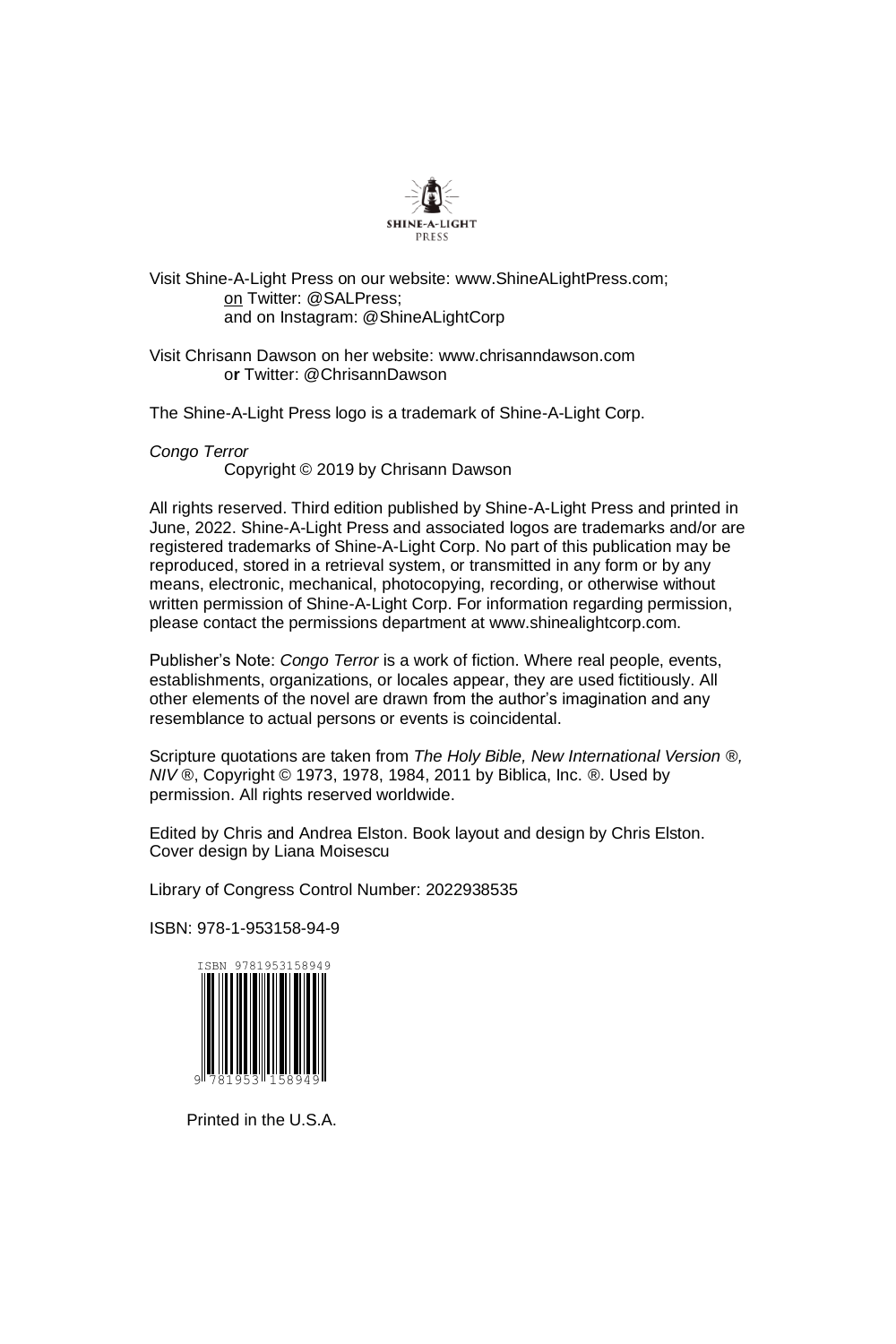

Visit Shine-A-Light Press on our website: www.ShineALightPress.com; on Twitter: @SALPress; and on Instagram: @ShineALightCorp

Visit Chrisann Dawson on her website: www.chrisanndawson.com o**r** Twitter: @ChrisannDawson

The Shine-A-Light Press logo is a trademark of Shine-A-Light Corp.

*Congo Terror*

Copyright © 2019 by Chrisann Dawson

All rights reserved. Third edition published by Shine-A-Light Press and printed in June, 2022. Shine-A-Light Press and associated logos are trademarks and/or are registered trademarks of Shine-A-Light Corp. No part of this publication may be reproduced, stored in a retrieval system, or transmitted in any form or by any means, electronic, mechanical, photocopying, recording, or otherwise without written permission of Shine-A-Light Corp. For information regarding permission, please contact the permissions department at www.shinealightcorp.com.

Publisher's Note: *Congo Terror* is a work of fiction. Where real people, events, establishments, organizations, or locales appear, they are used fictitiously. All other elements of the novel are drawn from the author's imagination and any resemblance to actual persons or events is coincidental.

Scripture quotations are taken from *The Holy Bible, New International Version* ®*, NIV* ®, Copyright © 1973, 1978, 1984, 2011 by Biblica, Inc. ®. Used by permission. All rights reserved worldwide.

Edited by Chris and Andrea Elston. Book layout and design by Chris Elston. Cover design by Liana Moisescu

Library of Congress Control Number: 2022938535

ISBN: 978-1-953158-94-9



Printed in the U.S.A.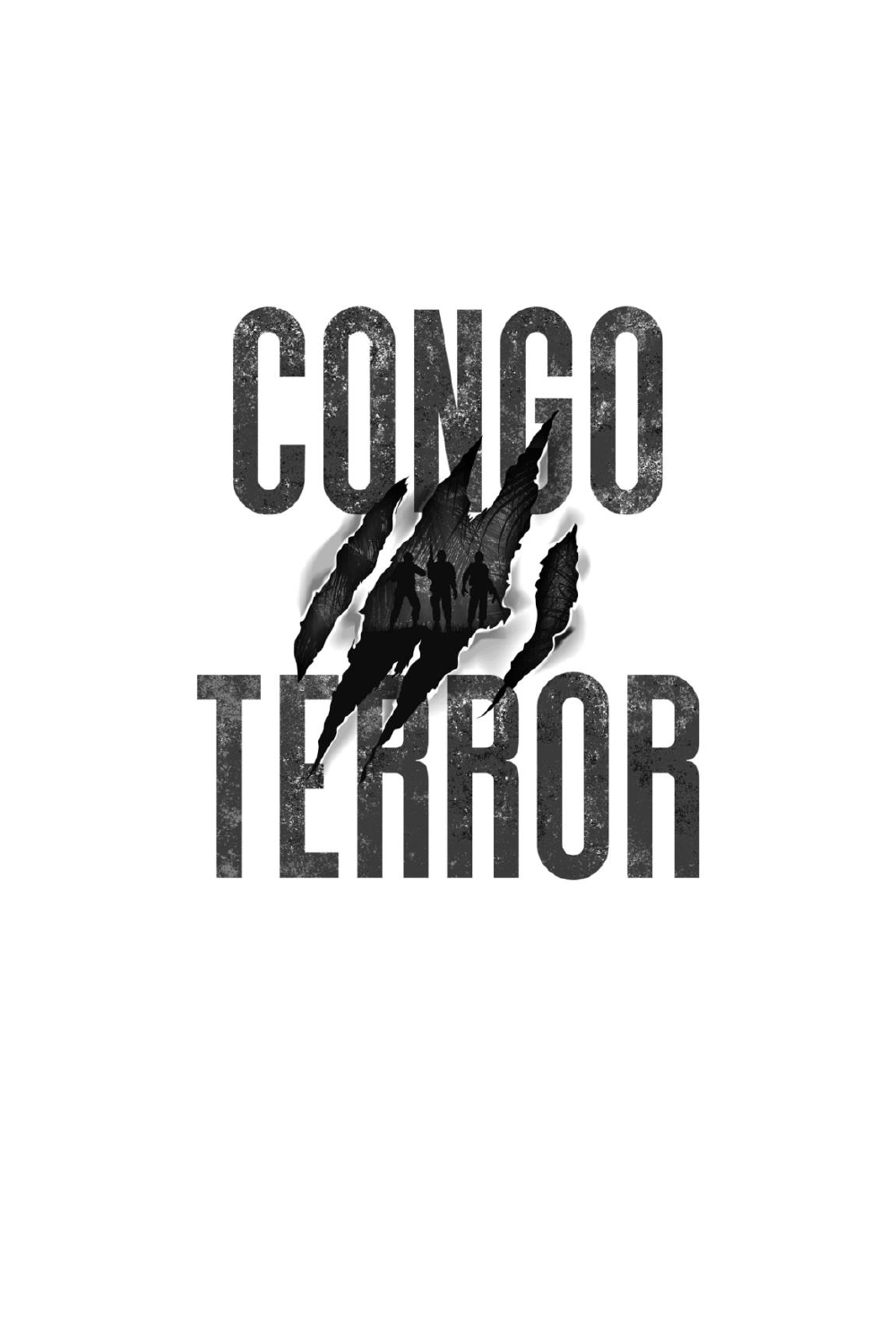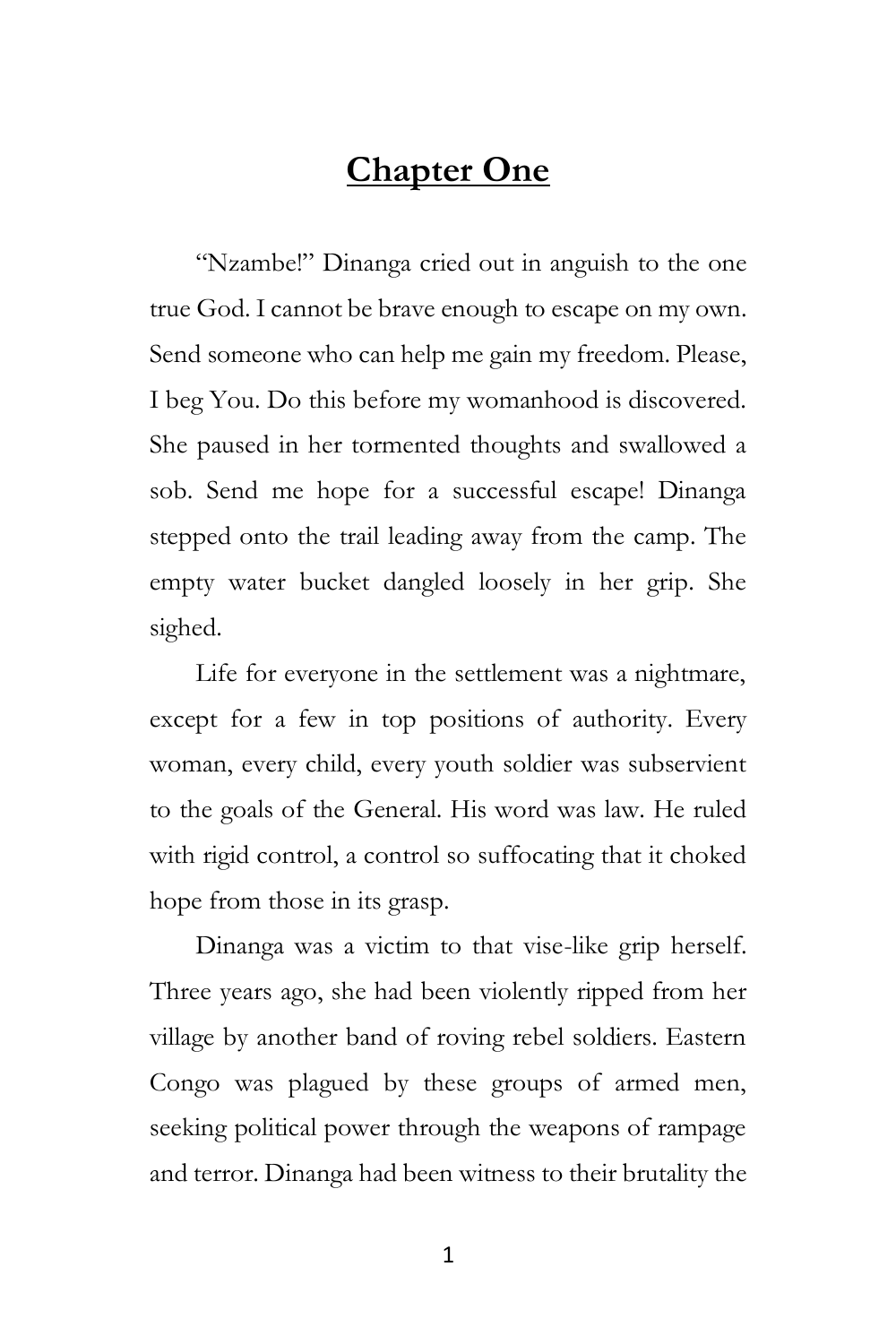## **Chapter One**

"Nzambe!" Dinanga cried out in anguish to the one true God. I cannot be brave enough to escape on my own. Send someone who can help me gain my freedom. Please, I beg You. Do this before my womanhood is discovered. She paused in her tormented thoughts and swallowed a sob. Send me hope for a successful escape! Dinanga stepped onto the trail leading away from the camp. The empty water bucket dangled loosely in her grip. She sighed.

Life for everyone in the settlement was a nightmare, except for a few in top positions of authority. Every woman, every child, every youth soldier was subservient to the goals of the General. His word was law. He ruled with rigid control, a control so suffocating that it choked hope from those in its grasp.

Dinanga was a victim to that vise-like grip herself. Three years ago, she had been violently ripped from her village by another band of roving rebel soldiers. Eastern Congo was plagued by these groups of armed men, seeking political power through the weapons of rampage and terror. Dinanga had been witness to their brutality the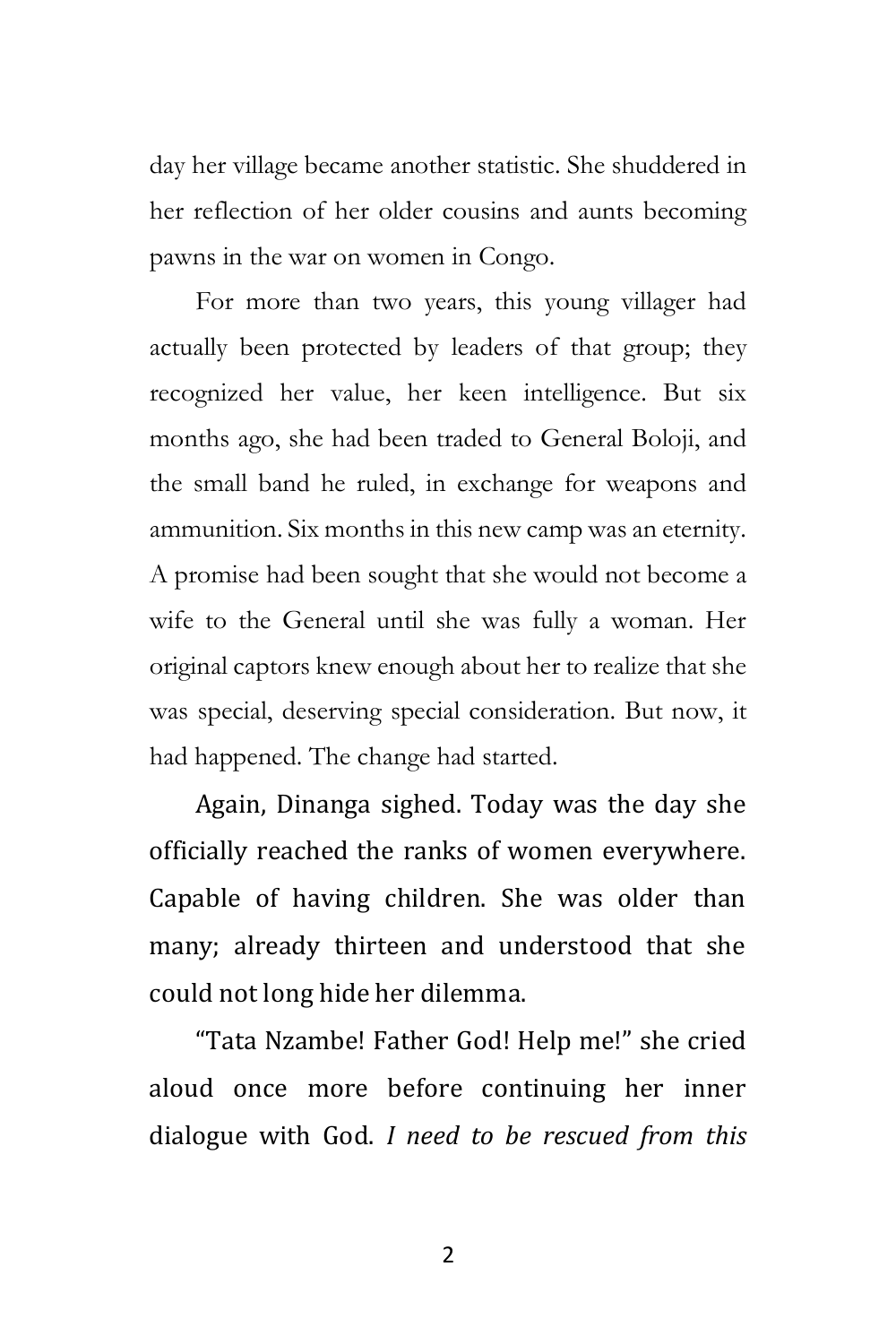day her village became another statistic. She shuddered in her reflection of her older cousins and aunts becoming pawns in the war on women in Congo.

For more than two years, this young villager had actually been protected by leaders of that group; they recognized her value, her keen intelligence. But six months ago, she had been traded to General Boloji, and the small band he ruled, in exchange for weapons and ammunition. Six months in this new camp was an eternity. A promise had been sought that she would not become a wife to the General until she was fully a woman. Her original captors knew enough about her to realize that she was special, deserving special consideration. But now, it had happened. The change had started.

Again, Dinanga sighed. Today was the day she officially reached the ranks of women everywhere. Capable of having children. She was older than many; already thirteen and understood that she could not long hide her dilemma.

"Tata Nzambe! Father God! Help me!" she cried aloud once more before continuing her inner dialogue with God. *I need to be rescued from this*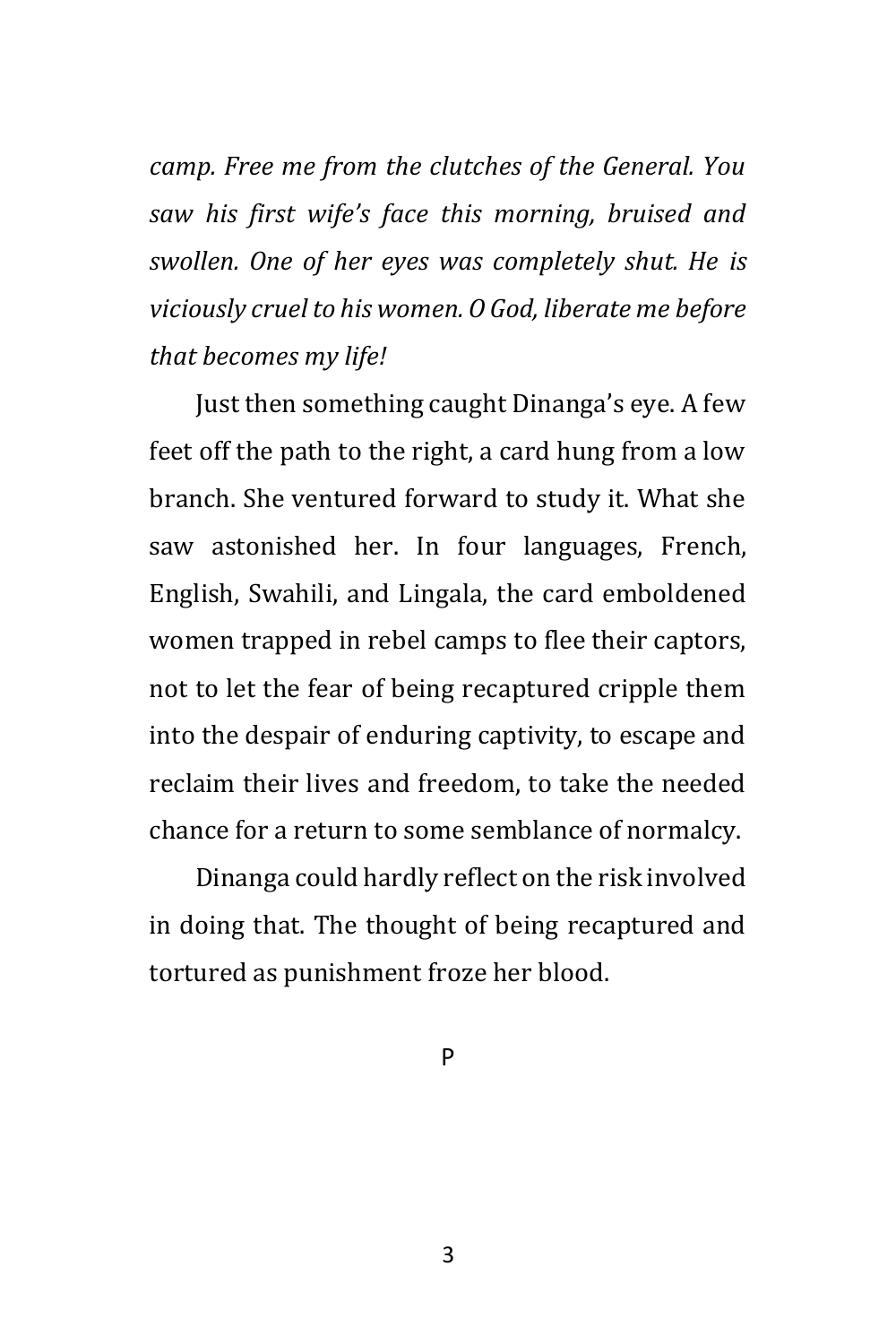*camp. Free me from the clutches of the General. You saw his first wife's face this morning, bruised and swollen. One of her eyes was completely shut. He is viciously cruel to his women. O God, liberate me before that becomes my life!*

Just then something caught Dinanga's eye. A few feet off the path to the right, a card hung from a low branch. She ventured forward to study it. What she saw astonished her. In four languages, French, English, Swahili, and Lingala, the card emboldened women trapped in rebel camps to flee their captors, not to let the fear of being recaptured cripple them into the despair of enduring captivity, to escape and reclaim their lives and freedom, to take the needed chance for a return to some semblance of normalcy.

Dinanga could hardly reflect on the risk involved in doing that. The thought of being recaptured and tortured as punishment froze her blood.

P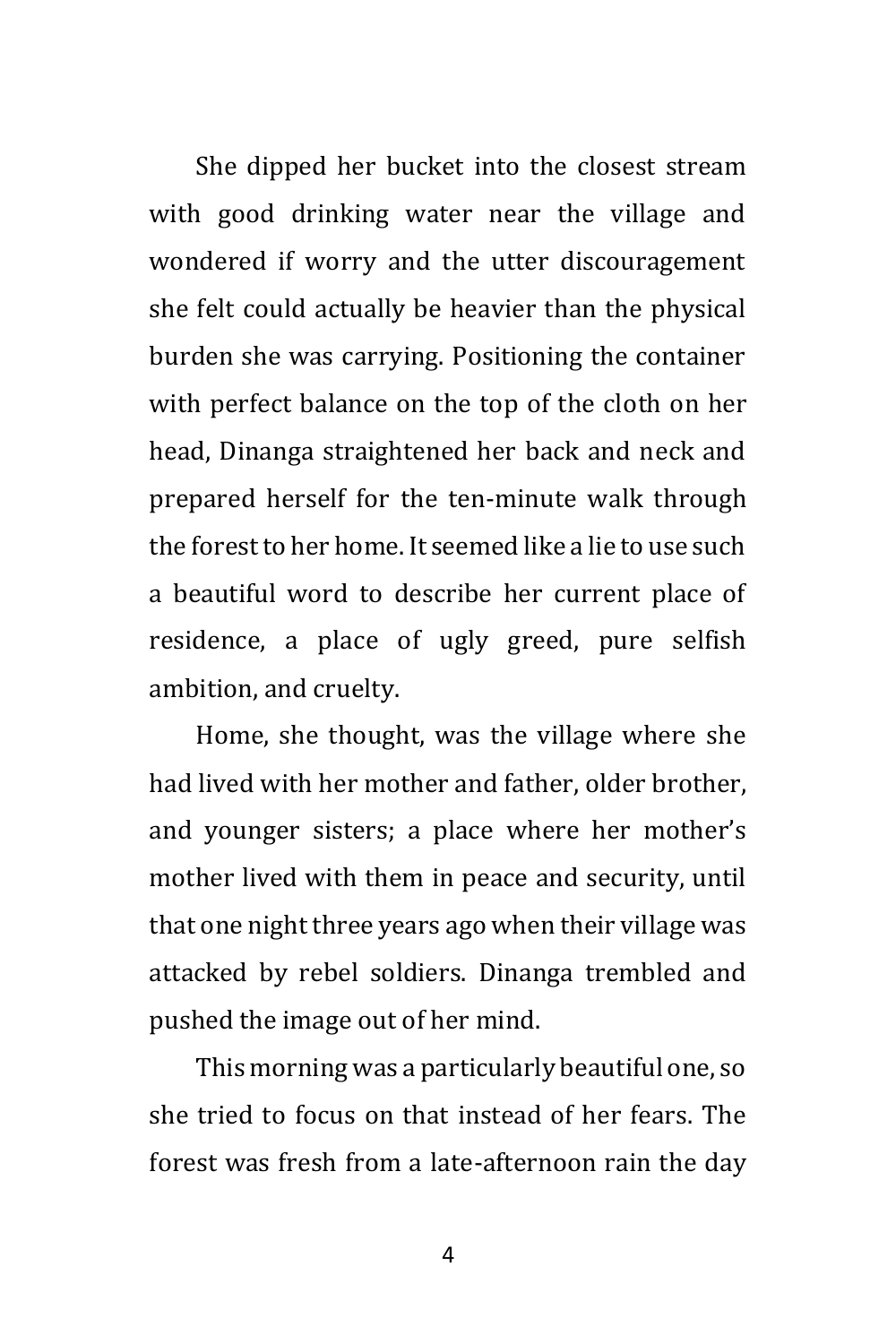She dipped her bucket into the closest stream with good drinking water near the village and wondered if worry and the utter discouragement she felt could actually be heavier than the physical burden she was carrying. Positioning the container with perfect balance on the top of the cloth on her head, Dinanga straightened her back and neck and prepared herself for the ten-minute walk through the forest to her home. It seemed like a lie to use such a beautiful word to describe her current place of residence, a place of ugly greed, pure selfish ambition, and cruelty.

Home, she thought, was the village where she had lived with her mother and father, older brother, and younger sisters; a place where her mother's mother lived with them in peace and security, until that one night three years ago when their village was attacked by rebel soldiers. Dinanga trembled and pushed the image out of her mind.

This morning was a particularly beautiful one, so she tried to focus on that instead of her fears. The forest was fresh from a late-afternoon rain the day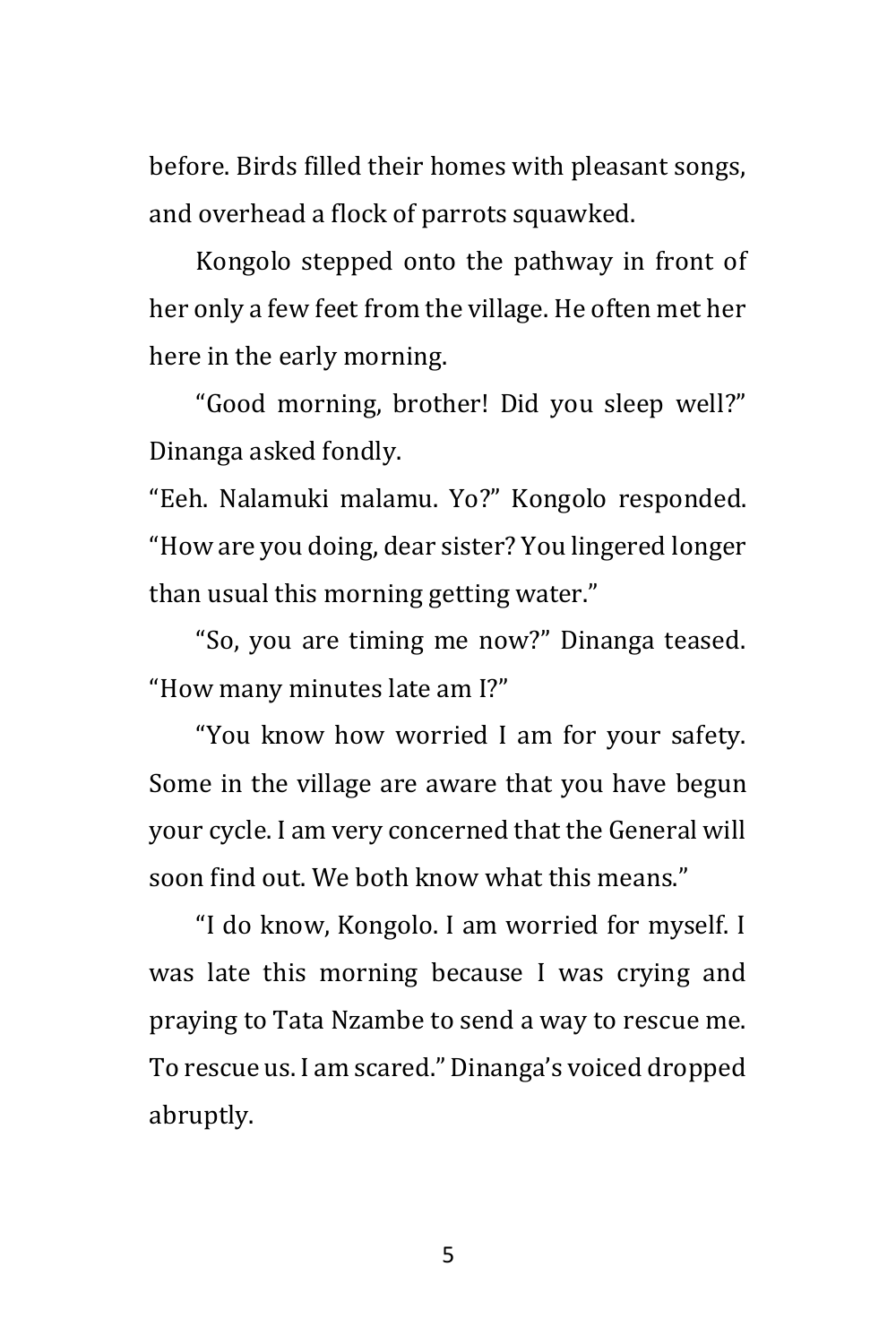before. Birds filled their homes with pleasant songs, and overhead a flock of parrots squawked.

Kongolo stepped onto the pathway in front of her only a few feet from the village. He often met her here in the early morning.

"Good morning, brother! Did you sleep well?" Dinanga asked fondly.

"Eeh. Nalamuki malamu. Yo?" Kongolo responded. "How are you doing, dear sister? You lingered longer than usual this morning getting water."

"So, you are timing me now?" Dinanga teased. "How many minutes late am I?"

"You know how worried I am for your safety. Some in the village are aware that you have begun your cycle. I am very concerned that the General will soon find out. We both know what this means."

"I do know, Kongolo. I am worried for myself. I was late this morning because I was crying and praying to Tata Nzambe to send a way to rescue me. To rescue us. I am scared." Dinanga's voiced dropped abruptly.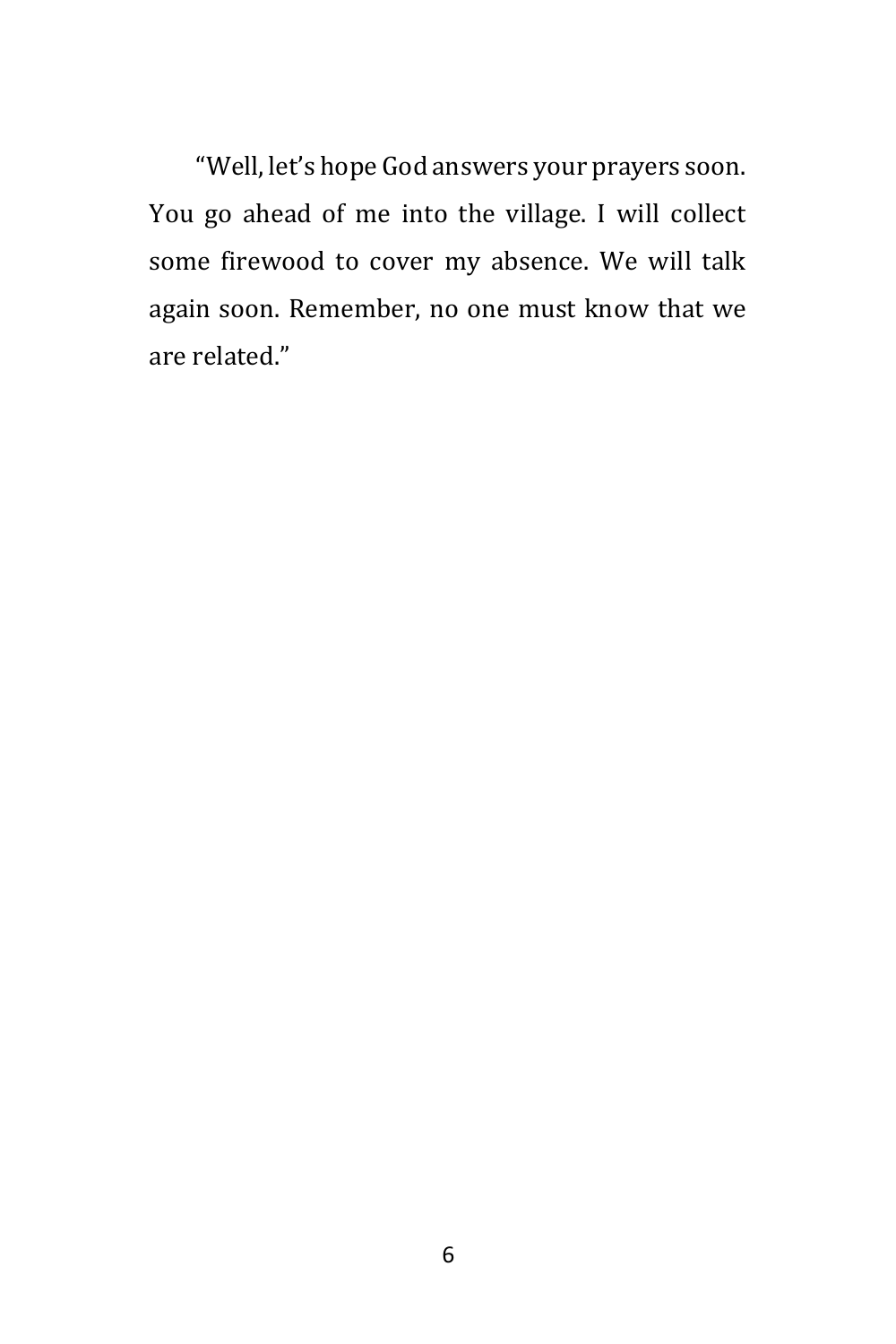"Well, let's hope God answers your prayers soon. You go ahead of me into the village. I will collect some firewood to cover my absence. We will talk again soon. Remember, no one must know that we are related."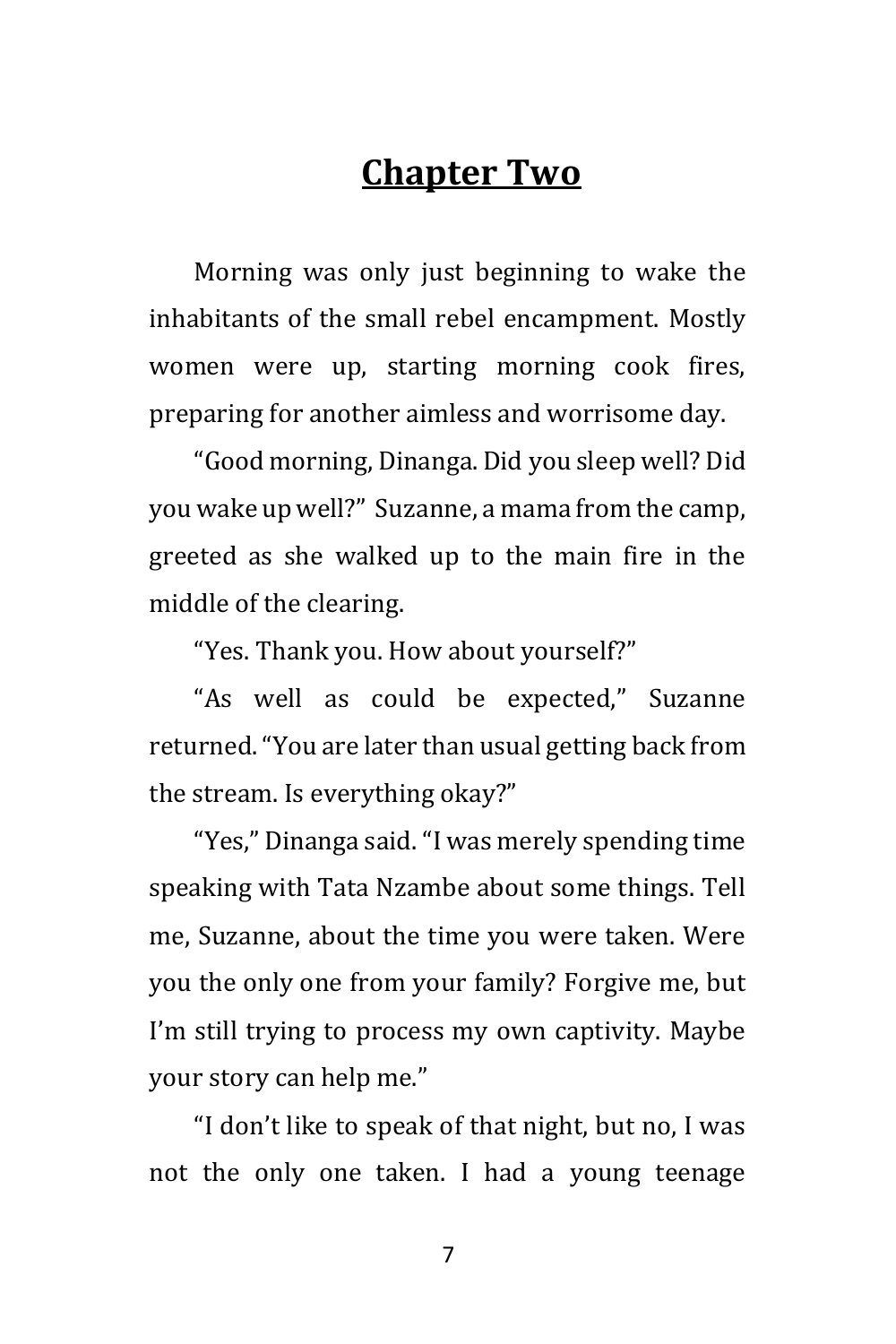# **Chapter Two**

Morning was only just beginning to wake the inhabitants of the small rebel encampment. Mostly women were up, starting morning cook fires, preparing for another aimless and worrisome day.

"Good morning, Dinanga. Did you sleep well? Did you wake up well?" Suzanne, a mama from the camp, greeted as she walked up to the main fire in the middle of the clearing.

"Yes. Thank you. How about yourself?"

"As well as could be expected," Suzanne returned. "You are later than usual getting back from the stream. Is everything okay?"

"Yes," Dinanga said. "I was merely spending time speaking with Tata Nzambe about some things. Tell me, Suzanne, about the time you were taken. Were you the only one from your family? Forgive me, but I'm still trying to process my own captivity. Maybe your story can help me."

"I don't like to speak of that night, but no, I was not the only one taken. I had a young teenage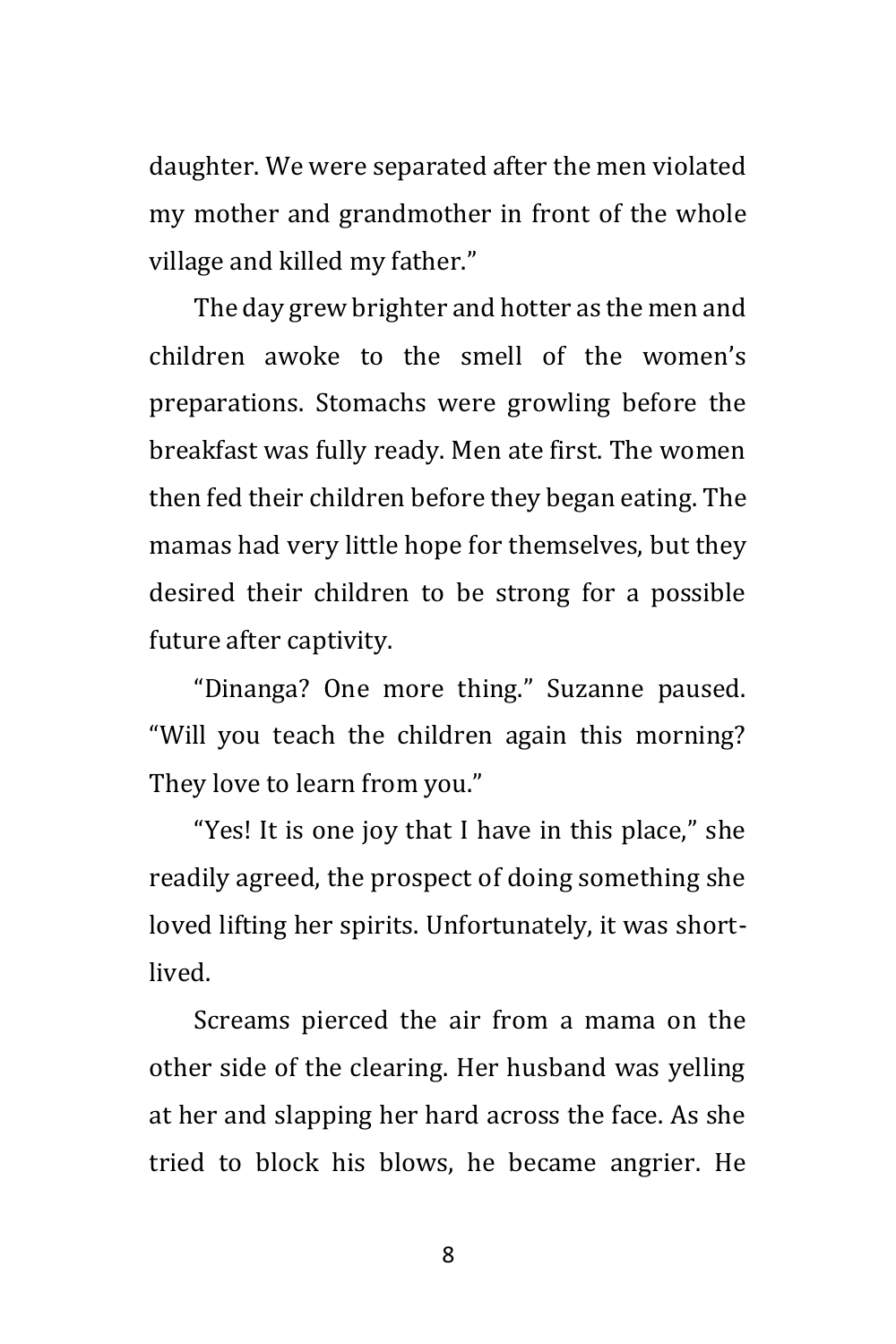daughter. We were separated after the men violated my mother and grandmother in front of the whole village and killed my father."

The day grew brighter and hotter as the men and children awoke to the smell of the women's preparations. Stomachs were growling before the breakfast was fully ready. Men ate first. The women then fed their children before they began eating. The mamas had very little hope for themselves, but they desired their children to be strong for a possible future after captivity.

"Dinanga? One more thing." Suzanne paused. "Will you teach the children again this morning? They love to learn from you."

"Yes! It is one joy that I have in this place," she readily agreed, the prospect of doing something she loved lifting her spirits. Unfortunately, it was shortlived.

Screams pierced the air from a mama on the other side of the clearing. Her husband was yelling at her and slapping her hard across the face. As she tried to block his blows, he became angrier. He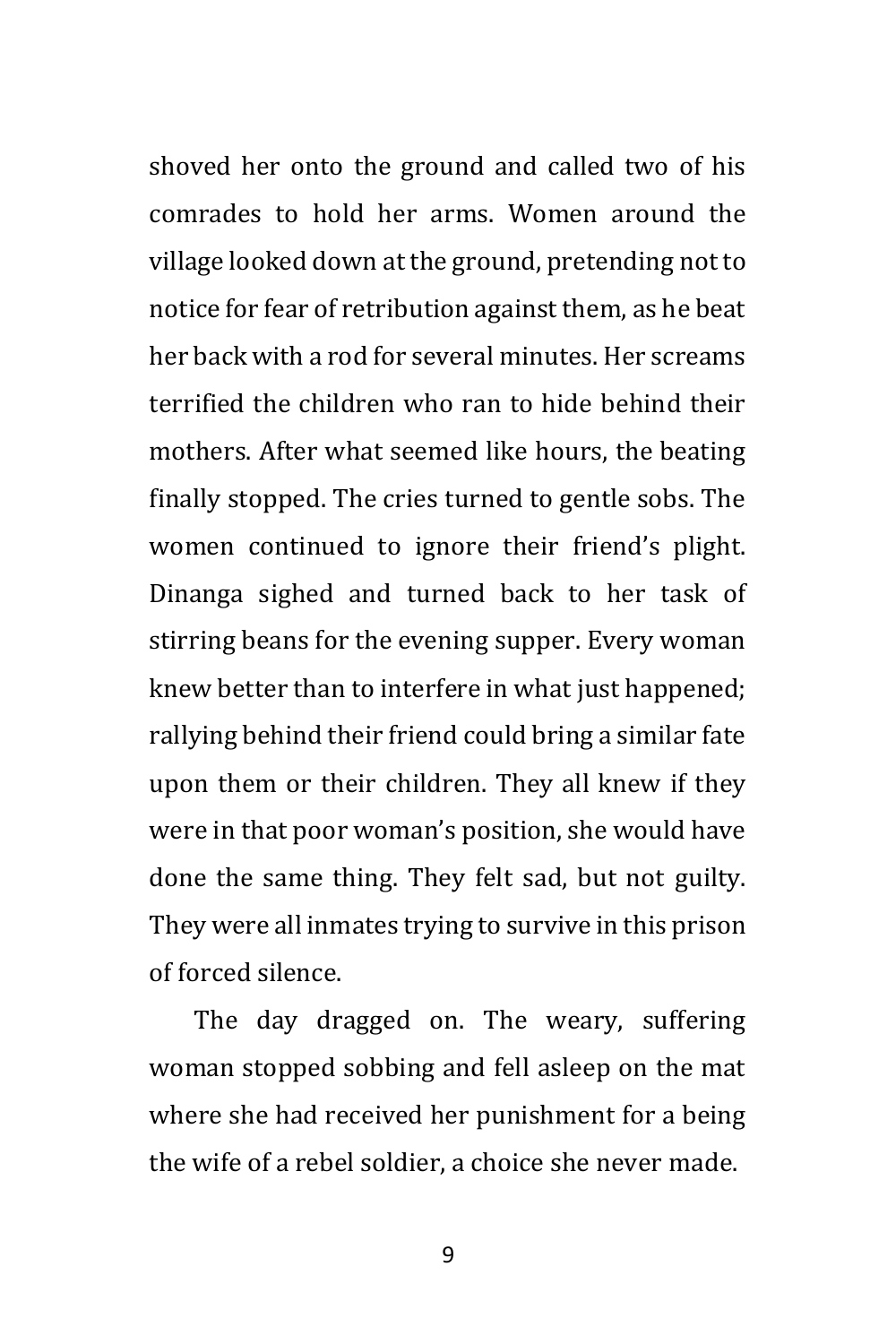shoved her onto the ground and called two of his comrades to hold her arms. Women around the village looked down at the ground, pretending not to notice for fear of retribution against them, as he beat her back with a rod for several minutes. Her screams terrified the children who ran to hide behind their mothers. After what seemed like hours, the beating finally stopped. The cries turned to gentle sobs. The women continued to ignore their friend's plight. Dinanga sighed and turned back to her task of stirring beans for the evening supper. Every woman knew better than to interfere in what just happened; rallying behind their friend could bring a similar fate upon them or their children. They all knew if they were in that poor woman's position, she would have done the same thing. They felt sad, but not guilty. They were all inmates trying to survive in this prison of forced silence.

The day dragged on. The weary, suffering woman stopped sobbing and fell asleep on the mat where she had received her punishment for a being the wife of a rebel soldier, a choice she never made.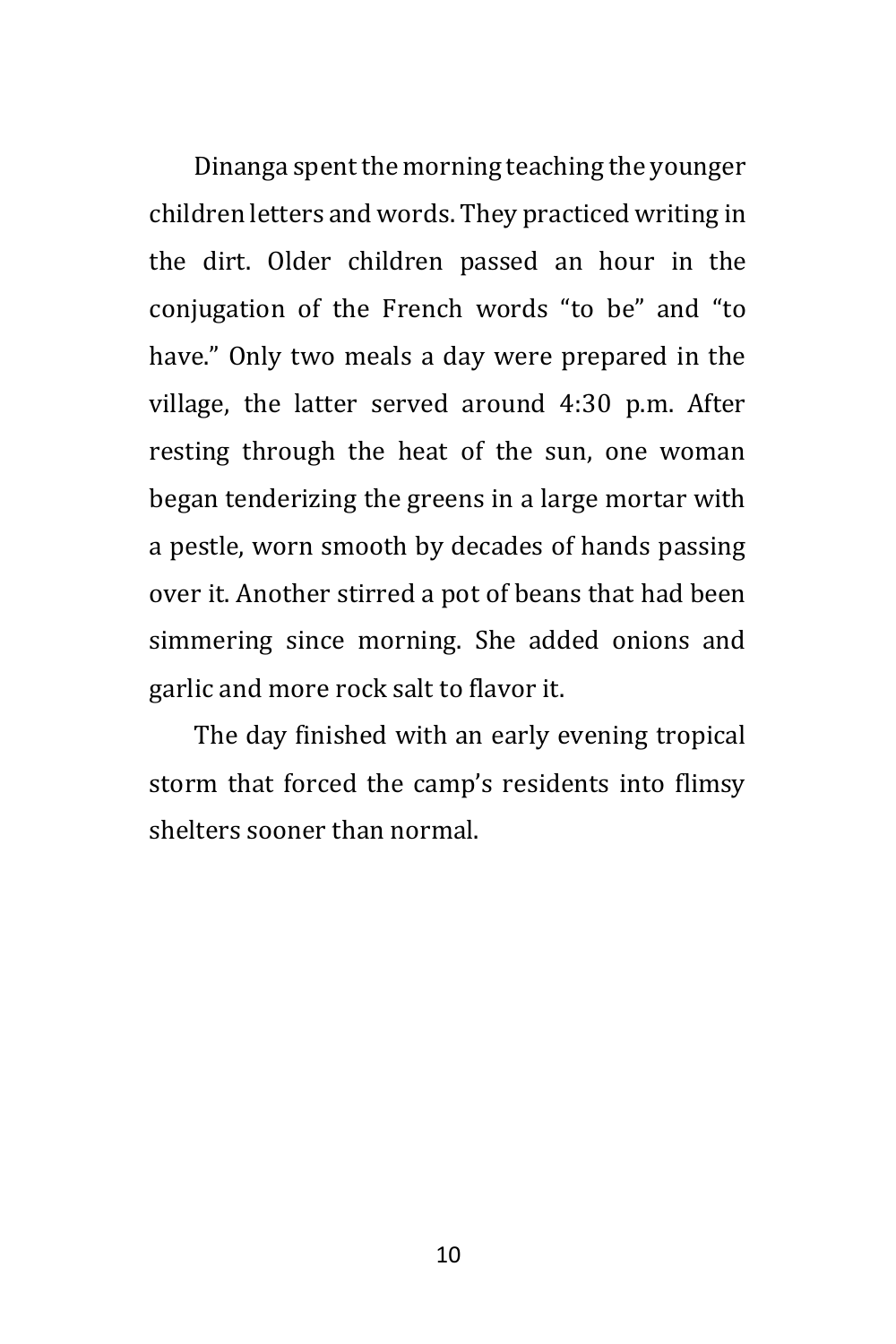Dinanga spent the morning teaching the younger children letters and words. They practiced writing in the dirt. Older children passed an hour in the conjugation of the French words "to be" and "to have." Only two meals a day were prepared in the village, the latter served around 4:30 p.m. After resting through the heat of the sun, one woman began tenderizing the greens in a large mortar with a pestle, worn smooth by decades of hands passing over it. Another stirred a pot of beans that had been simmering since morning. She added onions and garlic and more rock salt to flavor it.

The day finished with an early evening tropical storm that forced the camp's residents into flimsy shelters sooner than normal.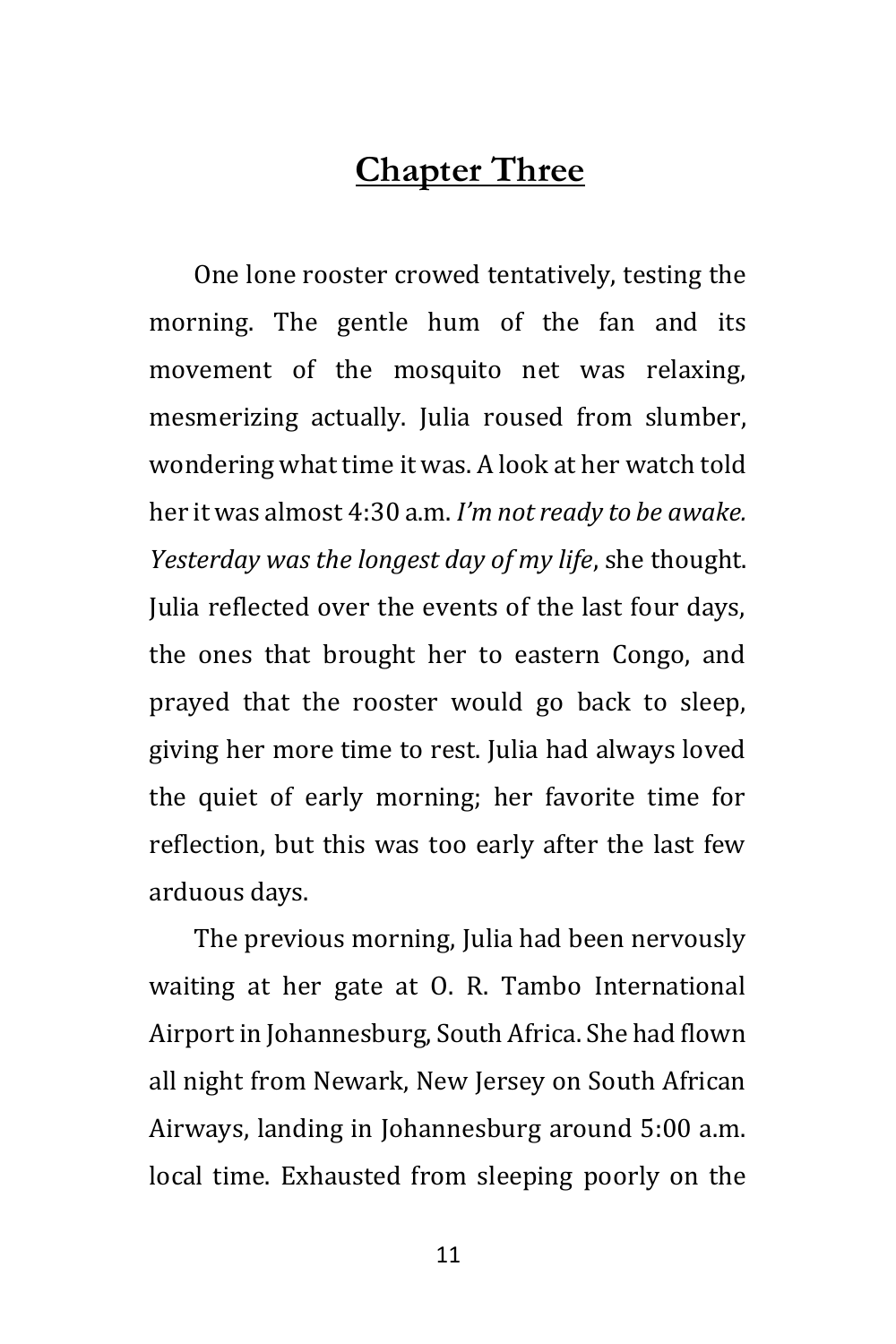#### **Chapter Three**

One lone rooster crowed tentatively, testing the morning. The gentle hum of the fan and its movement of the mosquito net was relaxing, mesmerizing actually. Julia roused from slumber, wondering what time it was. A look at her watch told her it was almost 4:30 a.m. *I'm not ready to be awake. Yesterday was the longest day of my life*, she thought. Julia reflected over the events of the last four days, the ones that brought her to eastern Congo, and prayed that the rooster would go back to sleep, giving her more time to rest. Julia had always loved the quiet of early morning; her favorite time for reflection, but this was too early after the last few arduous days.

The previous morning, Julia had been nervously waiting at her gate at O. R. Tambo International Airport in Johannesburg, South Africa. She had flown all night from Newark, New Jersey on South African Airways, landing in Johannesburg around 5:00 a.m. local time. Exhausted from sleeping poorly on the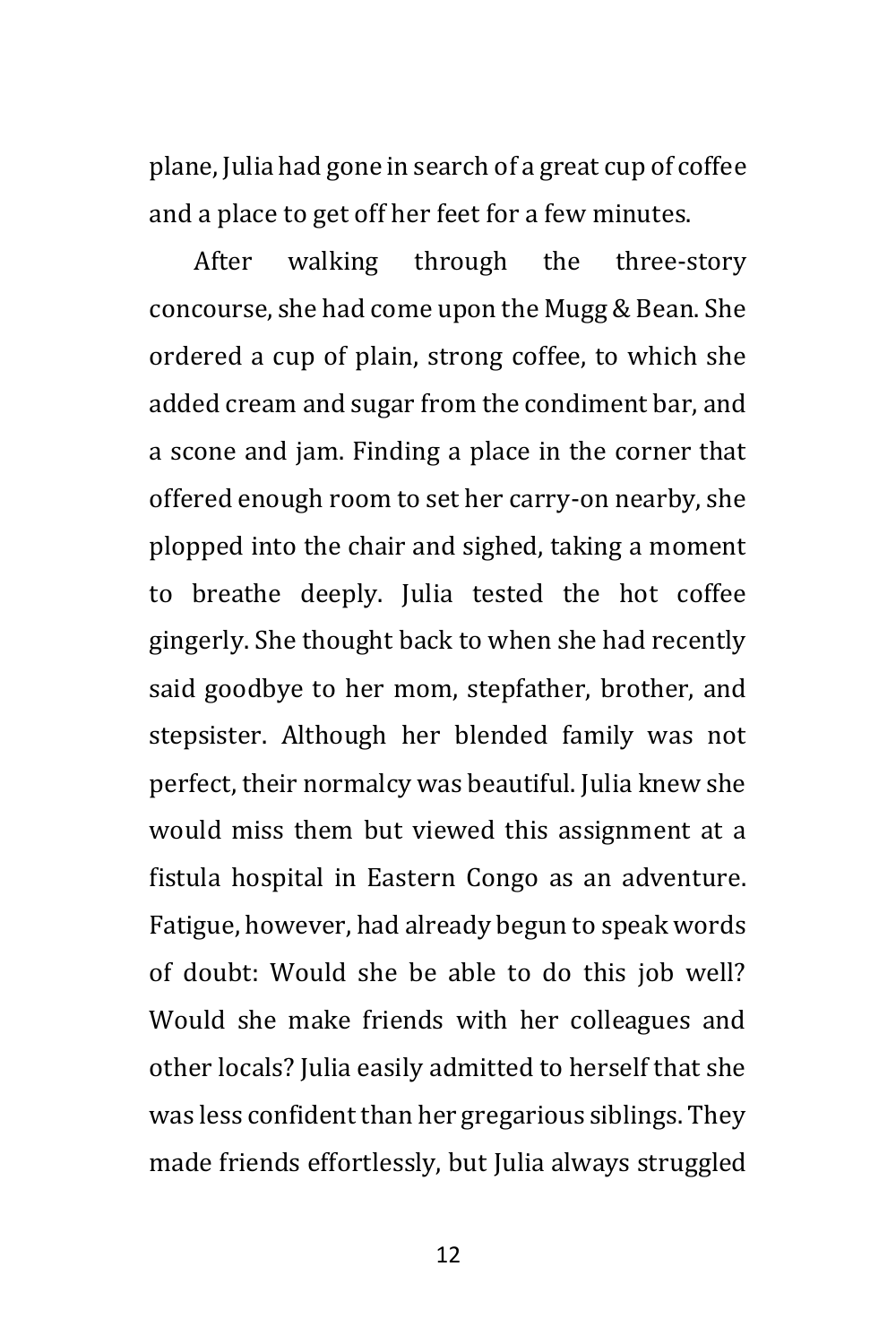plane, Julia had gone in search of a great cup of coffee and a place to get off her feet for a few minutes.

After walking through the three-story concourse, she had come upon the Mugg & Bean. She ordered a cup of plain, strong coffee, to which she added cream and sugar from the condiment bar, and a scone and jam. Finding a place in the corner that offered enough room to set her carry-on nearby, she plopped into the chair and sighed, taking a moment to breathe deeply. Julia tested the hot coffee gingerly. She thought back to when she had recently said goodbye to her mom, stepfather, brother, and stepsister. Although her blended family was not perfect, their normalcy was beautiful. Julia knew she would miss them but viewed this assignment at a fistula hospital in Eastern Congo as an adventure. Fatigue, however, had already begun to speak words of doubt: Would she be able to do this job well? Would she make friends with her colleagues and other locals? Julia easily admitted to herself that she was less confident than her gregarious siblings. They made friends effortlessly, but Julia always struggled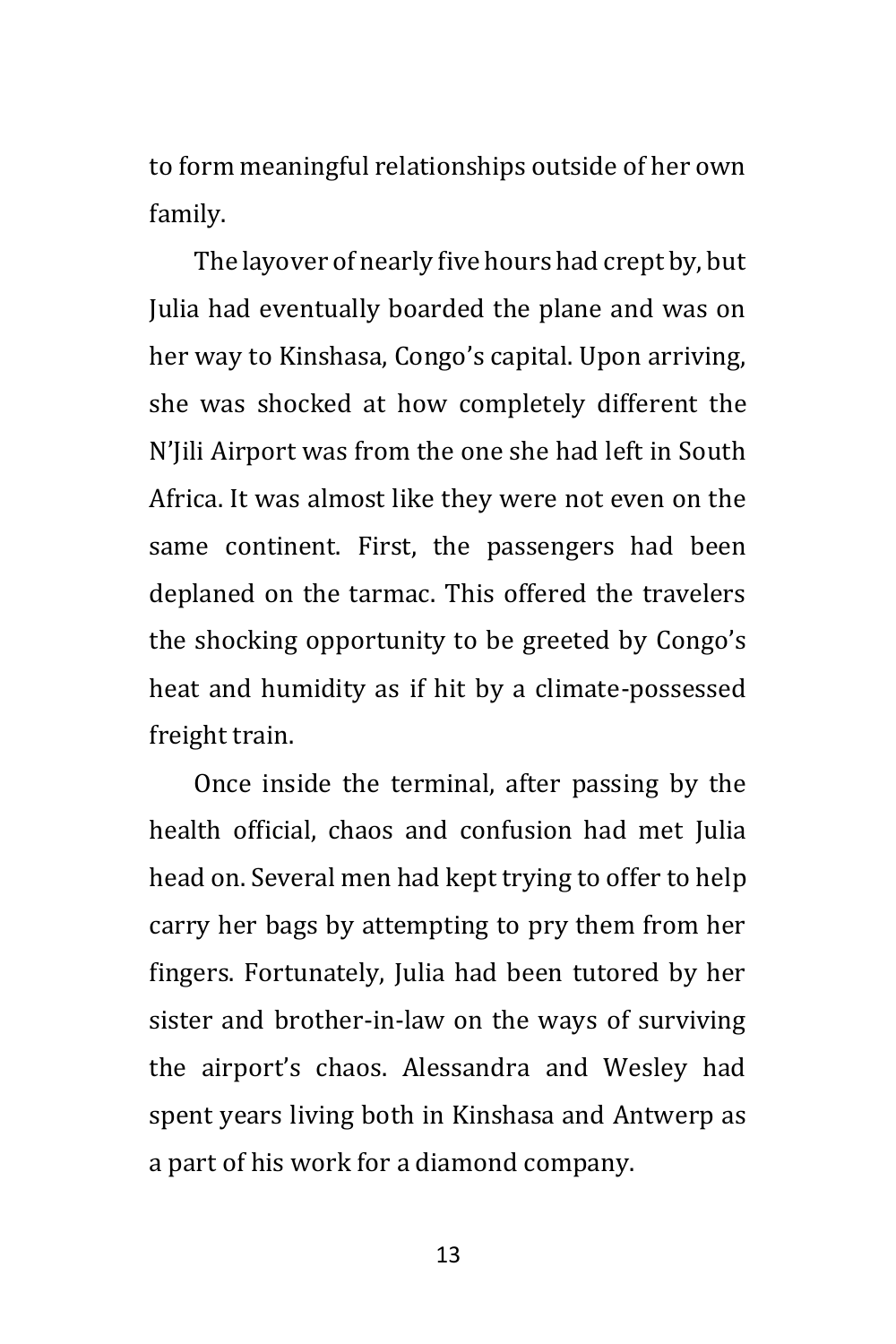to form meaningful relationships outside of her own family.

The layover of nearly five hours had crept by, but Julia had eventually boarded the plane and was on her way to Kinshasa, Congo's capital. Upon arriving, she was shocked at how completely different the N'Jili Airport was from the one she had left in South Africa. It was almost like they were not even on the same continent. First, the passengers had been deplaned on the tarmac. This offered the travelers the shocking opportunity to be greeted by Congo's heat and humidity as if hit by a climate-possessed freight train.

Once inside the terminal, after passing by the health official, chaos and confusion had met Julia head on. Several men had kept trying to offer to help carry her bags by attempting to pry them from her fingers. Fortunately, Julia had been tutored by her sister and brother-in-law on the ways of surviving the airport's chaos. Alessandra and Wesley had spent years living both in Kinshasa and Antwerp as a part of his work for a diamond company.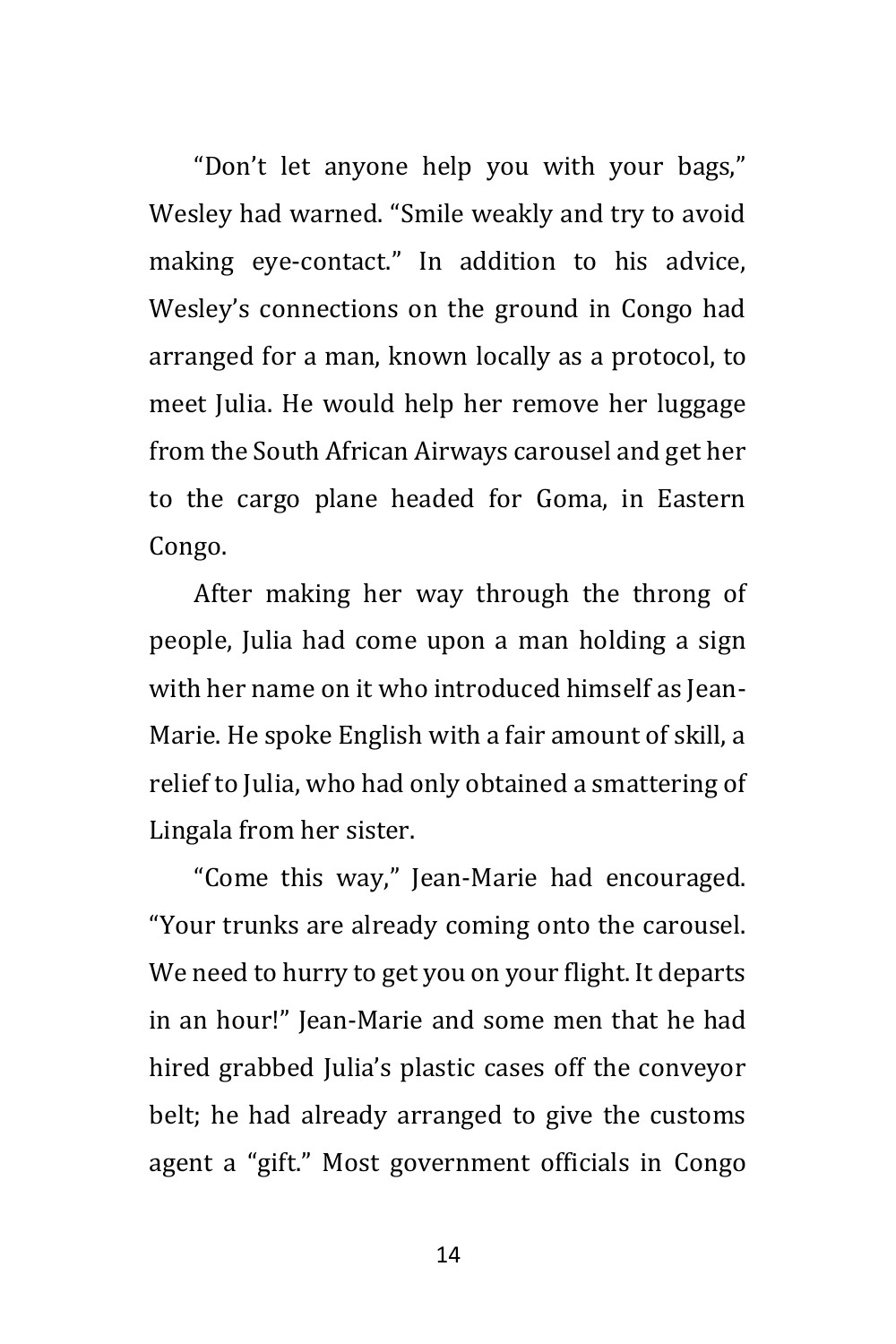"Don't let anyone help you with your bags," Wesley had warned. "Smile weakly and try to avoid making eye-contact." In addition to his advice, Wesley's connections on the ground in Congo had arranged for a man, known locally as a protocol, to meet Julia. He would help her remove her luggage from the South African Airways carousel and get her to the cargo plane headed for Goma, in Eastern Congo.

After making her way through the throng of people, Julia had come upon a man holding a sign with her name on it who introduced himself as Jean-Marie. He spoke English with a fair amount of skill, a relief to Julia, who had only obtained a smattering of Lingala from her sister.

"Come this way," Jean-Marie had encouraged. "Your trunks are already coming onto the carousel. We need to hurry to get you on your flight. It departs in an hour!" Jean-Marie and some men that he had hired grabbed Julia's plastic cases off the conveyor belt; he had already arranged to give the customs agent a "gift." Most government officials in Congo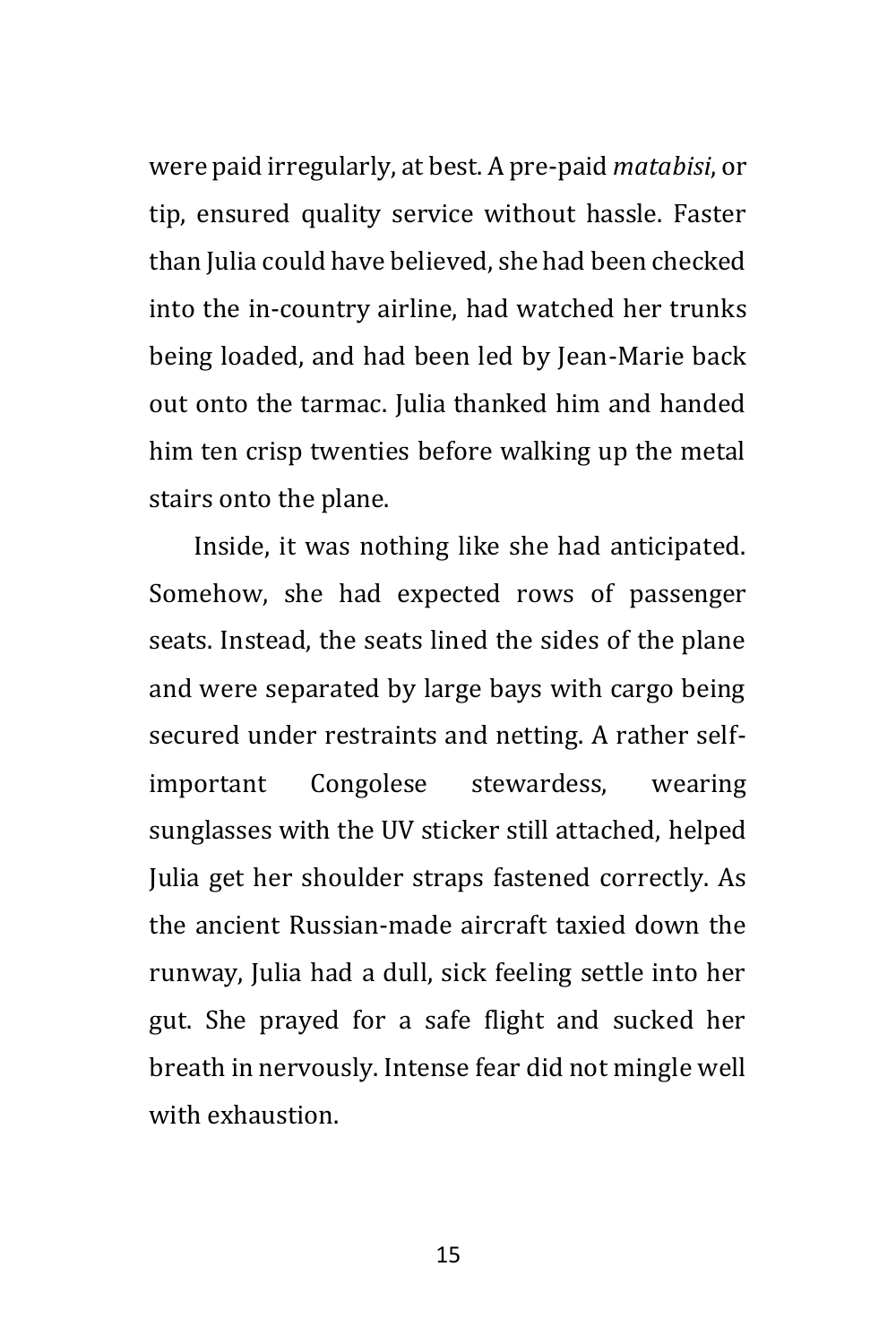were paid irregularly, at best. A pre-paid *matabisi*, or tip, ensured quality service without hassle. Faster than Julia could have believed, she had been checked into the in-country airline, had watched her trunks being loaded, and had been led by Jean-Marie back out onto the tarmac. Julia thanked him and handed him ten crisp twenties before walking up the metal stairs onto the plane.

Inside, it was nothing like she had anticipated. Somehow, she had expected rows of passenger seats. Instead, the seats lined the sides of the plane and were separated by large bays with cargo being secured under restraints and netting. A rather selfimportant Congolese stewardess, wearing sunglasses with the UV sticker still attached, helped Julia get her shoulder straps fastened correctly. As the ancient Russian-made aircraft taxied down the runway, Julia had a dull, sick feeling settle into her gut. She prayed for a safe flight and sucked her breath in nervously. Intense fear did not mingle well with exhaustion.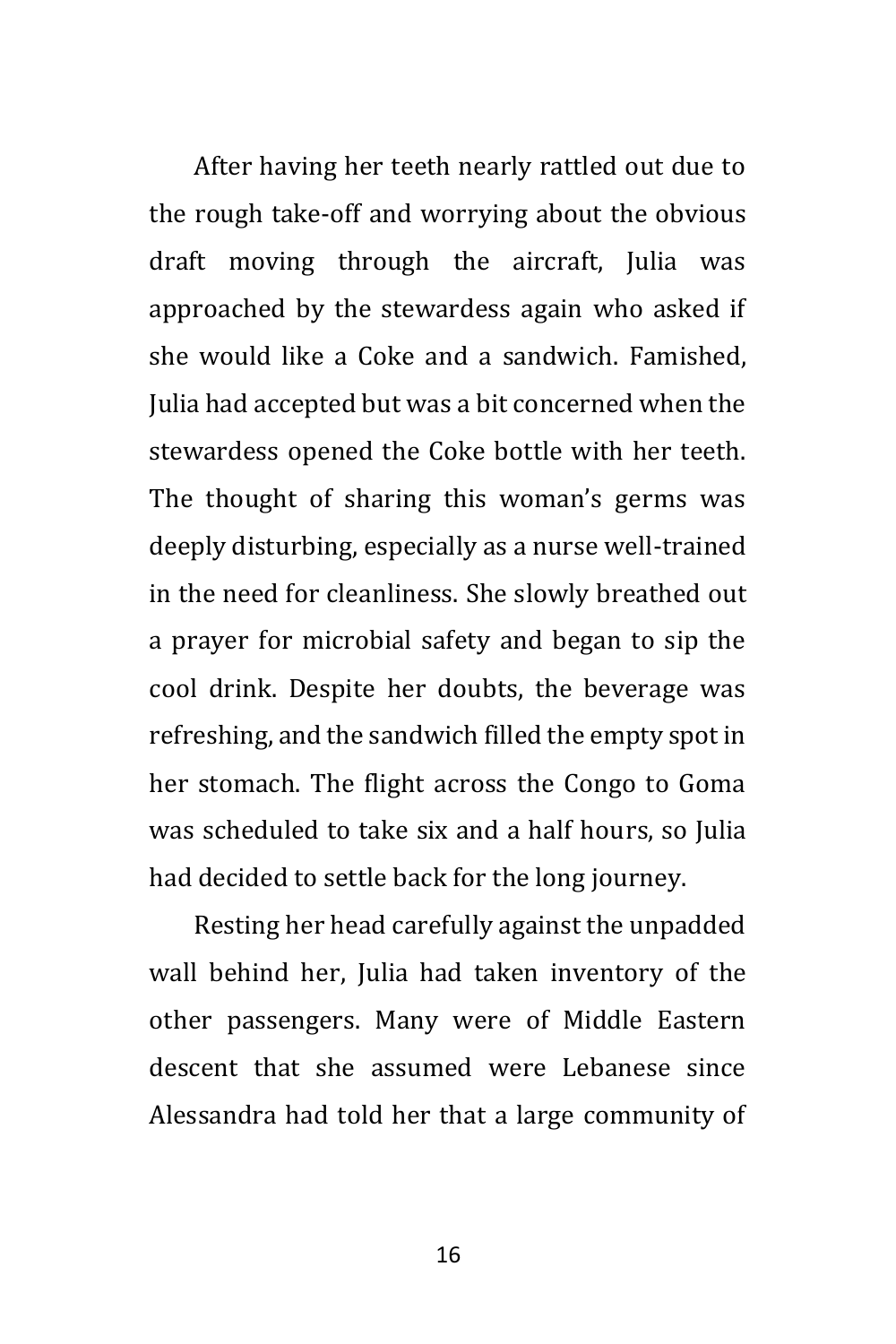After having her teeth nearly rattled out due to the rough take-off and worrying about the obvious draft moving through the aircraft, Julia was approached by the stewardess again who asked if she would like a Coke and a sandwich. Famished, Julia had accepted but was a bit concerned when the stewardess opened the Coke bottle with her teeth. The thought of sharing this woman's germs was deeply disturbing, especially as a nurse well-trained in the need for cleanliness. She slowly breathed out a prayer for microbial safety and began to sip the cool drink. Despite her doubts, the beverage was refreshing, and the sandwich filled the empty spot in her stomach. The flight across the Congo to Goma was scheduled to take six and a half hours, so Julia had decided to settle back for the long journey.

Resting her head carefully against the unpadded wall behind her, Julia had taken inventory of the other passengers. Many were of Middle Eastern descent that she assumed were Lebanese since Alessandra had told her that a large community of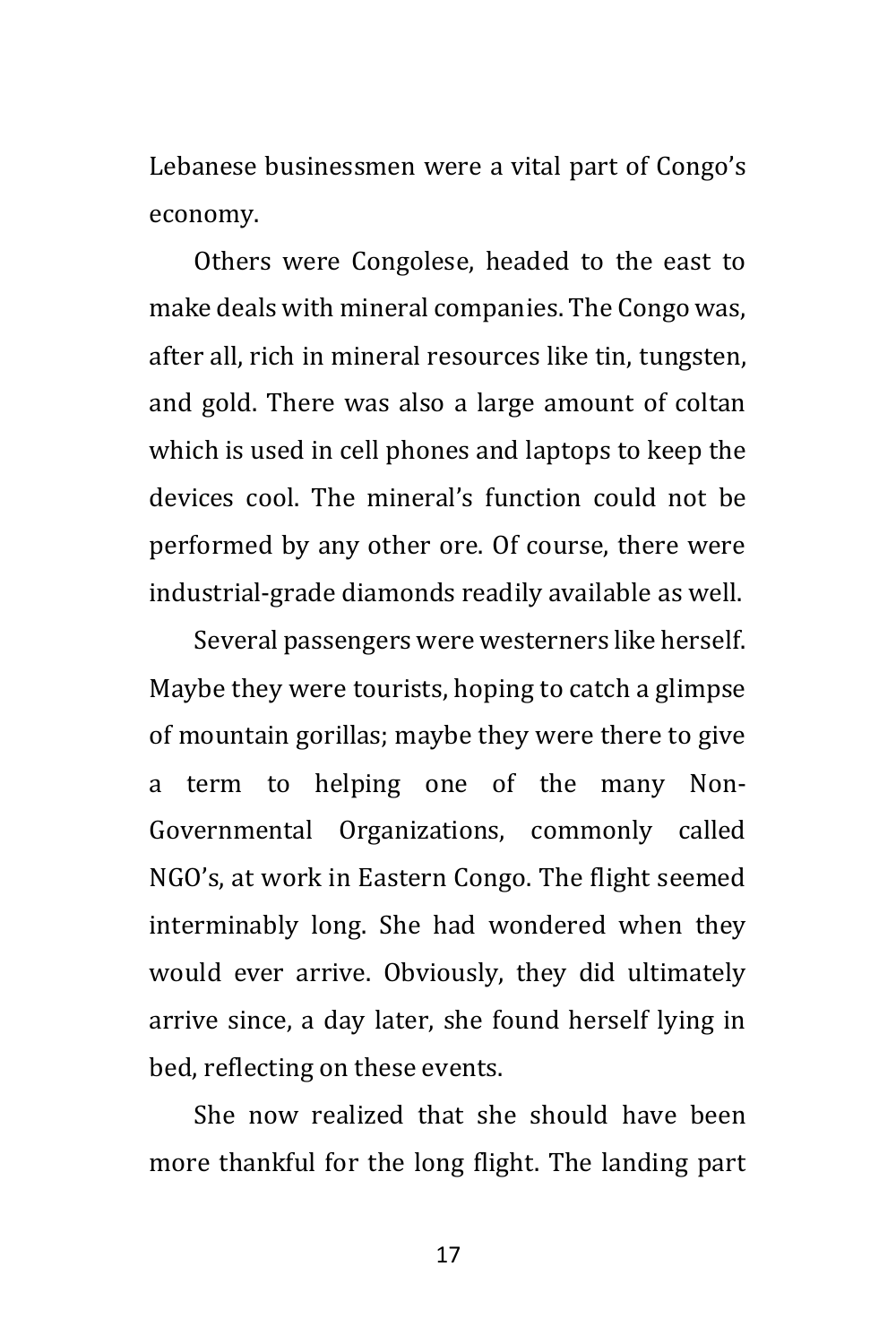Lebanese businessmen were a vital part of Congo's economy.

Others were Congolese, headed to the east to make deals with mineral companies. The Congo was, after all, rich in mineral resources like tin, tungsten, and gold. There was also a large amount of coltan which is used in cell phones and laptops to keep the devices cool. The mineral's function could not be performed by any other ore. Of course, there were industrial-grade diamonds readily available as well.

Several passengers were westerners like herself. Maybe they were tourists, hoping to catch a glimpse of mountain gorillas; maybe they were there to give a term to helping one of the many Non-Governmental Organizations, commonly called NGO's, at work in Eastern Congo. The flight seemed interminably long. She had wondered when they would ever arrive. Obviously, they did ultimately arrive since, a day later, she found herself lying in bed, reflecting on these events.

She now realized that she should have been more thankful for the long flight. The landing part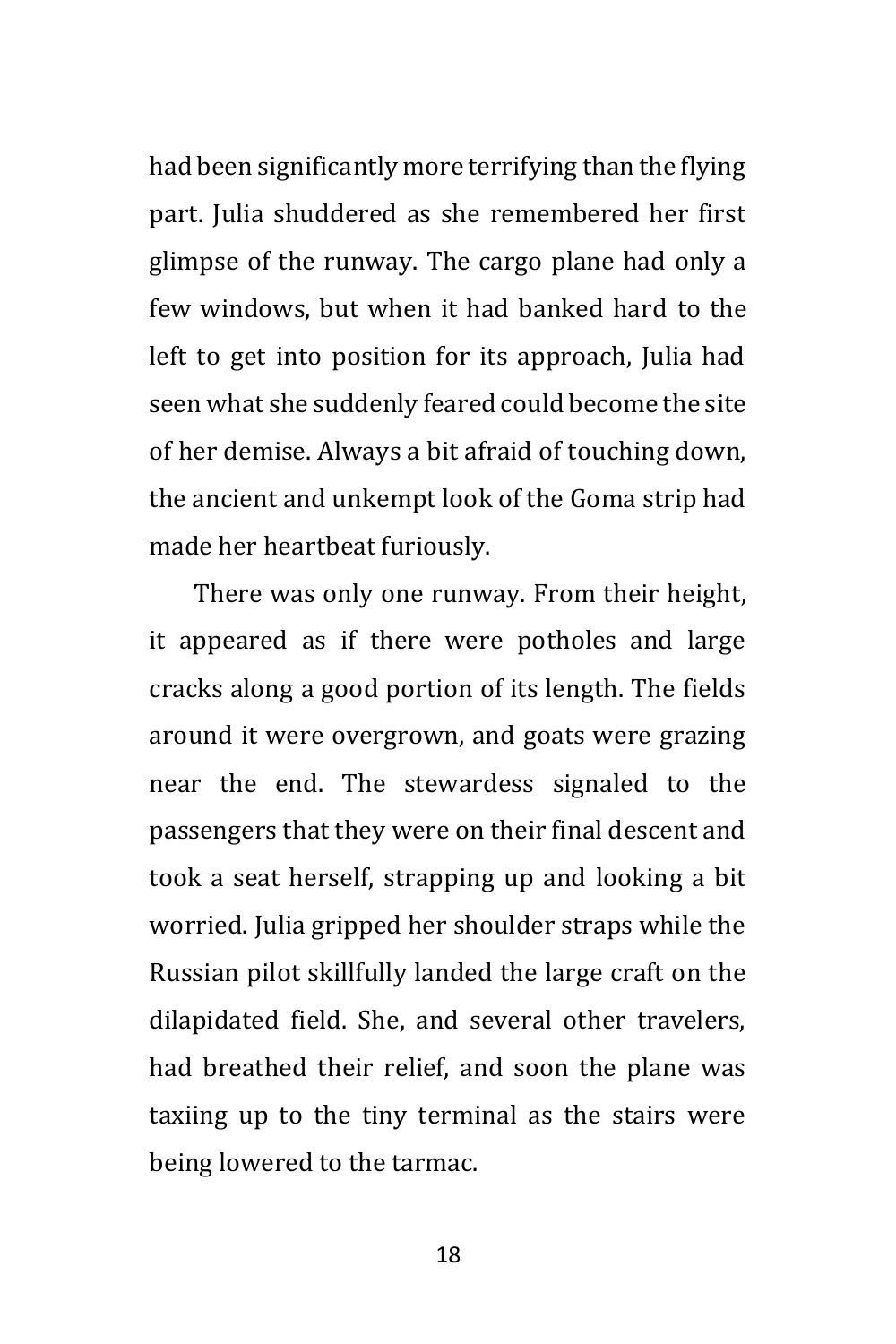had been significantly more terrifying than the flying part. Julia shuddered as she remembered her first glimpse of the runway. The cargo plane had only a few windows, but when it had banked hard to the left to get into position for its approach, Julia had seen what she suddenly feared could become the site of her demise. Always a bit afraid of touching down, the ancient and unkempt look of the Goma strip had made her heartbeat furiously.

There was only one runway. From their height, it appeared as if there were potholes and large cracks along a good portion of its length. The fields around it were overgrown, and goats were grazing near the end. The stewardess signaled to the passengers that they were on their final descent and took a seat herself, strapping up and looking a bit worried. Julia gripped her shoulder straps while the Russian pilot skillfully landed the large craft on the dilapidated field. She, and several other travelers, had breathed their relief, and soon the plane was taxiing up to the tiny terminal as the stairs were being lowered to the tarmac.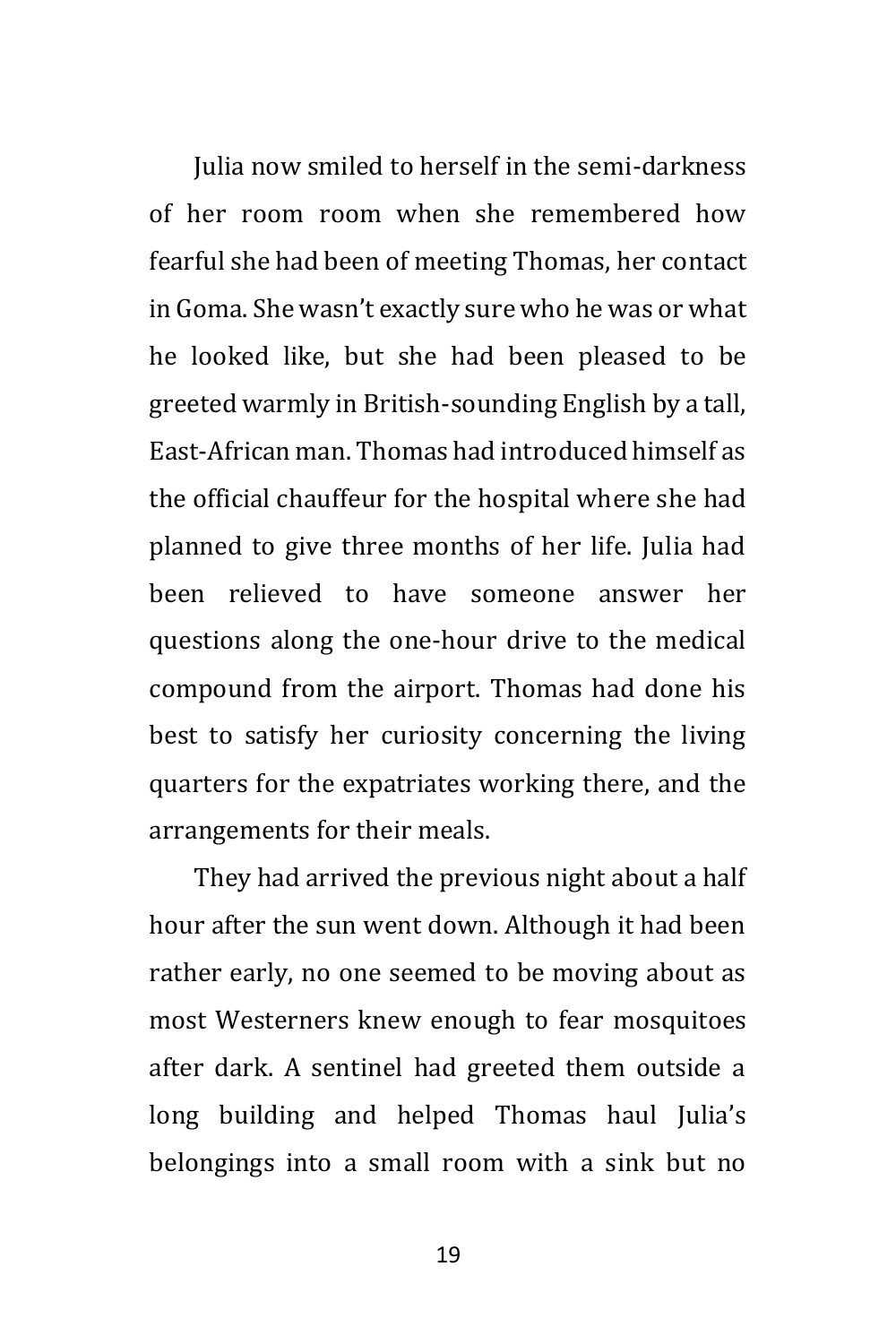Julia now smiled to herself in the semi-darkness of her room room when she remembered how fearful she had been of meeting Thomas, her contact in Goma. She wasn't exactly sure who he was or what he looked like, but she had been pleased to be greeted warmly in British-sounding English by a tall, East-African man. Thomas had introduced himself as the official chauffeur for the hospital where she had planned to give three months of her life. Julia had been relieved to have someone answer her questions along the one-hour drive to the medical compound from the airport. Thomas had done his best to satisfy her curiosity concerning the living quarters for the expatriates working there, and the arrangements for their meals.

They had arrived the previous night about a half hour after the sun went down. Although it had been rather early, no one seemed to be moving about as most Westerners knew enough to fear mosquitoes after dark. A sentinel had greeted them outside a long building and helped Thomas haul Julia's belongings into a small room with a sink but no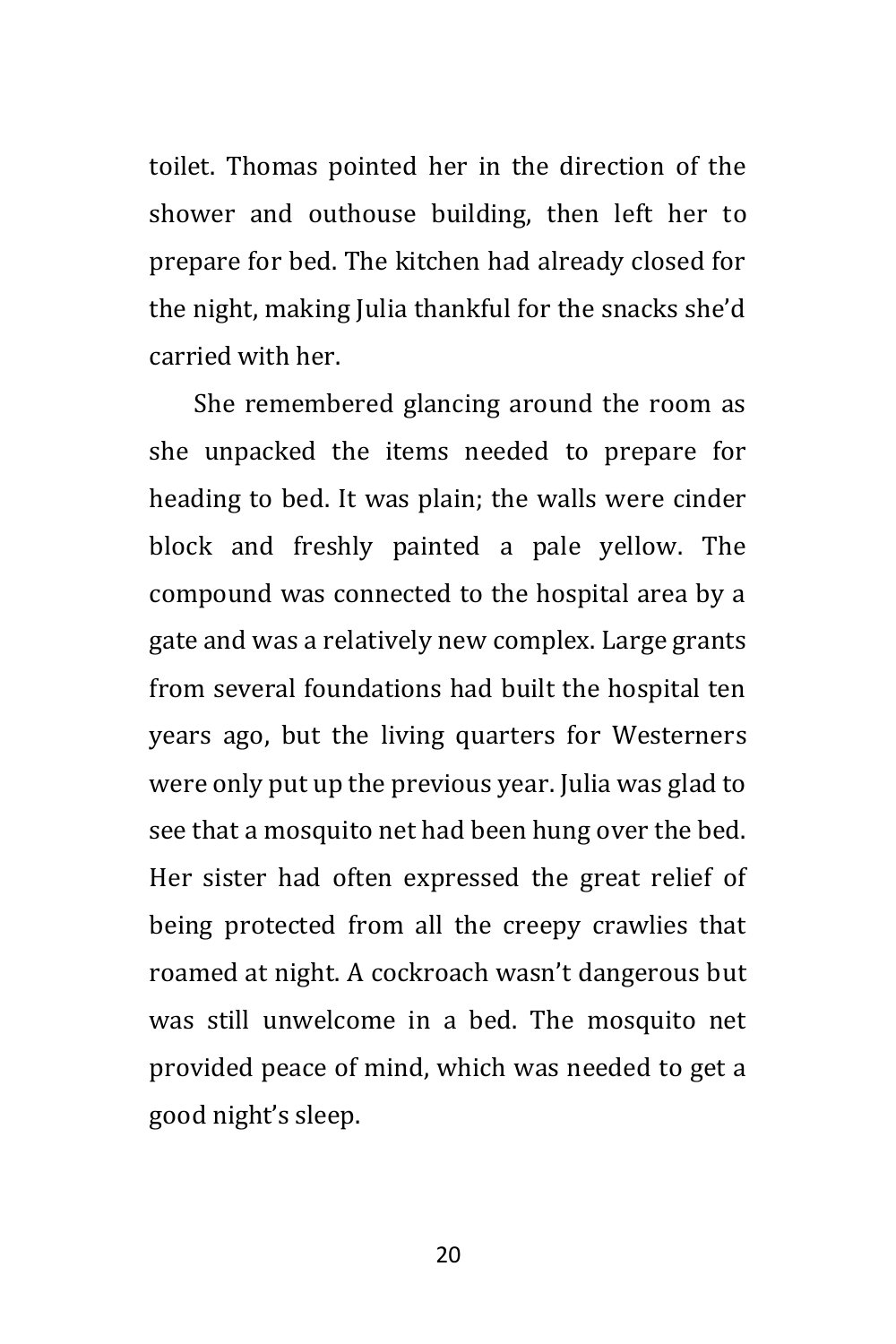toilet. Thomas pointed her in the direction of the shower and outhouse building, then left her to prepare for bed. The kitchen had already closed for the night, making Julia thankful for the snacks she'd carried with her.

She remembered glancing around the room as she unpacked the items needed to prepare for heading to bed. It was plain; the walls were cinder block and freshly painted a pale yellow. The compound was connected to the hospital area by a gate and was a relatively new complex. Large grants from several foundations had built the hospital ten years ago, but the living quarters for Westerners were only put up the previous year. Julia was glad to see that a mosquito net had been hung over the bed. Her sister had often expressed the great relief of being protected from all the creepy crawlies that roamed at night. A cockroach wasn't dangerous but was still unwelcome in a bed. The mosquito net provided peace of mind, which was needed to get a good night's sleep.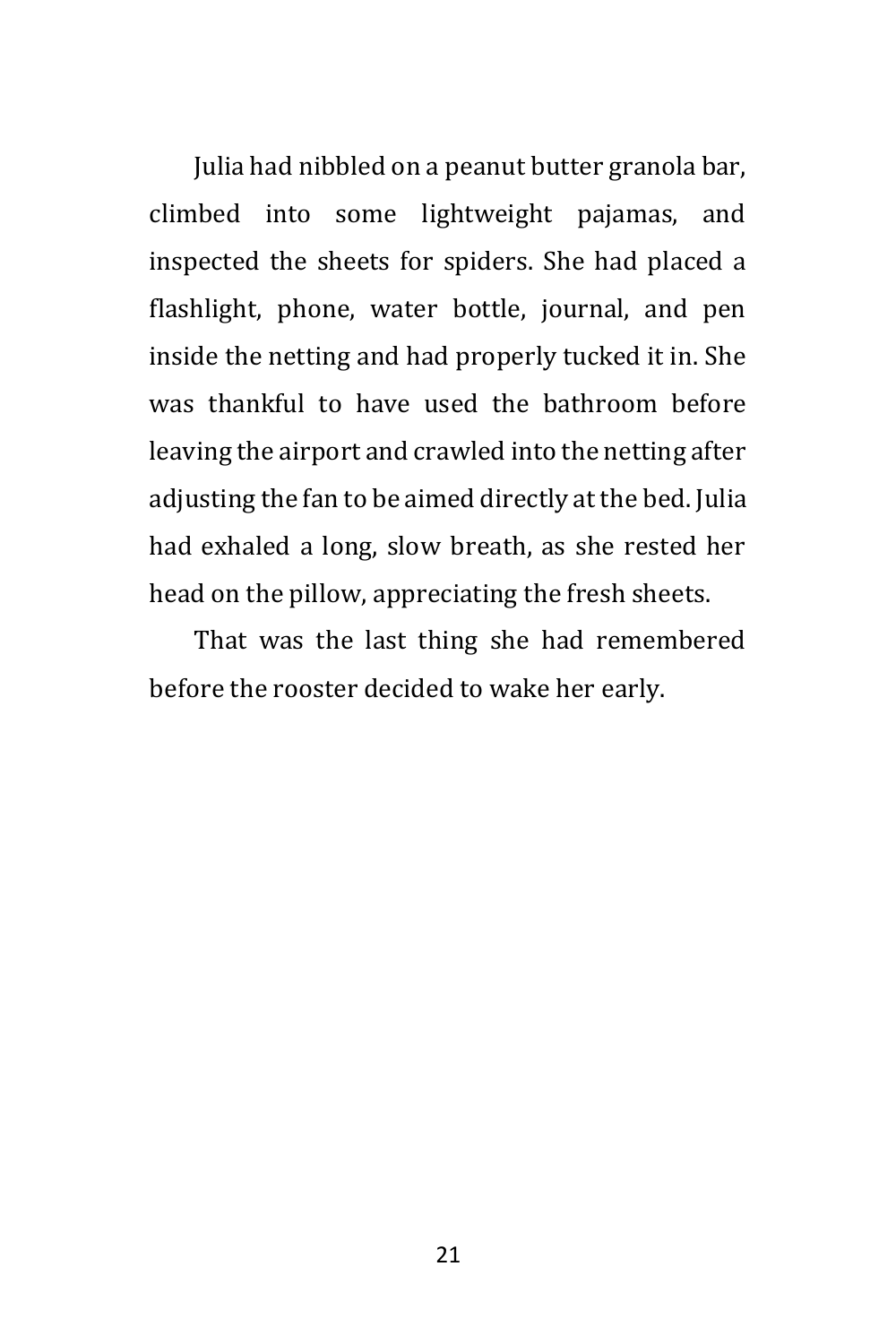Julia had nibbled on a peanut butter granola bar, climbed into some lightweight pajamas, and inspected the sheets for spiders. She had placed a flashlight, phone, water bottle, journal, and pen inside the netting and had properly tucked it in. She was thankful to have used the bathroom before leaving the airport and crawled into the netting after adjusting the fan to be aimed directly at the bed. Julia had exhaled a long, slow breath, as she rested her head on the pillow, appreciating the fresh sheets.

That was the last thing she had remembered before the rooster decided to wake her early.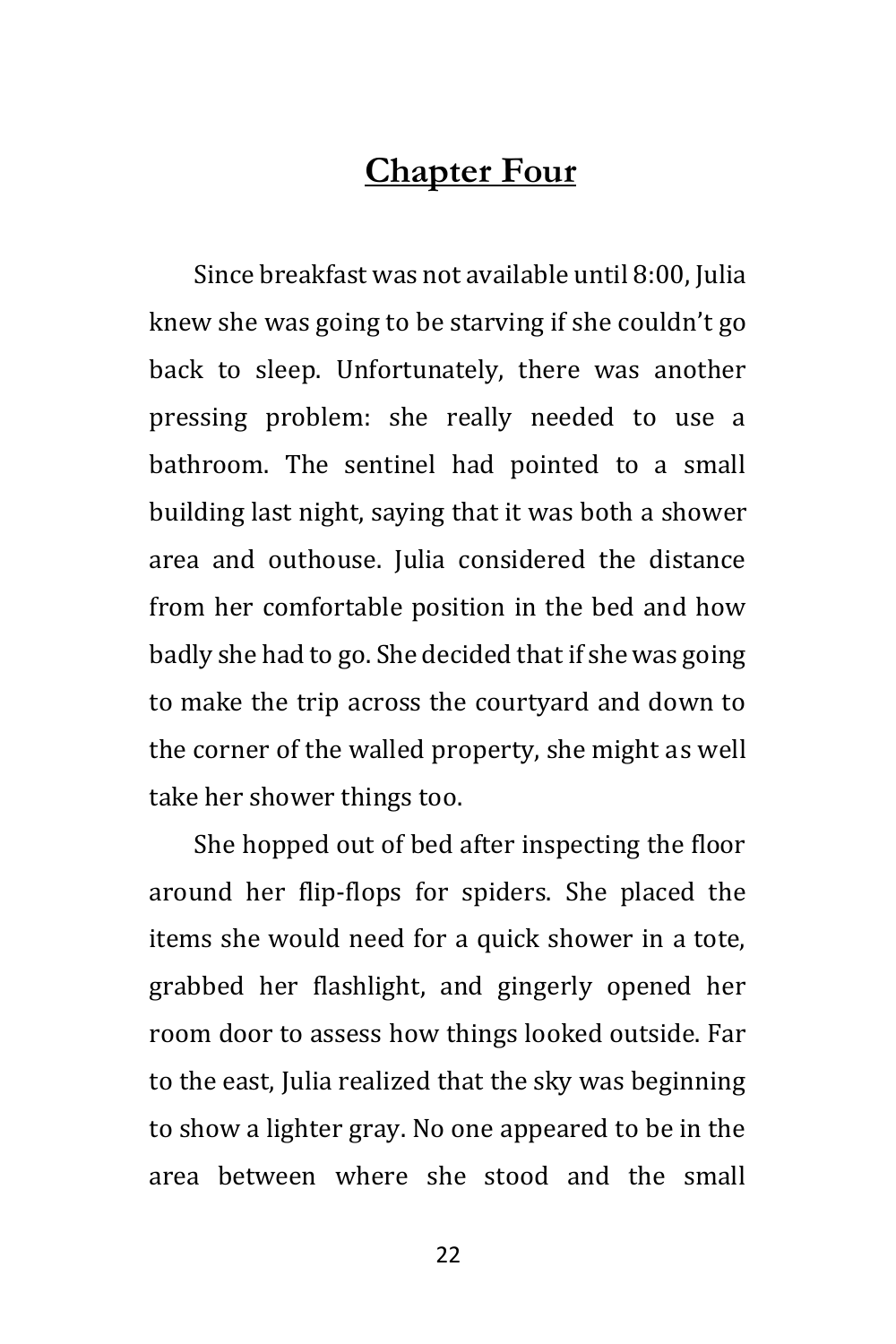### **Chapter Four**

Since breakfast was not available until 8:00, Julia knew she was going to be starving if she couldn't go back to sleep. Unfortunately, there was another pressing problem: she really needed to use a bathroom. The sentinel had pointed to a small building last night, saying that it was both a shower area and outhouse. Julia considered the distance from her comfortable position in the bed and how badly she had to go. She decided that if she was going to make the trip across the courtyard and down to the corner of the walled property, she might as well take her shower things too.

She hopped out of bed after inspecting the floor around her flip-flops for spiders. She placed the items she would need for a quick shower in a tote, grabbed her flashlight, and gingerly opened her room door to assess how things looked outside. Far to the east, Julia realized that the sky was beginning to show a lighter gray. No one appeared to be in the area between where she stood and the small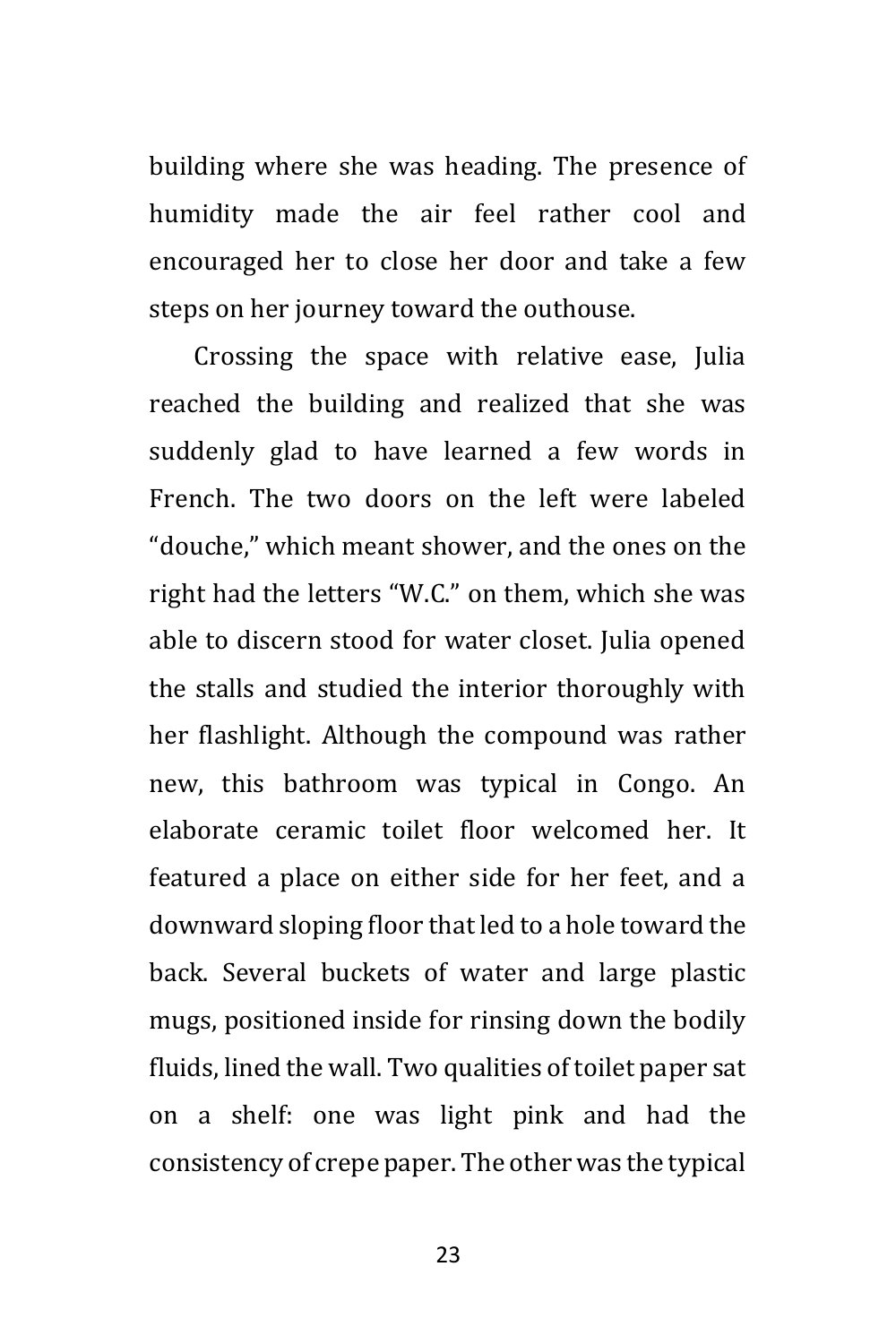building where she was heading. The presence of humidity made the air feel rather cool and encouraged her to close her door and take a few steps on her journey toward the outhouse.

Crossing the space with relative ease, Julia reached the building and realized that she was suddenly glad to have learned a few words in French. The two doors on the left were labeled "douche," which meant shower, and the ones on the right had the letters "W.C." on them, which she was able to discern stood for water closet. Julia opened the stalls and studied the interior thoroughly with her flashlight. Although the compound was rather new, this bathroom was typical in Congo. An elaborate ceramic toilet floor welcomed her. It featured a place on either side for her feet, and a downward sloping floor that led to a hole toward the back. Several buckets of water and large plastic mugs, positioned inside for rinsing down the bodily fluids, lined the wall. Two qualities of toilet paper sat on a shelf: one was light pink and had the consistency of crepe paper. The other was the typical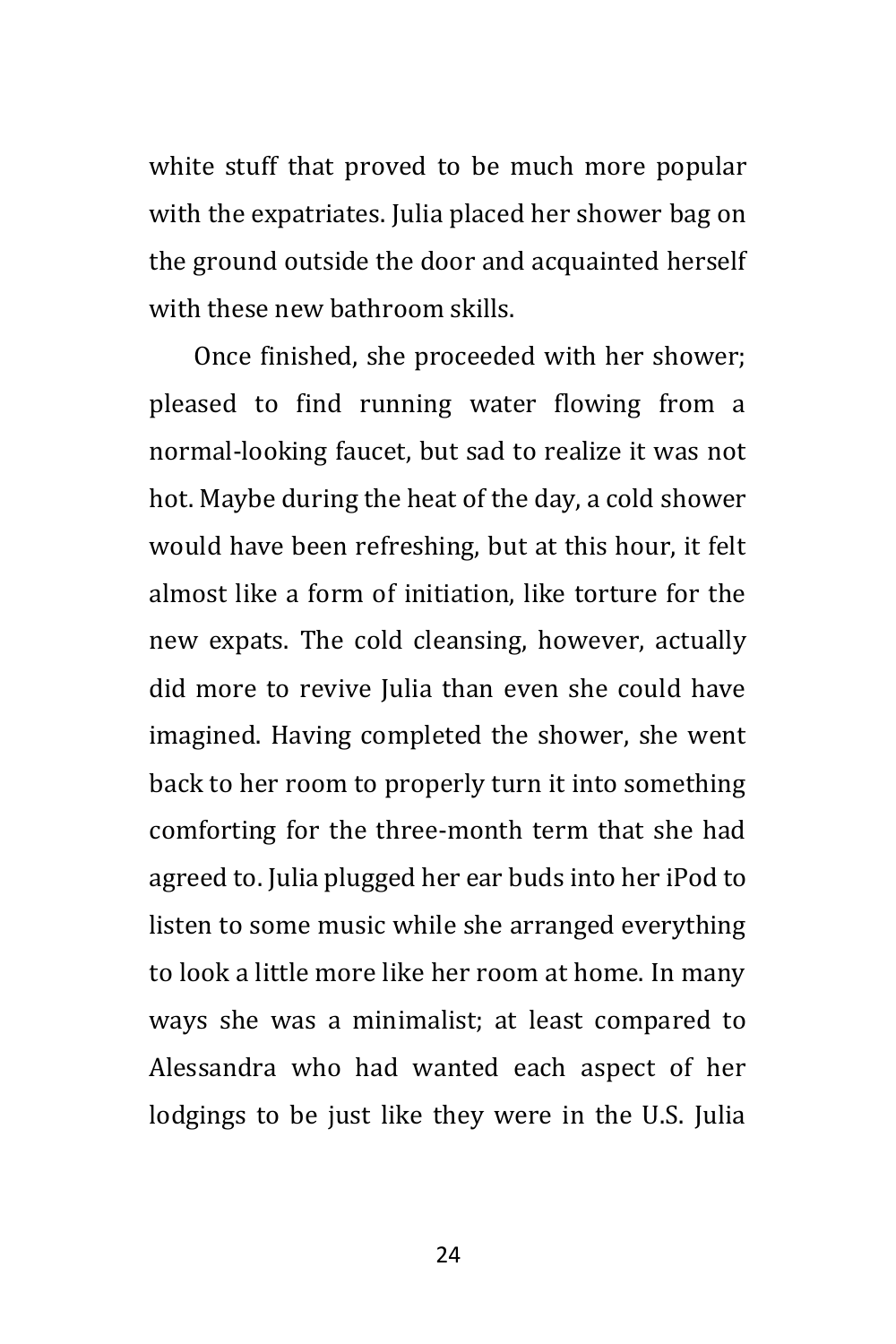white stuff that proved to be much more popular with the expatriates. Julia placed her shower bag on the ground outside the door and acquainted herself with these new bathroom skills.

Once finished, she proceeded with her shower; pleased to find running water flowing from a normal-looking faucet, but sad to realize it was not hot. Maybe during the heat of the day, a cold shower would have been refreshing, but at this hour, it felt almost like a form of initiation, like torture for the new expats. The cold cleansing, however, actually did more to revive Julia than even she could have imagined. Having completed the shower, she went back to her room to properly turn it into something comforting for the three-month term that she had agreed to. Julia plugged her ear buds into her iPod to listen to some music while she arranged everything to look a little more like her room at home. In many ways she was a minimalist; at least compared to Alessandra who had wanted each aspect of her lodgings to be just like they were in the U.S. Julia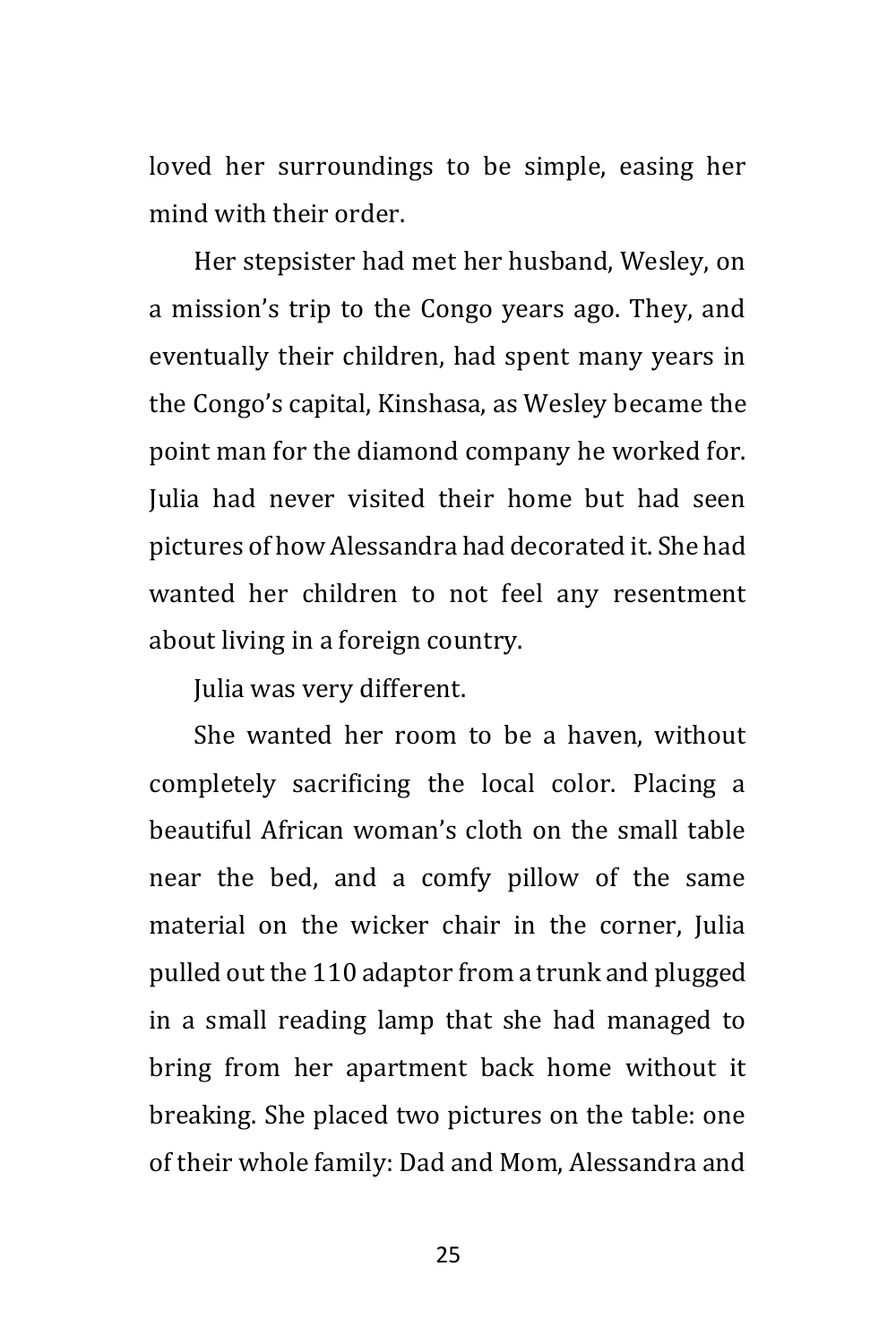loved her surroundings to be simple, easing her mind with their order.

Her stepsister had met her husband, Wesley, on a mission's trip to the Congo years ago. They, and eventually their children, had spent many years in the Congo's capital, Kinshasa, as Wesley became the point man for the diamond company he worked for. Julia had never visited their home but had seen pictures of how Alessandra had decorated it. She had wanted her children to not feel any resentment about living in a foreign country.

Julia was very different.

She wanted her room to be a haven, without completely sacrificing the local color. Placing a beautiful African woman's cloth on the small table near the bed, and a comfy pillow of the same material on the wicker chair in the corner, Julia pulled out the 110 adaptor from a trunk and plugged in a small reading lamp that she had managed to bring from her apartment back home without it breaking. She placed two pictures on the table: one of their whole family: Dad and Mom, Alessandra and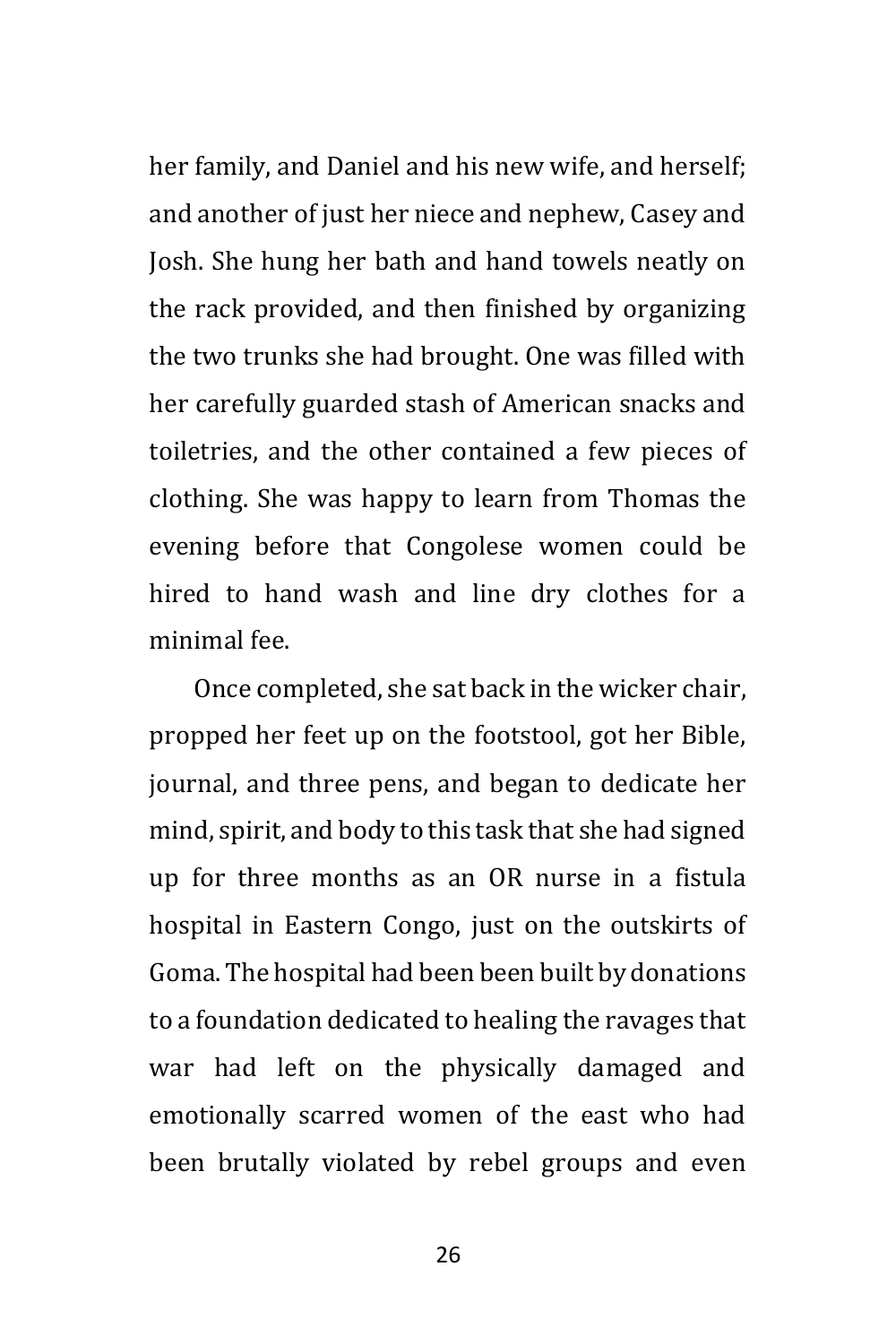her family, and Daniel and his new wife, and herself; and another of just her niece and nephew, Casey and Josh. She hung her bath and hand towels neatly on the rack provided, and then finished by organizing the two trunks she had brought. One was filled with her carefully guarded stash of American snacks and toiletries, and the other contained a few pieces of clothing. She was happy to learn from Thomas the evening before that Congolese women could be hired to hand wash and line dry clothes for a minimal fee.

Once completed, she sat back in the wicker chair, propped her feet up on the footstool, got her Bible, journal, and three pens, and began to dedicate her mind, spirit, and body to this task that she had signed up for three months as an OR nurse in a fistula hospital in Eastern Congo, just on the outskirts of Goma. The hospital had been been built by donations to a foundation dedicated to healing the ravages that war had left on the physically damaged and emotionally scarred women of the east who had been brutally violated by rebel groups and even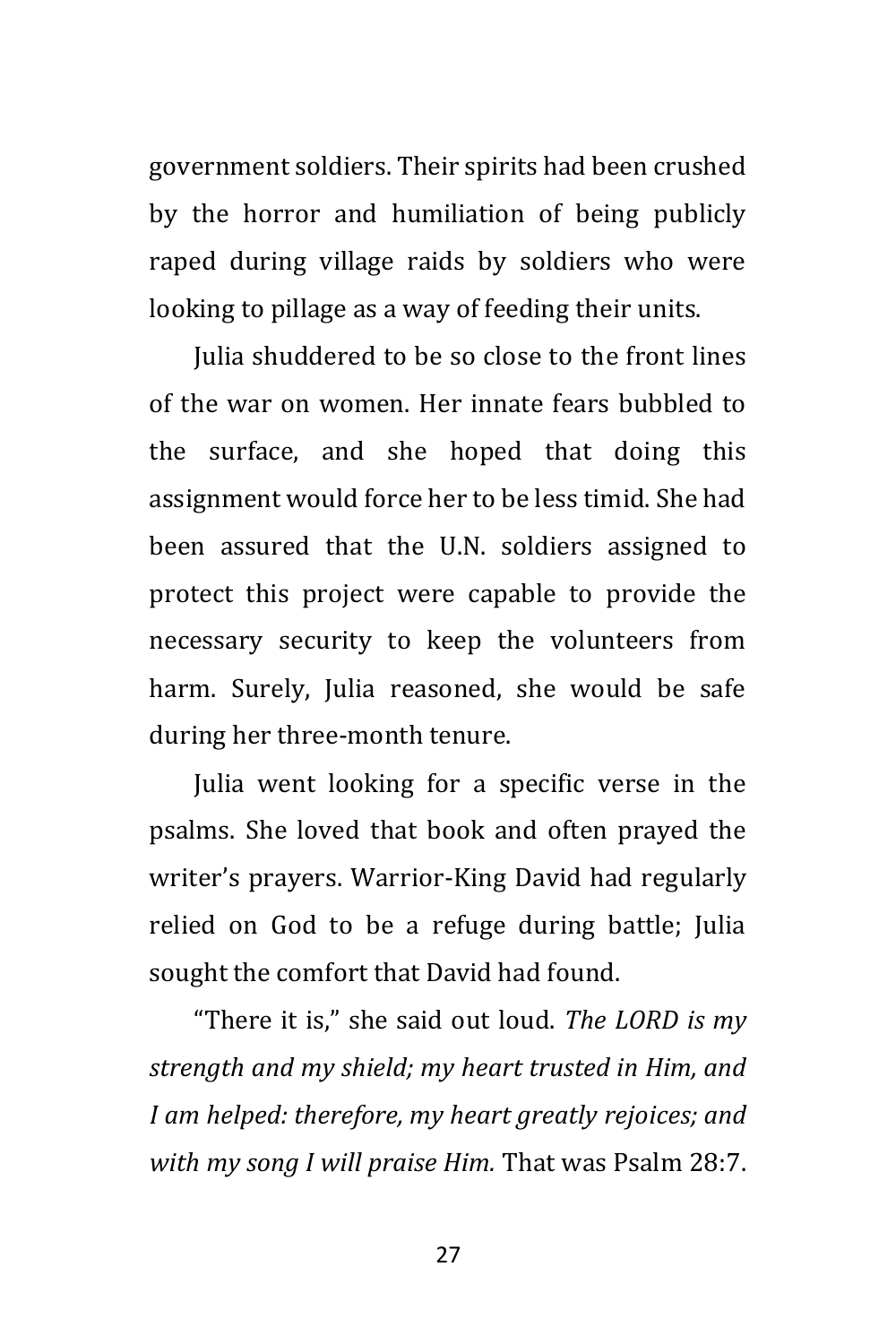government soldiers. Their spirits had been crushed by the horror and humiliation of being publicly raped during village raids by soldiers who were looking to pillage as a way of feeding their units.

Julia shuddered to be so close to the front lines of the war on women. Her innate fears bubbled to the surface, and she hoped that doing this assignment would force her to be less timid. She had been assured that the U.N. soldiers assigned to protect this project were capable to provide the necessary security to keep the volunteers from harm. Surely, Julia reasoned, she would be safe during her three-month tenure.

Julia went looking for a specific verse in the psalms. She loved that book and often prayed the writer's prayers. Warrior-King David had regularly relied on God to be a refuge during battle; Julia sought the comfort that David had found.

"There it is," she said out loud. *The LORD is my strength and my shield; my heart trusted in Him, and I am helped: therefore, my heart greatly rejoices; and with my song I will praise Him.* That was Psalm 28:7.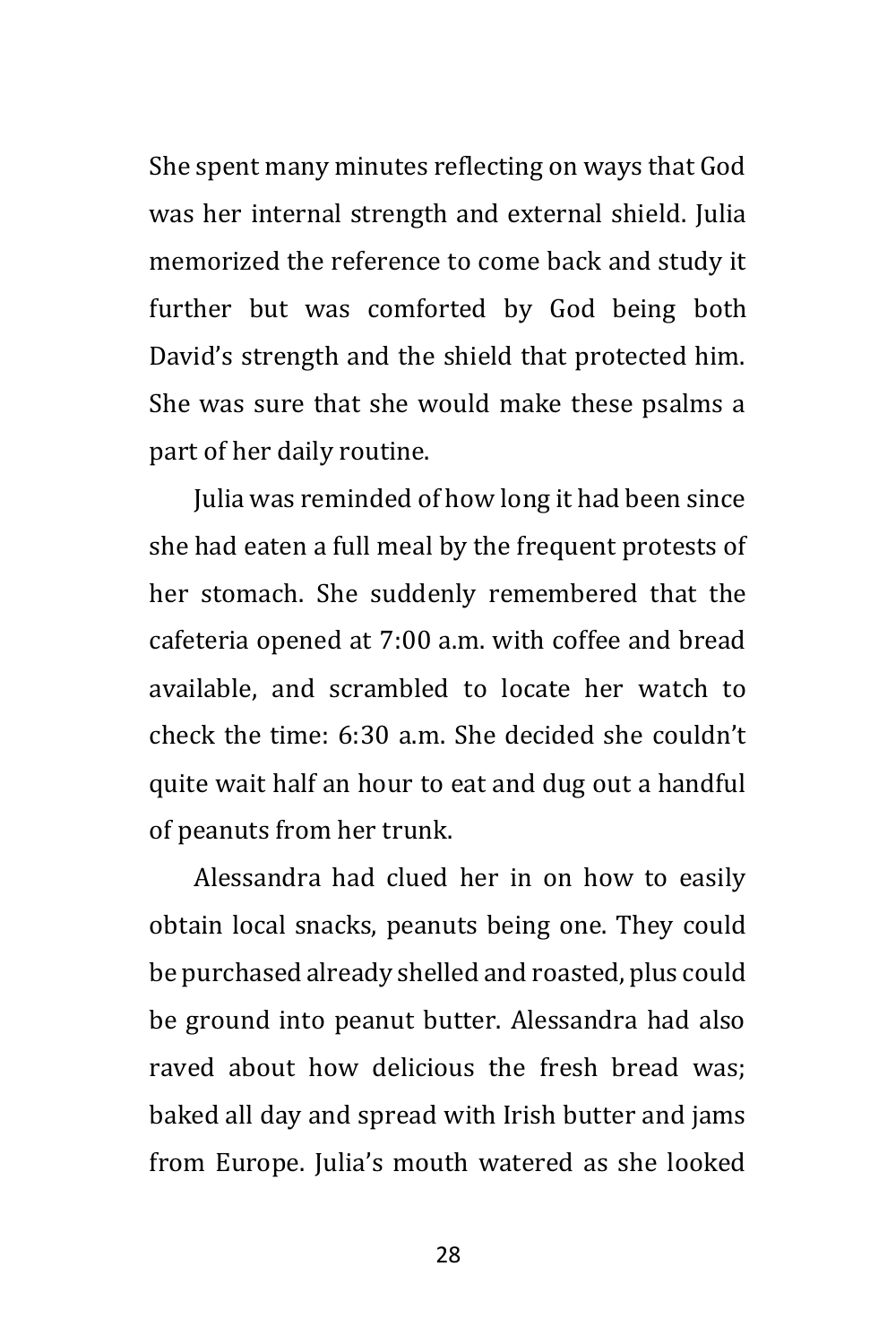She spent many minutes reflecting on ways that God was her internal strength and external shield. Julia memorized the reference to come back and study it further but was comforted by God being both David's strength and the shield that protected him. She was sure that she would make these psalms a part of her daily routine.

Julia was reminded of how long it had been since she had eaten a full meal by the frequent protests of her stomach. She suddenly remembered that the cafeteria opened at 7:00 a.m. with coffee and bread available, and scrambled to locate her watch to check the time: 6:30 a.m. She decided she couldn't quite wait half an hour to eat and dug out a handful of peanuts from her trunk.

Alessandra had clued her in on how to easily obtain local snacks, peanuts being one. They could be purchased already shelled and roasted, plus could be ground into peanut butter. Alessandra had also raved about how delicious the fresh bread was; baked all day and spread with Irish butter and jams from Europe. Julia's mouth watered as she looked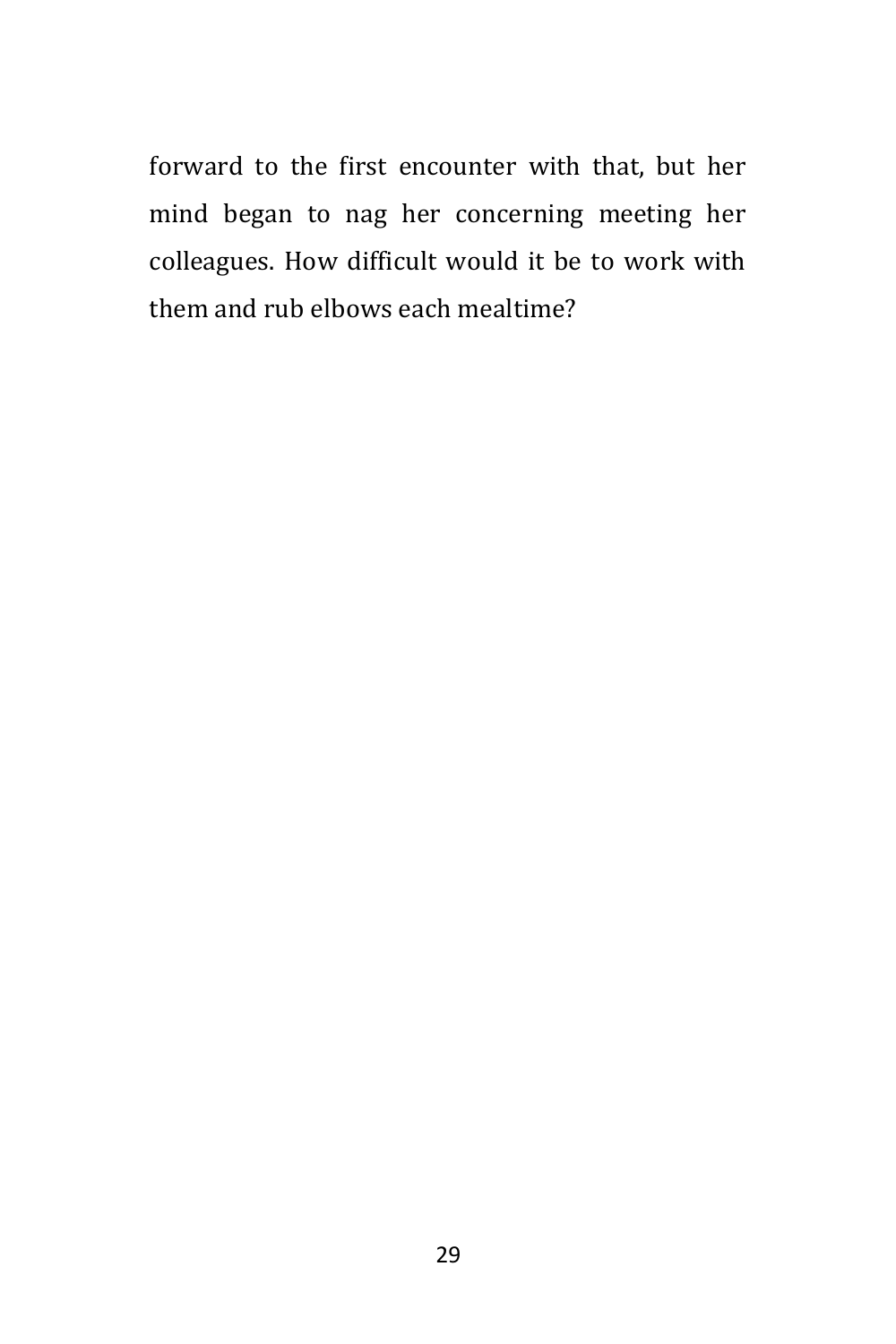forward to the first encounter with that, but her mind began to nag her concerning meeting her colleagues. How difficult would it be to work with them and rub elbows each mealtime?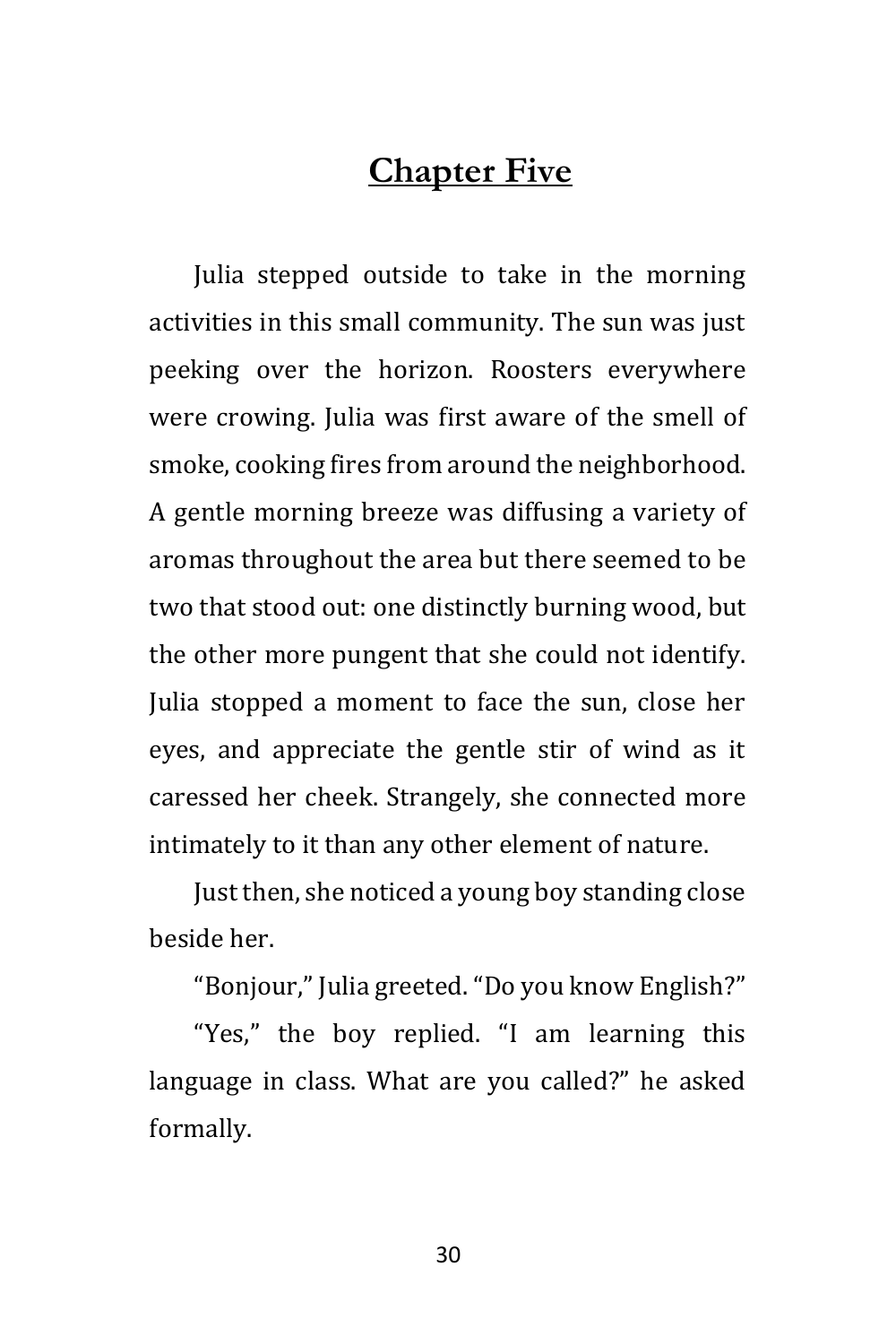### **Chapter Five**

Julia stepped outside to take in the morning activities in this small community. The sun was just peeking over the horizon. Roosters everywhere were crowing. Julia was first aware of the smell of smoke, cooking fires from around the neighborhood. A gentle morning breeze was diffusing a variety of aromas throughout the area but there seemed to be two that stood out: one distinctly burning wood, but the other more pungent that she could not identify. Julia stopped a moment to face the sun, close her eyes, and appreciate the gentle stir of wind as it caressed her cheek. Strangely, she connected more intimately to it than any other element of nature.

Just then, she noticed a young boy standing close beside her.

"Bonjour," Julia greeted. "Do you know English?"

"Yes," the boy replied. "I am learning this language in class. What are you called?" he asked formally.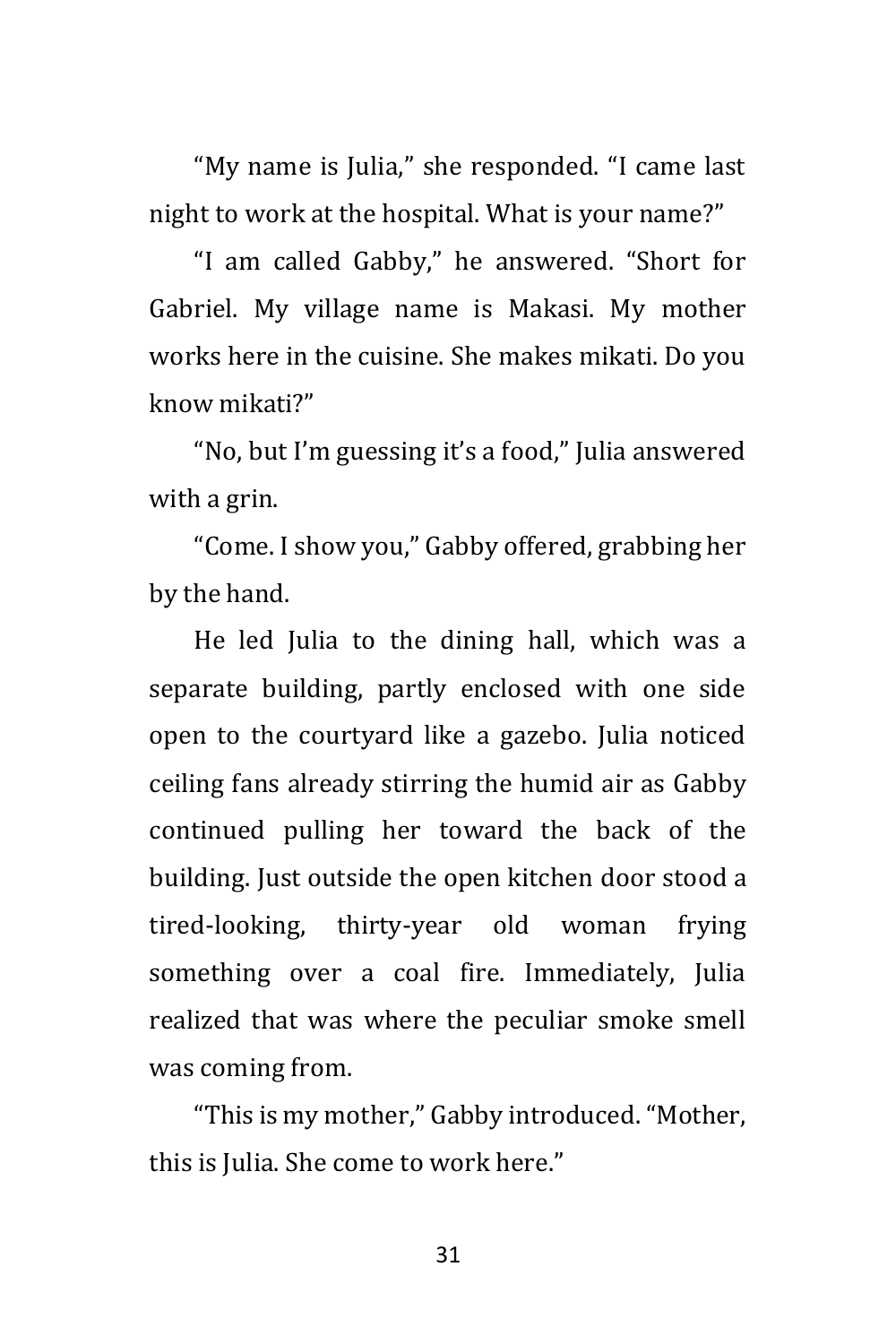"My name is Julia," she responded. "I came last night to work at the hospital. What is your name?"

"I am called Gabby," he answered. "Short for Gabriel. My village name is Makasi. My mother works here in the cuisine. She makes mikati. Do you know mikati?"

"No, but I'm guessing it's a food," Julia answered with a grin.

"Come. I show you," Gabby offered, grabbing her by the hand.

He led Julia to the dining hall, which was a separate building, partly enclosed with one side open to the courtyard like a gazebo. Julia noticed ceiling fans already stirring the humid air as Gabby continued pulling her toward the back of the building. Just outside the open kitchen door stood a tired-looking, thirty-year old woman frying something over a coal fire. Immediately, Julia realized that was where the peculiar smoke smell was coming from.

"This is my mother," Gabby introduced. "Mother, this is Julia. She come to work here."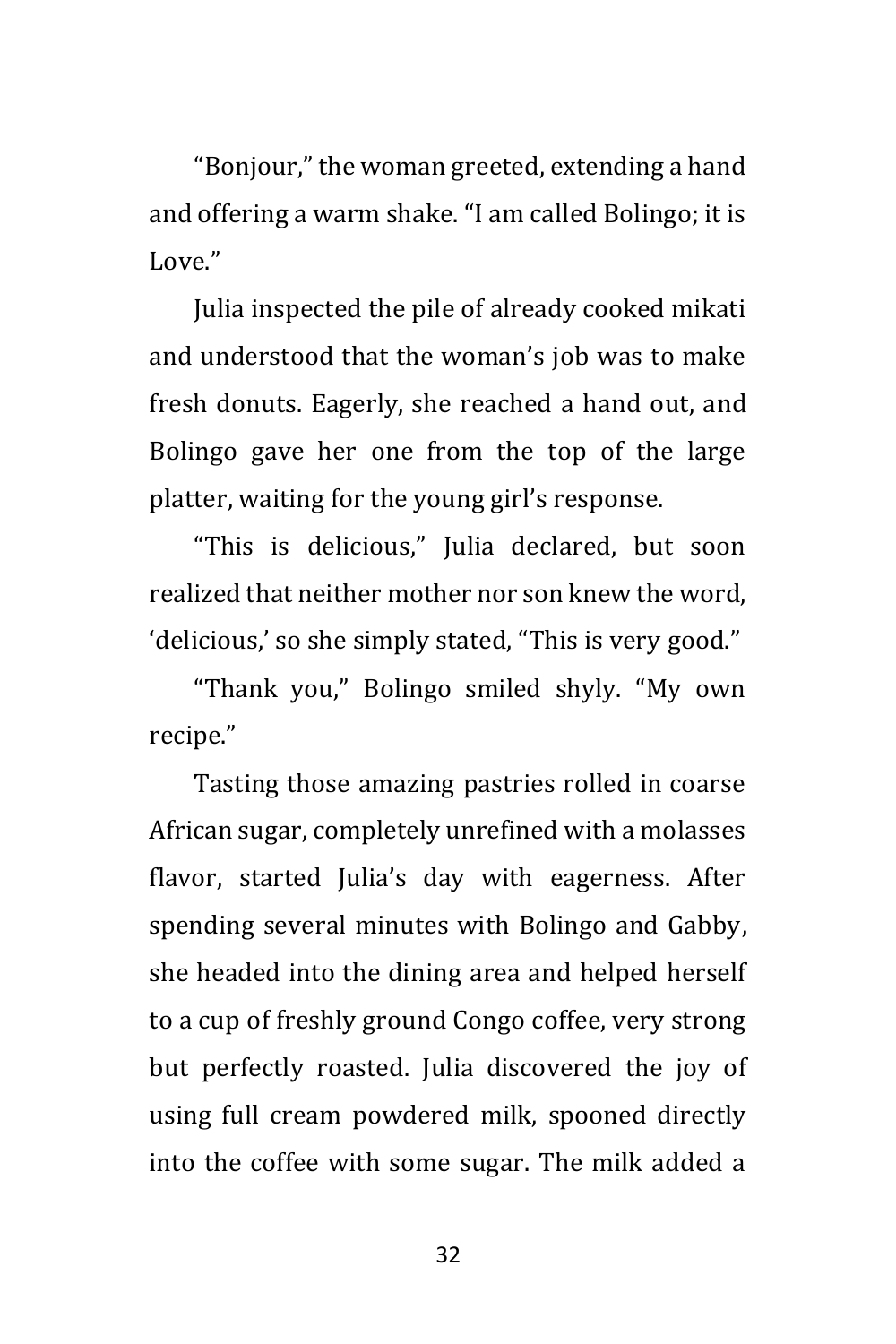"Bonjour," the woman greeted, extending a hand and offering a warm shake. "I am called Bolingo; it is Love."

Julia inspected the pile of already cooked mikati and understood that the woman's job was to make fresh donuts. Eagerly, she reached a hand out, and Bolingo gave her one from the top of the large platter, waiting for the young girl's response.

"This is delicious," Julia declared, but soon realized that neither mother nor son knew the word, 'delicious,' so she simply stated, "This is very good."

"Thank you," Bolingo smiled shyly. "My own recipe."

Tasting those amazing pastries rolled in coarse African sugar, completely unrefined with a molasses flavor, started Julia's day with eagerness. After spending several minutes with Bolingo and Gabby, she headed into the dining area and helped herself to a cup of freshly ground Congo coffee, very strong but perfectly roasted. Julia discovered the joy of using full cream powdered milk, spooned directly into the coffee with some sugar. The milk added a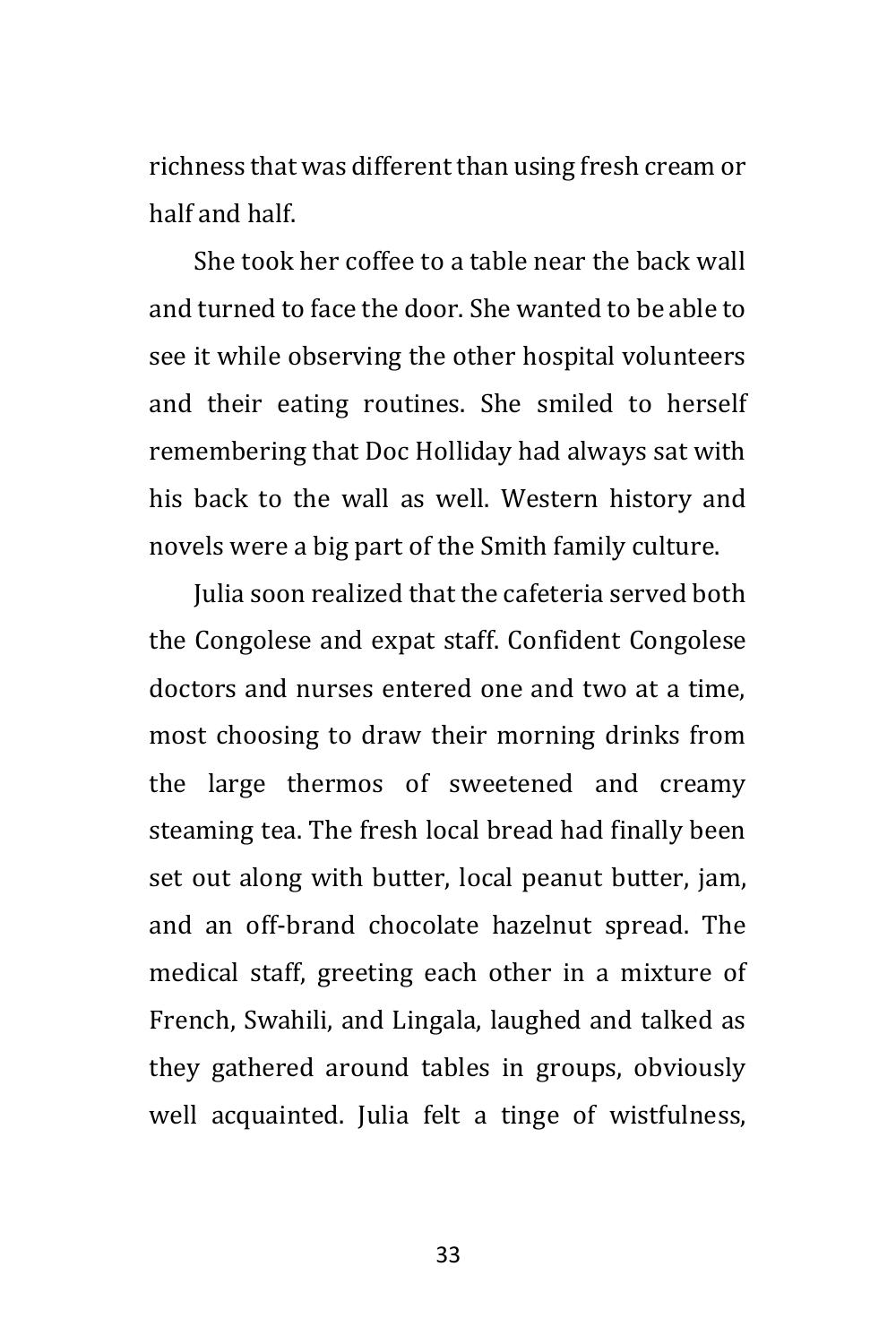richness that was different than using fresh cream or half and half.

She took her coffee to a table near the back wall and turned to face the door. She wanted to be able to see it while observing the other hospital volunteers and their eating routines. She smiled to herself remembering that Doc Holliday had always sat with his back to the wall as well. Western history and novels were a big part of the Smith family culture.

Julia soon realized that the cafeteria served both the Congolese and expat staff. Confident Congolese doctors and nurses entered one and two at a time, most choosing to draw their morning drinks from the large thermos of sweetened and creamy steaming tea. The fresh local bread had finally been set out along with butter, local peanut butter, jam, and an off-brand chocolate hazelnut spread. The medical staff, greeting each other in a mixture of French, Swahili, and Lingala, laughed and talked as they gathered around tables in groups, obviously well acquainted. Julia felt a tinge of wistfulness,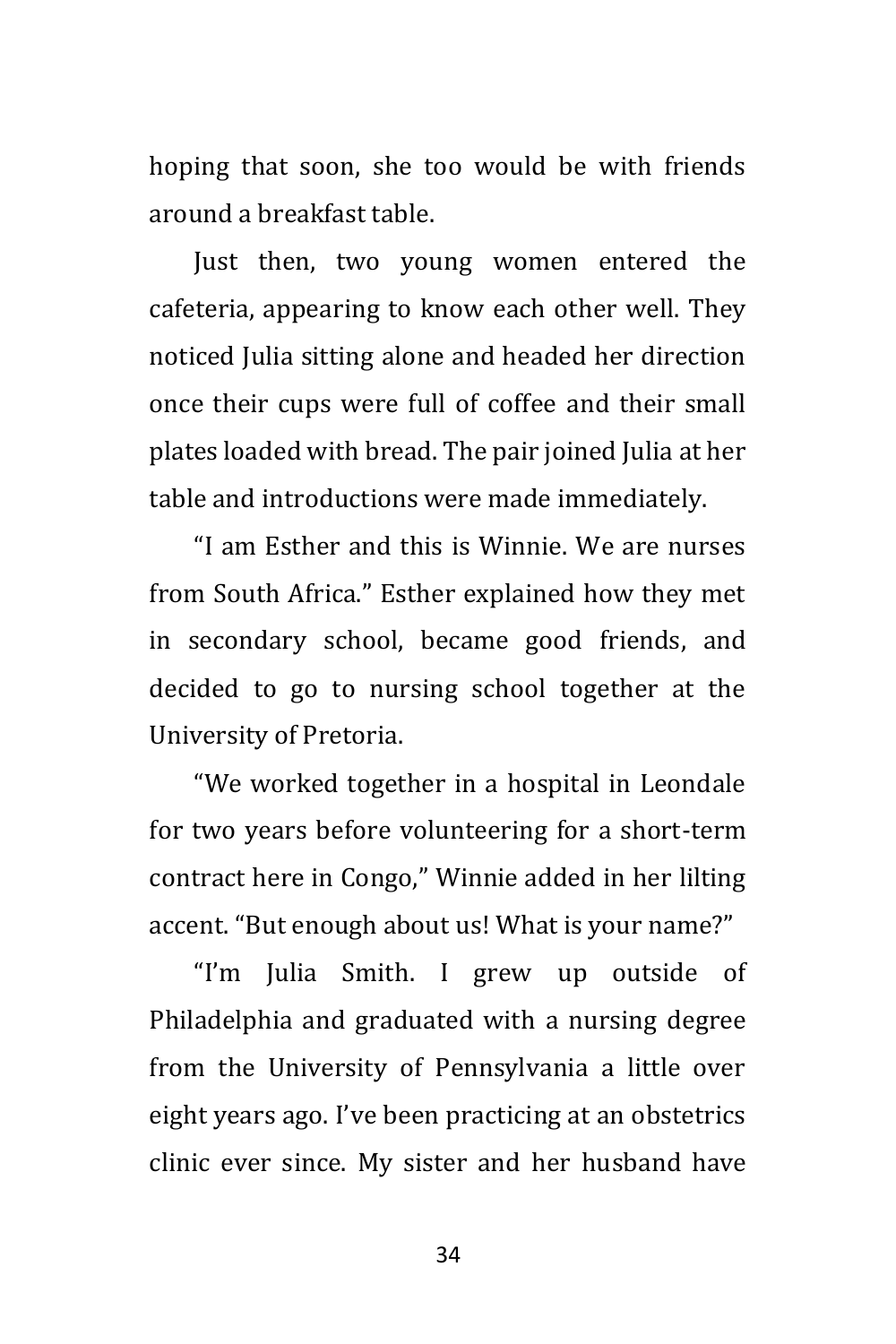hoping that soon, she too would be with friends around a breakfast table.

Just then, two young women entered the cafeteria, appearing to know each other well. They noticed Julia sitting alone and headed her direction once their cups were full of coffee and their small plates loaded with bread. The pair joined Julia at her table and introductions were made immediately.

"I am Esther and this is Winnie. We are nurses from South Africa." Esther explained how they met in secondary school, became good friends, and decided to go to nursing school together at the University of Pretoria.

"We worked together in a hospital in Leondale for two years before volunteering for a short-term contract here in Congo," Winnie added in her lilting accent. "But enough about us! What is your name?"

"I'm Julia Smith. I grew up outside of Philadelphia and graduated with a nursing degree from the University of Pennsylvania a little over eight years ago. I've been practicing at an obstetrics clinic ever since. My sister and her husband have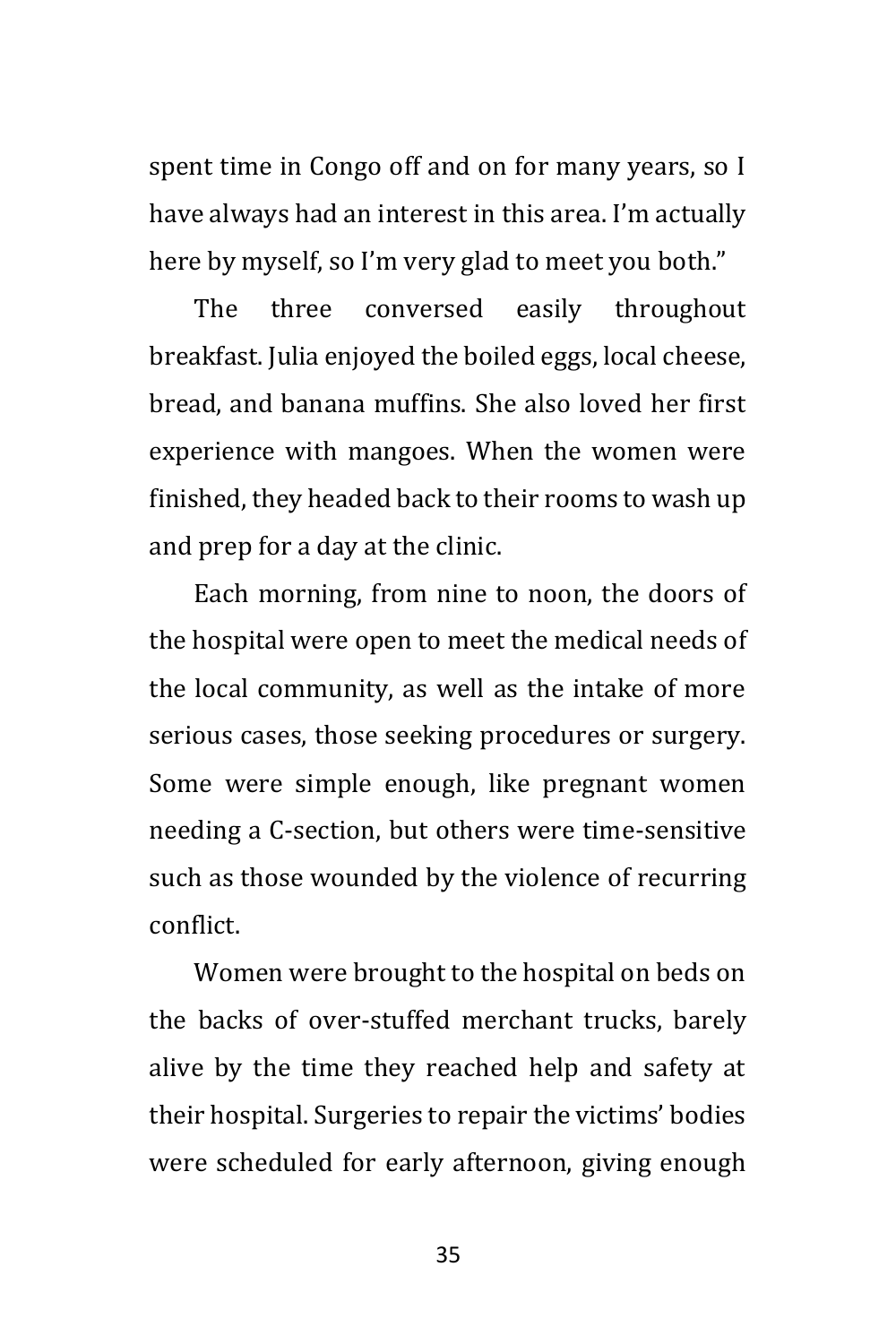spent time in Congo off and on for many years, so I have always had an interest in this area. I'm actually here by myself, so I'm very glad to meet you both."

The three conversed easily throughout breakfast. Julia enjoyed the boiled eggs, local cheese, bread, and banana muffins. She also loved her first experience with mangoes. When the women were finished, they headed back to their rooms to wash up and prep for a day at the clinic.

Each morning, from nine to noon, the doors of the hospital were open to meet the medical needs of the local community, as well as the intake of more serious cases, those seeking procedures or surgery. Some were simple enough, like pregnant women needing a C-section, but others were time-sensitive such as those wounded by the violence of recurring conflict.

Women were brought to the hospital on beds on the backs of over-stuffed merchant trucks, barely alive by the time they reached help and safety at their hospital. Surgeries to repair the victims' bodies were scheduled for early afternoon, giving enough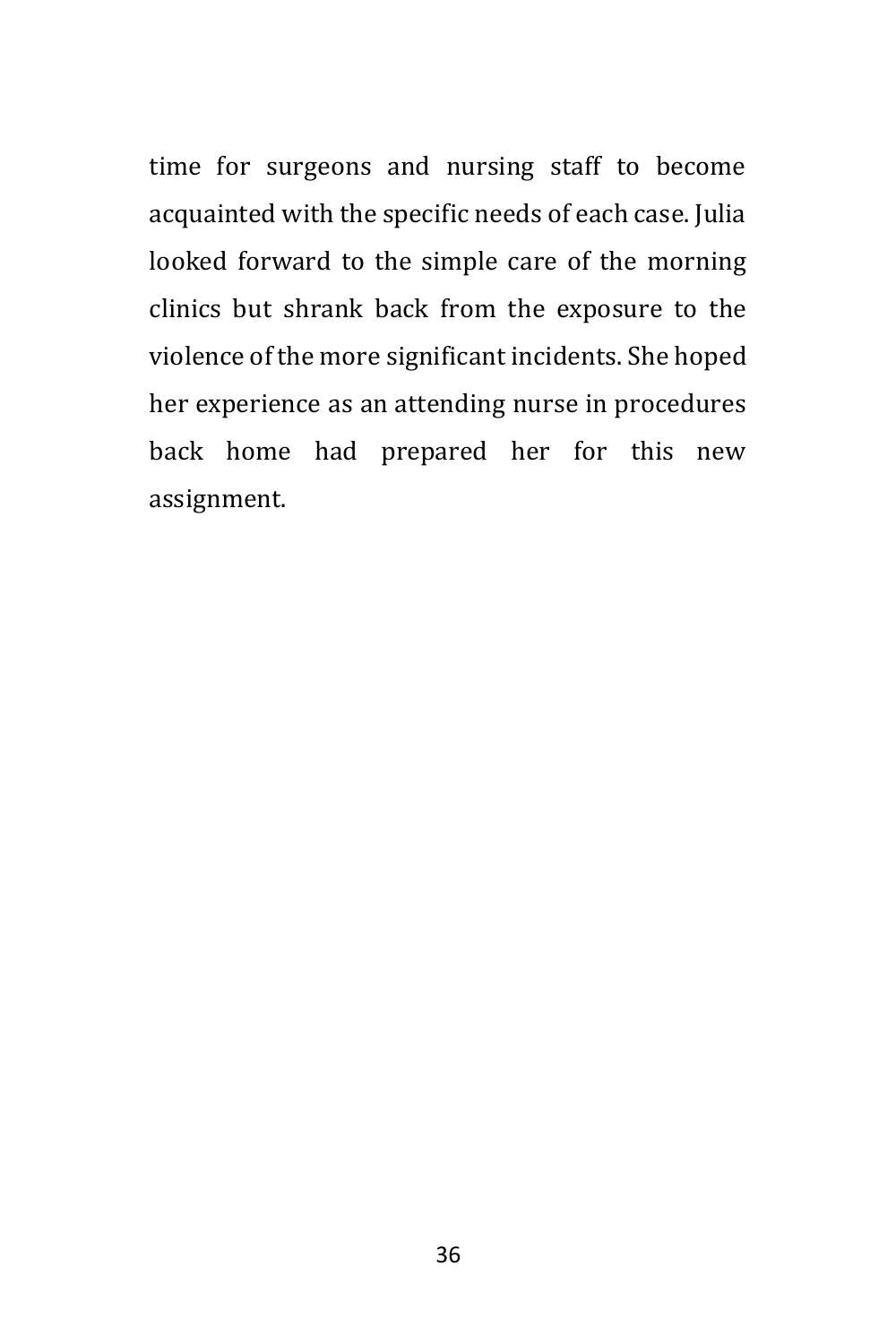time for surgeons and nursing staff to become acquainted with the specific needs of each case. Julia looked forward to the simple care of the morning clinics but shrank back from the exposure to the violence of the more significant incidents. She hoped her experience as an attending nurse in procedures back home had prepared her for this new assignment.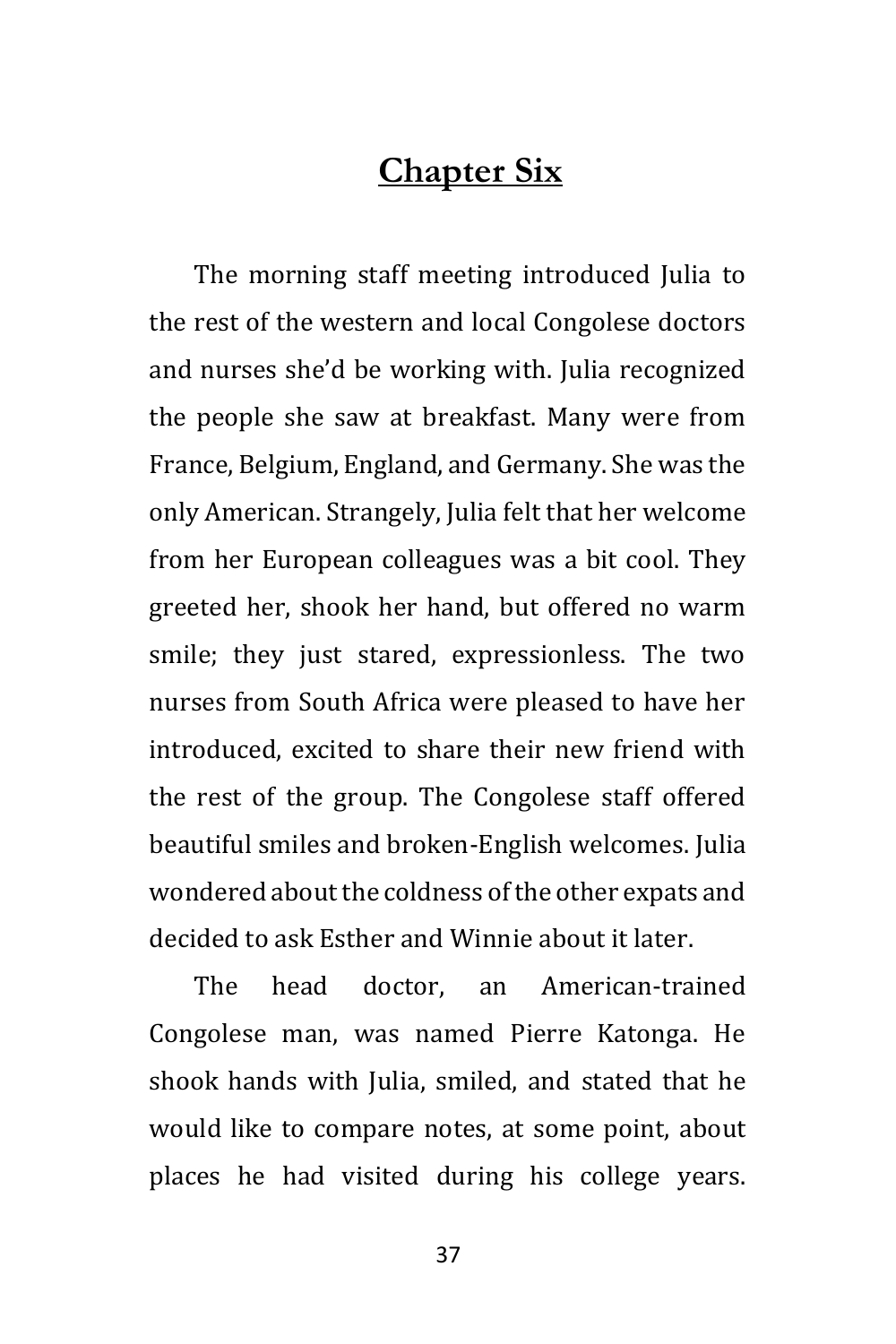## **Chapter Six**

The morning staff meeting introduced Julia to the rest of the western and local Congolese doctors and nurses she'd be working with. Julia recognized the people she saw at breakfast. Many were from France, Belgium, England, and Germany. She was the only American. Strangely, Julia felt that her welcome from her European colleagues was a bit cool. They greeted her, shook her hand, but offered no warm smile; they just stared, expressionless. The two nurses from South Africa were pleased to have her introduced, excited to share their new friend with the rest of the group. The Congolese staff offered beautiful smiles and broken-English welcomes. Julia wondered about the coldness of the other expats and decided to ask Esther and Winnie about it later.

The head doctor, an American-trained Congolese man, was named Pierre Katonga. He shook hands with Julia, smiled, and stated that he would like to compare notes, at some point, about places he had visited during his college years.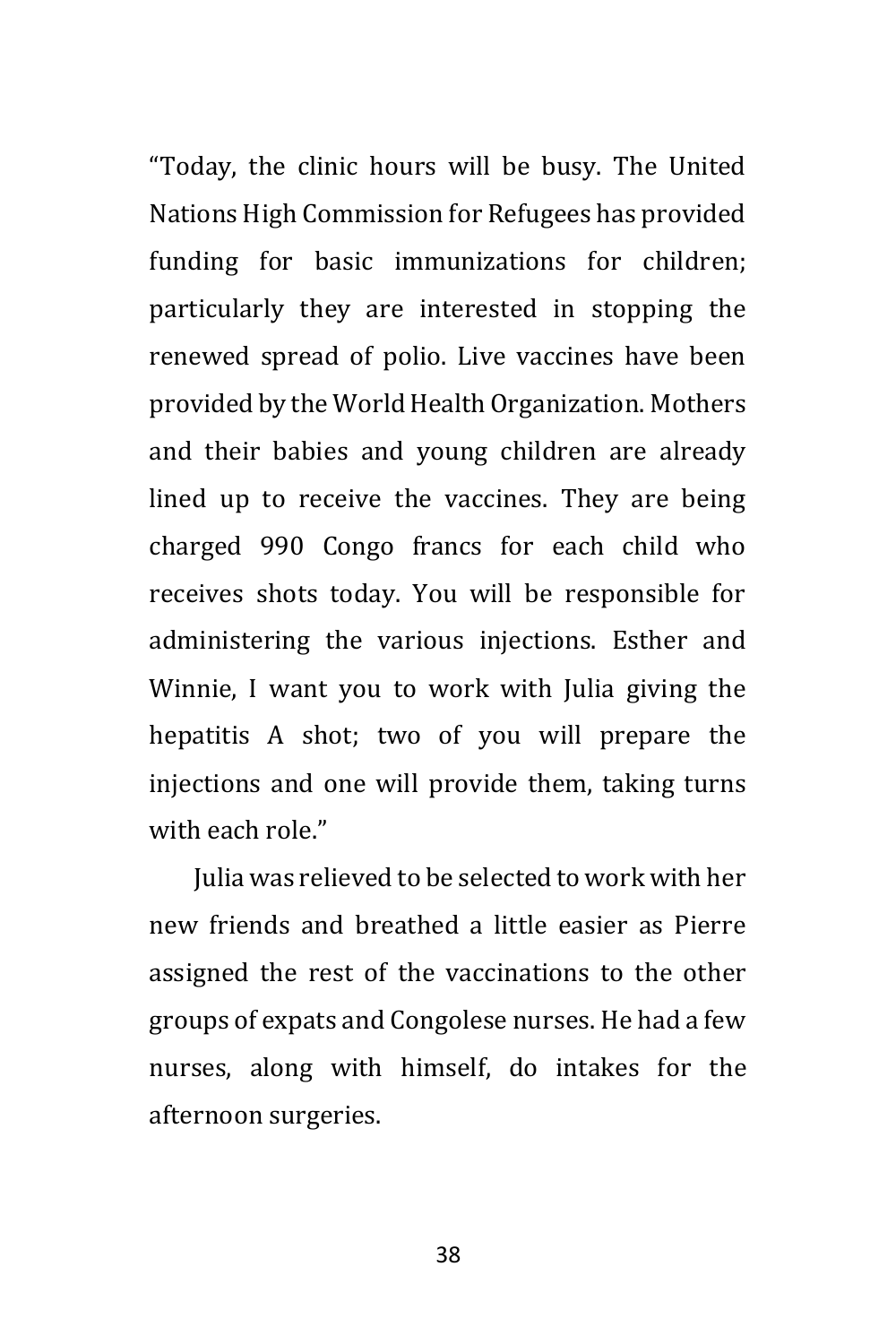"Today, the clinic hours will be busy. The United Nations High Commission for Refugees has provided funding for basic immunizations for children; particularly they are interested in stopping the renewed spread of polio. Live vaccines have been provided by the World Health Organization. Mothers and their babies and young children are already lined up to receive the vaccines. They are being charged 990 Congo francs for each child who receives shots today. You will be responsible for administering the various injections. Esther and Winnie, I want you to work with Julia giving the hepatitis A shot; two of you will prepare the injections and one will provide them, taking turns with each role."

Julia was relieved to be selected to work with her new friends and breathed a little easier as Pierre assigned the rest of the vaccinations to the other groups of expats and Congolese nurses. He had a few nurses, along with himself, do intakes for the afternoon surgeries.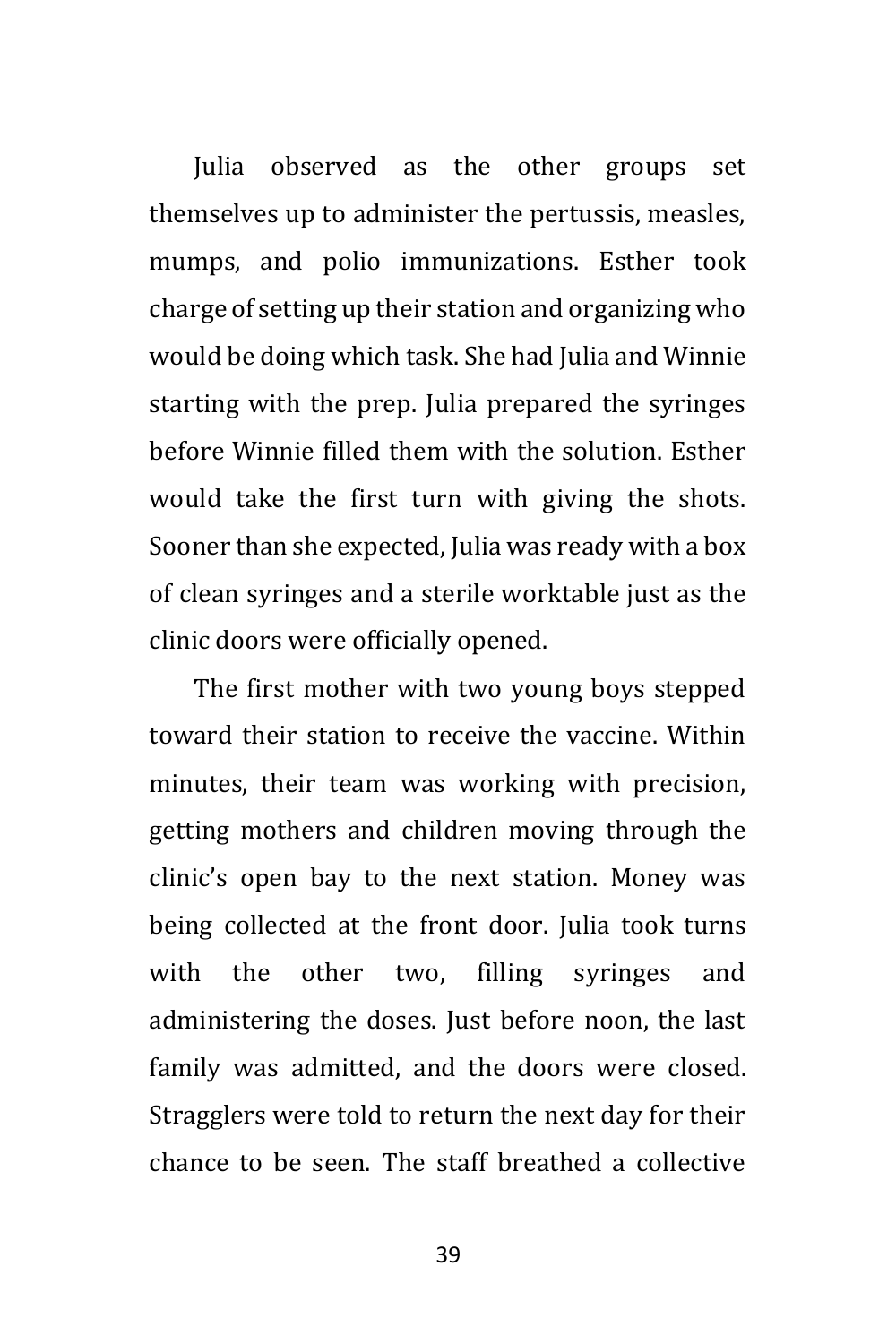Julia observed as the other groups set themselves up to administer the pertussis, measles, mumps, and polio immunizations. Esther took charge of setting up their station and organizing who would be doing which task. She had Julia and Winnie starting with the prep. Julia prepared the syringes before Winnie filled them with the solution. Esther would take the first turn with giving the shots. Sooner than she expected, Julia was ready with a box of clean syringes and a sterile worktable just as the clinic doors were officially opened.

The first mother with two young boys stepped toward their station to receive the vaccine. Within minutes, their team was working with precision, getting mothers and children moving through the clinic's open bay to the next station. Money was being collected at the front door. Julia took turns with the other two, filling syringes and administering the doses. Just before noon, the last family was admitted, and the doors were closed. Stragglers were told to return the next day for their chance to be seen. The staff breathed a collective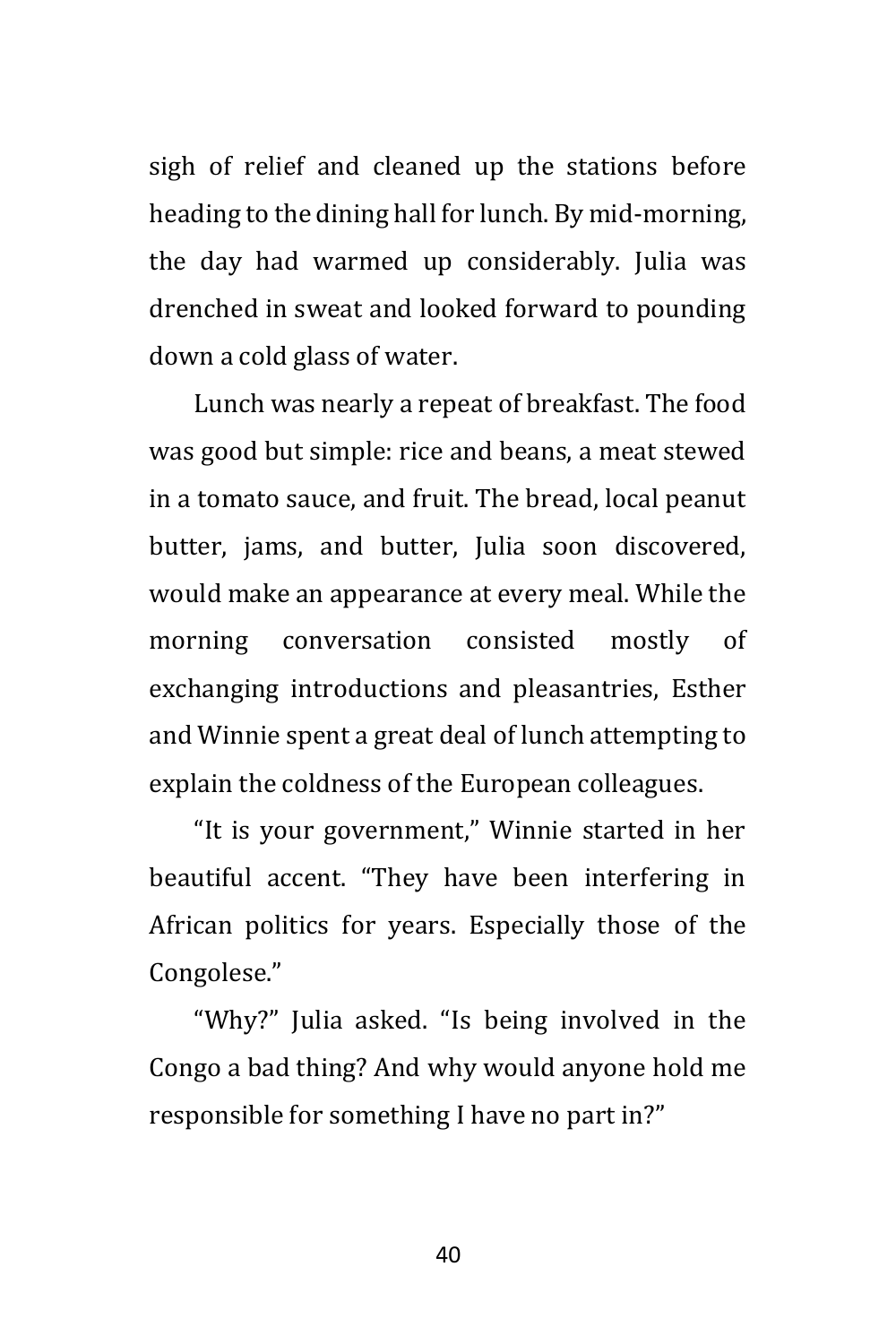sigh of relief and cleaned up the stations before heading to the dining hall for lunch. By mid-morning, the day had warmed up considerably. Julia was drenched in sweat and looked forward to pounding down a cold glass of water.

Lunch was nearly a repeat of breakfast. The food was good but simple: rice and beans, a meat stewed in a tomato sauce, and fruit. The bread, local peanut butter, jams, and butter, Julia soon discovered, would make an appearance at every meal. While the morning conversation consisted mostly of exchanging introductions and pleasantries, Esther and Winnie spent a great deal of lunch attempting to explain the coldness of the European colleagues.

"It is your government," Winnie started in her beautiful accent. "They have been interfering in African politics for years. Especially those of the Congolese."

"Why?" Julia asked. "Is being involved in the Congo a bad thing? And why would anyone hold me responsible for something I have no part in?"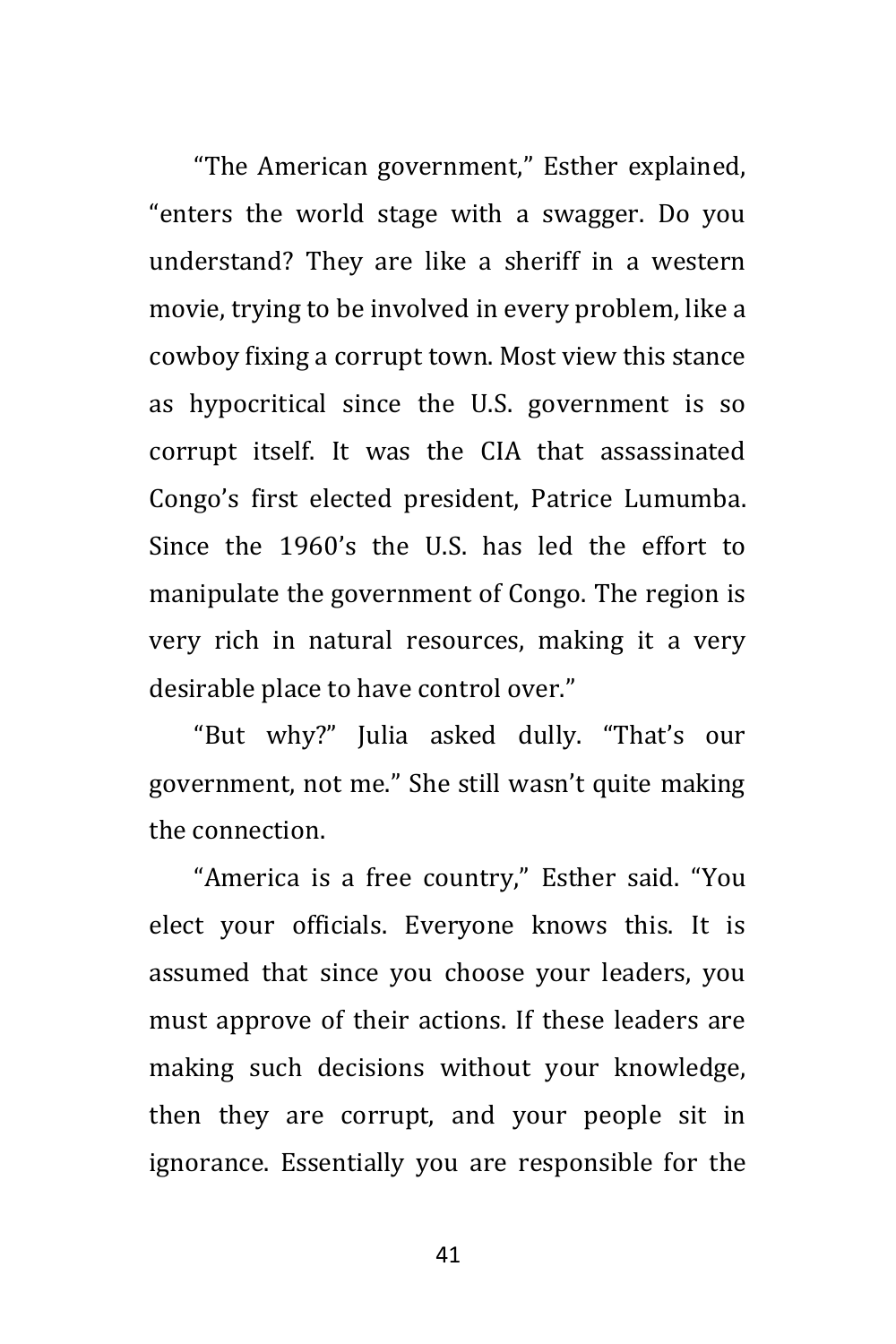"The American government," Esther explained, "enters the world stage with a swagger. Do you understand? They are like a sheriff in a western movie, trying to be involved in every problem, like a cowboy fixing a corrupt town. Most view this stance as hypocritical since the U.S. government is so corrupt itself. It was the CIA that assassinated Congo's first elected president, Patrice Lumumba. Since the 1960's the U.S. has led the effort to manipulate the government of Congo. The region is very rich in natural resources, making it a very desirable place to have control over."

"But why?" Julia asked dully. "That's our government, not me." She still wasn't quite making the connection.

"America is a free country," Esther said. "You elect your officials. Everyone knows this. It is assumed that since you choose your leaders, you must approve of their actions. If these leaders are making such decisions without your knowledge, then they are corrupt, and your people sit in ignorance. Essentially you are responsible for the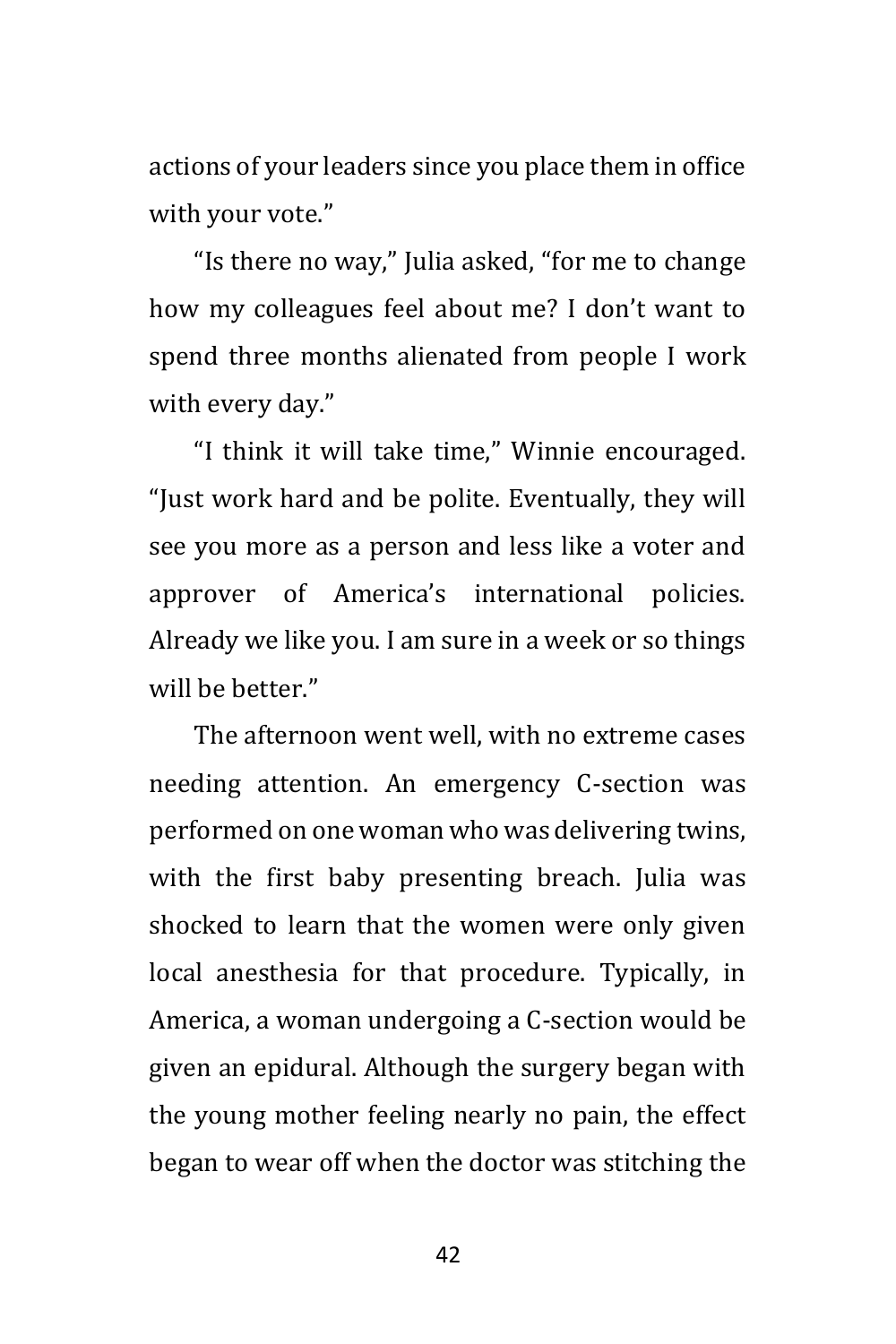actions of your leaders since you place them in office with your vote."

"Is there no way," Julia asked, "for me to change how my colleagues feel about me? I don't want to spend three months alienated from people I work with every day."

"I think it will take time," Winnie encouraged. "Just work hard and be polite. Eventually, they will see you more as a person and less like a voter and approver of America's international policies. Already we like you. I am sure in a week or so things will be better."

The afternoon went well, with no extreme cases needing attention. An emergency C-section was performed on one woman who was delivering twins, with the first baby presenting breach. Julia was shocked to learn that the women were only given local anesthesia for that procedure. Typically, in America, a woman undergoing a C-section would be given an epidural. Although the surgery began with the young mother feeling nearly no pain, the effect began to wear off when the doctor was stitching the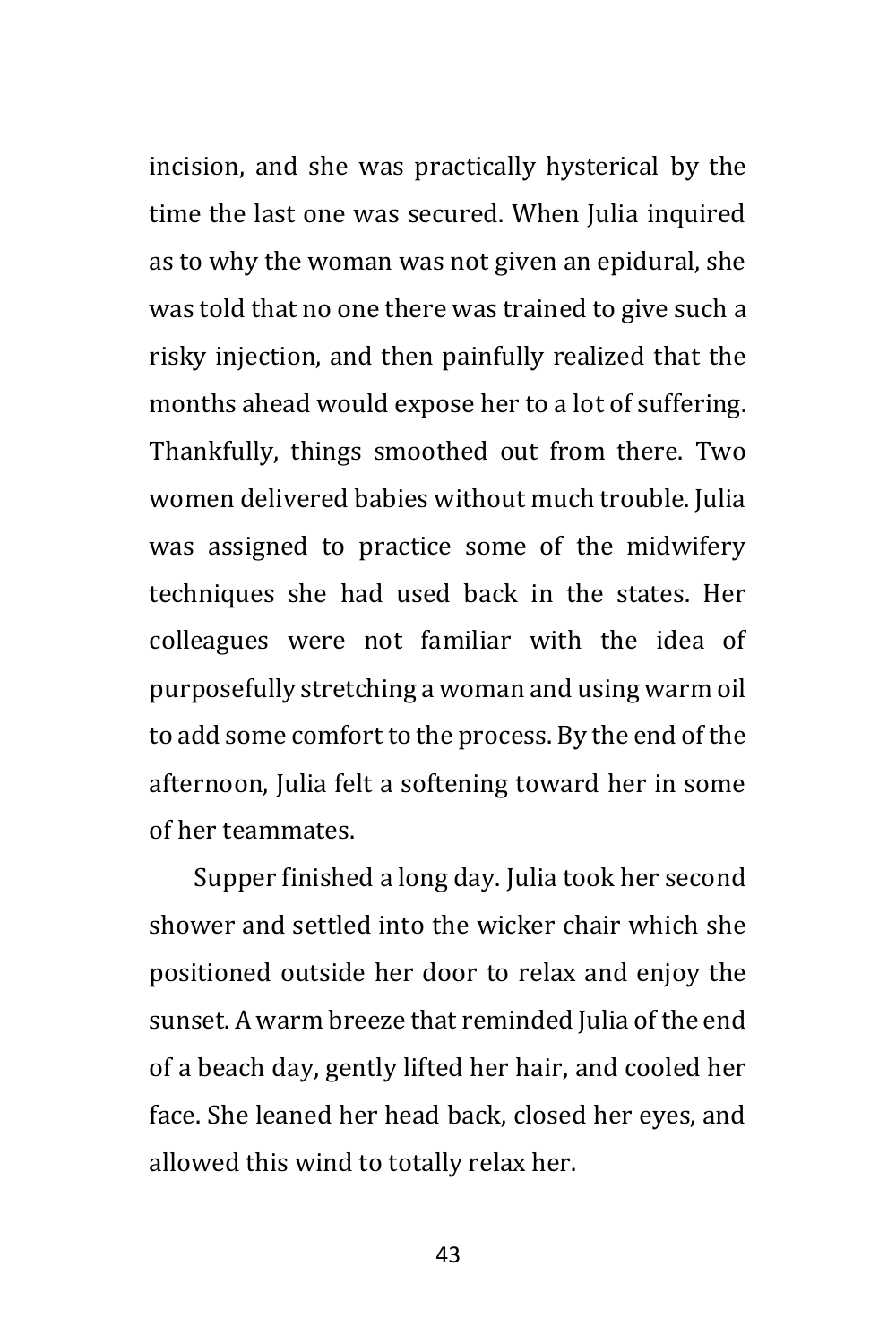incision, and she was practically hysterical by the time the last one was secured. When Julia inquired as to why the woman was not given an epidural, she was told that no one there was trained to give such a risky injection, and then painfully realized that the months ahead would expose her to a lot of suffering. Thankfully, things smoothed out from there. Two women delivered babies without much trouble. Julia was assigned to practice some of the midwifery techniques she had used back in the states. Her colleagues were not familiar with the idea of purposefully stretching a woman and using warm oil to add some comfort to the process. By the end of the afternoon, Julia felt a softening toward her in some of her teammates.

Supper finished a long day. Julia took her second shower and settled into the wicker chair which she positioned outside her door to relax and enjoy the sunset. A warm breeze that reminded Julia of the end of a beach day, gently lifted her hair, and cooled her face. She leaned her head back, closed her eyes, and allowed this wind to totally relax her.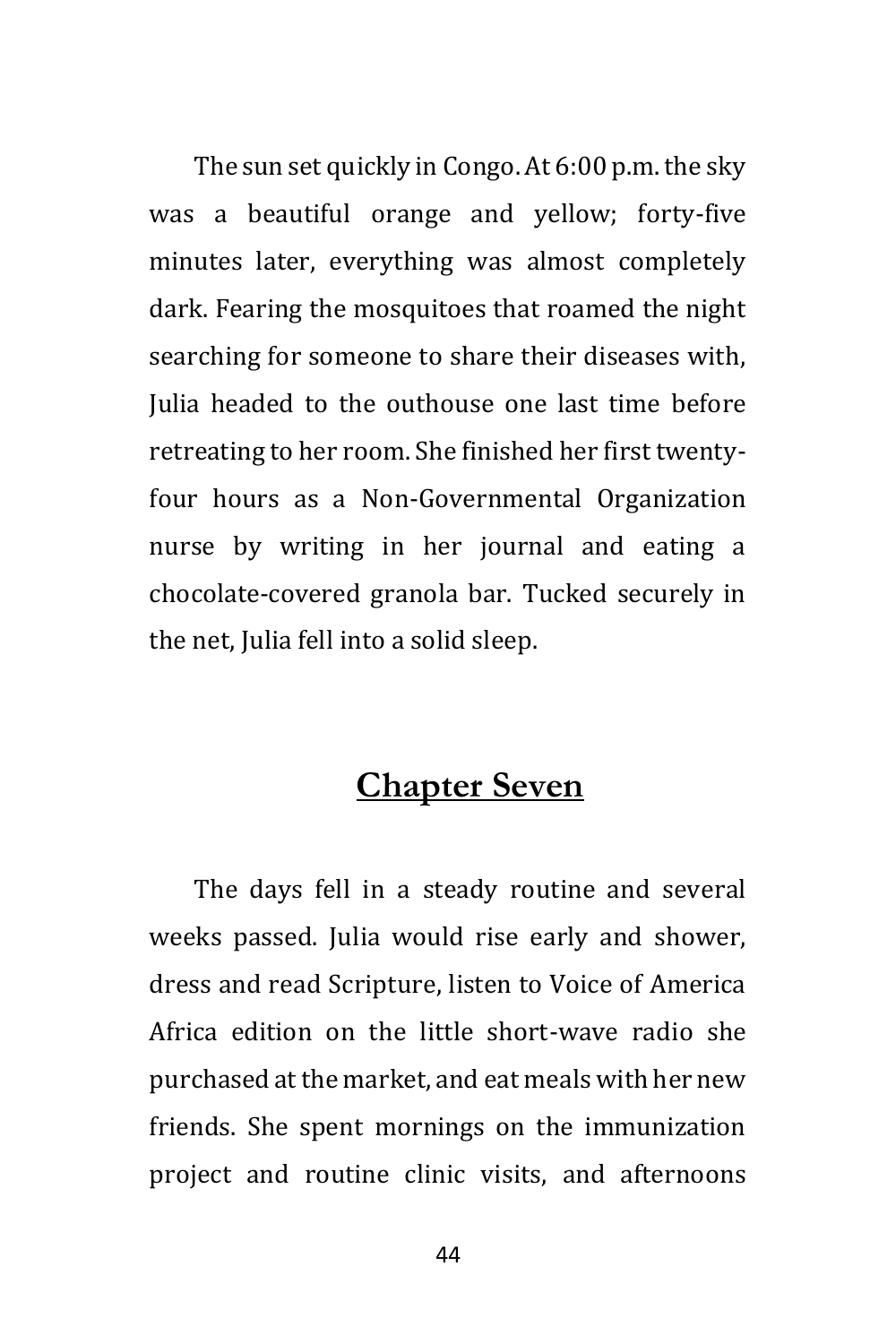The sun set quickly in Congo. At 6:00 p.m. the sky was a beautiful orange and yellow; forty-five minutes later, everything was almost completely dark. Fearing the mosquitoes that roamed the night searching for someone to share their diseases with, Julia headed to the outhouse one last time before retreating to her room. She finished her first twentyfour hours as a Non-Governmental Organization nurse by writing in her journal and eating a chocolate-covered granola bar. Tucked securely in the net, Julia fell into a solid sleep.

#### **Chapter Seven**

The days fell in a steady routine and several weeks passed. Julia would rise early and shower, dress and read Scripture, listen to Voice of America Africa edition on the little short-wave radio she purchased at the market, and eat meals with her new friends. She spent mornings on the immunization project and routine clinic visits, and afternoons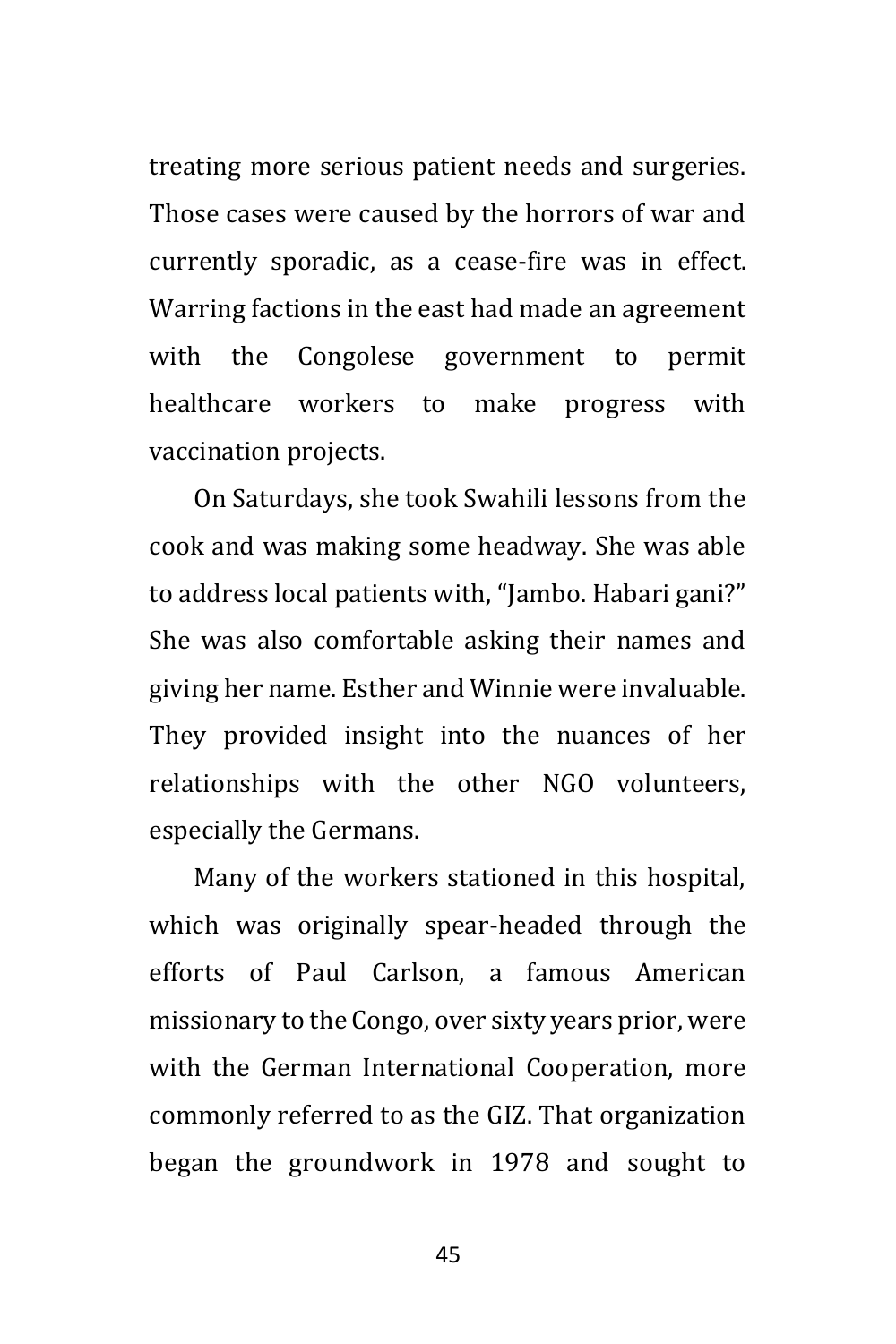treating more serious patient needs and surgeries. Those cases were caused by the horrors of war and currently sporadic, as a cease-fire was in effect. Warring factions in the east had made an agreement with the Congolese government to permit healthcare workers to make progress with vaccination projects.

On Saturdays, she took Swahili lessons from the cook and was making some headway. She was able to address local patients with, "Jambo. Habari gani?" She was also comfortable asking their names and giving her name. Esther and Winnie were invaluable. They provided insight into the nuances of her relationships with the other NGO volunteers, especially the Germans.

Many of the workers stationed in this hospital, which was originally spear-headed through the efforts of Paul Carlson, a famous American missionary to the Congo, over sixty years prior, were with the German International Cooperation, more commonly referred to as the GIZ. That organization began the groundwork in 1978 and sought to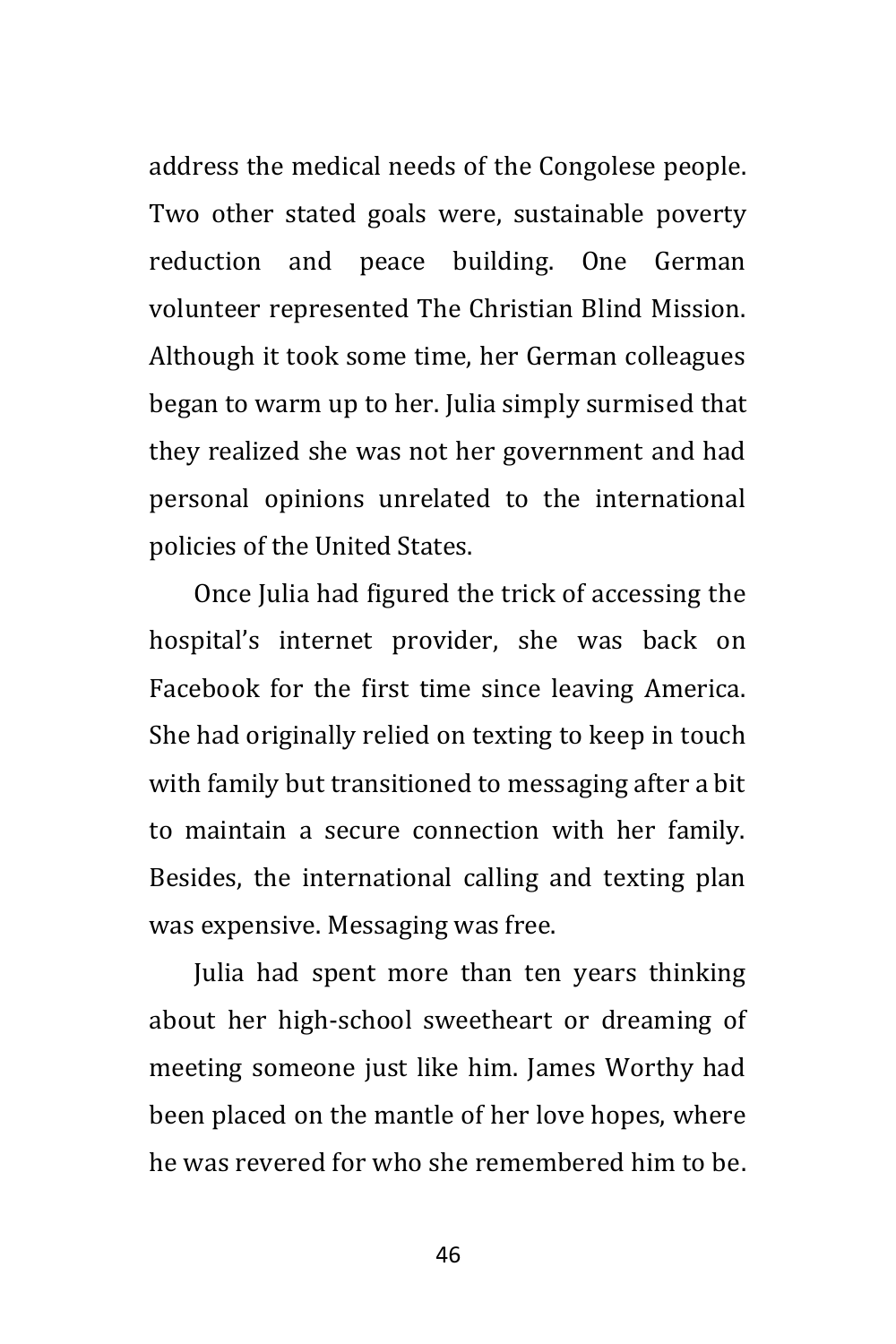address the medical needs of the Congolese people. Two other stated goals were, sustainable poverty reduction and peace building. One German volunteer represented The Christian Blind Mission. Although it took some time, her German colleagues began to warm up to her. Julia simply surmised that they realized she was not her government and had personal opinions unrelated to the international policies of the United States.

Once Julia had figured the trick of accessing the hospital's internet provider, she was back on Facebook for the first time since leaving America. She had originally relied on texting to keep in touch with family but transitioned to messaging after a bit to maintain a secure connection with her family. Besides, the international calling and texting plan was expensive. Messaging was free.

Julia had spent more than ten years thinking about her high-school sweetheart or dreaming of meeting someone just like him. James Worthy had been placed on the mantle of her love hopes, where he was revered for who she remembered him to be.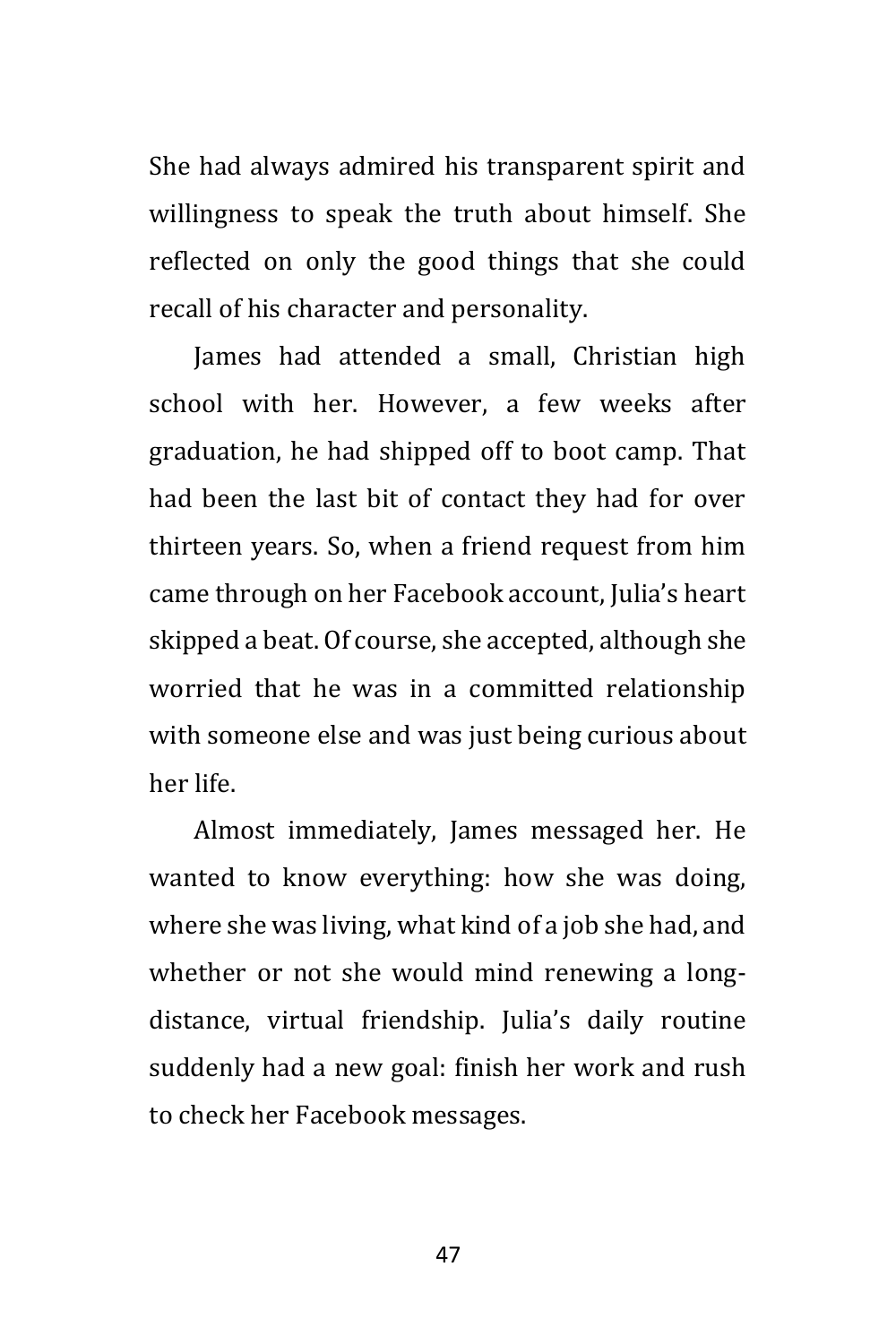She had always admired his transparent spirit and willingness to speak the truth about himself. She reflected on only the good things that she could recall of his character and personality.

James had attended a small, Christian high school with her. However, a few weeks after graduation, he had shipped off to boot camp. That had been the last bit of contact they had for over thirteen years. So, when a friend request from him came through on her Facebook account, Julia's heart skipped a beat. Of course, she accepted, although she worried that he was in a committed relationship with someone else and was just being curious about her life.

Almost immediately, James messaged her. He wanted to know everything: how she was doing, where she was living, what kind of a job she had, and whether or not she would mind renewing a longdistance, virtual friendship. Julia's daily routine suddenly had a new goal: finish her work and rush to check her Facebook messages.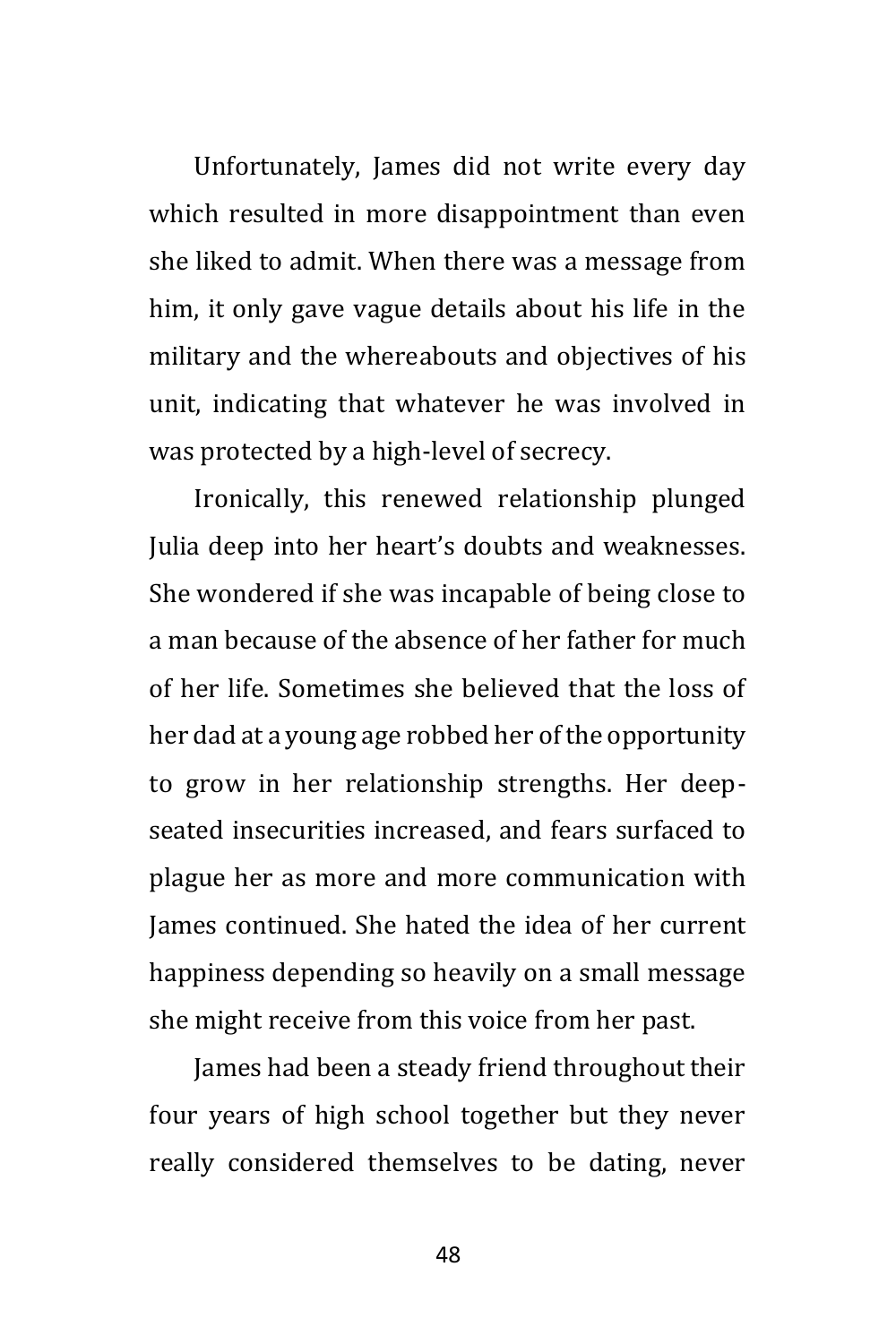Unfortunately, James did not write every day which resulted in more disappointment than even she liked to admit. When there was a message from him, it only gave vague details about his life in the military and the whereabouts and objectives of his unit, indicating that whatever he was involved in was protected by a high-level of secrecy.

Ironically, this renewed relationship plunged Julia deep into her heart's doubts and weaknesses. She wondered if she was incapable of being close to a man because of the absence of her father for much of her life. Sometimes she believed that the loss of her dad at a young age robbed her of the opportunity to grow in her relationship strengths. Her deepseated insecurities increased, and fears surfaced to plague her as more and more communication with James continued. She hated the idea of her current happiness depending so heavily on a small message she might receive from this voice from her past.

James had been a steady friend throughout their four years of high school together but they never really considered themselves to be dating, never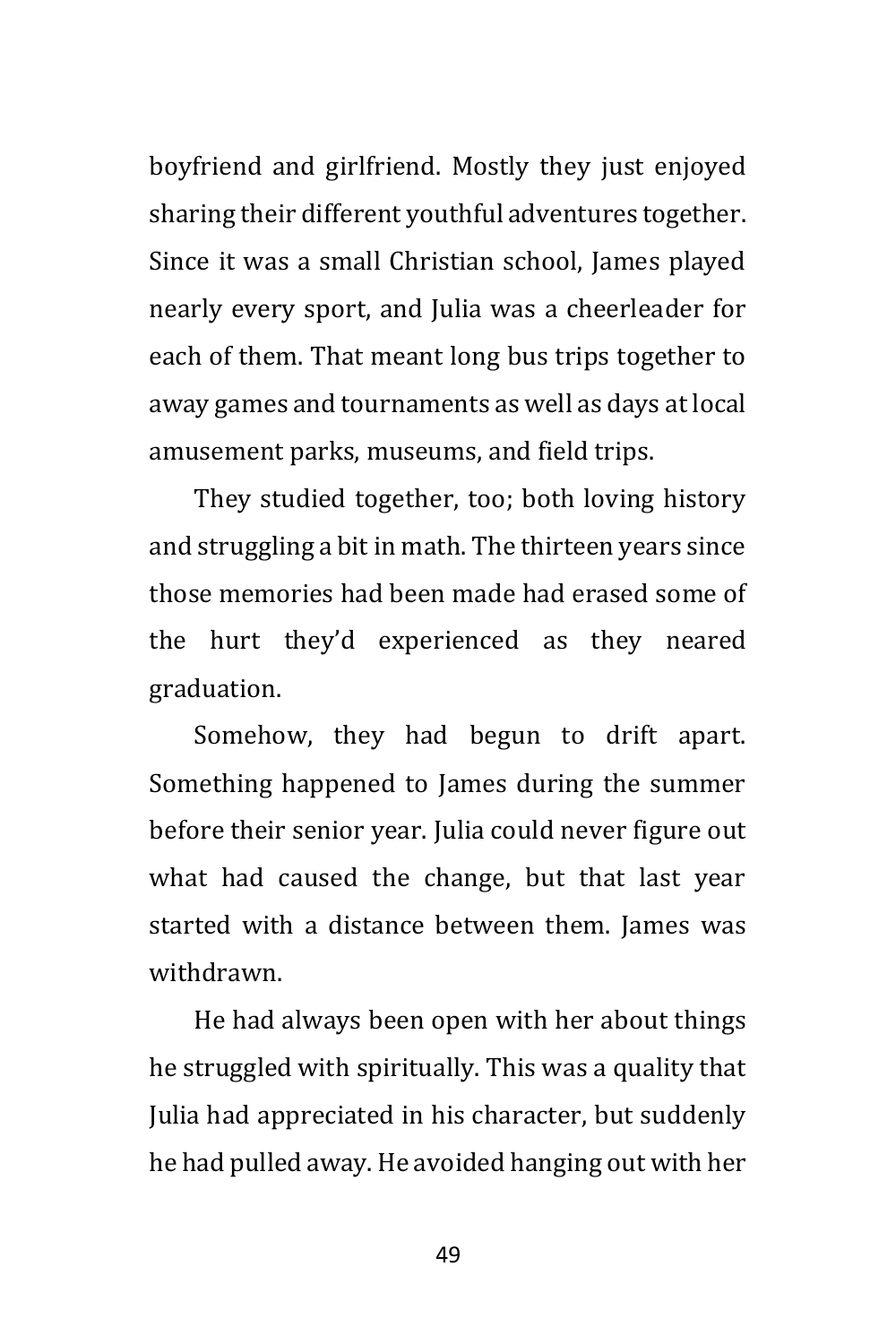boyfriend and girlfriend. Mostly they just enjoyed sharing their different youthful adventures together. Since it was a small Christian school, James played nearly every sport, and Julia was a cheerleader for each of them. That meant long bus trips together to away games and tournaments as well as days at local amusement parks, museums, and field trips.

They studied together, too; both loving history and struggling a bit in math. The thirteen years since those memories had been made had erased some of the hurt they'd experienced as they neared graduation.

Somehow, they had begun to drift apart. Something happened to James during the summer before their senior year. Julia could never figure out what had caused the change, but that last year started with a distance between them. James was withdrawn.

He had always been open with her about things he struggled with spiritually. This was a quality that Julia had appreciated in his character, but suddenly he had pulled away. He avoided hanging out with her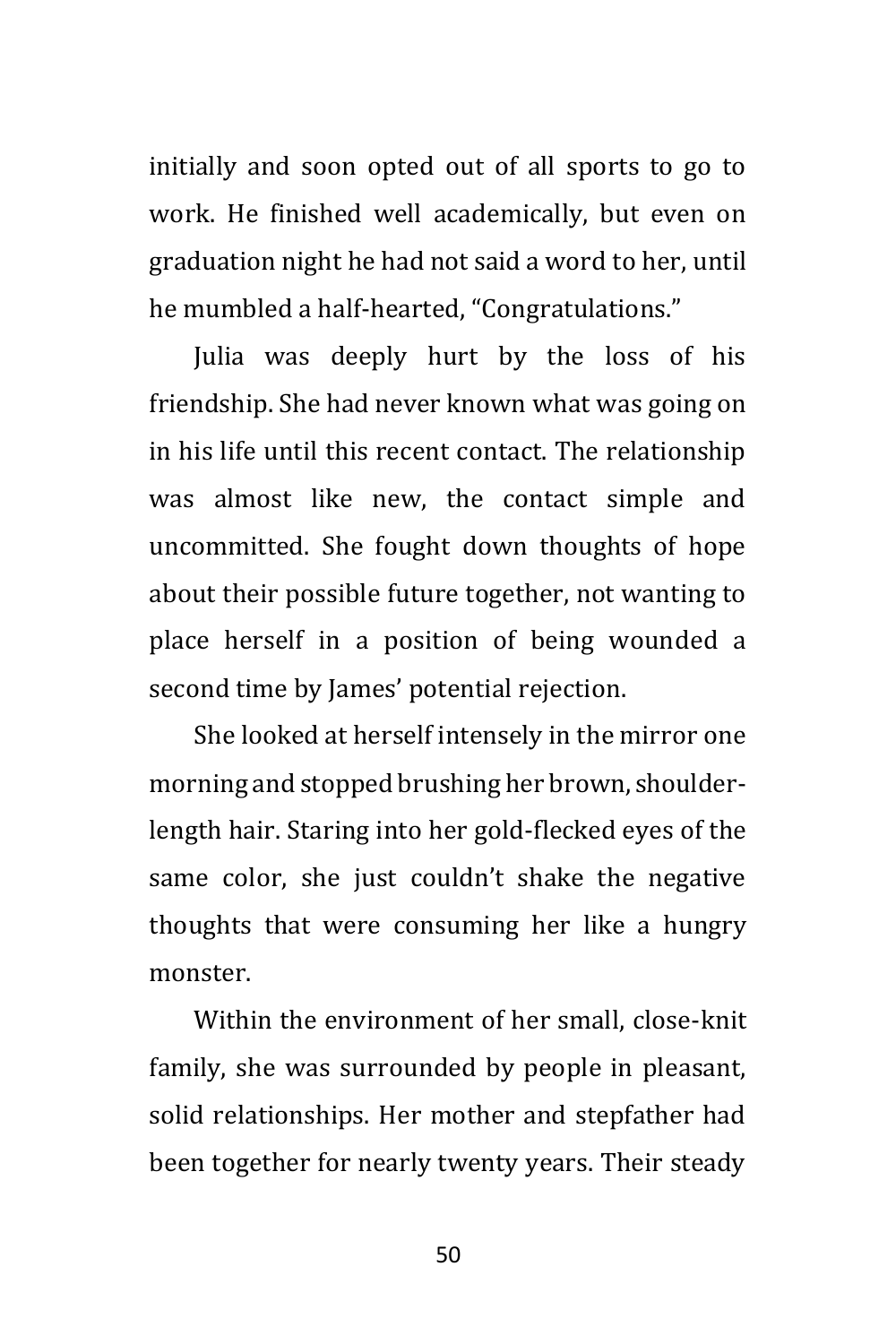initially and soon opted out of all sports to go to work. He finished well academically, but even on graduation night he had not said a word to her, until he mumbled a half-hearted, "Congratulations."

Julia was deeply hurt by the loss of his friendship. She had never known what was going on in his life until this recent contact. The relationship was almost like new, the contact simple and uncommitted. She fought down thoughts of hope about their possible future together, not wanting to place herself in a position of being wounded a second time by James' potential rejection.

She looked at herself intensely in the mirror one morning and stopped brushing her brown, shoulderlength hair. Staring into her gold-flecked eyes of the same color, she just couldn't shake the negative thoughts that were consuming her like a hungry monster.

Within the environment of her small, close-knit family, she was surrounded by people in pleasant, solid relationships. Her mother and stepfather had been together for nearly twenty years. Their steady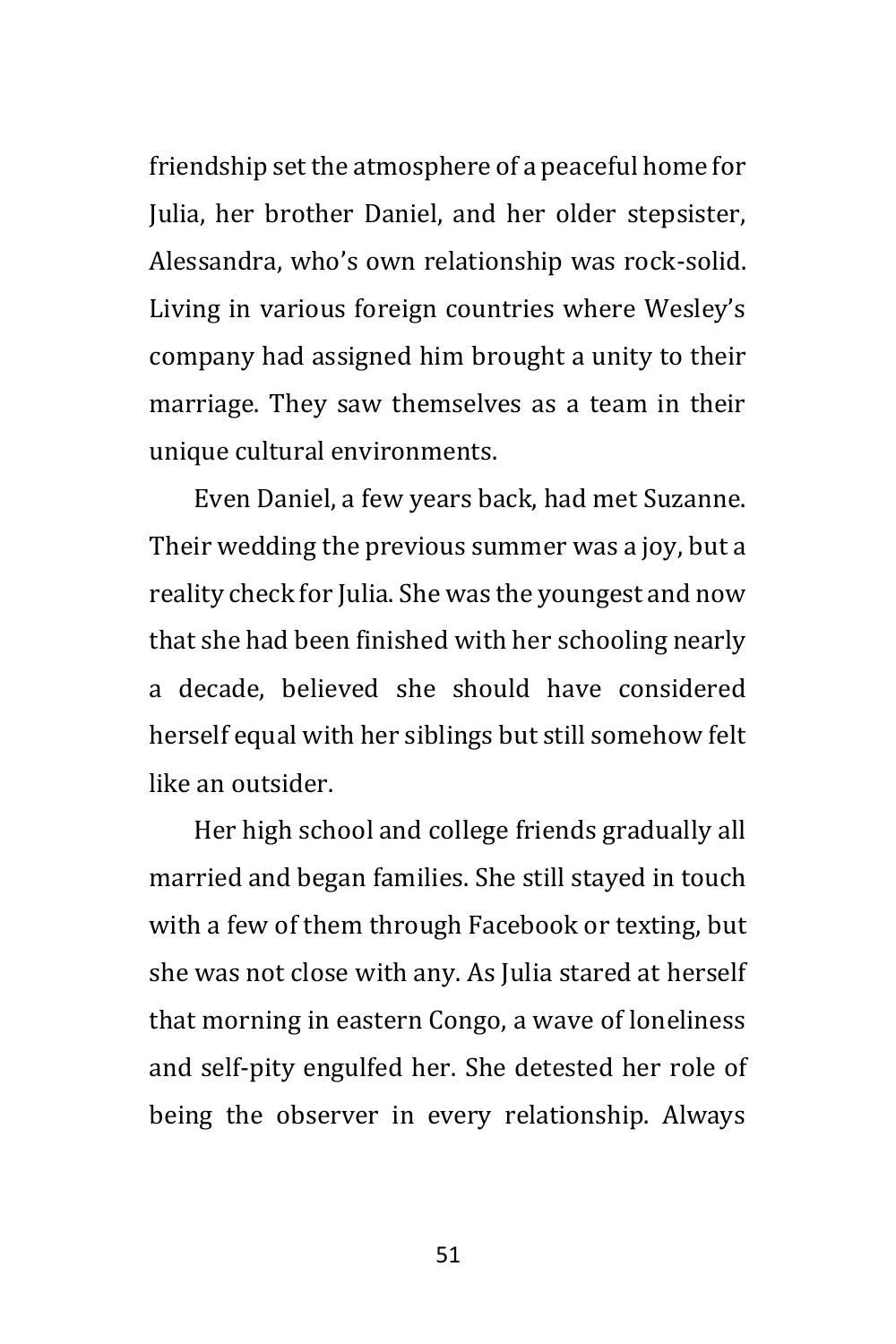friendship set the atmosphere of a peaceful home for Julia, her brother Daniel, and her older stepsister, Alessandra, who's own relationship was rock-solid. Living in various foreign countries where Wesley's company had assigned him brought a unity to their marriage. They saw themselves as a team in their unique cultural environments.

Even Daniel, a few years back, had met Suzanne. Their wedding the previous summer was a joy, but a reality check for Julia. She was the youngest and now that she had been finished with her schooling nearly a decade, believed she should have considered herself equal with her siblings but still somehow felt like an outsider.

Her high school and college friends gradually all married and began families. She still stayed in touch with a few of them through Facebook or texting, but she was not close with any. As Julia stared at herself that morning in eastern Congo, a wave of loneliness and self-pity engulfed her. She detested her role of being the observer in every relationship. Always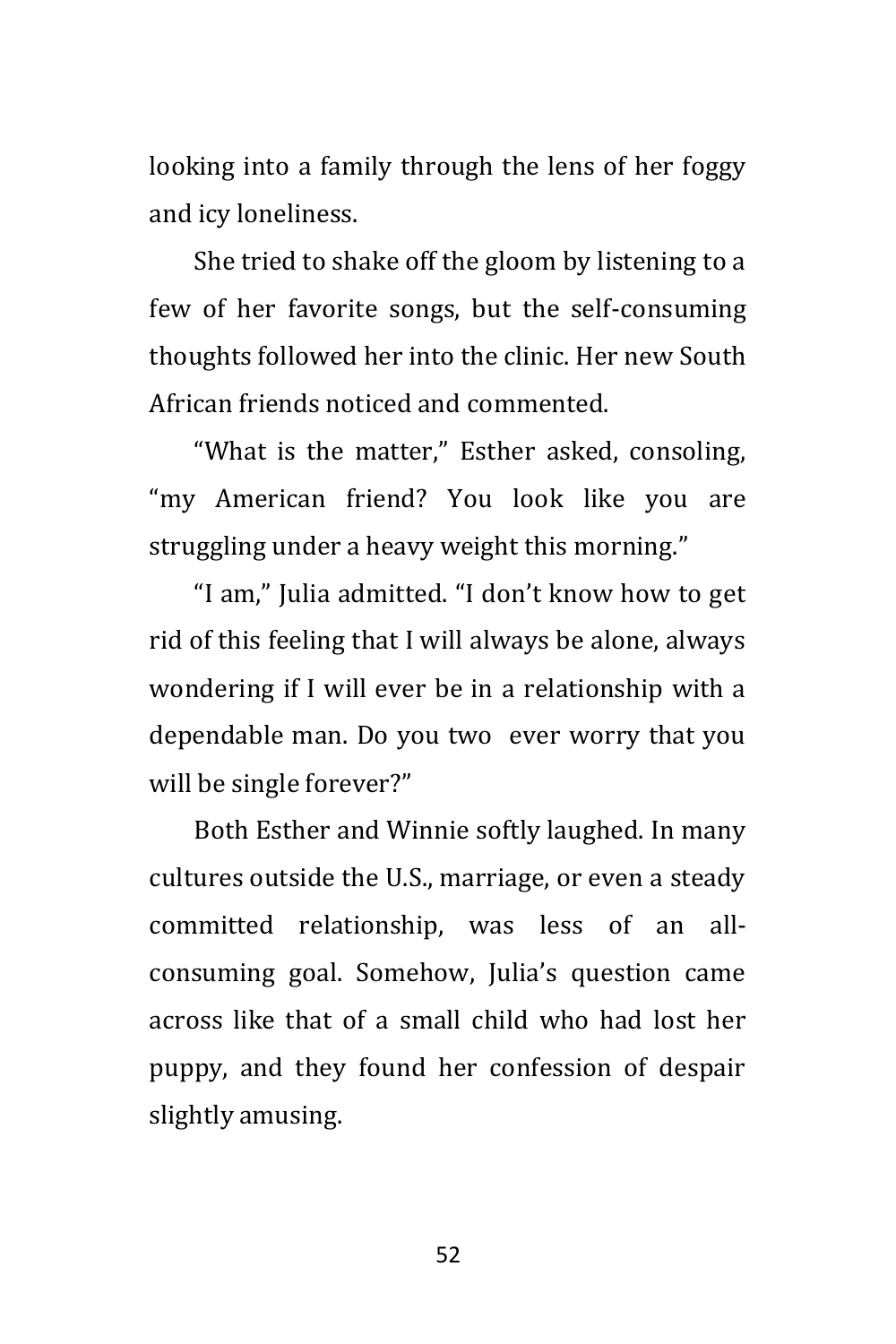looking into a family through the lens of her foggy and icy loneliness.

She tried to shake off the gloom by listening to a few of her favorite songs, but the self-consuming thoughts followed her into the clinic. Her new South African friends noticed and commented.

"What is the matter," Esther asked, consoling, "my American friend? You look like you are struggling under a heavy weight this morning."

"I am," Julia admitted. "I don't know how to get rid of this feeling that I will always be alone, always wondering if I will ever be in a relationship with a dependable man. Do you two ever worry that you will be single forever?"

Both Esther and Winnie softly laughed. In many cultures outside the U.S., marriage, or even a steady committed relationship, was less of an allconsuming goal. Somehow, Julia's question came across like that of a small child who had lost her puppy, and they found her confession of despair slightly amusing.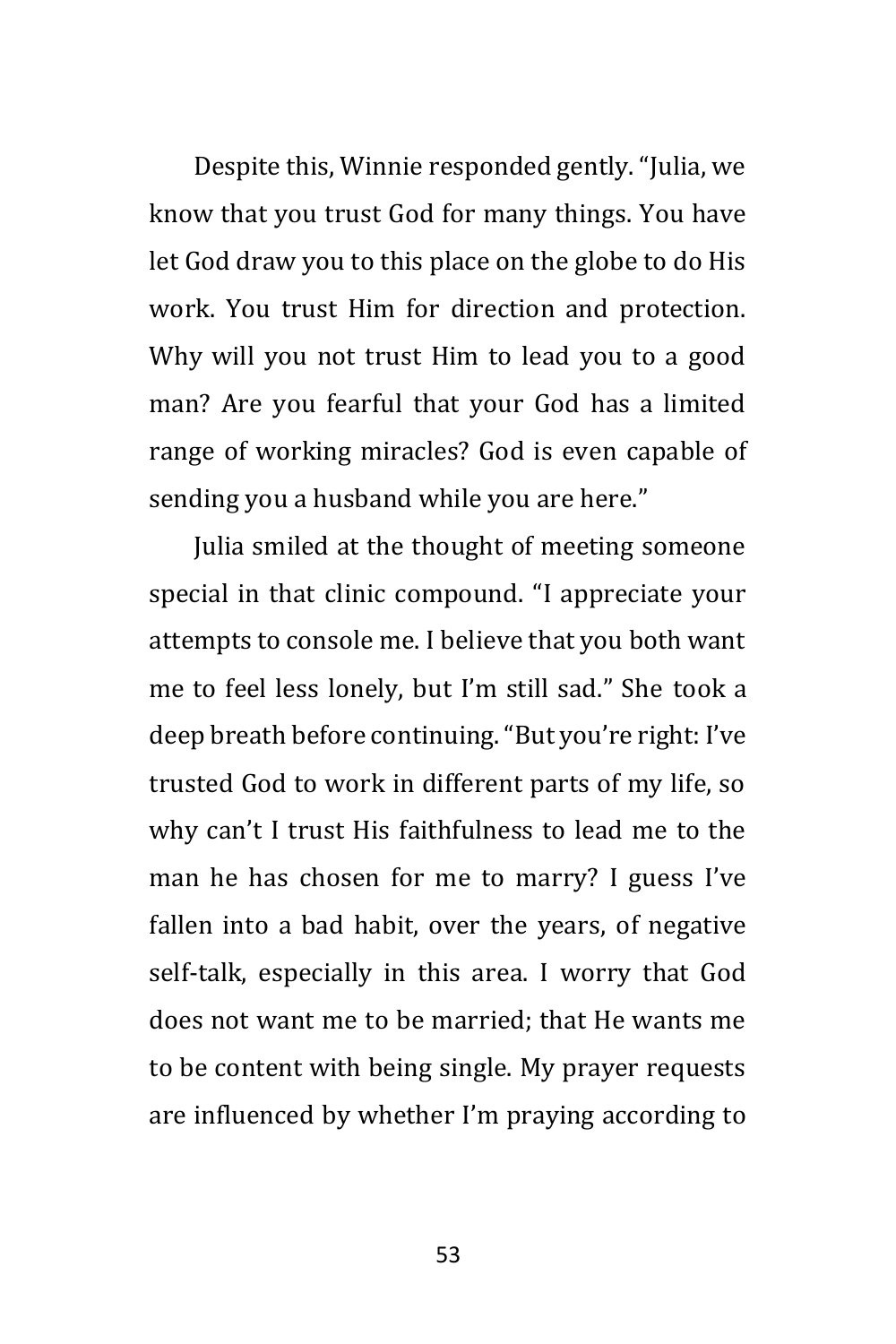Despite this, Winnie responded gently. "Julia, we know that you trust God for many things. You have let God draw you to this place on the globe to do His work. You trust Him for direction and protection. Why will you not trust Him to lead you to a good man? Are you fearful that your God has a limited range of working miracles? God is even capable of sending you a husband while you are here."

Julia smiled at the thought of meeting someone special in that clinic compound. "I appreciate your attempts to console me. I believe that you both want me to feel less lonely, but I'm still sad." She took a deep breath before continuing. "But you're right: I've trusted God to work in different parts of my life, so why can't I trust His faithfulness to lead me to the man he has chosen for me to marry? I guess I've fallen into a bad habit, over the years, of negative self-talk, especially in this area. I worry that God does not want me to be married; that He wants me to be content with being single. My prayer requests are influenced by whether I'm praying according to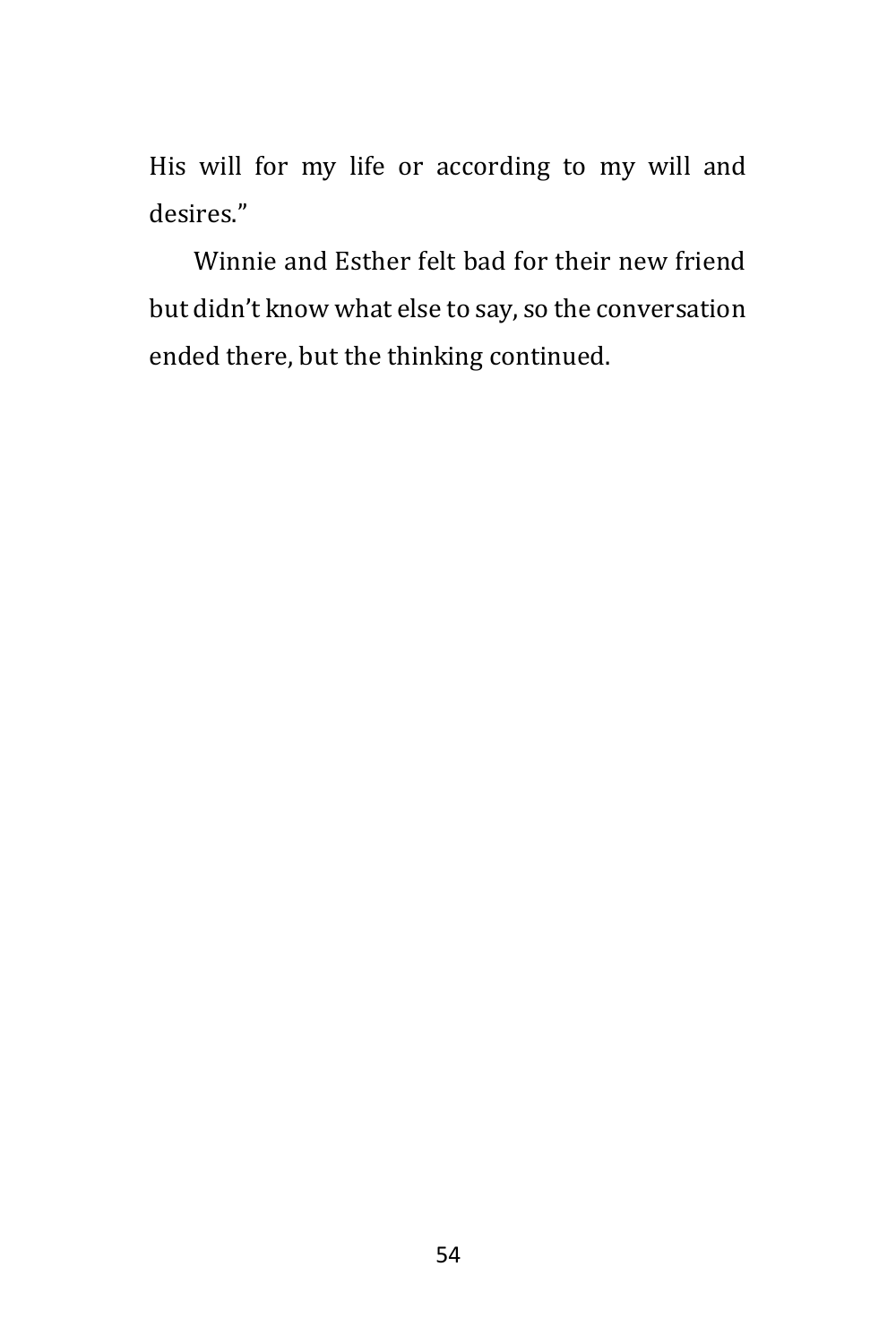His will for my life or according to my will and desires."

Winnie and Esther felt bad for their new friend but didn't know what else to say, so the conversation ended there, but the thinking continued.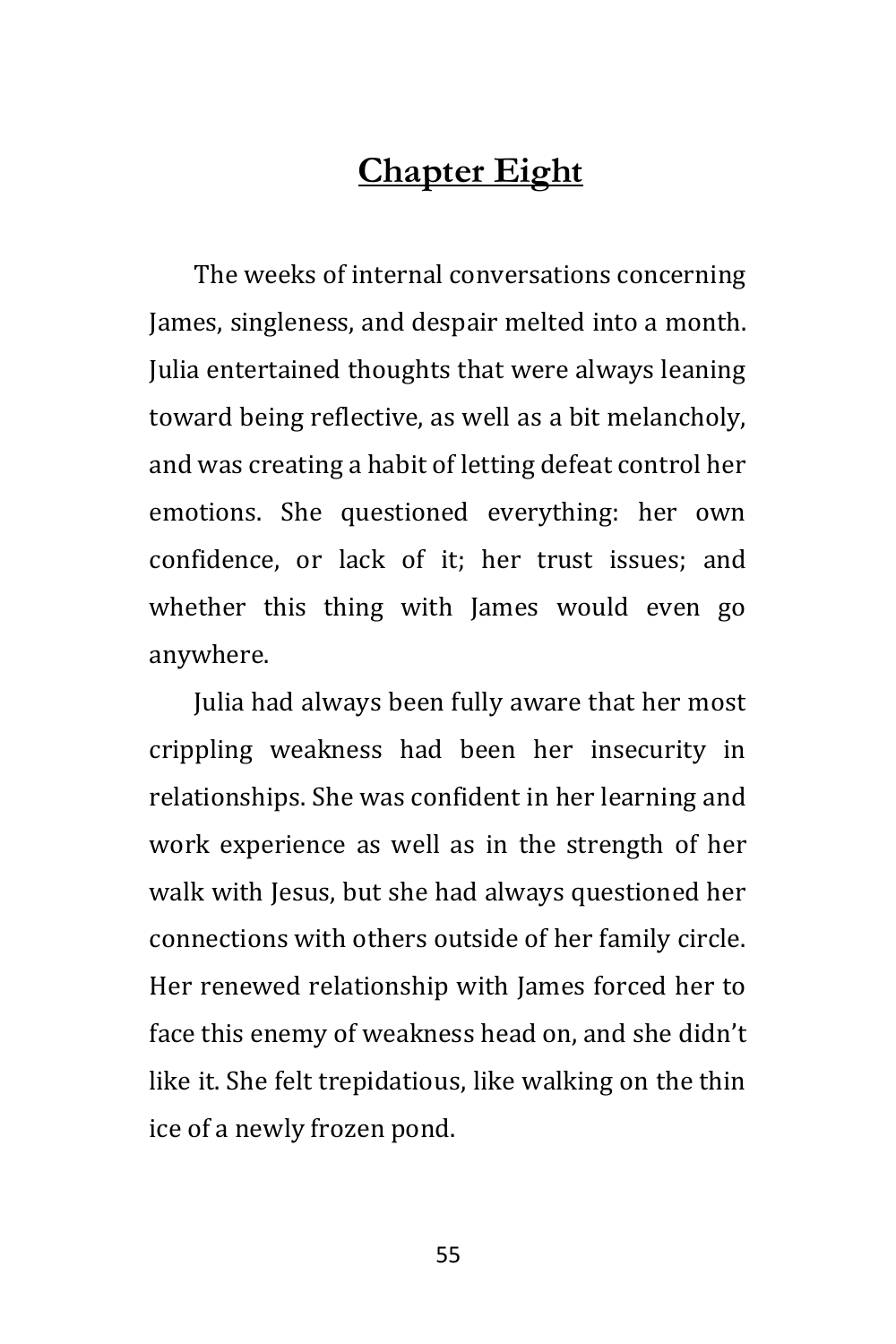# **Chapter Eight**

The weeks of internal conversations concerning James, singleness, and despair melted into a month. Julia entertained thoughts that were always leaning toward being reflective, as well as a bit melancholy, and was creating a habit of letting defeat control her emotions. She questioned everything: her own confidence, or lack of it; her trust issues; and whether this thing with James would even go anywhere.

Julia had always been fully aware that her most crippling weakness had been her insecurity in relationships. She was confident in her learning and work experience as well as in the strength of her walk with Jesus, but she had always questioned her connections with others outside of her family circle. Her renewed relationship with James forced her to face this enemy of weakness head on, and she didn't like it. She felt trepidatious, like walking on the thin ice of a newly frozen pond.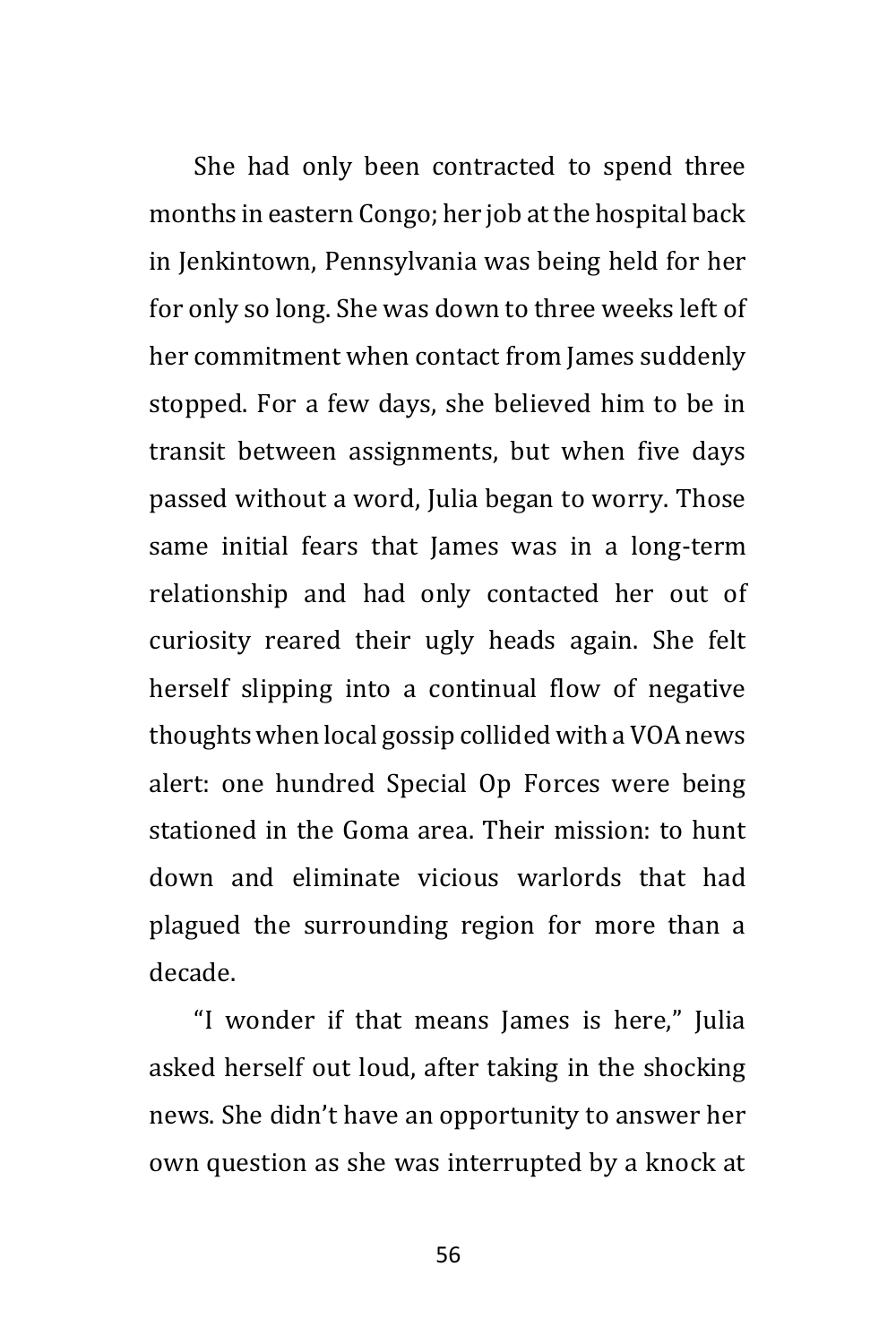She had only been contracted to spend three months in eastern Congo; her job at the hospital back in Jenkintown, Pennsylvania was being held for her for only so long. She was down to three weeks left of her commitment when contact from James suddenly stopped. For a few days, she believed him to be in transit between assignments, but when five days passed without a word, Julia began to worry. Those same initial fears that James was in a long-term relationship and had only contacted her out of curiosity reared their ugly heads again. She felt herself slipping into a continual flow of negative thoughts when local gossip collided with a VOA news alert: one hundred Special Op Forces were being stationed in the Goma area. Their mission: to hunt down and eliminate vicious warlords that had plagued the surrounding region for more than a decade.

"I wonder if that means James is here," Julia asked herself out loud, after taking in the shocking news. She didn't have an opportunity to answer her own question as she was interrupted by a knock at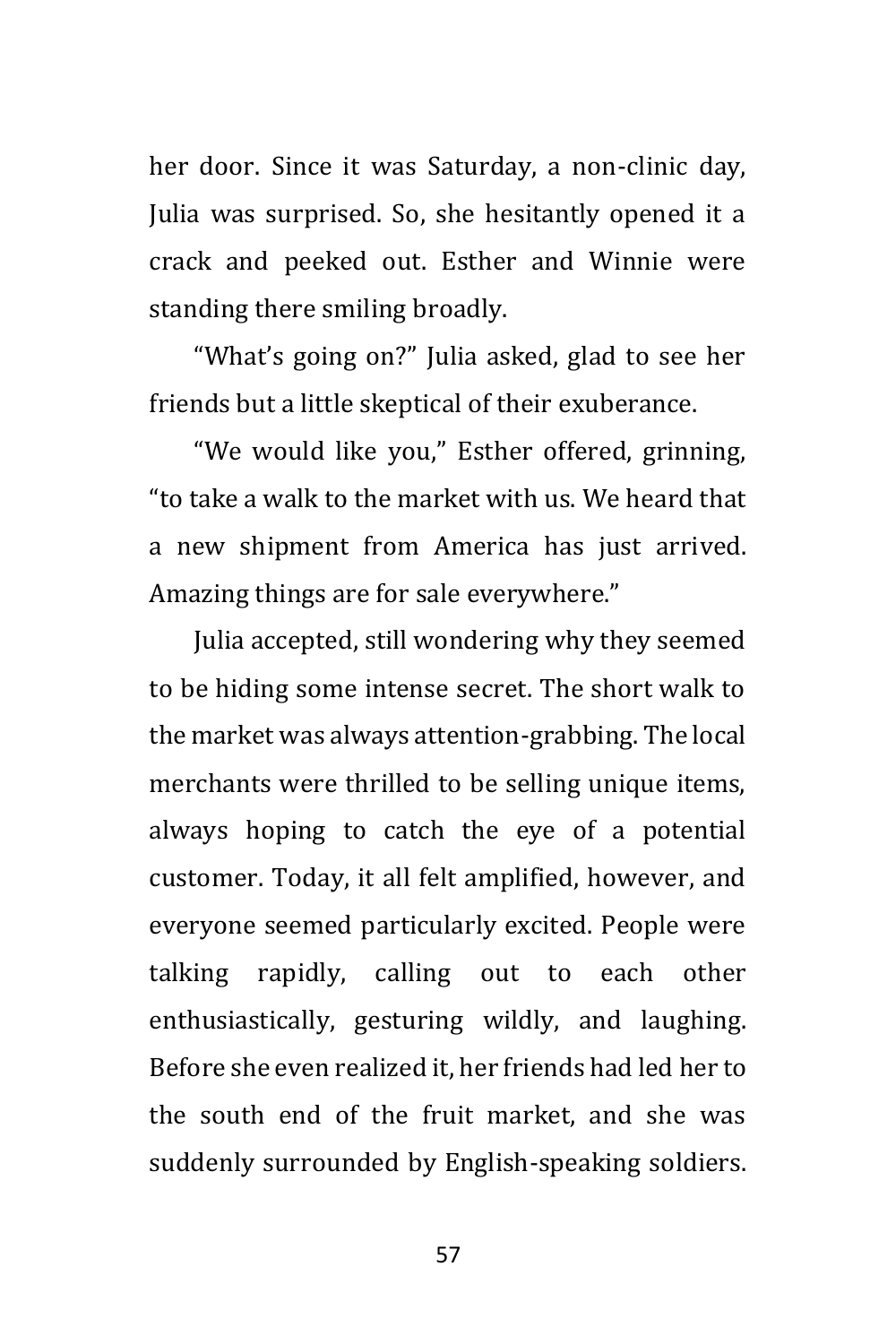her door. Since it was Saturday, a non-clinic day, Julia was surprised. So, she hesitantly opened it a crack and peeked out. Esther and Winnie were standing there smiling broadly.

"What's going on?" Julia asked, glad to see her friends but a little skeptical of their exuberance.

"We would like you," Esther offered, grinning, "to take a walk to the market with us. We heard that a new shipment from America has just arrived. Amazing things are for sale everywhere."

Julia accepted, still wondering why they seemed to be hiding some intense secret. The short walk to the market was always attention-grabbing. The local merchants were thrilled to be selling unique items, always hoping to catch the eye of a potential customer. Today, it all felt amplified, however, and everyone seemed particularly excited. People were talking rapidly, calling out to each other enthusiastically, gesturing wildly, and laughing. Before she even realized it, her friends had led her to the south end of the fruit market, and she was suddenly surrounded by English-speaking soldiers.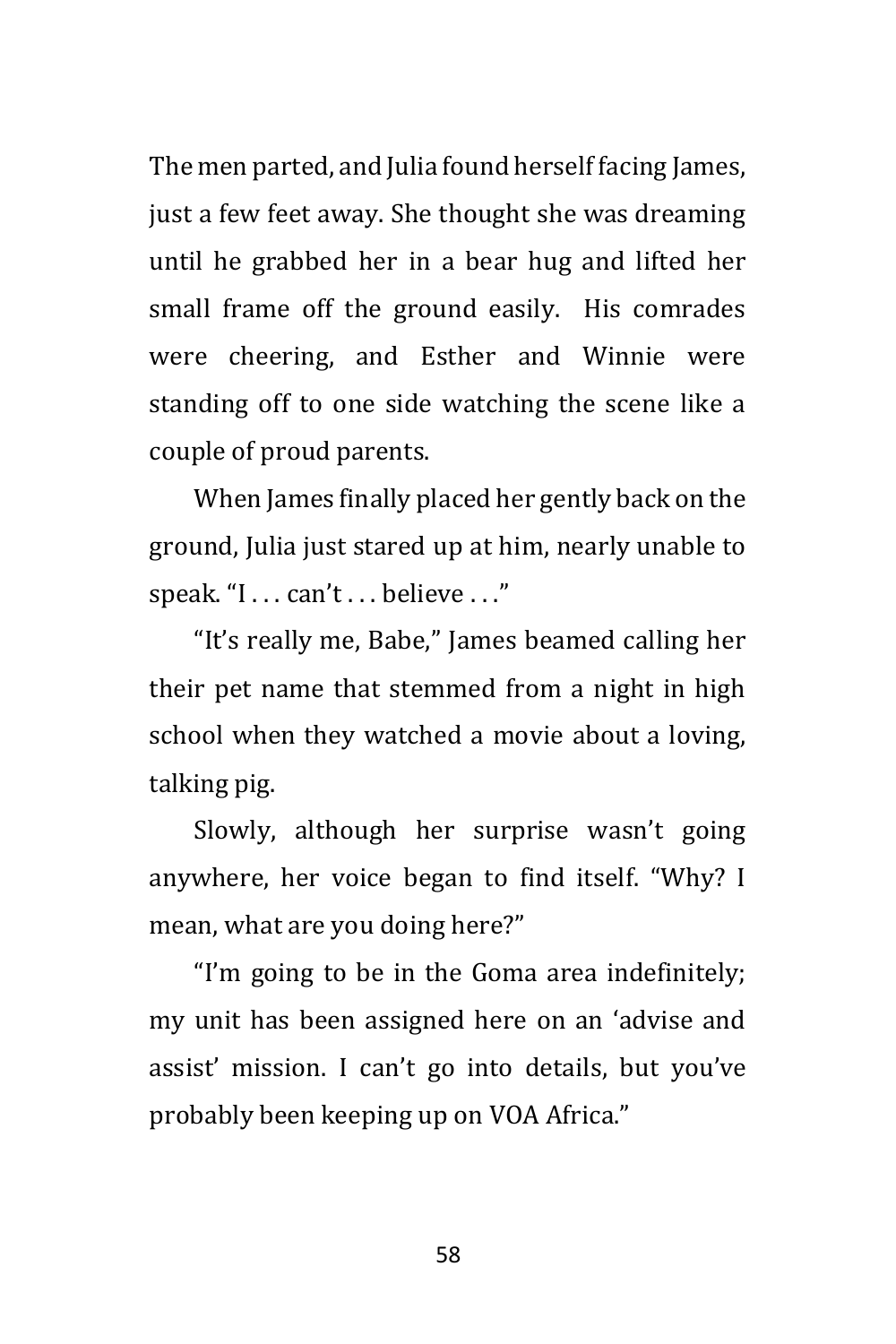The men parted, and Julia found herself facing James, just a few feet away. She thought she was dreaming until he grabbed her in a bear hug and lifted her small frame off the ground easily. His comrades were cheering, and Esther and Winnie were standing off to one side watching the scene like a couple of proud parents.

When James finally placed her gently back on the ground, Julia just stared up at him, nearly unable to speak. "I . . . can't . . . believe . . ."

"It's really me, Babe," James beamed calling her their pet name that stemmed from a night in high school when they watched a movie about a loving, talking pig.

Slowly, although her surprise wasn't going anywhere, her voice began to find itself. "Why? I mean, what are you doing here?"

"I'm going to be in the Goma area indefinitely; my unit has been assigned here on an 'advise and assist' mission. I can't go into details, but you've probably been keeping up on VOA Africa."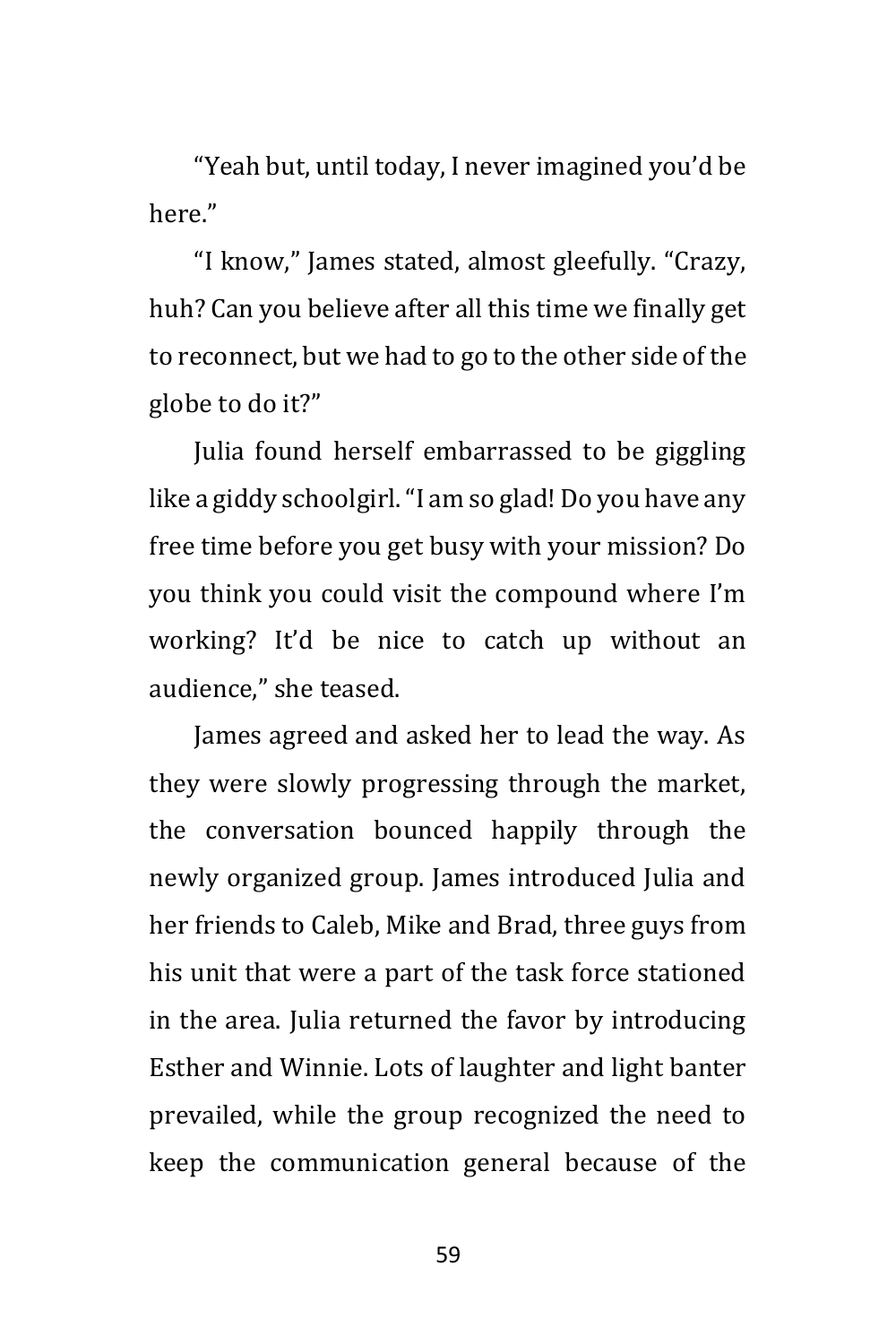"Yeah but, until today, I never imagined you'd be here"

"I know," James stated, almost gleefully. "Crazy, huh? Can you believe after all this time we finally get to reconnect, but we had to go to the other side of the globe to do it?"

Julia found herself embarrassed to be giggling like a giddy schoolgirl. "I am so glad! Do you have any free time before you get busy with your mission? Do you think you could visit the compound where I'm working? It'd be nice to catch up without an audience," she teased.

James agreed and asked her to lead the way. As they were slowly progressing through the market, the conversation bounced happily through the newly organized group. James introduced Julia and her friends to Caleb, Mike and Brad, three guys from his unit that were a part of the task force stationed in the area. Julia returned the favor by introducing Esther and Winnie. Lots of laughter and light banter prevailed, while the group recognized the need to keep the communication general because of the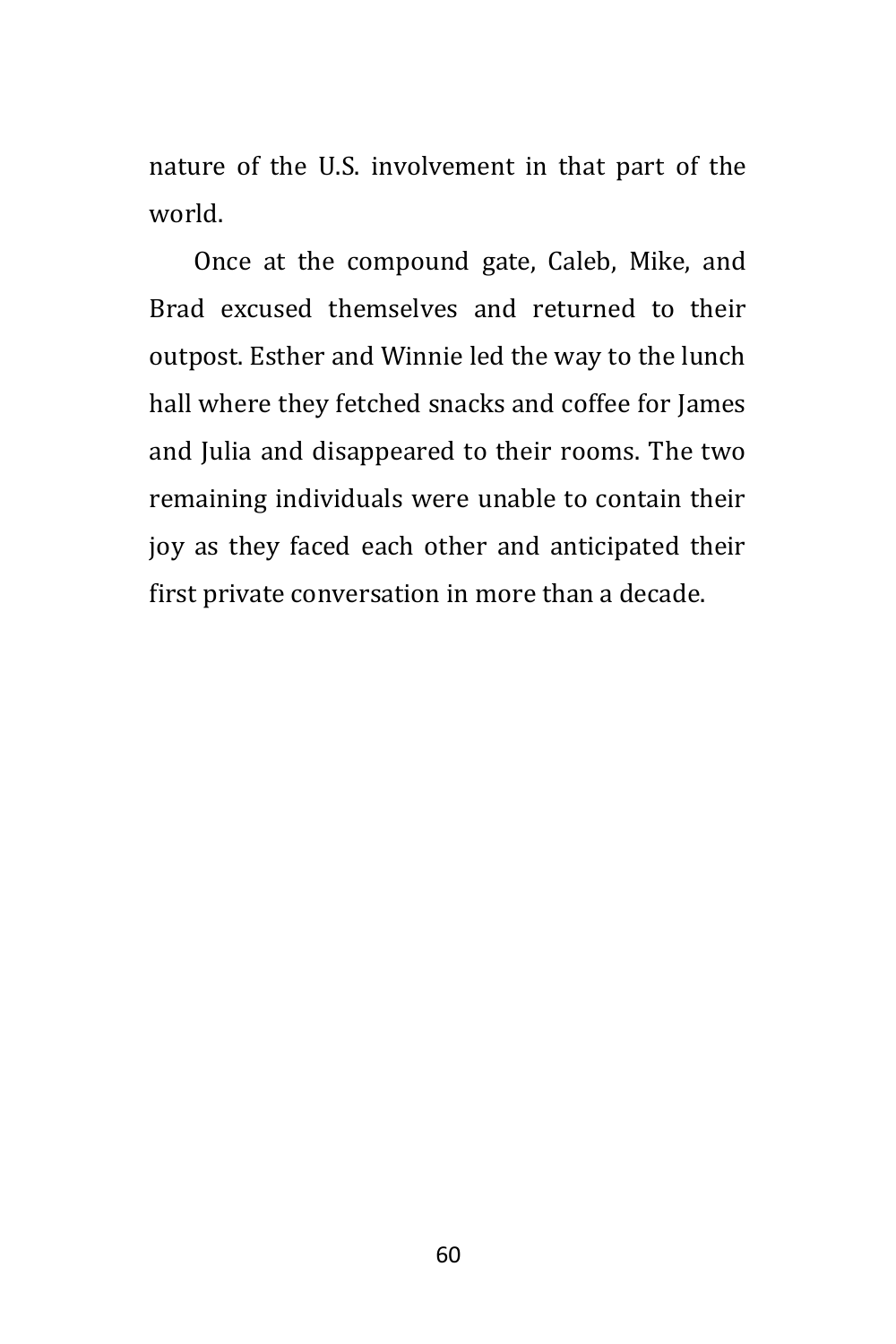nature of the U.S. involvement in that part of the world.

Once at the compound gate, Caleb, Mike, and Brad excused themselves and returned to their outpost. Esther and Winnie led the way to the lunch hall where they fetched snacks and coffee for James and Julia and disappeared to their rooms. The two remaining individuals were unable to contain their joy as they faced each other and anticipated their first private conversation in more than a decade.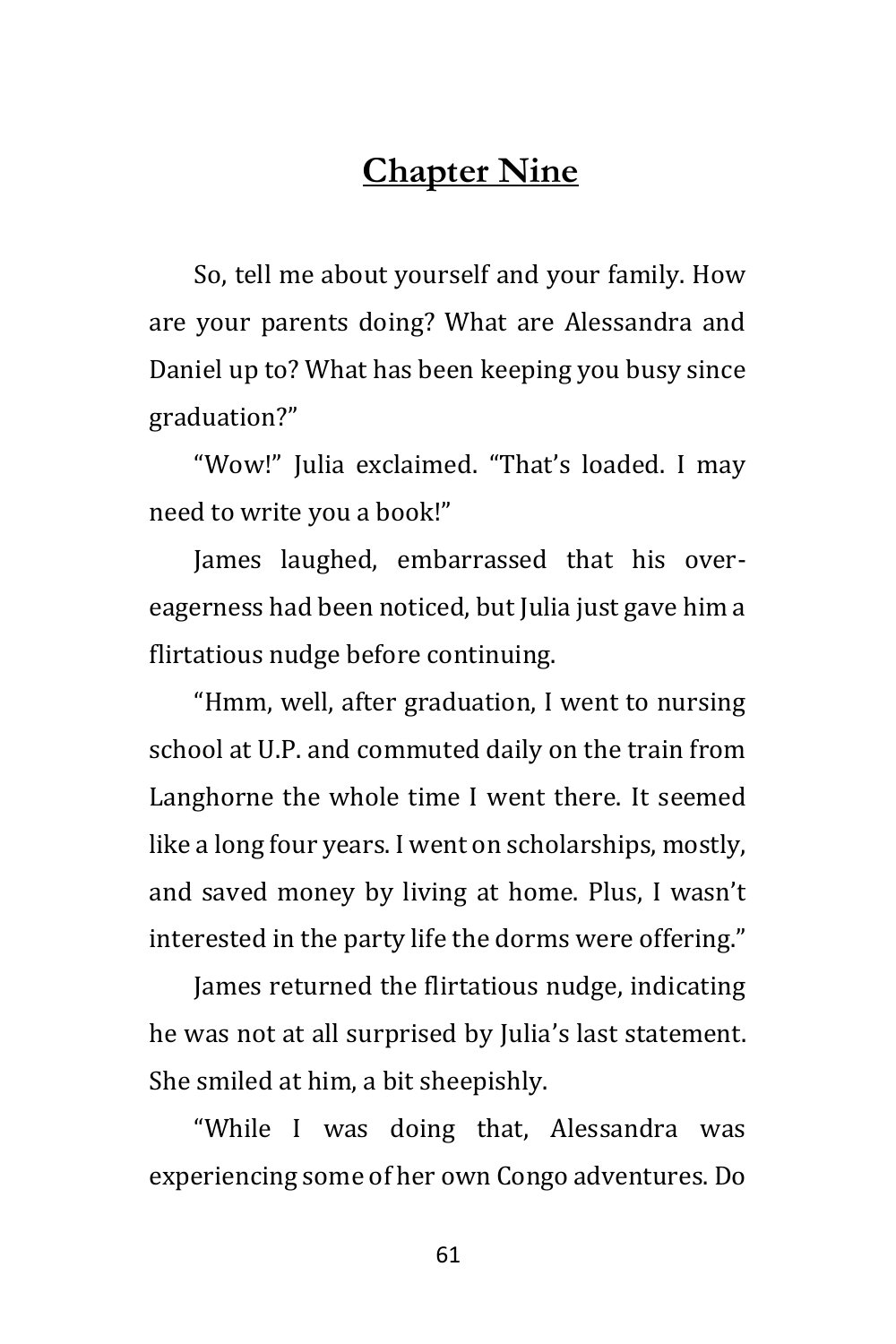## **Chapter Nine**

So, tell me about yourself and your family. How are your parents doing? What are Alessandra and Daniel up to? What has been keeping you busy since graduation?"

"Wow!" Julia exclaimed. "That's loaded. I may need to write you a book!"

James laughed, embarrassed that his overeagerness had been noticed, but Julia just gave him a flirtatious nudge before continuing.

"Hmm, well, after graduation, I went to nursing school at U.P. and commuted daily on the train from Langhorne the whole time I went there. It seemed like a long four years. I went on scholarships, mostly, and saved money by living at home. Plus, I wasn't interested in the party life the dorms were offering."

James returned the flirtatious nudge, indicating he was not at all surprised by Julia's last statement. She smiled at him, a bit sheepishly.

"While I was doing that, Alessandra was experiencing some of her own Congo adventures. Do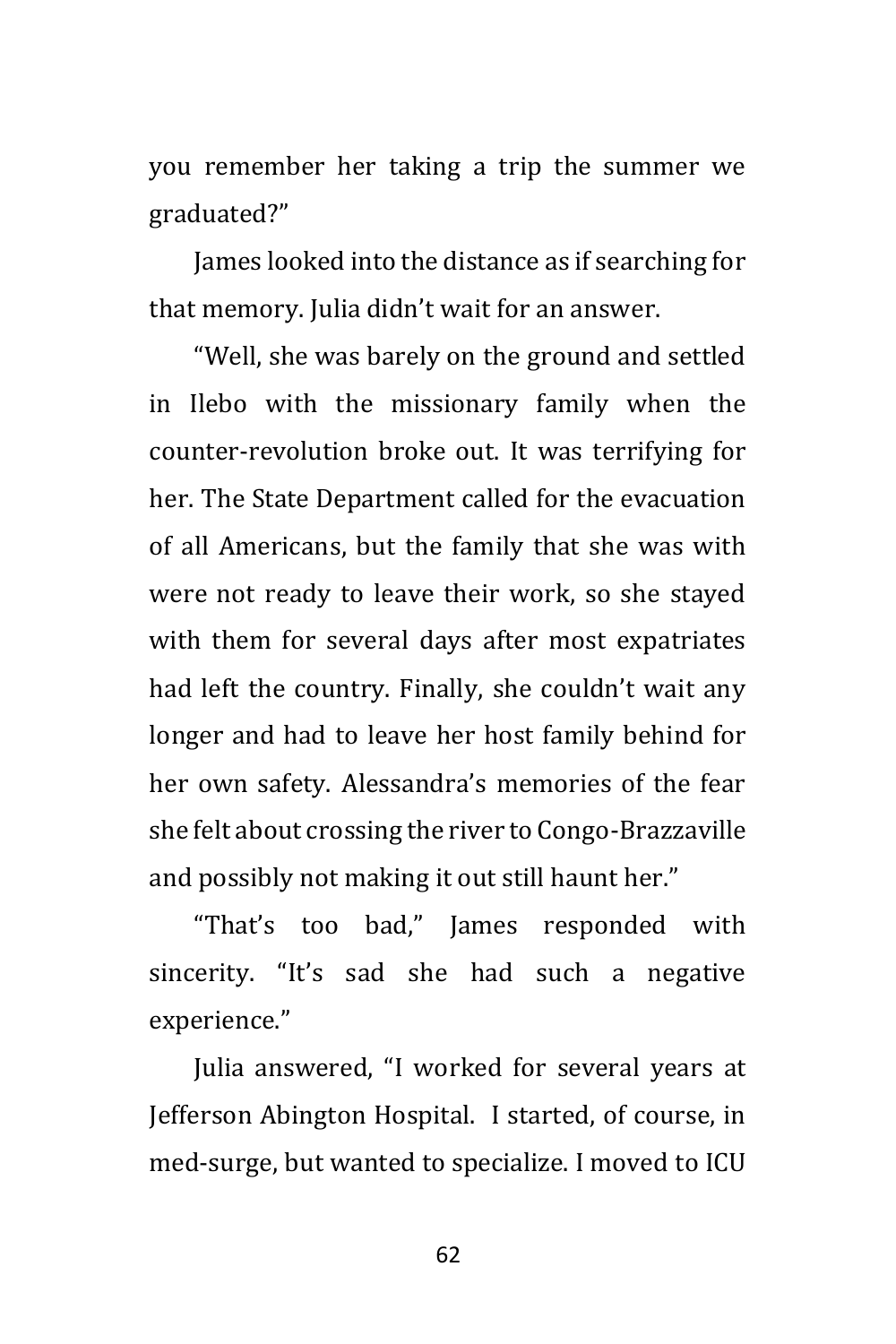you remember her taking a trip the summer we graduated?"

James looked into the distance as if searching for that memory. Julia didn't wait for an answer.

"Well, she was barely on the ground and settled in Ilebo with the missionary family when the counter-revolution broke out. It was terrifying for her. The State Department called for the evacuation of all Americans, but the family that she was with were not ready to leave their work, so she stayed with them for several days after most expatriates had left the country. Finally, she couldn't wait any longer and had to leave her host family behind for her own safety. Alessandra's memories of the fear she felt about crossing the river to Congo-Brazzaville and possibly not making it out still haunt her."

"That's too bad," James responded with sincerity. "It's sad she had such a negative experience."

Julia answered, "I worked for several years at Jefferson Abington Hospital. I started, of course, in med-surge, but wanted to specialize. I moved to ICU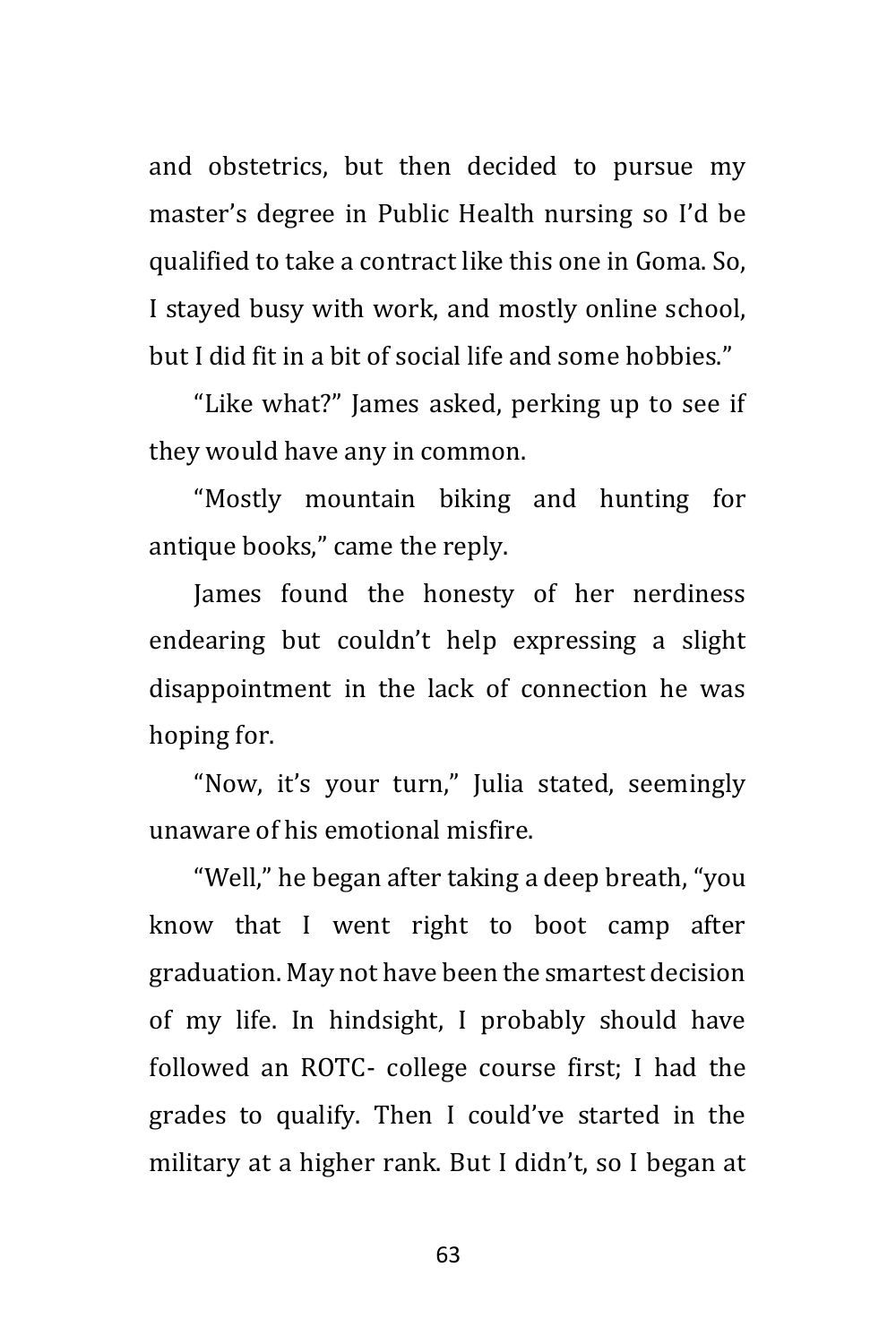and obstetrics, but then decided to pursue my master's degree in Public Health nursing so I'd be qualified to take a contract like this one in Goma. So, I stayed busy with work, and mostly online school, but I did fit in a bit of social life and some hobbies."

"Like what?" James asked, perking up to see if they would have any in common.

"Mostly mountain biking and hunting for antique books," came the reply.

James found the honesty of her nerdiness endearing but couldn't help expressing a slight disappointment in the lack of connection he was hoping for.

"Now, it's your turn," Julia stated, seemingly unaware of his emotional misfire.

"Well," he began after taking a deep breath, "you know that I went right to boot camp after graduation. May not have been the smartest decision of my life. In hindsight, I probably should have followed an ROTC- college course first; I had the grades to qualify. Then I could've started in the military at a higher rank. But I didn't, so I began at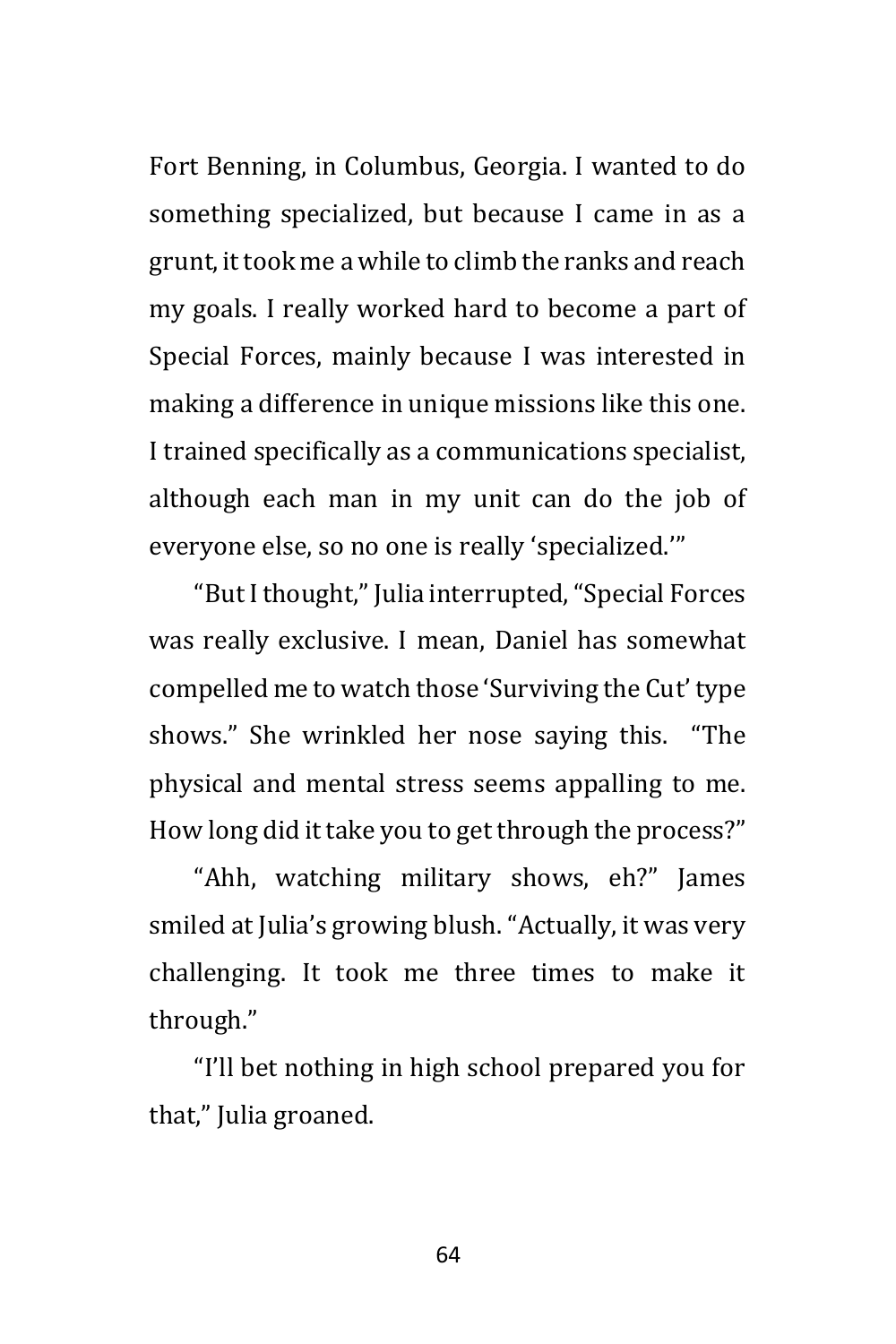Fort Benning, in Columbus, Georgia. I wanted to do something specialized, but because I came in as a grunt, it took me a while to climb the ranks and reach my goals. I really worked hard to become a part of Special Forces, mainly because I was interested in making a difference in unique missions like this one. I trained specifically as a communications specialist, although each man in my unit can do the job of everyone else, so no one is really 'specialized.'"

"But I thought," Julia interrupted, "Special Forces was really exclusive. I mean, Daniel has somewhat compelled me to watch those 'Surviving the Cut' type shows." She wrinkled her nose saying this. "The physical and mental stress seems appalling to me. How long did it take you to get through the process?"

"Ahh, watching military shows, eh?" James smiled at Julia's growing blush. "Actually, it was very challenging. It took me three times to make it through."

"I'll bet nothing in high school prepared you for that," Julia groaned.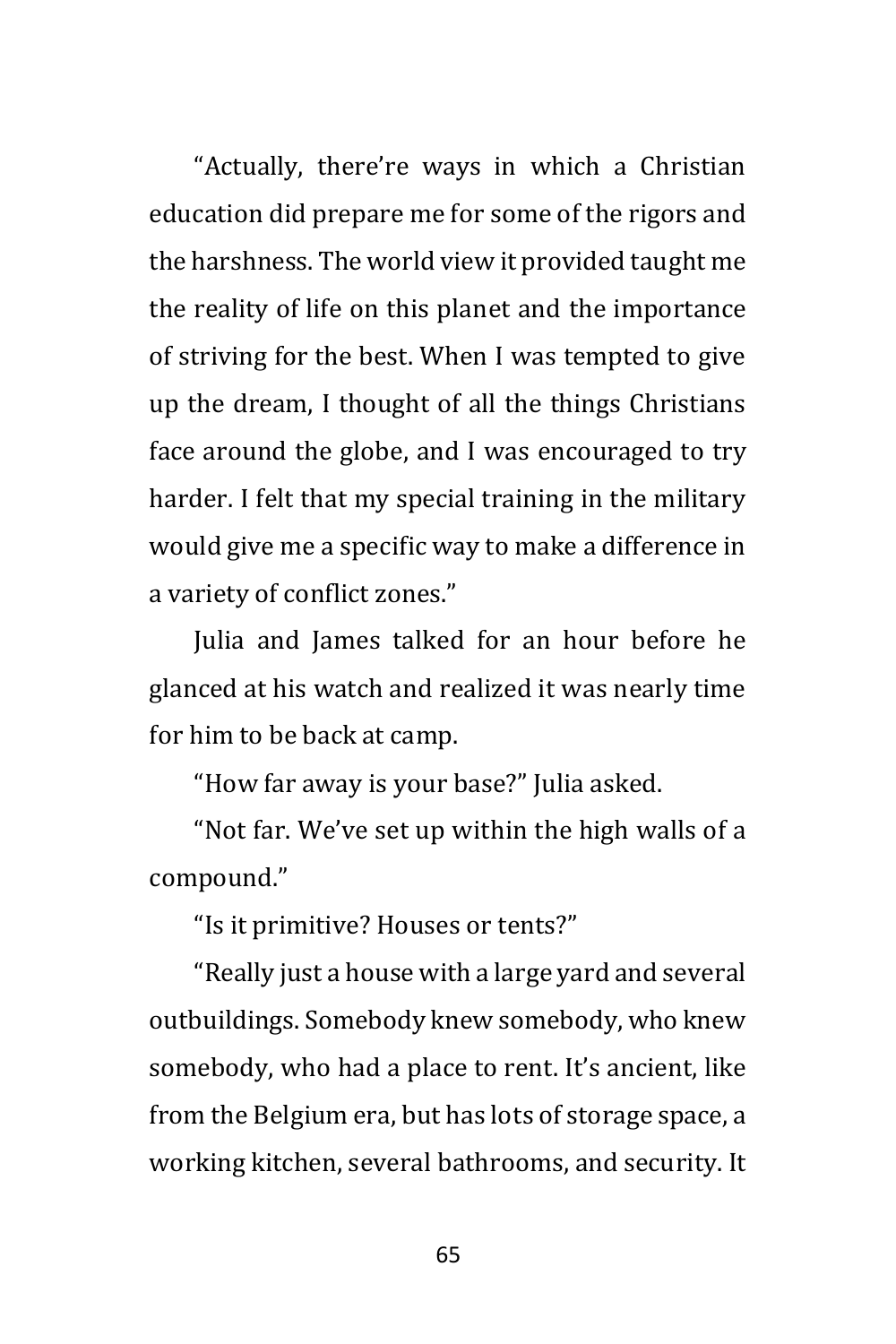"Actually, there're ways in which a Christian education did prepare me for some of the rigors and the harshness. The world view it provided taught me the reality of life on this planet and the importance of striving for the best. When I was tempted to give up the dream, I thought of all the things Christians face around the globe, and I was encouraged to try harder. I felt that my special training in the military would give me a specific way to make a difference in a variety of conflict zones."

Julia and James talked for an hour before he glanced at his watch and realized it was nearly time for him to be back at camp.

"How far away is your base?" Julia asked.

"Not far. We've set up within the high walls of a compound."

"Is it primitive? Houses or tents?"

"Really just a house with a large yard and several outbuildings. Somebody knew somebody, who knew somebody, who had a place to rent. It's ancient, like from the Belgium era, but has lots of storage space, a working kitchen, several bathrooms, and security. It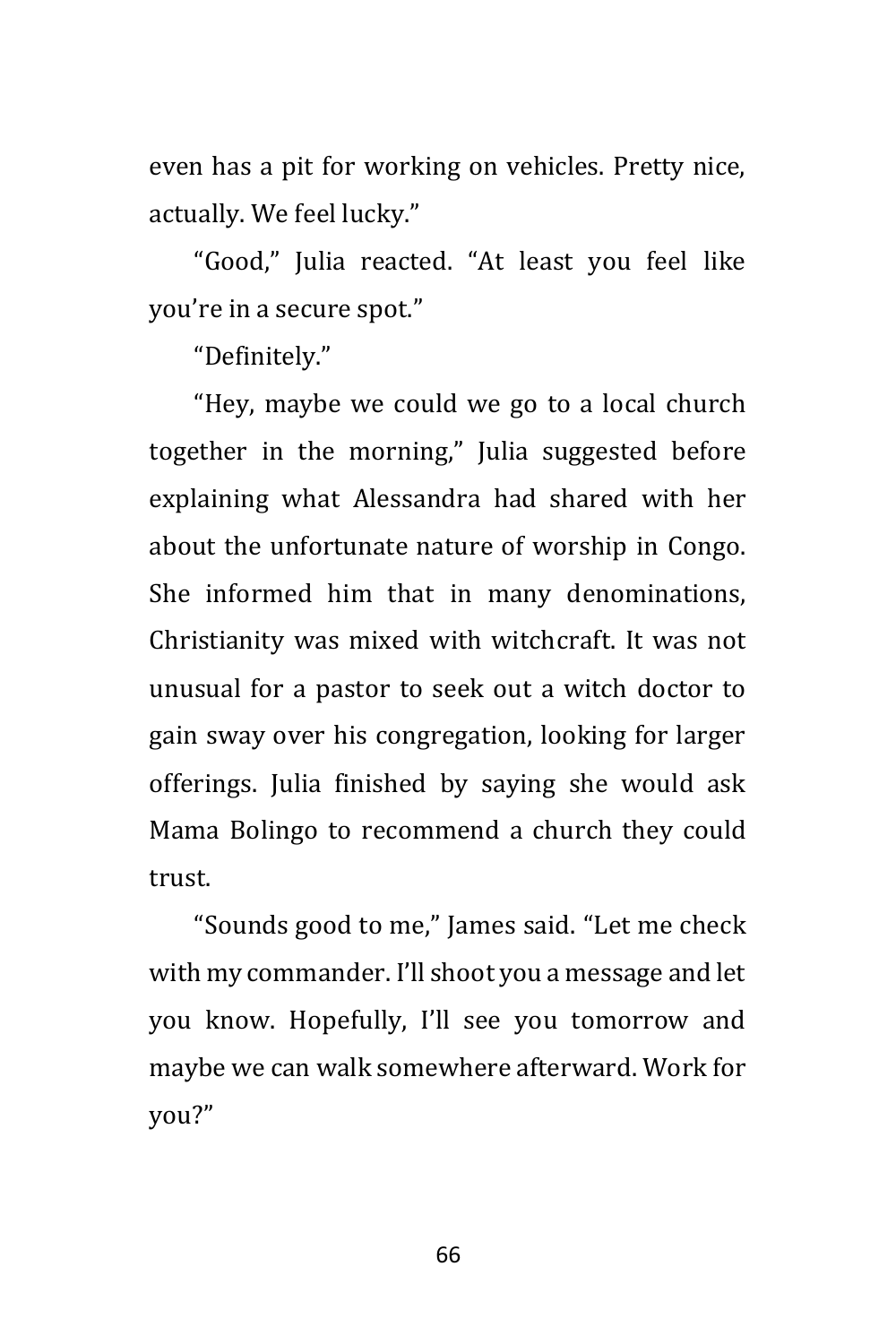even has a pit for working on vehicles. Pretty nice, actually. We feel lucky."

"Good," Julia reacted. "At least you feel like you're in a secure spot."

"Definitely."

"Hey, maybe we could we go to a local church together in the morning," Julia suggested before explaining what Alessandra had shared with her about the unfortunate nature of worship in Congo. She informed him that in many denominations, Christianity was mixed with witchcraft. It was not unusual for a pastor to seek out a witch doctor to gain sway over his congregation, looking for larger offerings. Julia finished by saying she would ask Mama Bolingo to recommend a church they could trust.

"Sounds good to me," James said. "Let me check with my commander. I'll shoot you a message and let you know. Hopefully, I'll see you tomorrow and maybe we can walk somewhere afterward. Work for you?"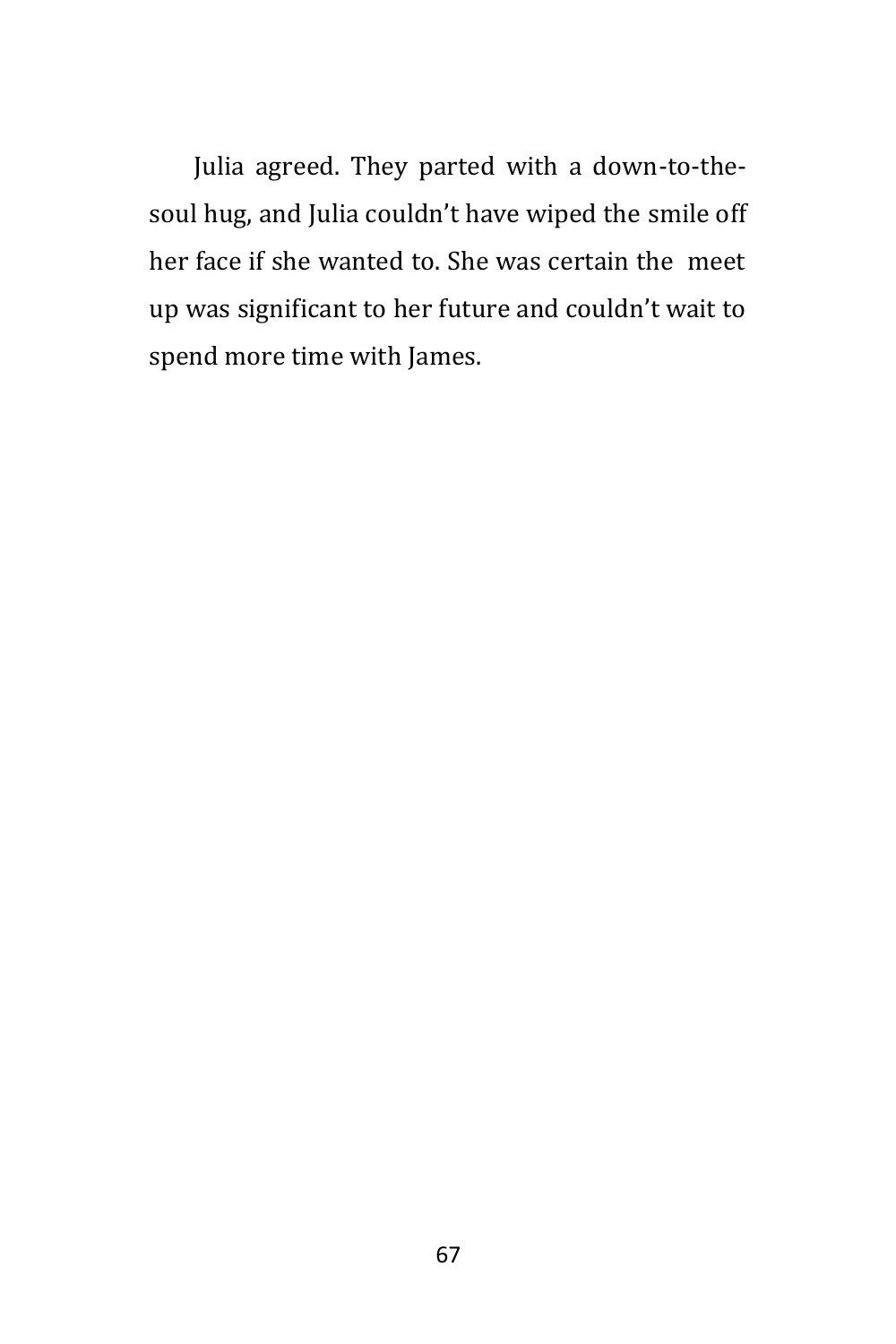Julia agreed. They parted with a down-to-thesoul hug, and Julia couldn't have wiped the smile off her face if she wanted to. She was certain the meet up was significant to her future and couldn't wait to spend more time with James.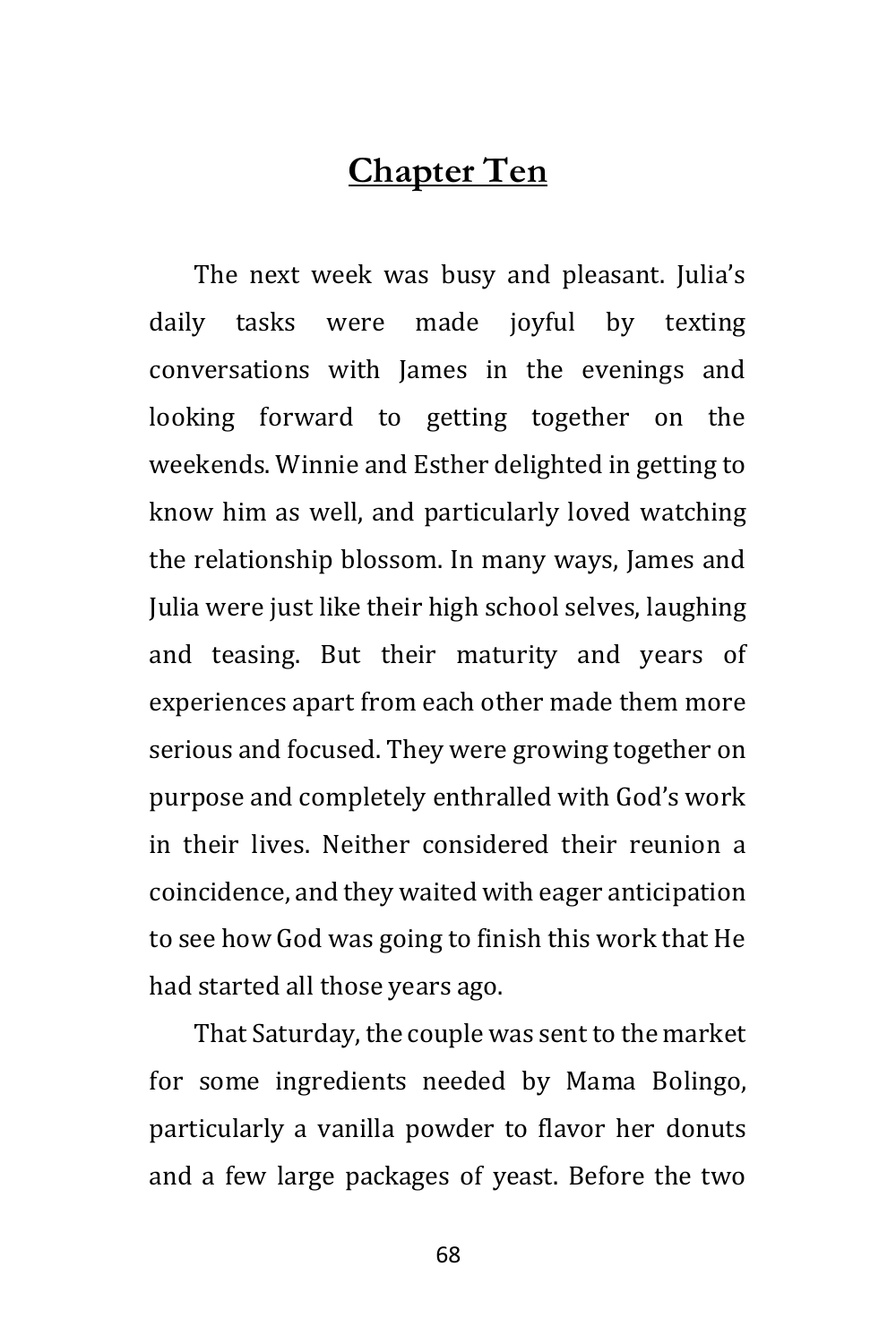## **Chapter Ten**

The next week was busy and pleasant. Julia's daily tasks were made joyful by texting conversations with James in the evenings and looking forward to getting together on the weekends. Winnie and Esther delighted in getting to know him as well, and particularly loved watching the relationship blossom. In many ways, James and Julia were just like their high school selves, laughing and teasing. But their maturity and years of experiences apart from each other made them more serious and focused. They were growing together on purpose and completely enthralled with God's work in their lives. Neither considered their reunion a coincidence, and they waited with eager anticipation to see how God was going to finish this work that He had started all those years ago.

That Saturday, the couple was sent to the market for some ingredients needed by Mama Bolingo, particularly a vanilla powder to flavor her donuts and a few large packages of yeast. Before the two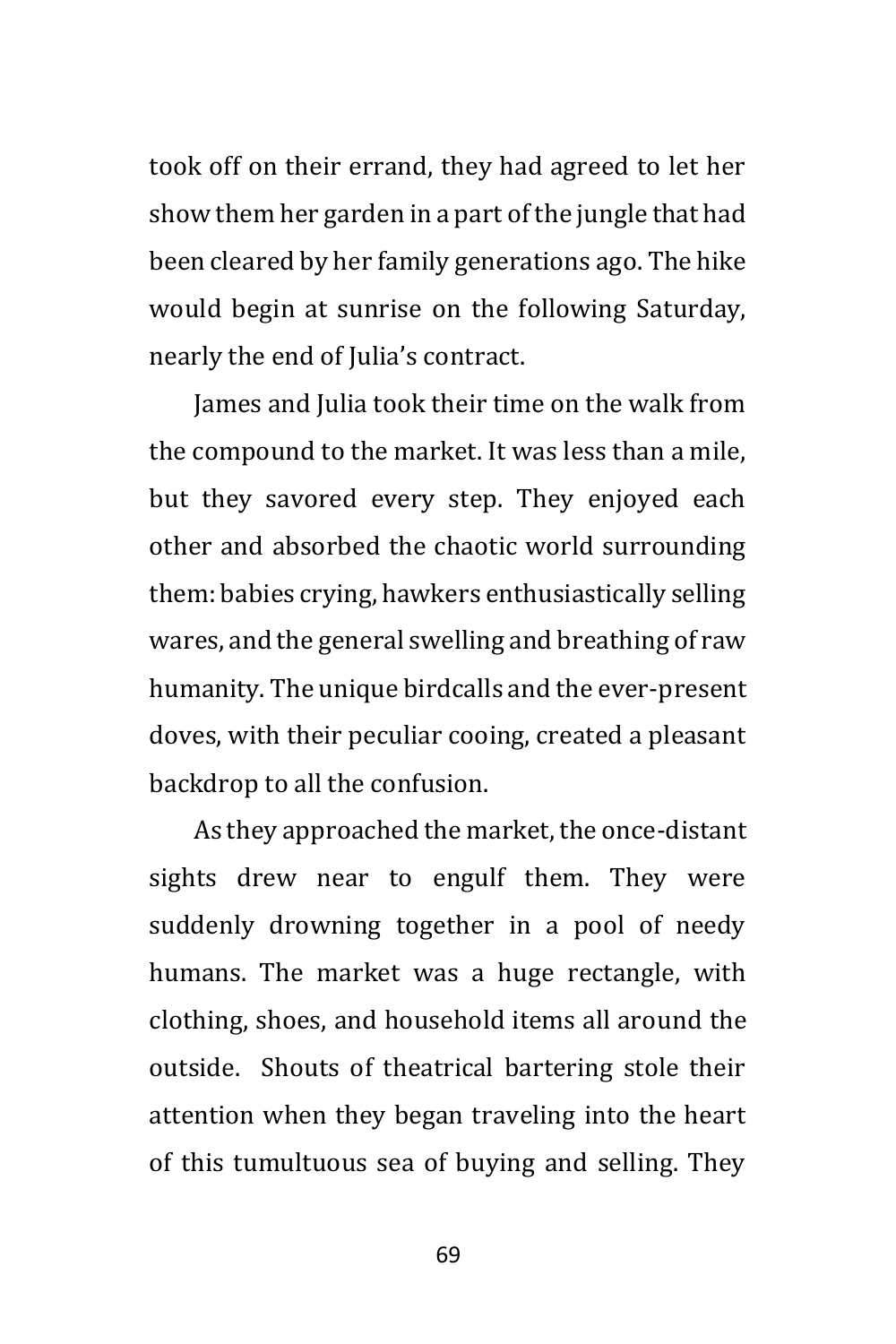took off on their errand, they had agreed to let her show them her garden in a part of the jungle that had been cleared by her family generations ago. The hike would begin at sunrise on the following Saturday, nearly the end of Julia's contract.

James and Julia took their time on the walk from the compound to the market. It was less than a mile, but they savored every step. They enjoyed each other and absorbed the chaotic world surrounding them: babies crying, hawkers enthusiastically selling wares, and the general swelling and breathing of raw humanity. The unique birdcalls and the ever-present doves, with their peculiar cooing, created a pleasant backdrop to all the confusion.

As they approached the market, the once-distant sights drew near to engulf them. They were suddenly drowning together in a pool of needy humans. The market was a huge rectangle, with clothing, shoes, and household items all around the outside. Shouts of theatrical bartering stole their attention when they began traveling into the heart of this tumultuous sea of buying and selling. They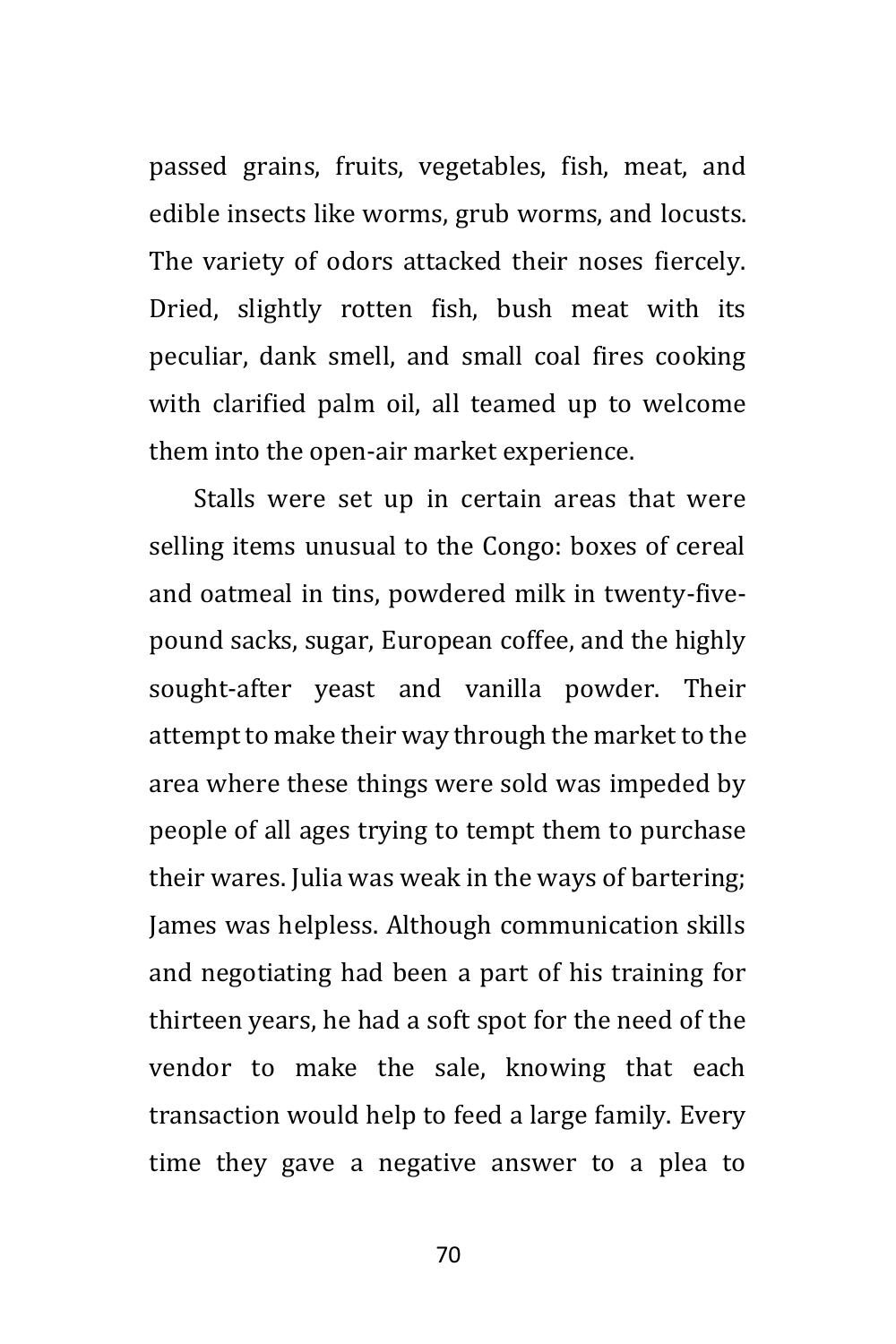passed grains, fruits, vegetables, fish, meat, and edible insects like worms, grub worms, and locusts. The variety of odors attacked their noses fiercely. Dried, slightly rotten fish, bush meat with its peculiar, dank smell, and small coal fires cooking with clarified palm oil, all teamed up to welcome them into the open-air market experience.

Stalls were set up in certain areas that were selling items unusual to the Congo: boxes of cereal and oatmeal in tins, powdered milk in twenty-fivepound sacks, sugar, European coffee, and the highly sought-after yeast and vanilla powder. Their attempt to make their way through the market to the area where these things were sold was impeded by people of all ages trying to tempt them to purchase their wares. Julia was weak in the ways of bartering; James was helpless. Although communication skills and negotiating had been a part of his training for thirteen years, he had a soft spot for the need of the vendor to make the sale, knowing that each transaction would help to feed a large family. Every time they gave a negative answer to a plea to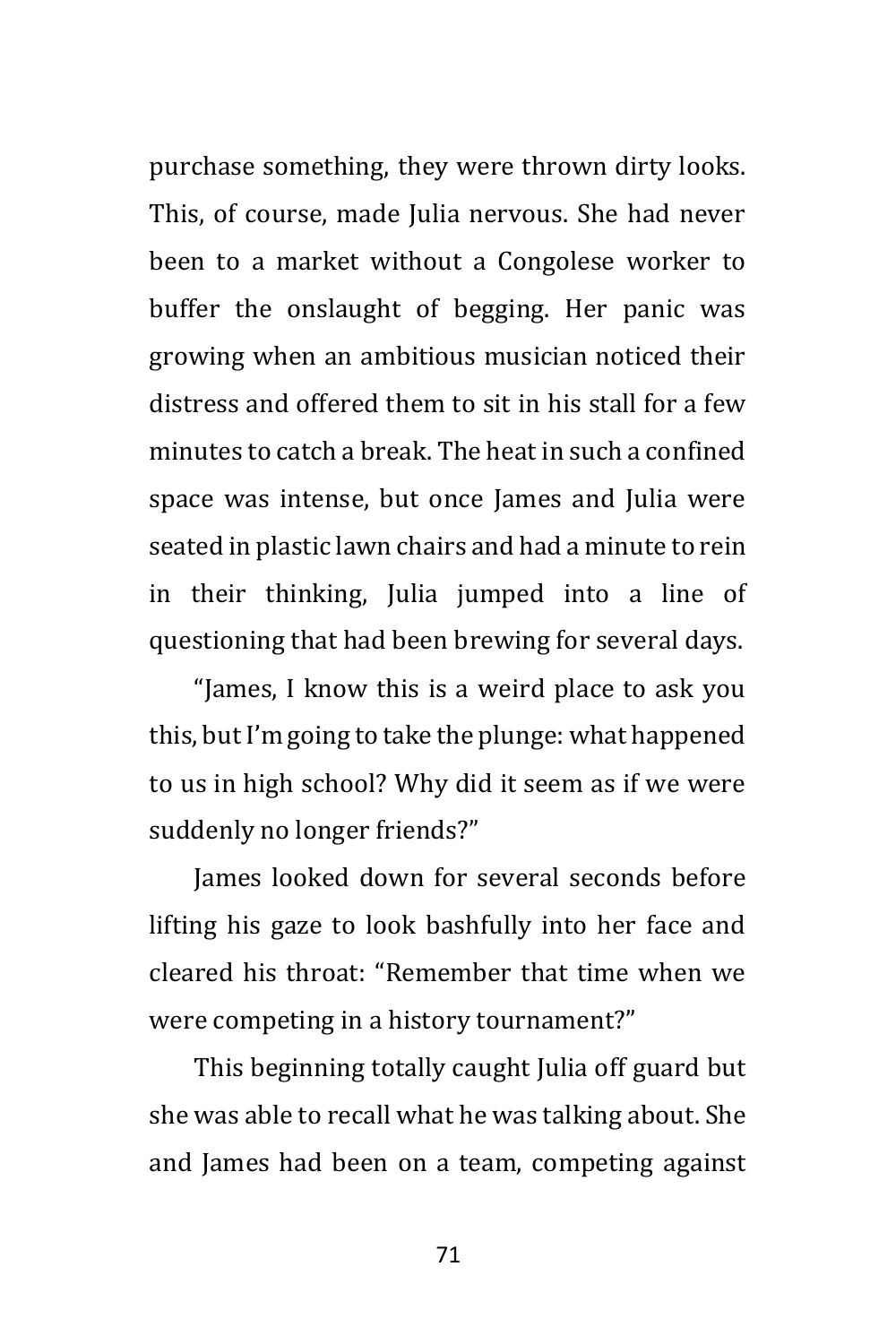purchase something, they were thrown dirty looks. This, of course, made Julia nervous. She had never been to a market without a Congolese worker to buffer the onslaught of begging. Her panic was growing when an ambitious musician noticed their distress and offered them to sit in his stall for a few minutes to catch a break. The heat in such a confined space was intense, but once James and Julia were seated in plastic lawn chairs and had a minute to rein in their thinking, Julia jumped into a line of questioning that had been brewing for several days.

"James, I know this is a weird place to ask you this, but I'm going to take the plunge: what happened to us in high school? Why did it seem as if we were suddenly no longer friends?"

James looked down for several seconds before lifting his gaze to look bashfully into her face and cleared his throat: "Remember that time when we were competing in a history tournament?"

This beginning totally caught Julia off guard but she was able to recall what he was talking about. She and James had been on a team, competing against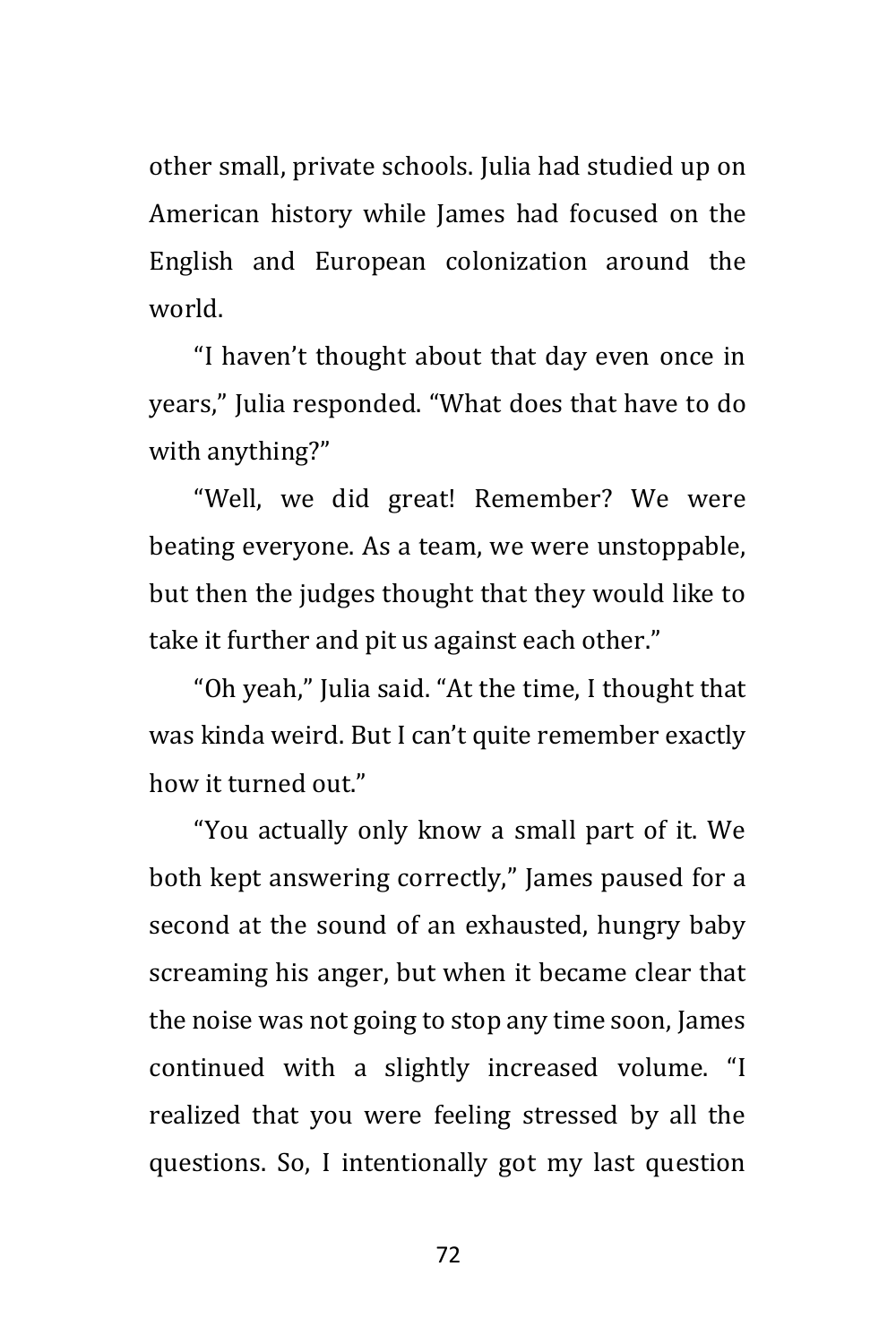other small, private schools. Julia had studied up on American history while James had focused on the English and European colonization around the world.

"I haven't thought about that day even once in years," Julia responded. "What does that have to do with anything?"

"Well, we did great! Remember? We were beating everyone. As a team, we were unstoppable, but then the judges thought that they would like to take it further and pit us against each other."

"Oh yeah," Julia said. "At the time, I thought that was kinda weird. But I can't quite remember exactly how it turned out."

"You actually only know a small part of it. We both kept answering correctly," James paused for a second at the sound of an exhausted, hungry baby screaming his anger, but when it became clear that the noise was not going to stop any time soon, James continued with a slightly increased volume. "I realized that you were feeling stressed by all the questions. So, I intentionally got my last question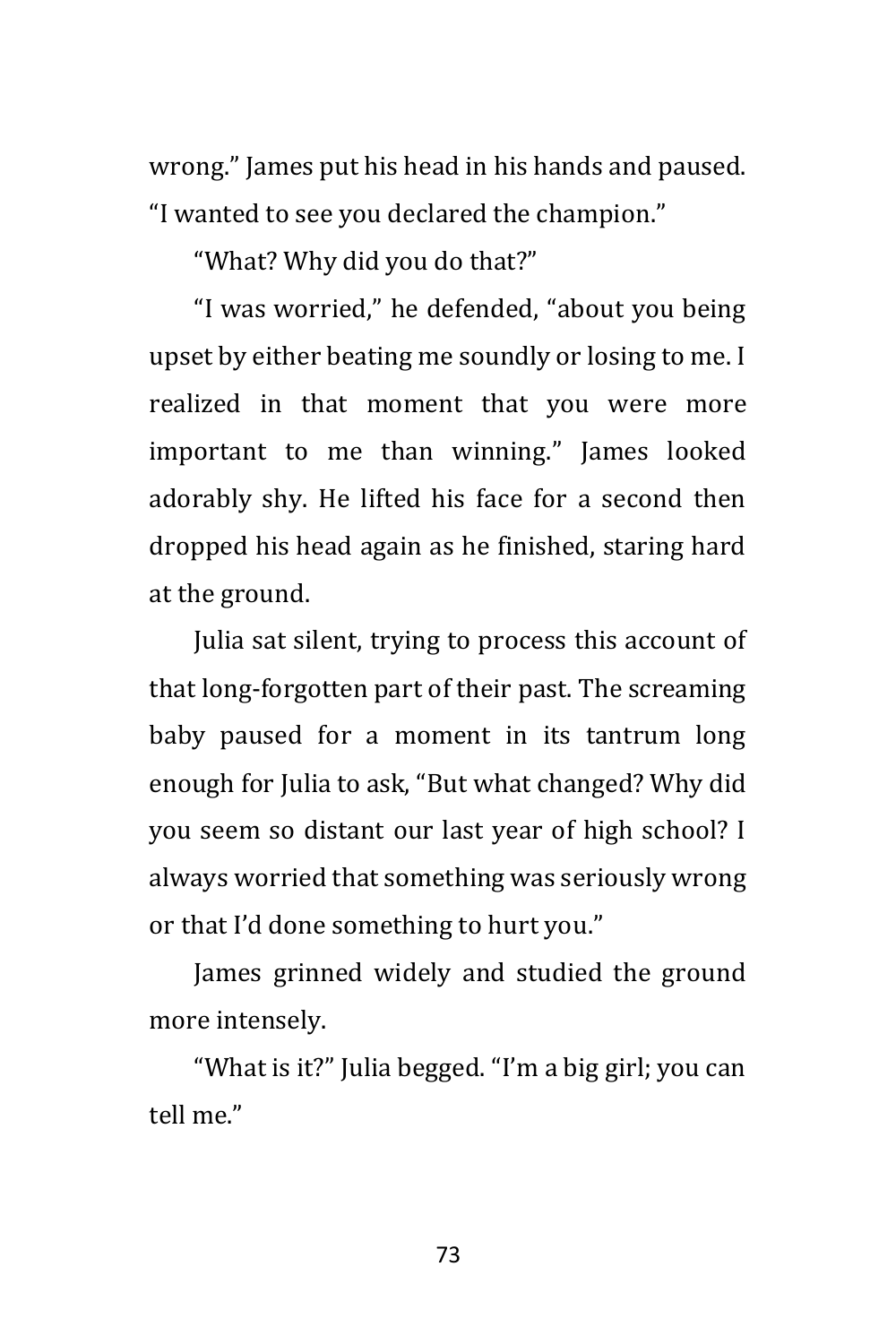wrong." James put his head in his hands and paused. "I wanted to see you declared the champion."

"What? Why did you do that?"

"I was worried," he defended, "about you being upset by either beating me soundly or losing to me. I realized in that moment that you were more important to me than winning." James looked adorably shy. He lifted his face for a second then dropped his head again as he finished, staring hard at the ground.

Julia sat silent, trying to process this account of that long-forgotten part of their past. The screaming baby paused for a moment in its tantrum long enough for Julia to ask, "But what changed? Why did you seem so distant our last year of high school? I always worried that something was seriously wrong or that I'd done something to hurt you."

James grinned widely and studied the ground more intensely.

"What is it?" Julia begged. "I'm a big girl; you can tell me."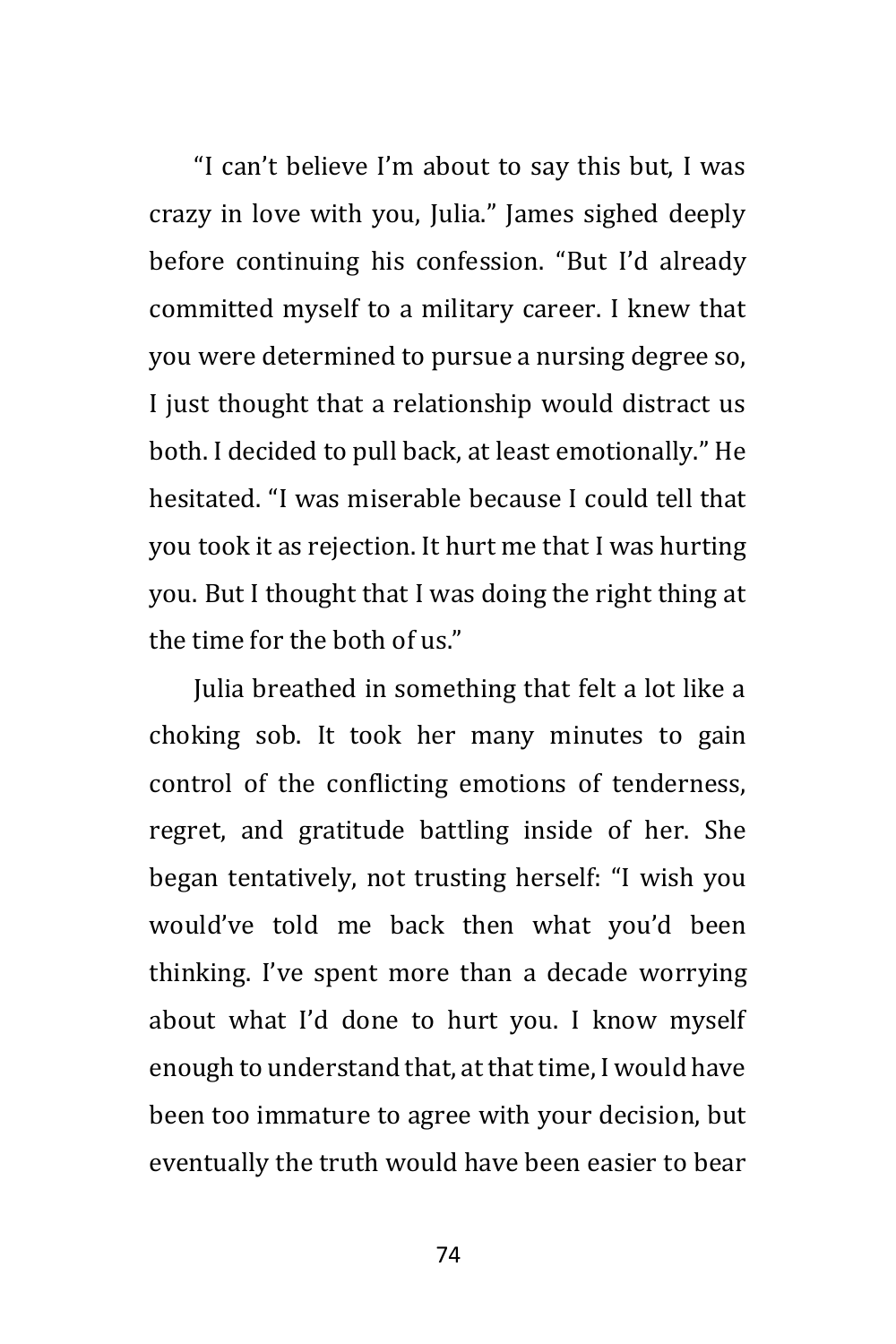"I can't believe I'm about to say this but, I was crazy in love with you, Julia." James sighed deeply before continuing his confession. "But I'd already committed myself to a military career. I knew that you were determined to pursue a nursing degree so, I just thought that a relationship would distract us both. I decided to pull back, at least emotionally." He hesitated. "I was miserable because I could tell that you took it as rejection. It hurt me that I was hurting you. But I thought that I was doing the right thing at the time for the both of us."

Julia breathed in something that felt a lot like a choking sob. It took her many minutes to gain control of the conflicting emotions of tenderness, regret, and gratitude battling inside of her. She began tentatively, not trusting herself: "I wish you would've told me back then what you'd been thinking. I've spent more than a decade worrying about what I'd done to hurt you. I know myself enough to understand that, at that time, I would have been too immature to agree with your decision, but eventually the truth would have been easier to bear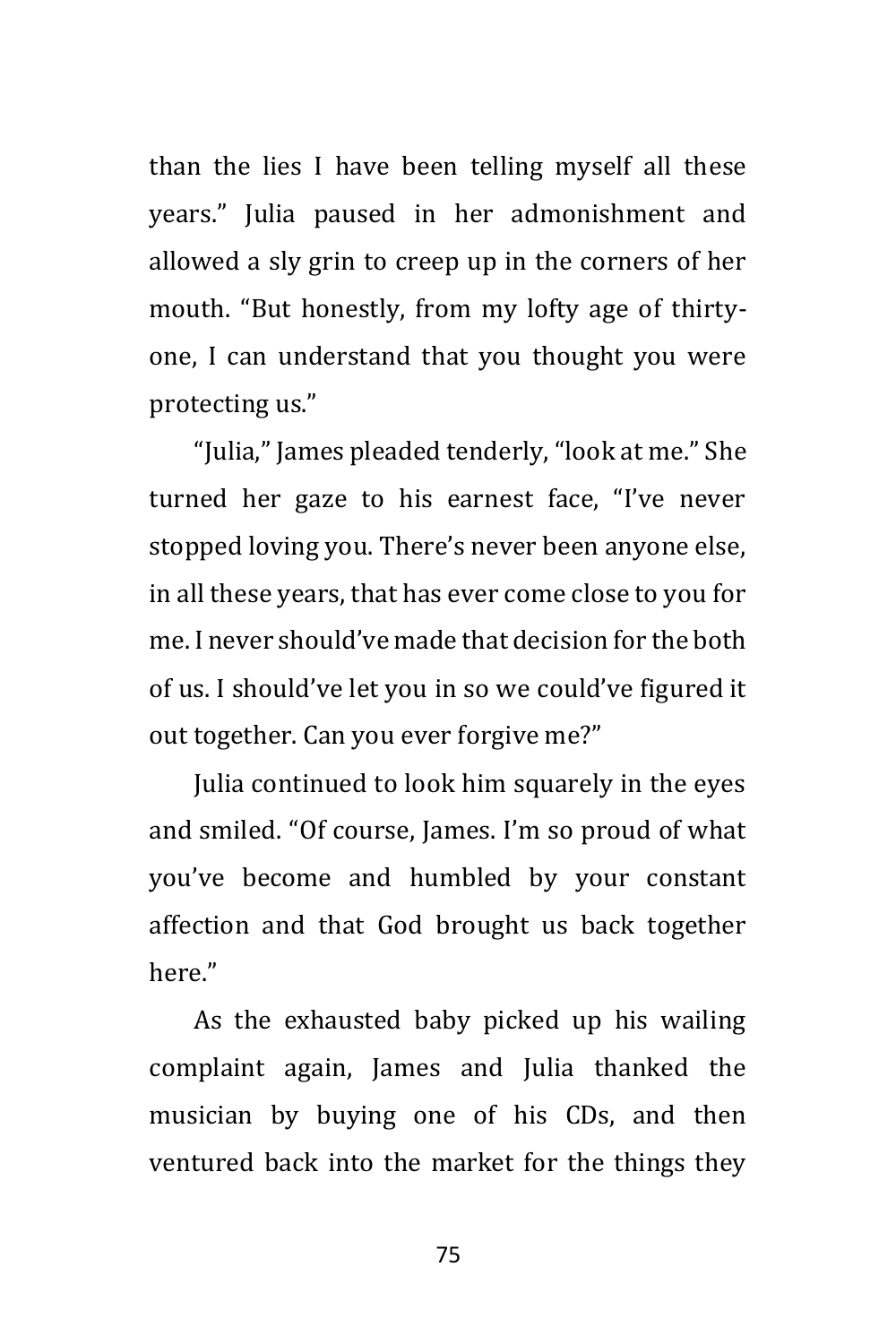than the lies I have been telling myself all these years." Julia paused in her admonishment and allowed a sly grin to creep up in the corners of her mouth. "But honestly, from my lofty age of thirtyone, I can understand that you thought you were protecting us."

"Julia," James pleaded tenderly, "look at me." She turned her gaze to his earnest face, "I've never stopped loving you. There's never been anyone else, in all these years, that has ever come close to you for me. I never should've made that decision for the both of us. I should've let you in so we could've figured it out together. Can you ever forgive me?"

Julia continued to look him squarely in the eyes and smiled. "Of course, James. I'm so proud of what you've become and humbled by your constant affection and that God brought us back together here."

As the exhausted baby picked up his wailing complaint again, James and Julia thanked the musician by buying one of his CDs, and then ventured back into the market for the things they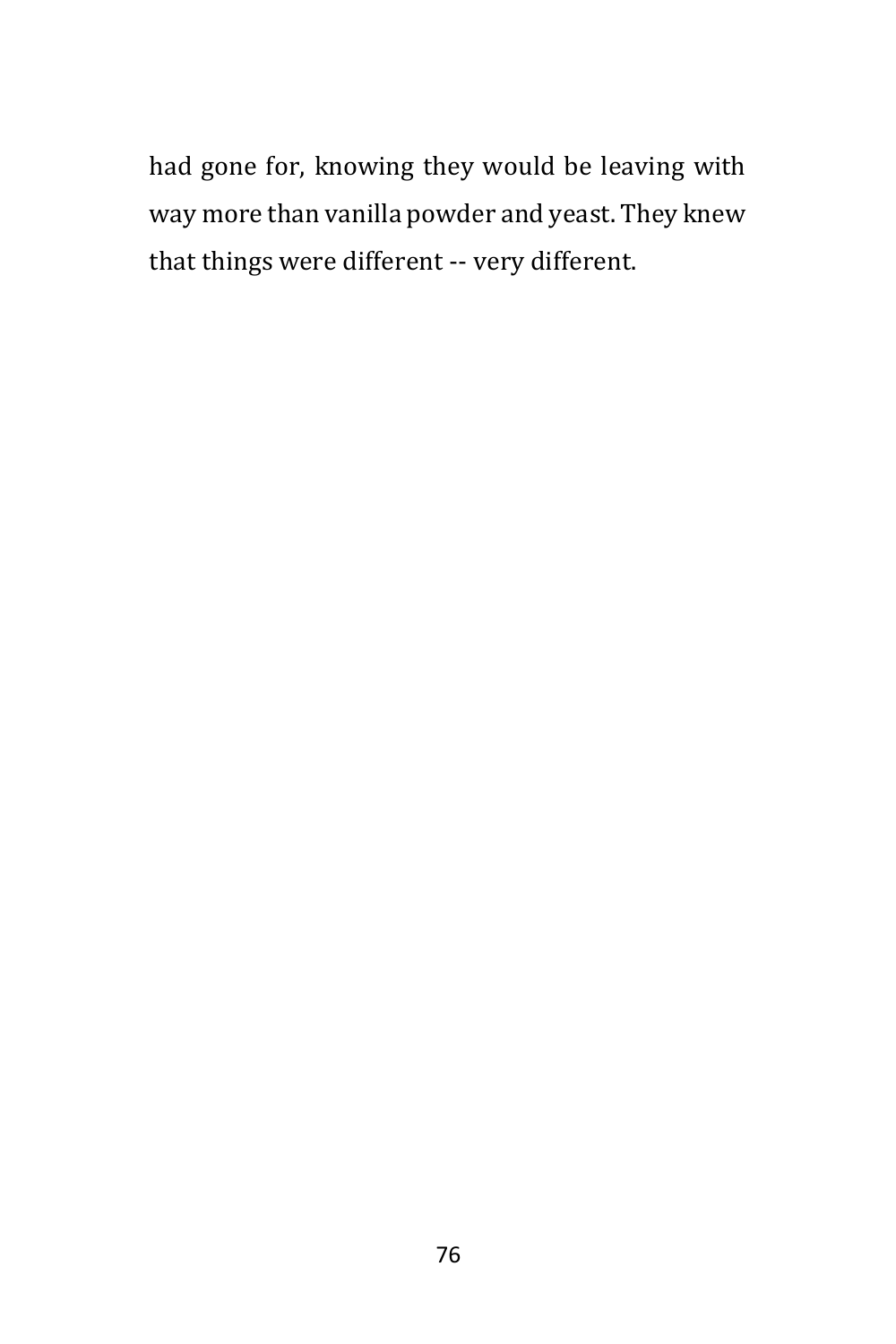had gone for, knowing they would be leaving with way more than vanilla powder and yeast. They knew that things were different -- very different.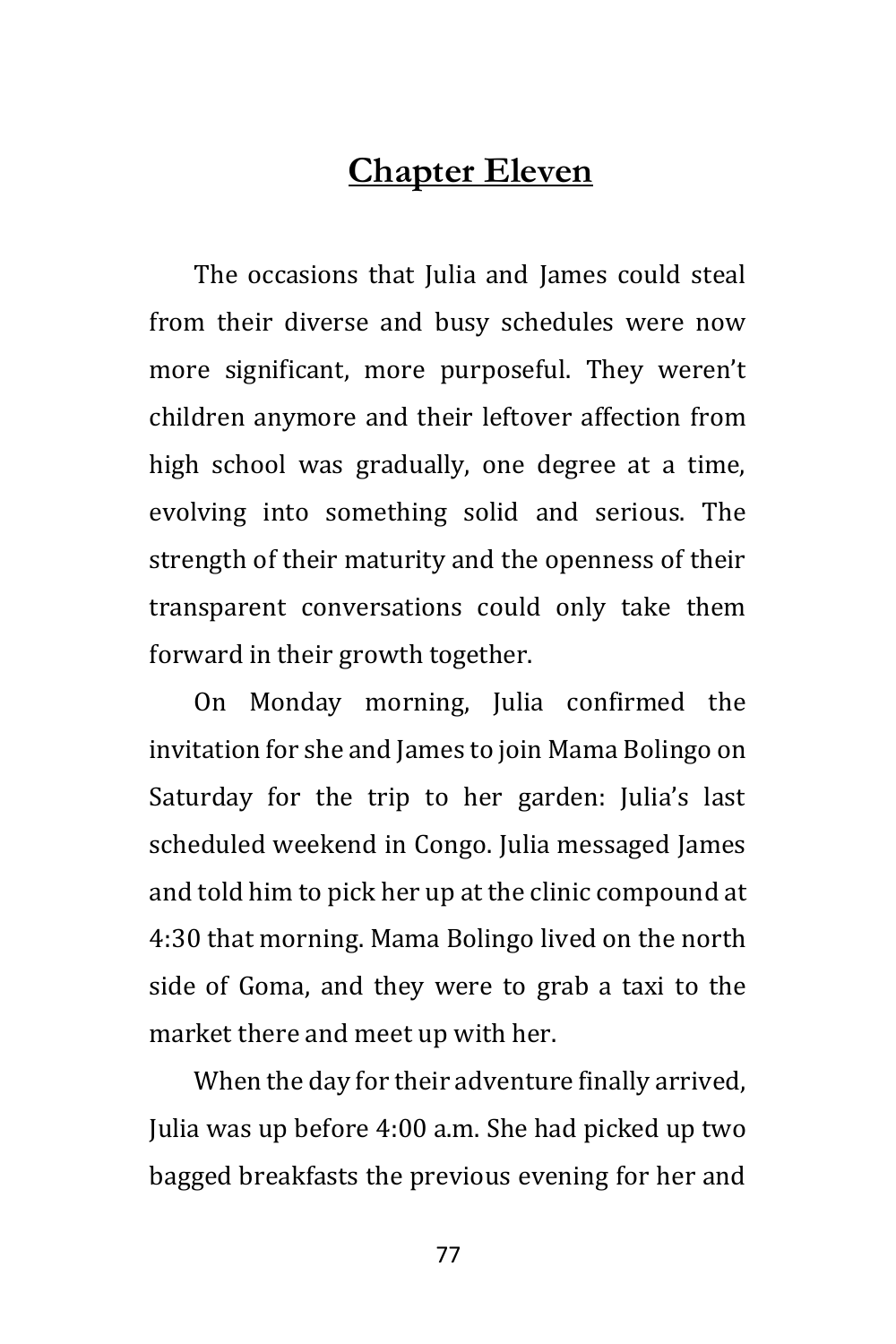## **Chapter Eleven**

The occasions that Julia and James could steal from their diverse and busy schedules were now more significant, more purposeful. They weren't children anymore and their leftover affection from high school was gradually, one degree at a time, evolving into something solid and serious. The strength of their maturity and the openness of their transparent conversations could only take them forward in their growth together.

On Monday morning, Julia confirmed the invitation for she and James to join Mama Bolingo on Saturday for the trip to her garden: Julia's last scheduled weekend in Congo. Julia messaged James and told him to pick her up at the clinic compound at 4:30 that morning. Mama Bolingo lived on the north side of Goma, and they were to grab a taxi to the market there and meet up with her.

When the day for their adventure finally arrived, Julia was up before 4:00 a.m. She had picked up two bagged breakfasts the previous evening for her and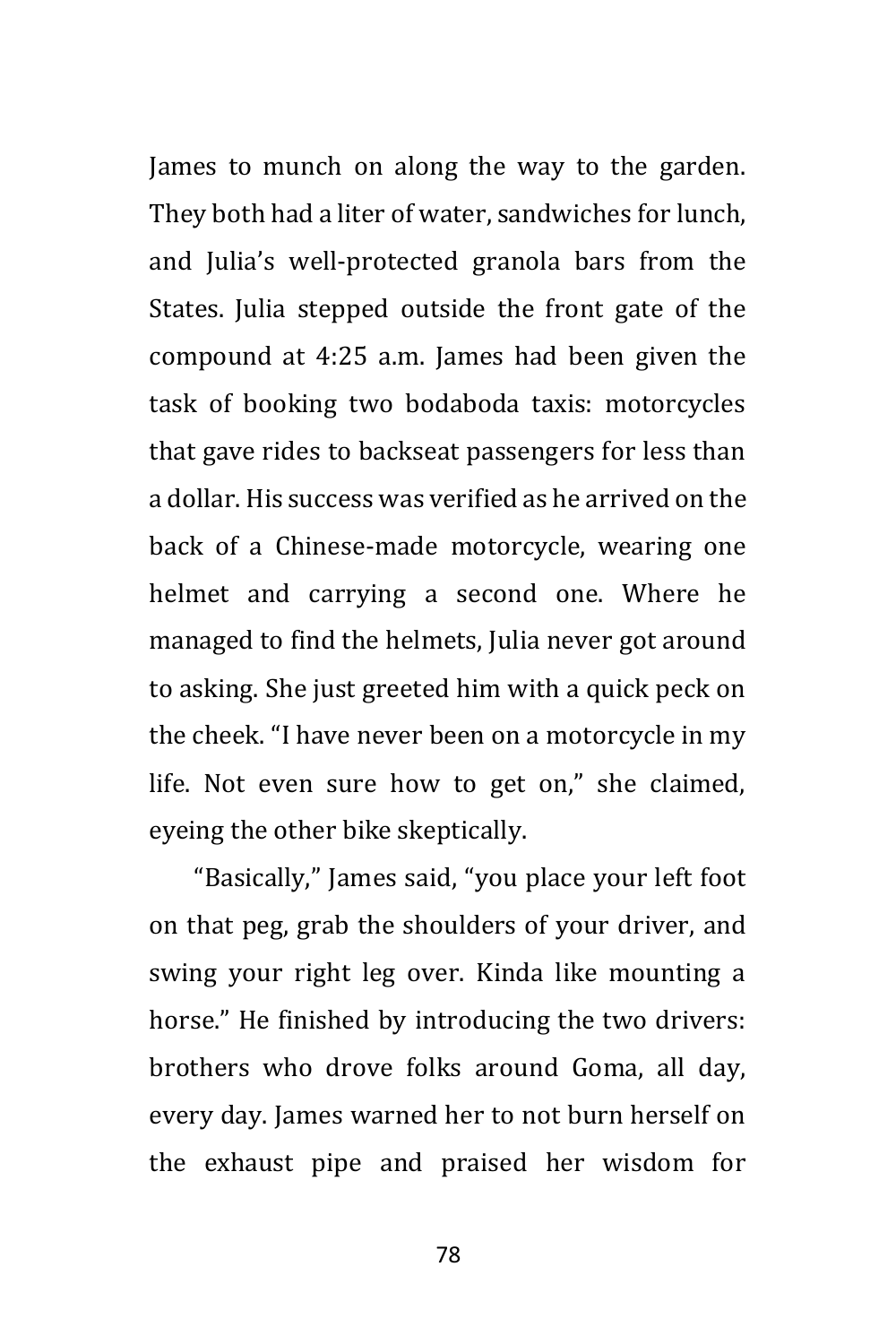James to munch on along the way to the garden. They both had a liter of water, sandwiches for lunch, and Julia's well-protected granola bars from the States. Julia stepped outside the front gate of the compound at 4:25 a.m. James had been given the task of booking two bodaboda taxis: motorcycles that gave rides to backseat passengers for less than a dollar. His success was verified as he arrived on the back of a Chinese-made motorcycle, wearing one helmet and carrying a second one. Where he managed to find the helmets, Julia never got around to asking. She just greeted him with a quick peck on the cheek. "I have never been on a motorcycle in my life. Not even sure how to get on," she claimed, eyeing the other bike skeptically.

"Basically," James said, "you place your left foot on that peg, grab the shoulders of your driver, and swing your right leg over. Kinda like mounting a horse." He finished by introducing the two drivers: brothers who drove folks around Goma, all day, every day. James warned her to not burn herself on the exhaust pipe and praised her wisdom for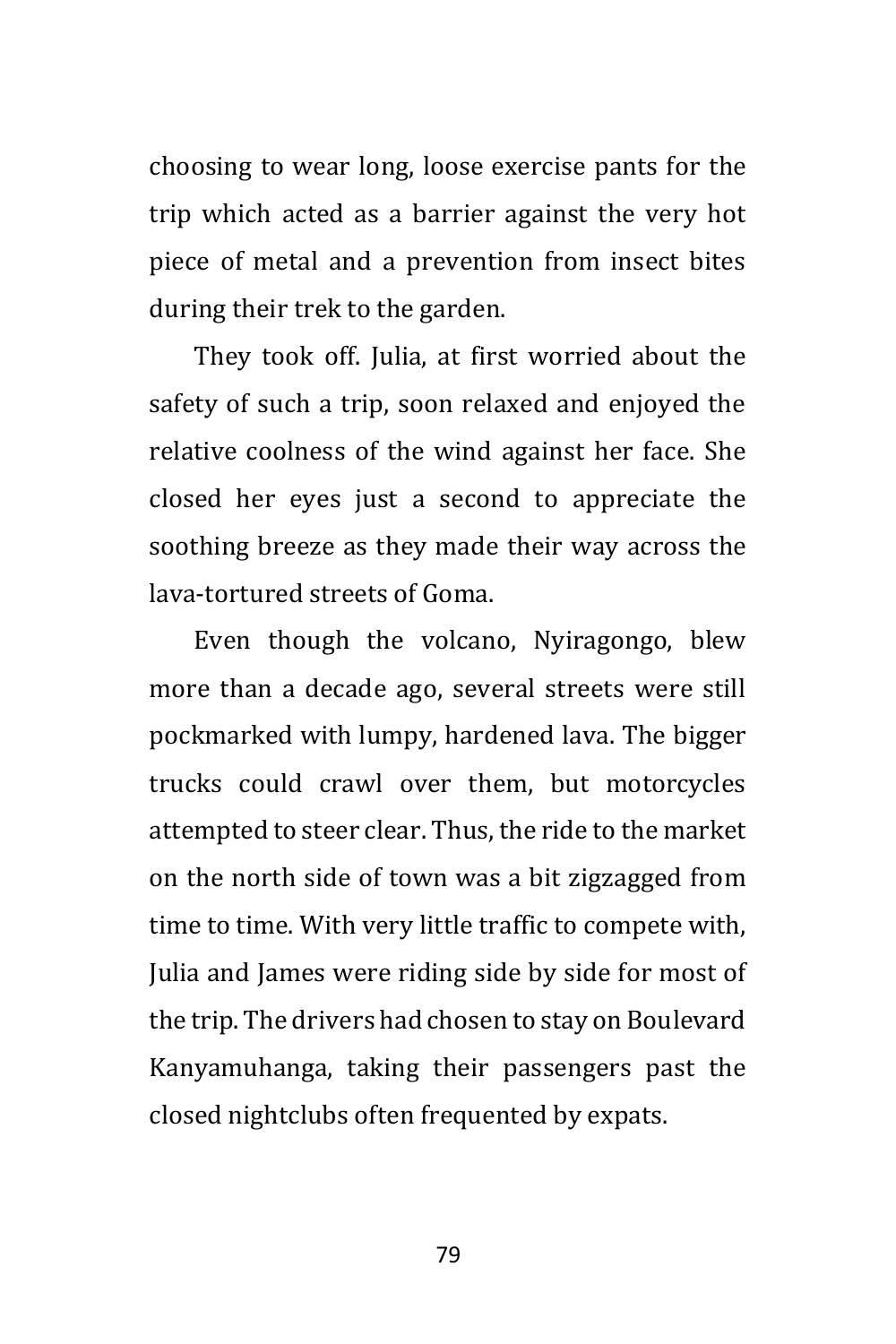choosing to wear long, loose exercise pants for the trip which acted as a barrier against the very hot piece of metal and a prevention from insect bites during their trek to the garden.

They took off. Julia, at first worried about the safety of such a trip, soon relaxed and enjoyed the relative coolness of the wind against her face. She closed her eyes just a second to appreciate the soothing breeze as they made their way across the lava-tortured streets of Goma.

Even though the volcano, Nyiragongo, blew more than a decade ago, several streets were still pockmarked with lumpy, hardened lava. The bigger trucks could crawl over them, but motorcycles attempted to steer clear. Thus, the ride to the market on the north side of town was a bit zigzagged from time to time. With very little traffic to compete with, Julia and James were riding side by side for most of the trip. The drivers had chosen to stay on Boulevard Kanyamuhanga, taking their passengers past the closed nightclubs often frequented by expats.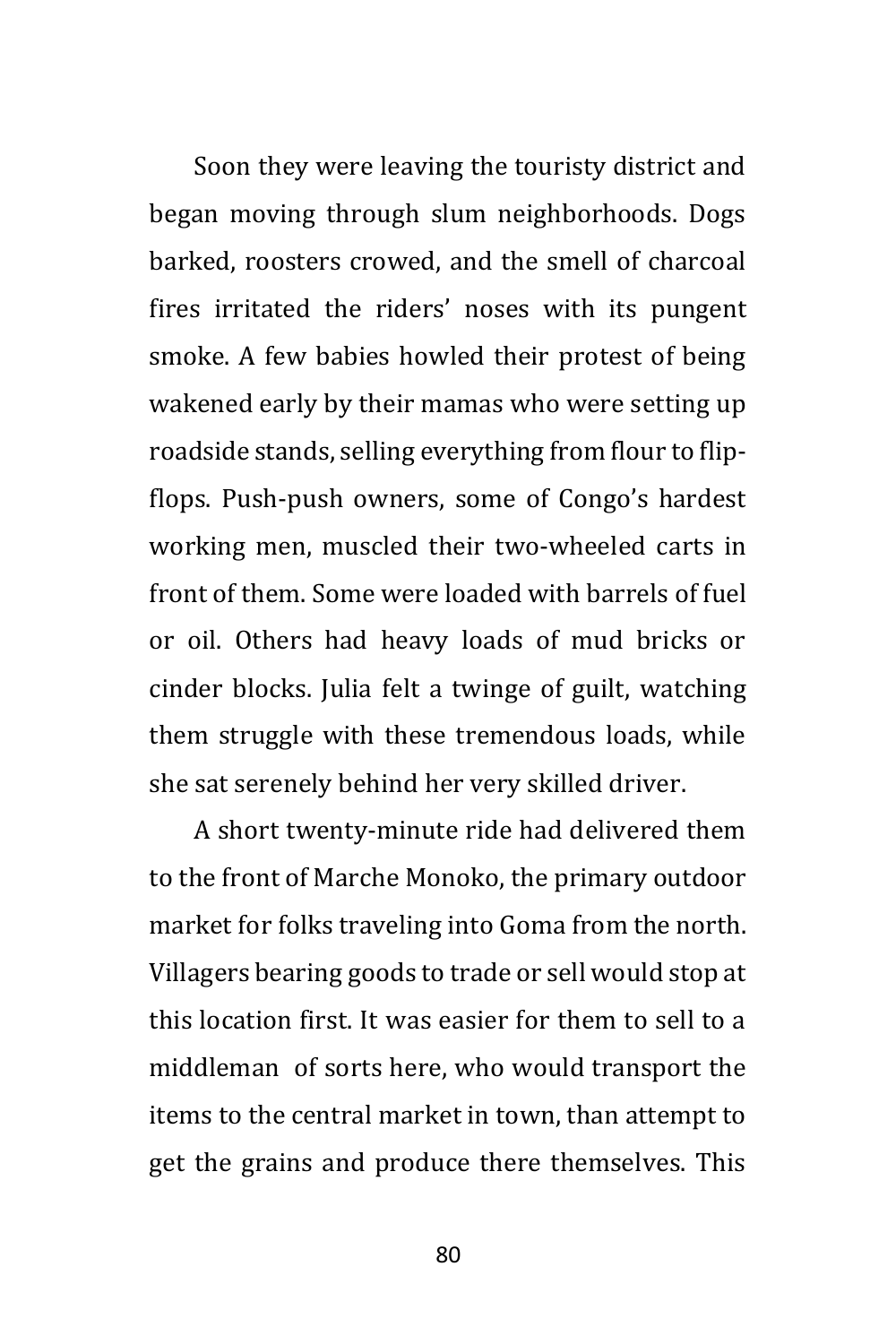Soon they were leaving the touristy district and began moving through slum neighborhoods. Dogs barked, roosters crowed, and the smell of charcoal fires irritated the riders' noses with its pungent smoke. A few babies howled their protest of being wakened early by their mamas who were setting up roadside stands, selling everything from flour to flipflops. Push-push owners, some of Congo's hardest working men, muscled their two-wheeled carts in front of them. Some were loaded with barrels of fuel or oil. Others had heavy loads of mud bricks or cinder blocks. Julia felt a twinge of guilt, watching them struggle with these tremendous loads, while she sat serenely behind her very skilled driver.

A short twenty-minute ride had delivered them to the front of Marche Monoko, the primary outdoor market for folks traveling into Goma from the north. Villagers bearing goods to trade or sell would stop at this location first. It was easier for them to sell to a middleman of sorts here, who would transport the items to the central market in town, than attempt to get the grains and produce there themselves. This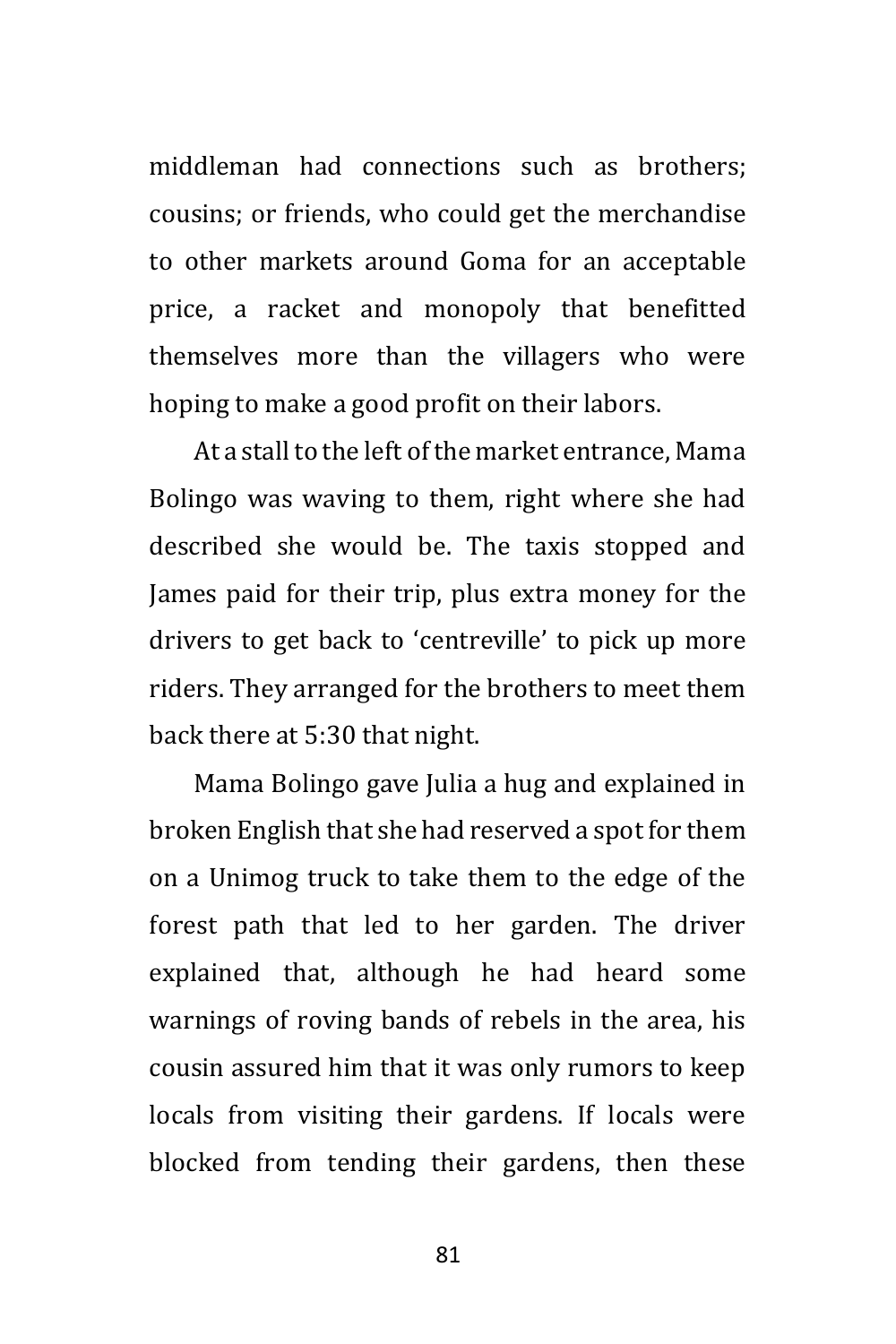middleman had connections such as brothers; cousins; or friends, who could get the merchandise to other markets around Goma for an acceptable price, a racket and monopoly that benefitted themselves more than the villagers who were hoping to make a good profit on their labors.

At a stall to the left of the market entrance, Mama Bolingo was waving to them, right where she had described she would be. The taxis stopped and James paid for their trip, plus extra money for the drivers to get back to 'centreville' to pick up more riders. They arranged for the brothers to meet them back there at 5:30 that night.

Mama Bolingo gave Julia a hug and explained in broken English that she had reserved a spot for them on a Unimog truck to take them to the edge of the forest path that led to her garden. The driver explained that, although he had heard some warnings of roving bands of rebels in the area, his cousin assured him that it was only rumors to keep locals from visiting their gardens. If locals were blocked from tending their gardens, then these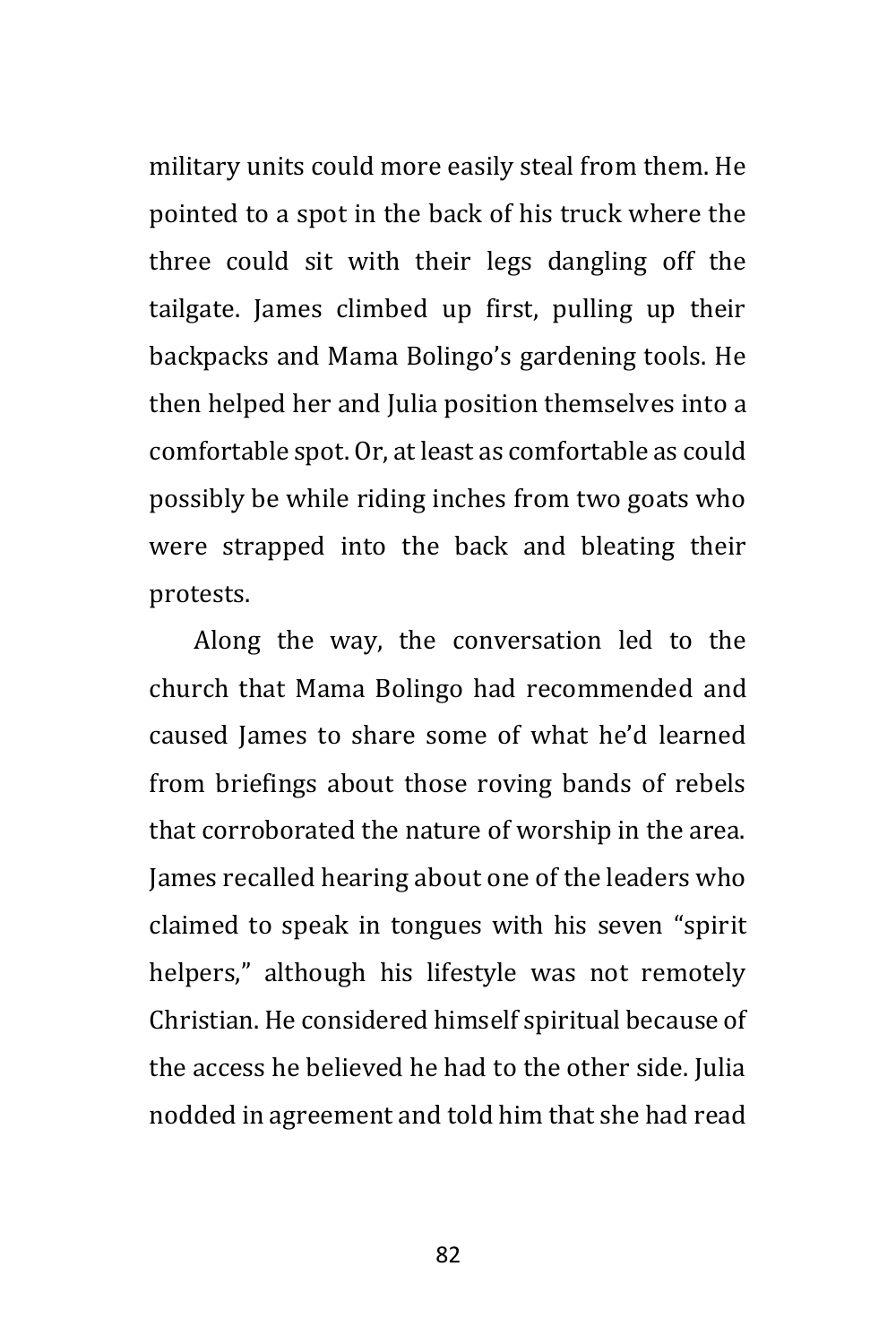military units could more easily steal from them. He pointed to a spot in the back of his truck where the three could sit with their legs dangling off the tailgate. James climbed up first, pulling up their backpacks and Mama Bolingo's gardening tools. He then helped her and Julia position themselves into a comfortable spot. Or, at least as comfortable as could possibly be while riding inches from two goats who were strapped into the back and bleating their protests.

Along the way, the conversation led to the church that Mama Bolingo had recommended and caused James to share some of what he'd learned from briefings about those roving bands of rebels that corroborated the nature of worship in the area. James recalled hearing about one of the leaders who claimed to speak in tongues with his seven "spirit helpers," although his lifestyle was not remotely Christian. He considered himself spiritual because of the access he believed he had to the other side. Julia nodded in agreement and told him that she had read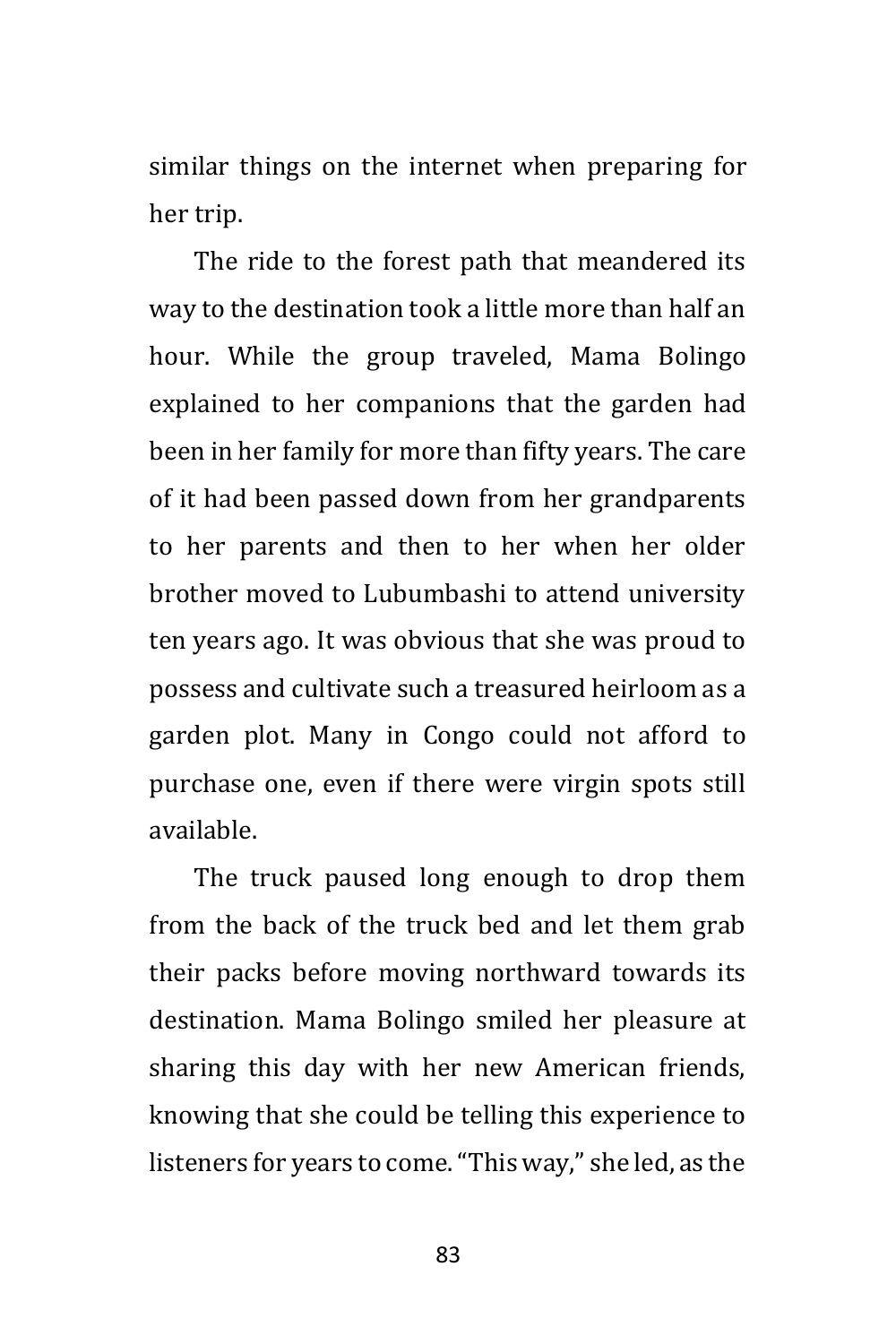similar things on the internet when preparing for her trip.

The ride to the forest path that meandered its way to the destination took a little more than half an hour. While the group traveled, Mama Bolingo explained to her companions that the garden had been in her family for more than fifty years. The care of it had been passed down from her grandparents to her parents and then to her when her older brother moved to Lubumbashi to attend university ten years ago. It was obvious that she was proud to possess and cultivate such a treasured heirloom as a garden plot. Many in Congo could not afford to purchase one, even if there were virgin spots still available.

The truck paused long enough to drop them from the back of the truck bed and let them grab their packs before moving northward towards its destination. Mama Bolingo smiled her pleasure at sharing this day with her new American friends, knowing that she could be telling this experience to listeners for years to come. "This way," she led, as the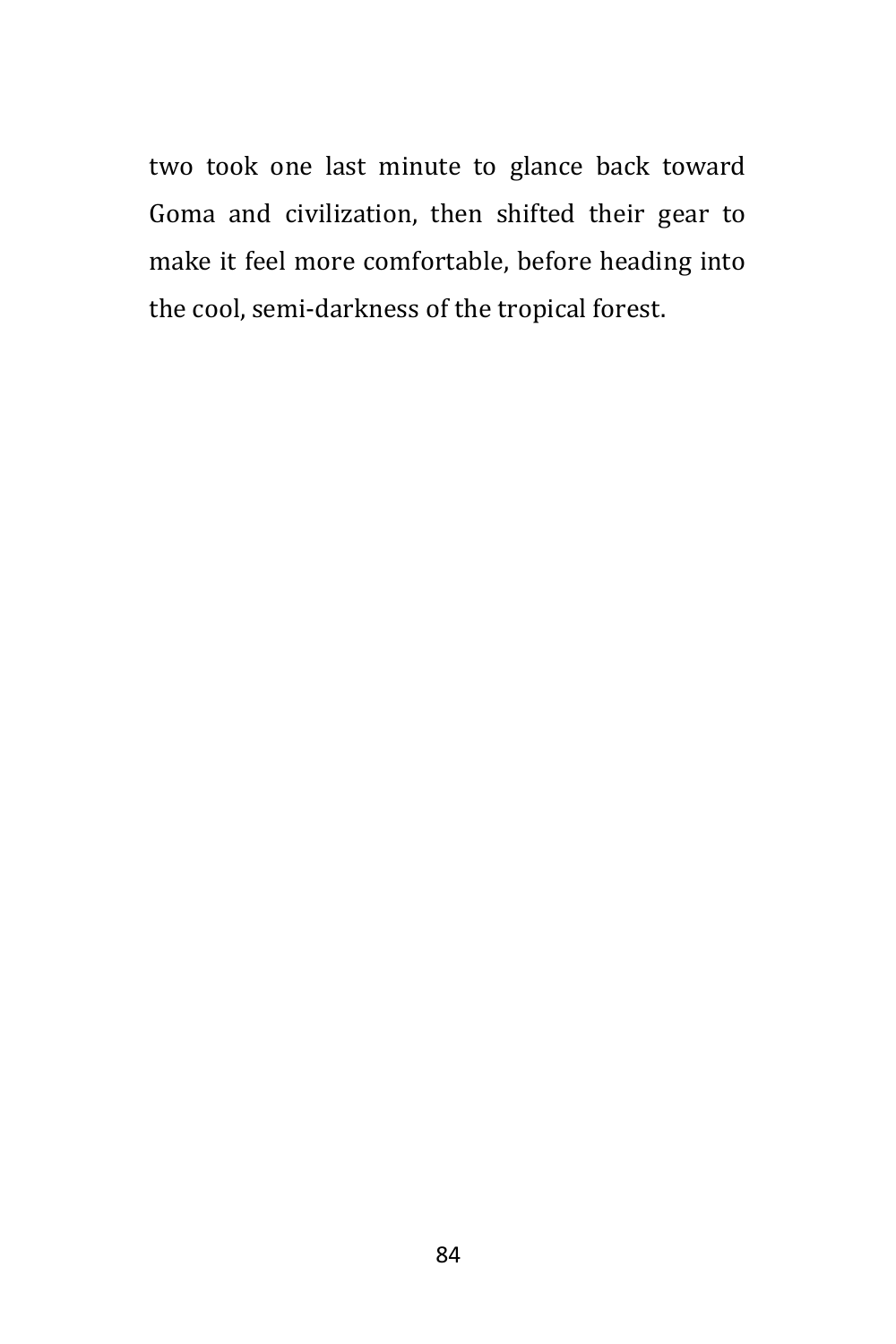two took one last minute to glance back toward Goma and civilization, then shifted their gear to make it feel more comfortable, before heading into the cool, semi-darkness of the tropical forest.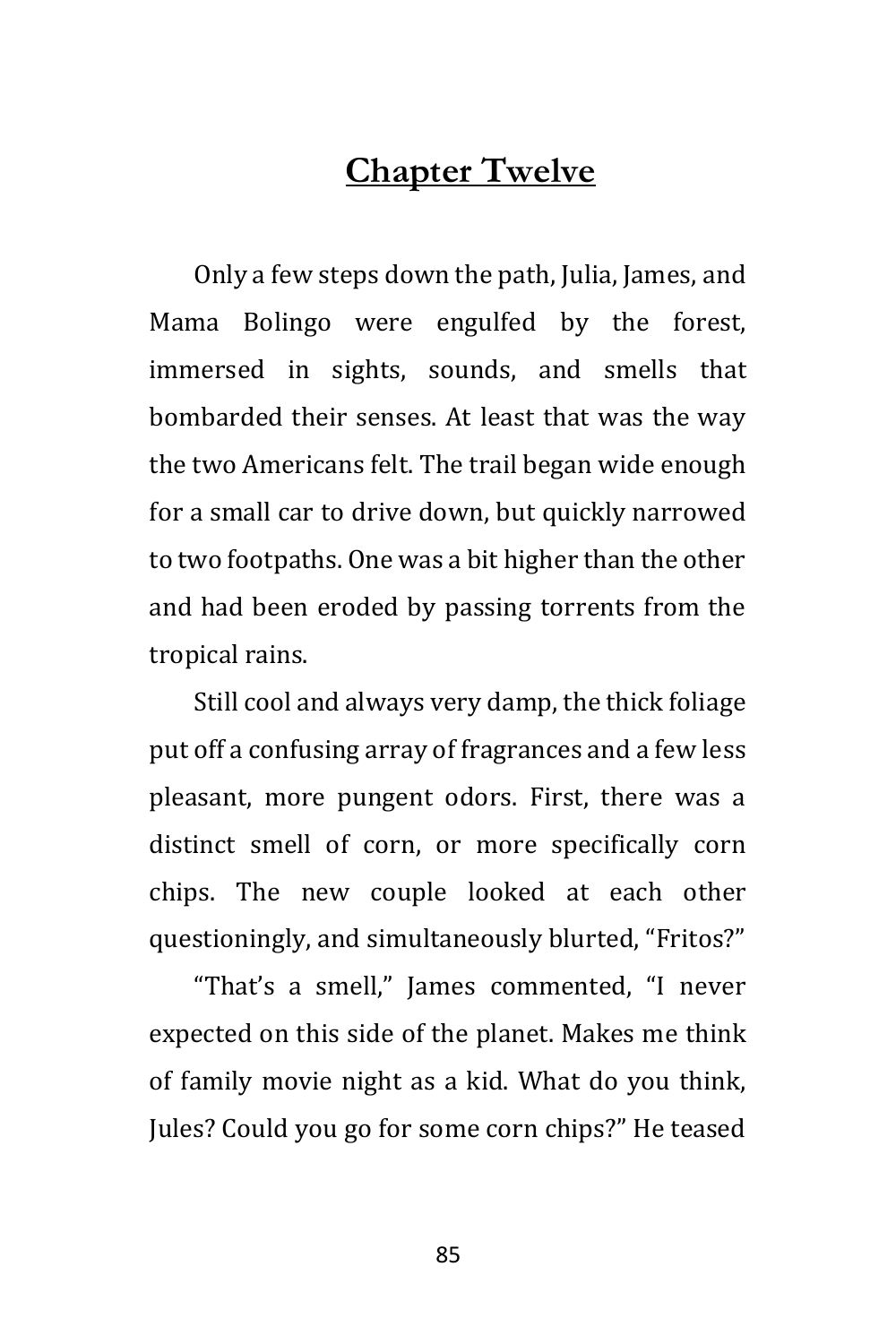## **Chapter Twelve**

Only a few steps down the path, Julia, James, and Mama Bolingo were engulfed by the forest, immersed in sights, sounds, and smells that bombarded their senses. At least that was the way the two Americans felt. The trail began wide enough for a small car to drive down, but quickly narrowed to two footpaths. One was a bit higher than the other and had been eroded by passing torrents from the tropical rains.

Still cool and always very damp, the thick foliage put off a confusing array of fragrances and a few less pleasant, more pungent odors. First, there was a distinct smell of corn, or more specifically corn chips. The new couple looked at each other questioningly, and simultaneously blurted, "Fritos?"

"That's a smell," James commented, "I never expected on this side of the planet. Makes me think of family movie night as a kid. What do you think, Jules? Could you go for some corn chips?" He teased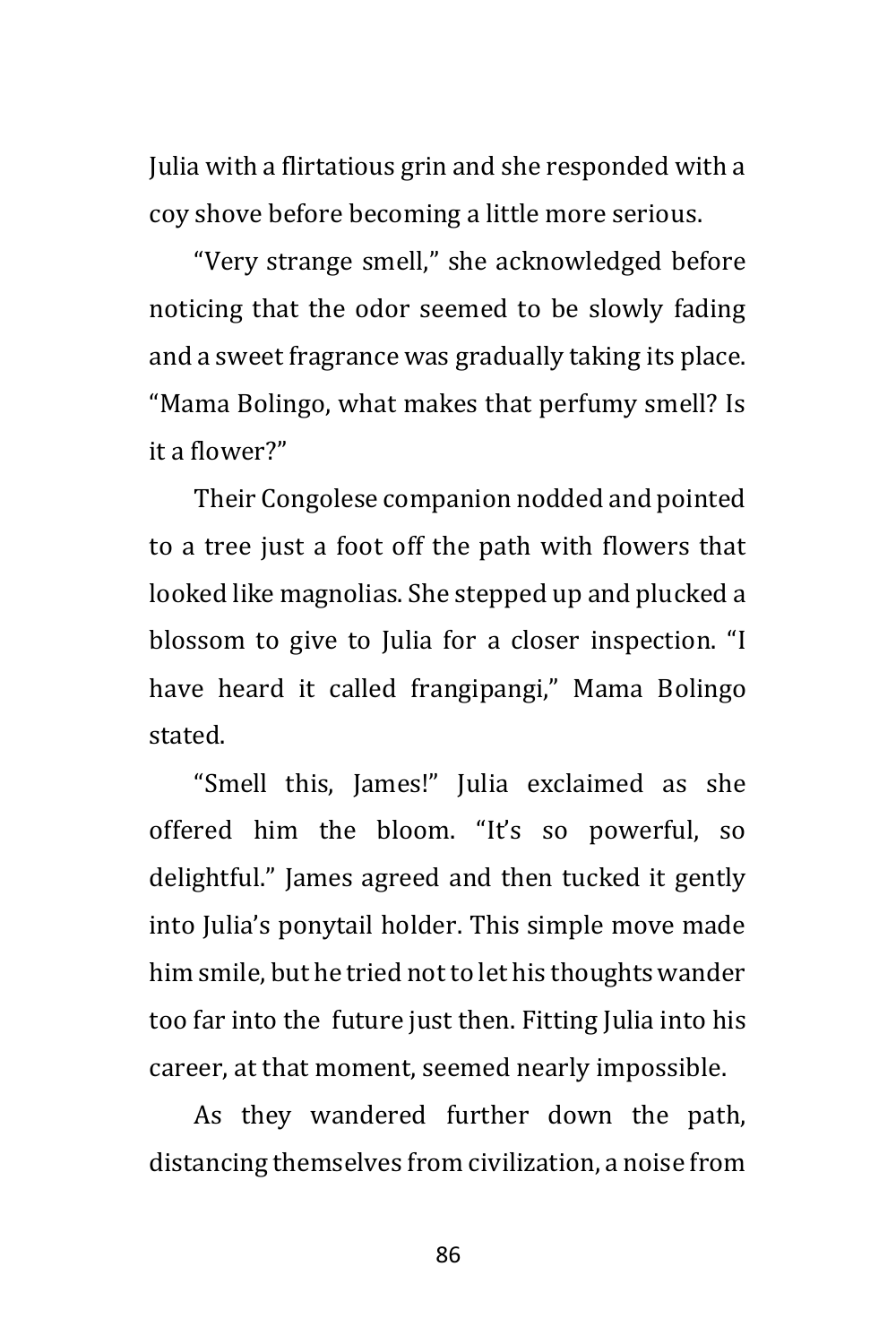Julia with a flirtatious grin and she responded with a coy shove before becoming a little more serious.

"Very strange smell," she acknowledged before noticing that the odor seemed to be slowly fading and a sweet fragrance was gradually taking its place. "Mama Bolingo, what makes that perfumy smell? Is it a flower?"

Their Congolese companion nodded and pointed to a tree just a foot off the path with flowers that looked like magnolias. She stepped up and plucked a blossom to give to Julia for a closer inspection. "I have heard it called frangipangi," Mama Bolingo stated.

"Smell this, James!" Julia exclaimed as she offered him the bloom. "It's so powerful, so delightful." James agreed and then tucked it gently into Julia's ponytail holder. This simple move made him smile, but he tried not to let his thoughts wander too far into the future just then. Fitting Julia into his career, at that moment, seemed nearly impossible.

As they wandered further down the path, distancing themselves from civilization, a noise from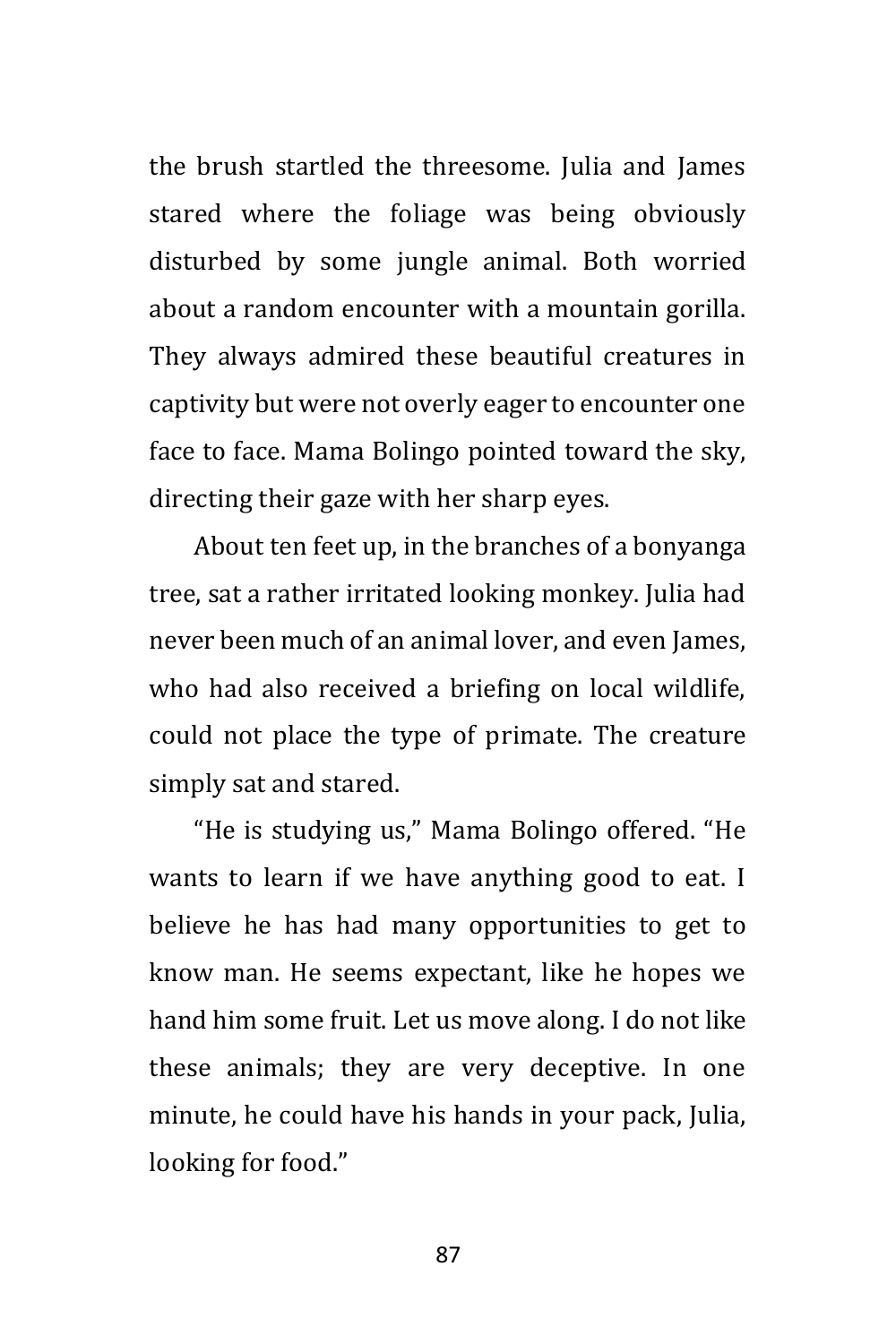the brush startled the threesome. Julia and James stared where the foliage was being obviously disturbed by some jungle animal. Both worried about a random encounter with a mountain gorilla. They always admired these beautiful creatures in captivity but were not overly eager to encounter one face to face. Mama Bolingo pointed toward the sky, directing their gaze with her sharp eyes.

About ten feet up, in the branches of a bonyanga tree, sat a rather irritated looking monkey. Julia had never been much of an animal lover, and even James, who had also received a briefing on local wildlife, could not place the type of primate. The creature simply sat and stared.

"He is studying us," Mama Bolingo offered. "He wants to learn if we have anything good to eat. I believe he has had many opportunities to get to know man. He seems expectant, like he hopes we hand him some fruit. Let us move along. I do not like these animals; they are very deceptive. In one minute, he could have his hands in your pack, Julia, looking for food."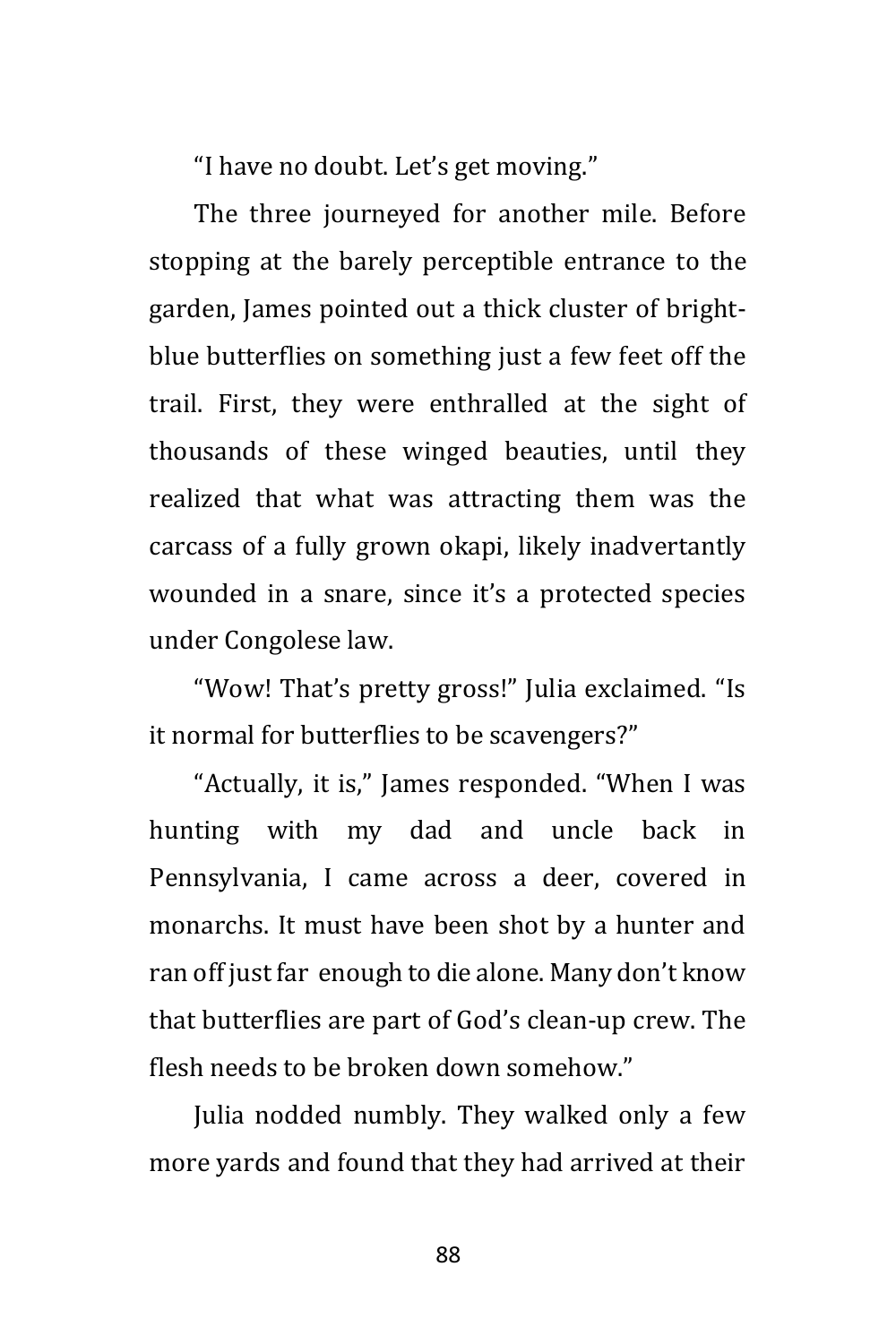"I have no doubt. Let's get moving."

The three journeyed for another mile. Before stopping at the barely perceptible entrance to the garden, James pointed out a thick cluster of brightblue butterflies on something just a few feet off the trail. First, they were enthralled at the sight of thousands of these winged beauties, until they realized that what was attracting them was the carcass of a fully grown okapi, likely inadvertantly wounded in a snare, since it's a protected species under Congolese law.

"Wow! That's pretty gross!" Julia exclaimed. "Is it normal for butterflies to be scavengers?"

"Actually, it is," James responded. "When I was hunting with my dad and uncle back in Pennsylvania, I came across a deer, covered in monarchs. It must have been shot by a hunter and ran off just far enough to die alone. Many don't know that butterflies are part of God's clean-up crew. The flesh needs to be broken down somehow."

Julia nodded numbly. They walked only a few more yards and found that they had arrived at their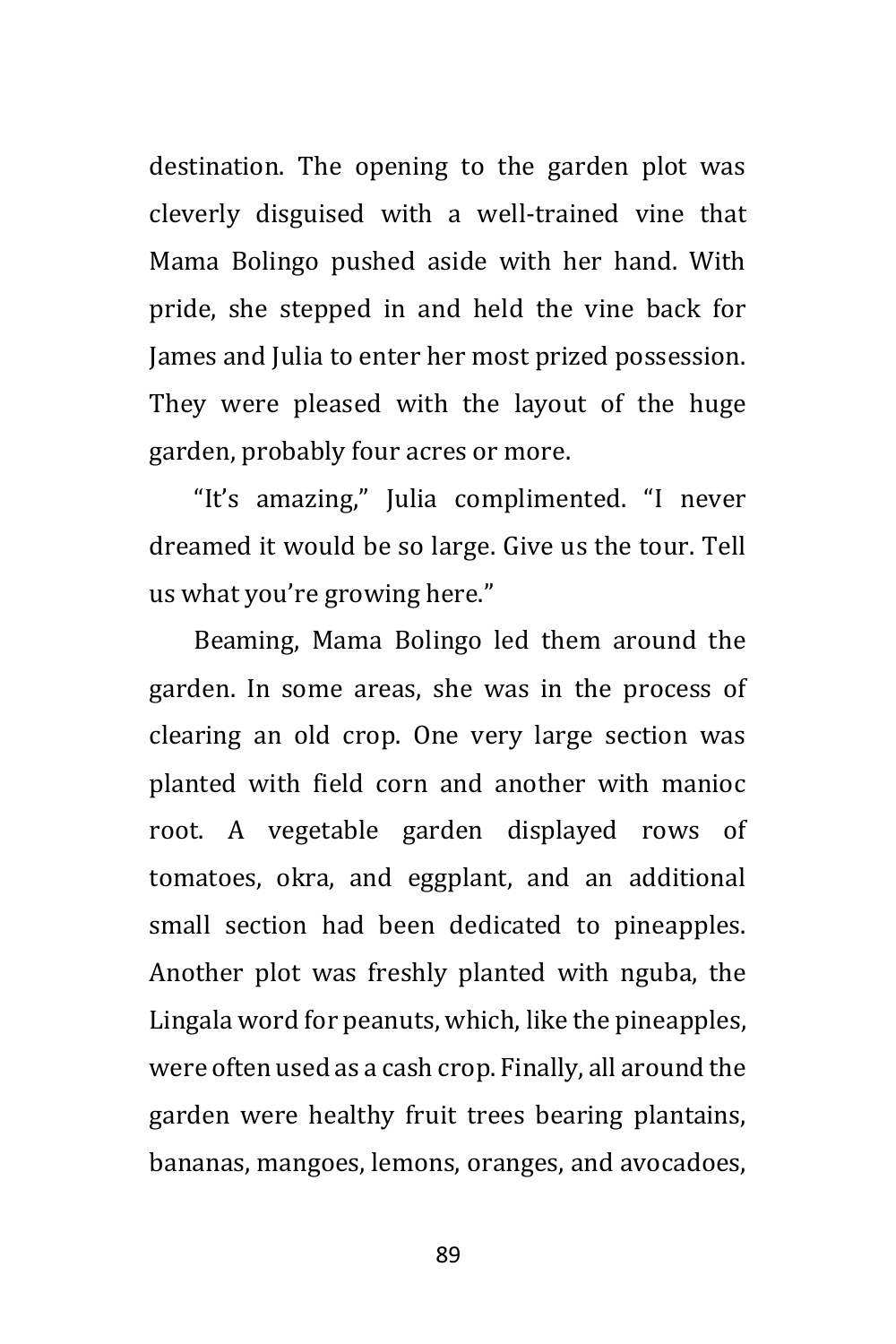destination. The opening to the garden plot was cleverly disguised with a well-trained vine that Mama Bolingo pushed aside with her hand. With pride, she stepped in and held the vine back for James and Julia to enter her most prized possession. They were pleased with the layout of the huge garden, probably four acres or more.

"It's amazing," Julia complimented. "I never dreamed it would be so large. Give us the tour. Tell us what you're growing here."

Beaming, Mama Bolingo led them around the garden. In some areas, she was in the process of clearing an old crop. One very large section was planted with field corn and another with manioc root. A vegetable garden displayed rows of tomatoes, okra, and eggplant, and an additional small section had been dedicated to pineapples. Another plot was freshly planted with nguba, the Lingala word for peanuts, which, like the pineapples, were often used as a cash crop. Finally, all around the garden were healthy fruit trees bearing plantains, bananas, mangoes, lemons, oranges, and avocadoes,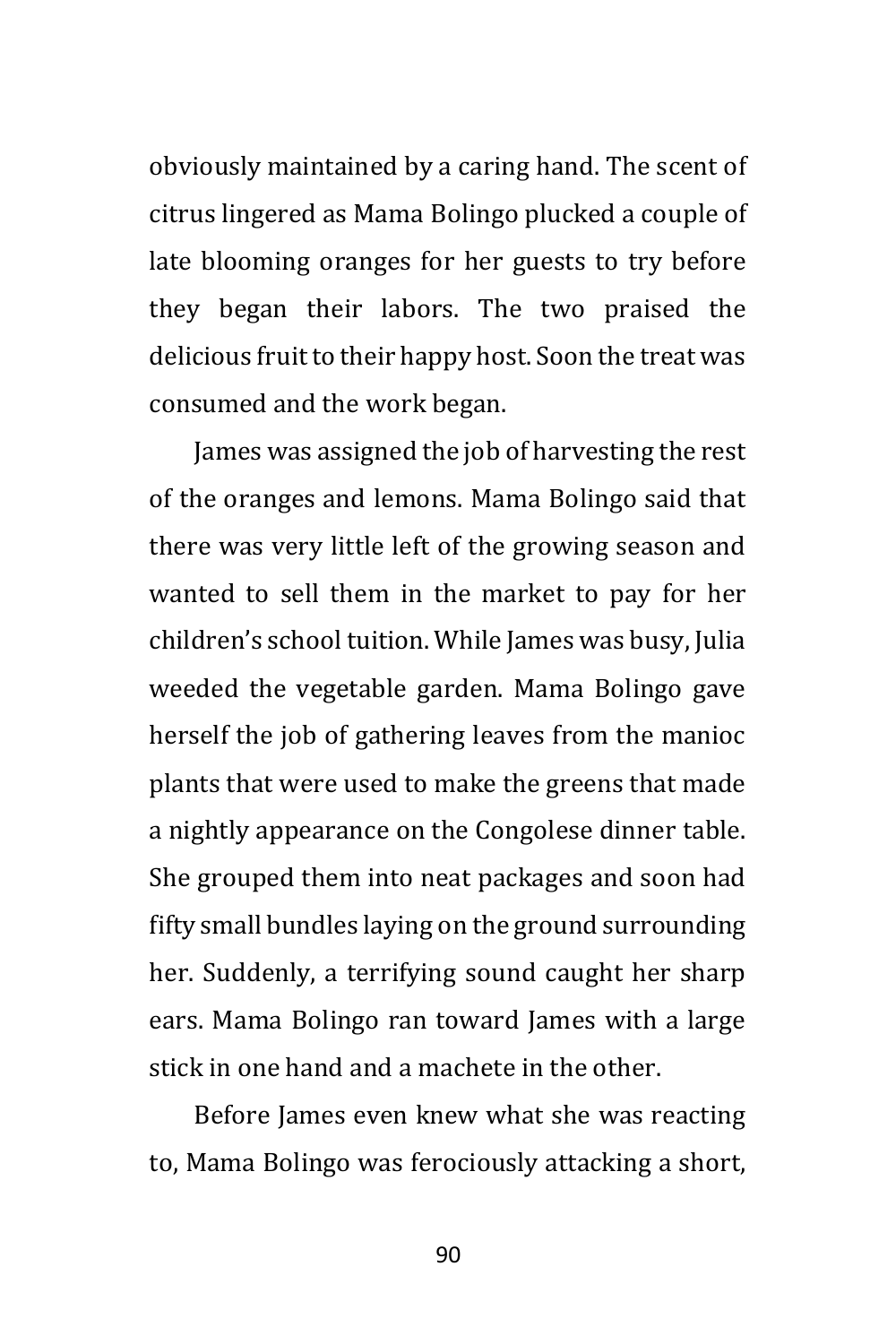obviously maintained by a caring hand. The scent of citrus lingered as Mama Bolingo plucked a couple of late blooming oranges for her guests to try before they began their labors. The two praised the delicious fruit to their happy host. Soon the treat was consumed and the work began.

James was assigned the job of harvesting the rest of the oranges and lemons. Mama Bolingo said that there was very little left of the growing season and wanted to sell them in the market to pay for her children's school tuition. While James was busy, Julia weeded the vegetable garden. Mama Bolingo gave herself the job of gathering leaves from the manioc plants that were used to make the greens that made a nightly appearance on the Congolese dinner table. She grouped them into neat packages and soon had fifty small bundles laying on the ground surrounding her. Suddenly, a terrifying sound caught her sharp ears. Mama Bolingo ran toward James with a large stick in one hand and a machete in the other.

Before James even knew what she was reacting to, Mama Bolingo was ferociously attacking a short,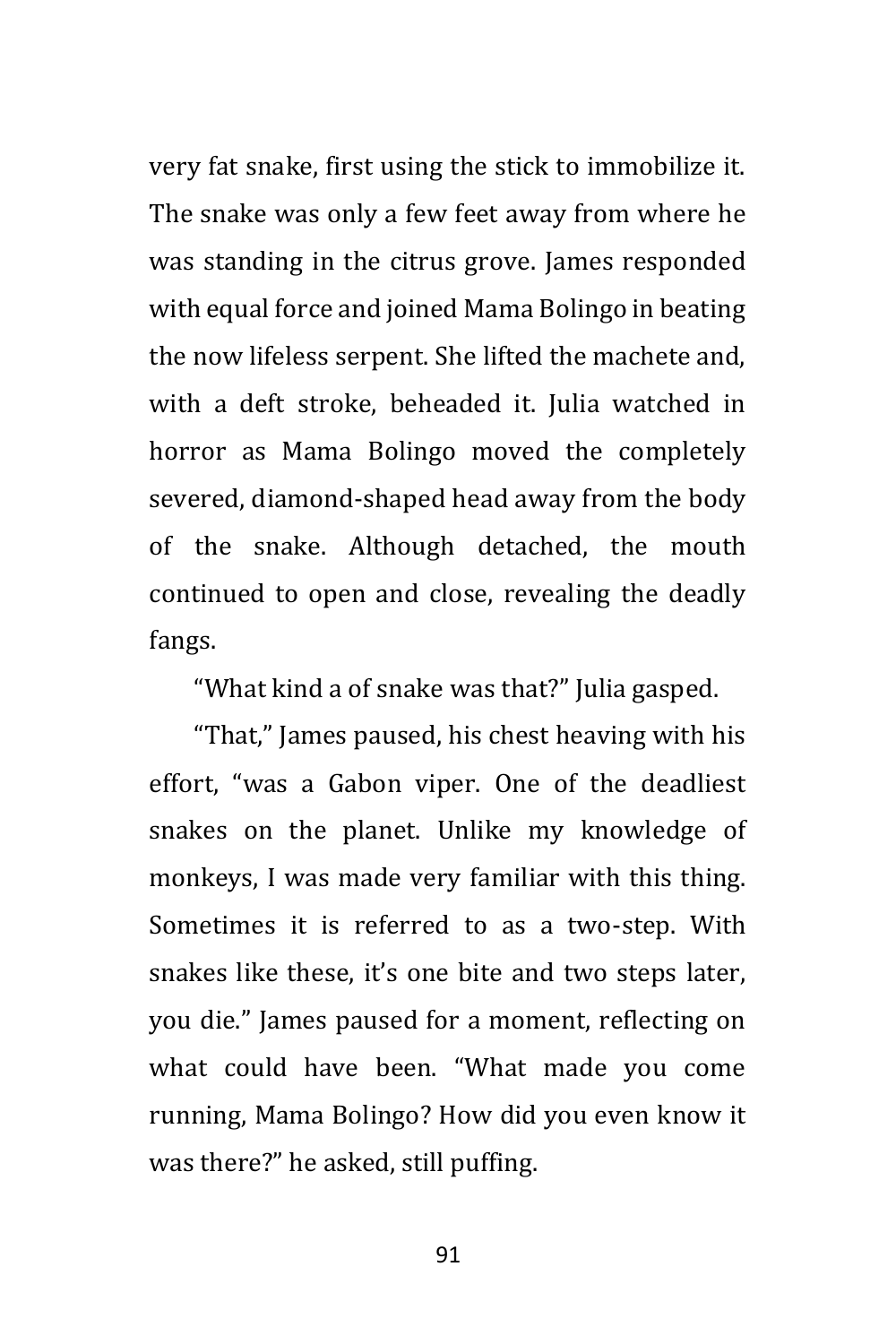very fat snake, first using the stick to immobilize it. The snake was only a few feet away from where he was standing in the citrus grove. James responded with equal force and joined Mama Bolingo in beating the now lifeless serpent. She lifted the machete and, with a deft stroke, beheaded it. Julia watched in horror as Mama Bolingo moved the completely severed, diamond-shaped head away from the body of the snake. Although detached, the mouth continued to open and close, revealing the deadly fangs.

"What kind a of snake was that?" Julia gasped.

"That," James paused, his chest heaving with his effort, "was a Gabon viper. One of the deadliest snakes on the planet. Unlike my knowledge of monkeys, I was made very familiar with this thing. Sometimes it is referred to as a two-step. With snakes like these, it's one bite and two steps later, you die." James paused for a moment, reflecting on what could have been. "What made you come running, Mama Bolingo? How did you even know it was there?" he asked, still puffing.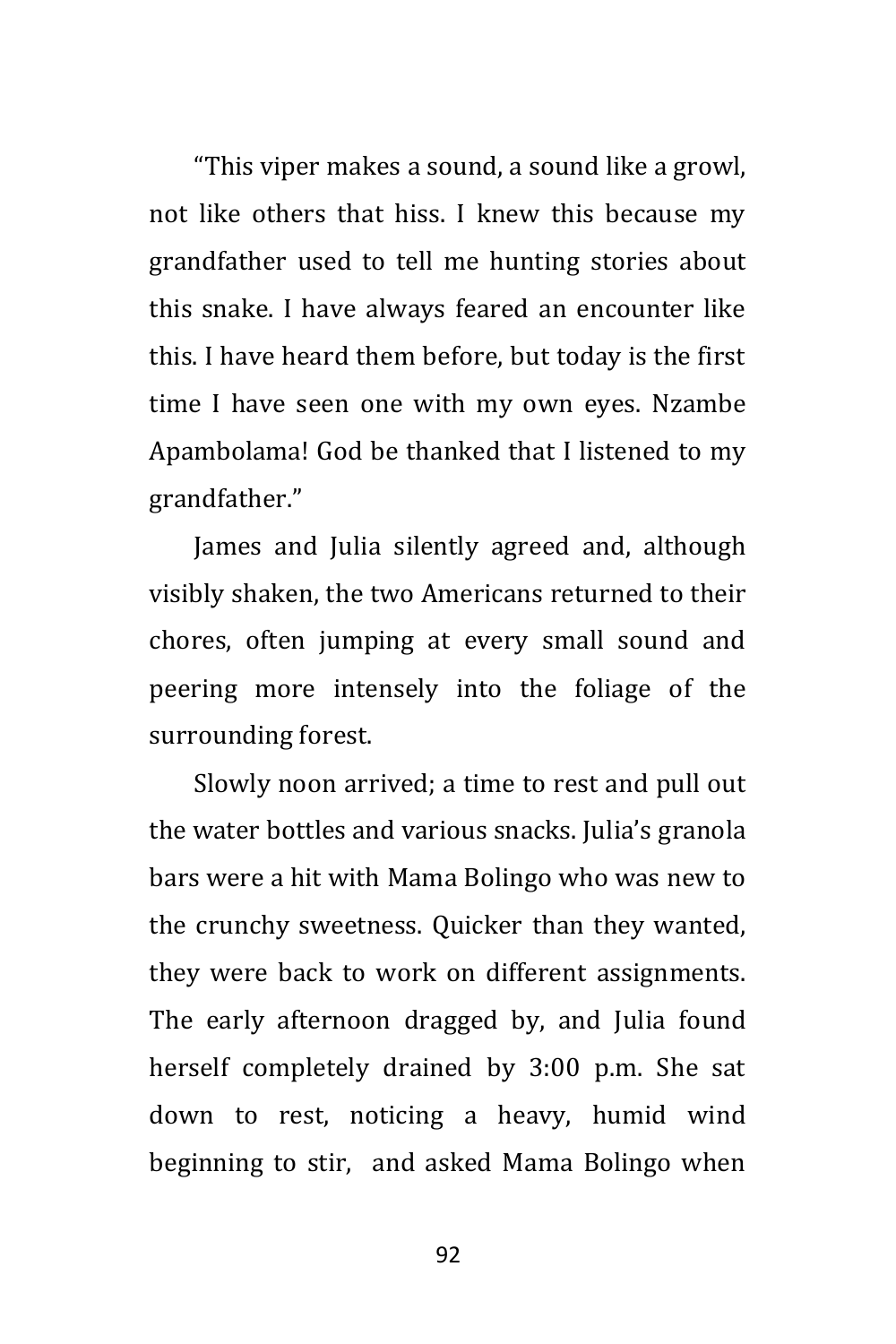"This viper makes a sound, a sound like a growl, not like others that hiss. I knew this because my grandfather used to tell me hunting stories about this snake. I have always feared an encounter like this. I have heard them before, but today is the first time I have seen one with my own eyes. Nzambe Apambolama! God be thanked that I listened to my grandfather."

James and Julia silently agreed and, although visibly shaken, the two Americans returned to their chores, often jumping at every small sound and peering more intensely into the foliage of the surrounding forest.

Slowly noon arrived; a time to rest and pull out the water bottles and various snacks. Julia's granola bars were a hit with Mama Bolingo who was new to the crunchy sweetness. Quicker than they wanted, they were back to work on different assignments. The early afternoon dragged by, and Julia found herself completely drained by 3:00 p.m. She sat down to rest, noticing a heavy, humid wind beginning to stir, and asked Mama Bolingo when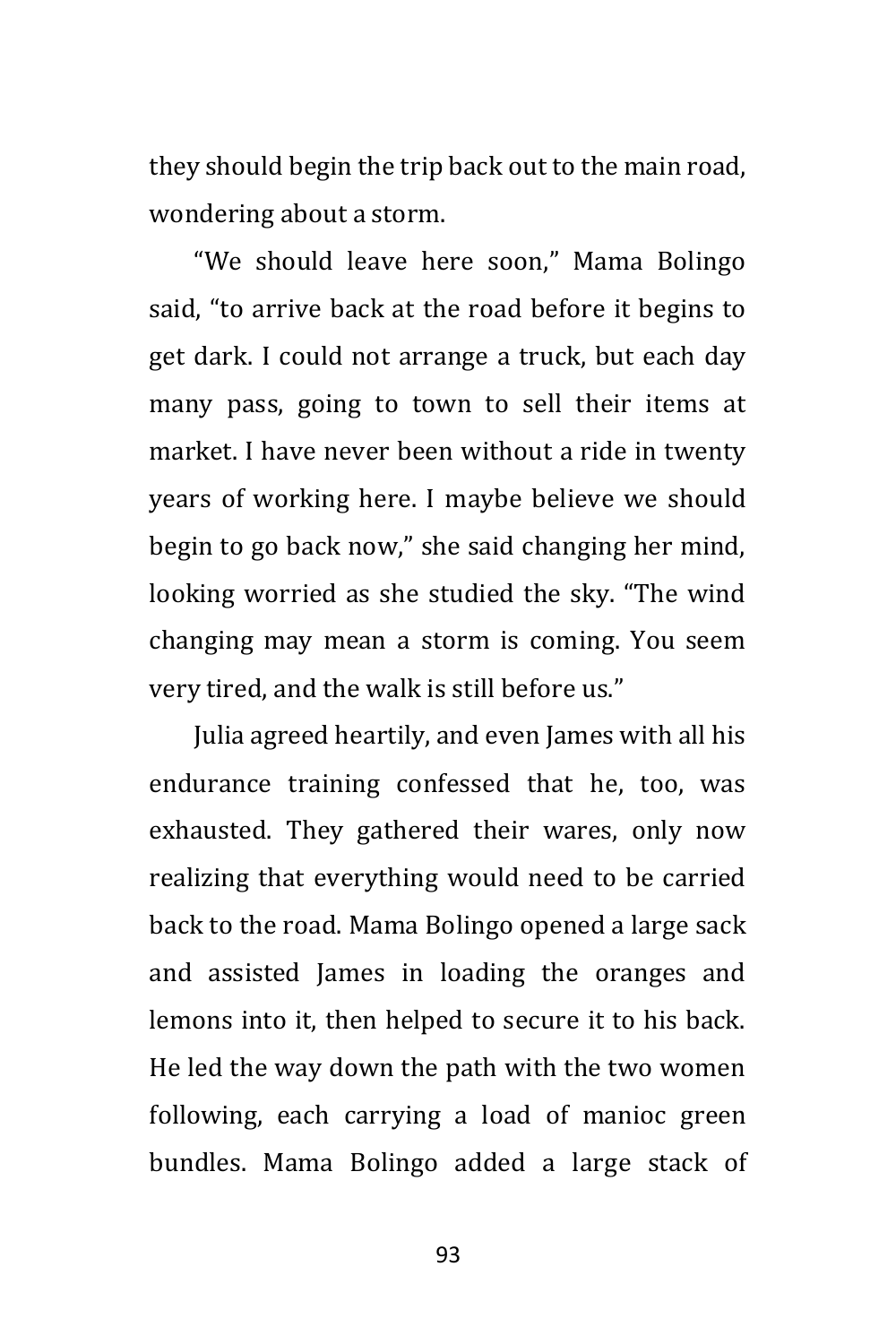they should begin the trip back out to the main road, wondering about a storm.

"We should leave here soon," Mama Bolingo said, "to arrive back at the road before it begins to get dark. I could not arrange a truck, but each day many pass, going to town to sell their items at market. I have never been without a ride in twenty years of working here. I maybe believe we should begin to go back now," she said changing her mind, looking worried as she studied the sky. "The wind changing may mean a storm is coming. You seem very tired, and the walk is still before us."

Julia agreed heartily, and even James with all his endurance training confessed that he, too, was exhausted. They gathered their wares, only now realizing that everything would need to be carried back to the road. Mama Bolingo opened a large sack and assisted James in loading the oranges and lemons into it, then helped to secure it to his back. He led the way down the path with the two women following, each carrying a load of manioc green bundles. Mama Bolingo added a large stack of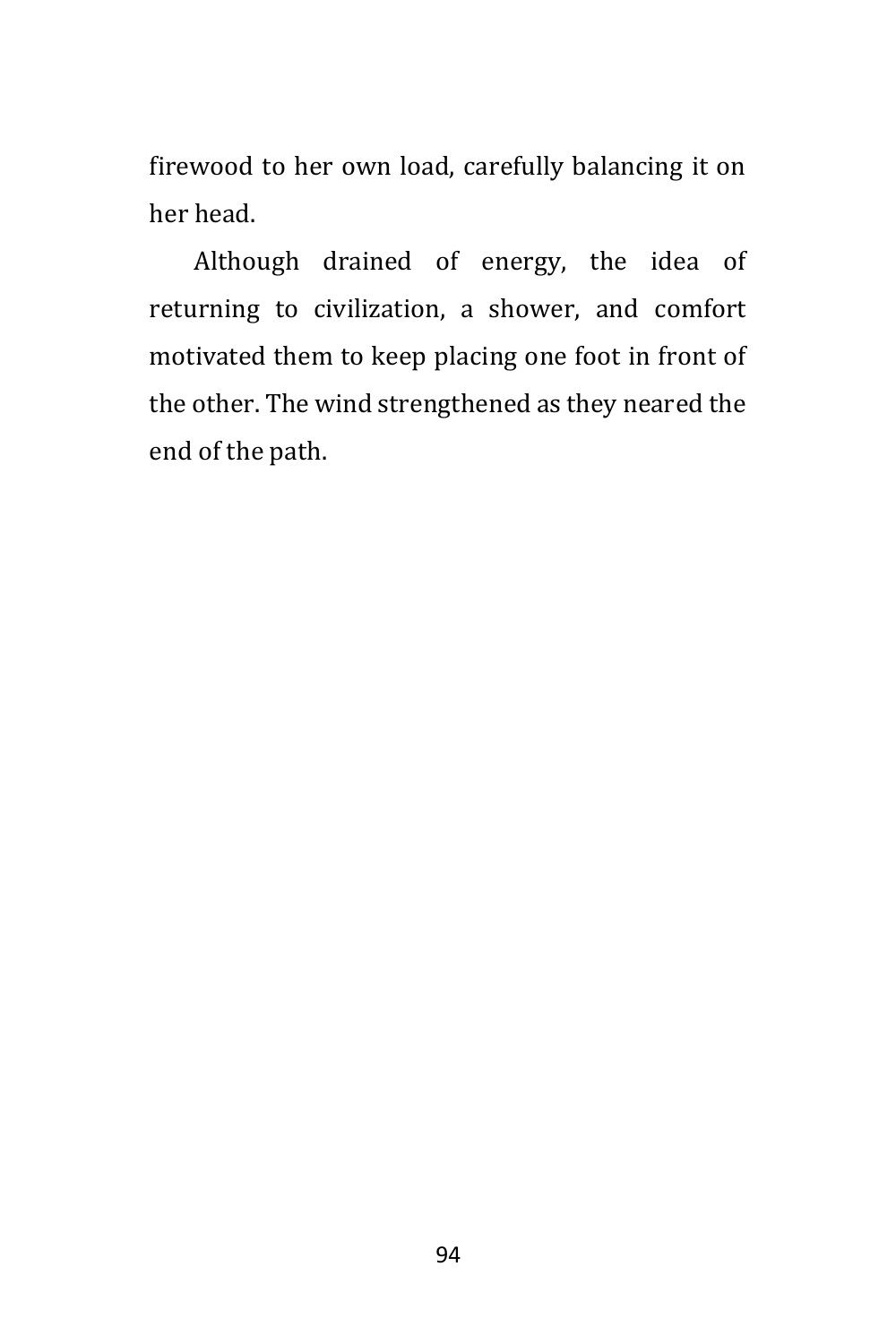firewood to her own load, carefully balancing it on her head.

Although drained of energy, the idea of returning to civilization, a shower, and comfort motivated them to keep placing one foot in front of the other. The wind strengthened as they neared the end of the path.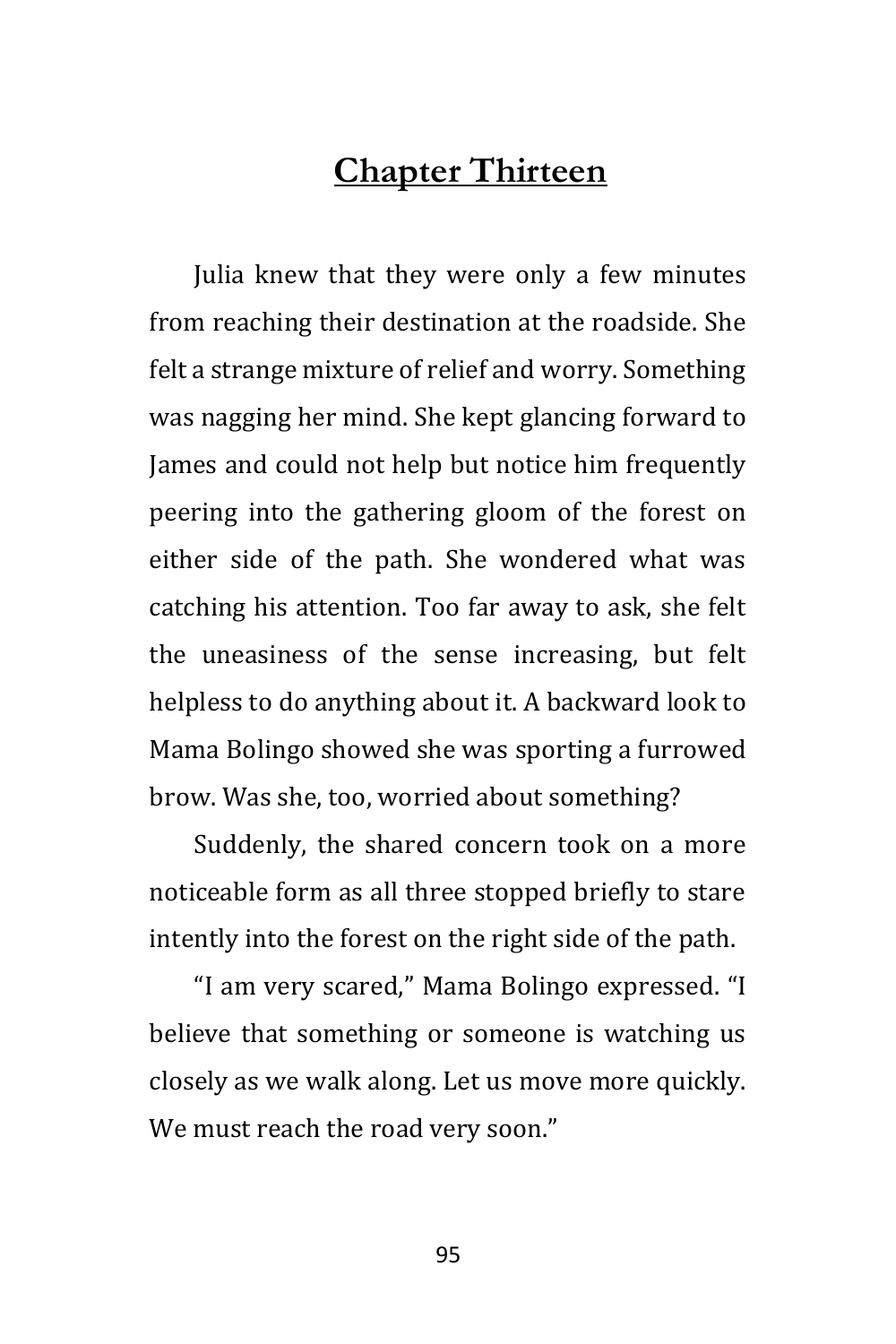## **Chapter Thirteen**

Julia knew that they were only a few minutes from reaching their destination at the roadside. She felt a strange mixture of relief and worry. Something was nagging her mind. She kept glancing forward to James and could not help but notice him frequently peering into the gathering gloom of the forest on either side of the path. She wondered what was catching his attention. Too far away to ask, she felt the uneasiness of the sense increasing, but felt helpless to do anything about it. A backward look to Mama Bolingo showed she was sporting a furrowed brow. Was she, too, worried about something?

Suddenly, the shared concern took on a more noticeable form as all three stopped briefly to stare intently into the forest on the right side of the path.

"I am very scared," Mama Bolingo expressed. "I believe that something or someone is watching us closely as we walk along. Let us move more quickly. We must reach the road very soon."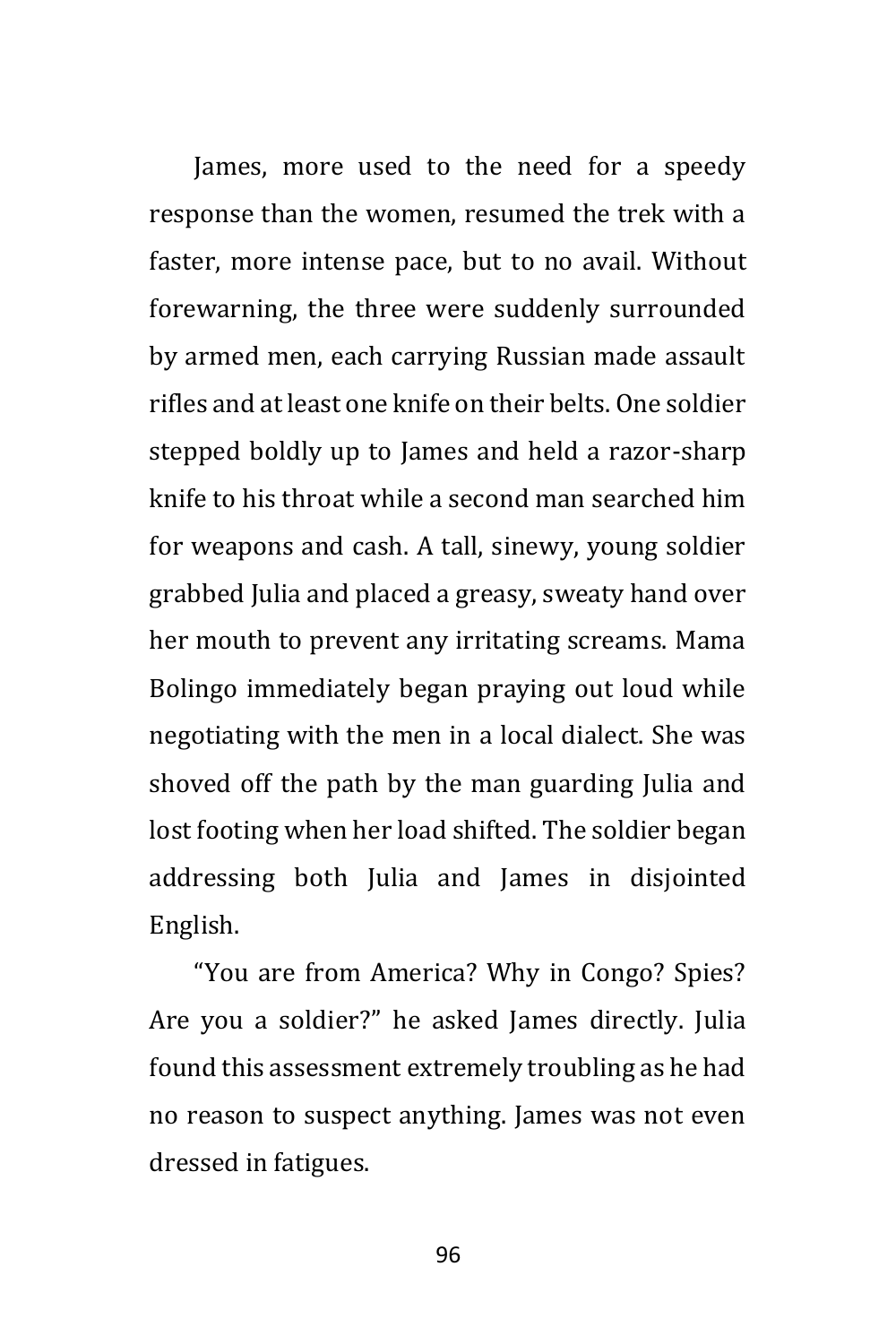James, more used to the need for a speedy response than the women, resumed the trek with a faster, more intense pace, but to no avail. Without forewarning, the three were suddenly surrounded by armed men, each carrying Russian made assault rifles and at least one knife on their belts. One soldier stepped boldly up to James and held a razor-sharp knife to his throat while a second man searched him for weapons and cash. A tall, sinewy, young soldier grabbed Julia and placed a greasy, sweaty hand over her mouth to prevent any irritating screams. Mama Bolingo immediately began praying out loud while negotiating with the men in a local dialect. She was shoved off the path by the man guarding Julia and lost footing when her load shifted. The soldier began addressing both Julia and James in disjointed English.

"You are from America? Why in Congo? Spies? Are you a soldier?" he asked James directly. Julia found this assessment extremely troubling as he had no reason to suspect anything. James was not even dressed in fatigues.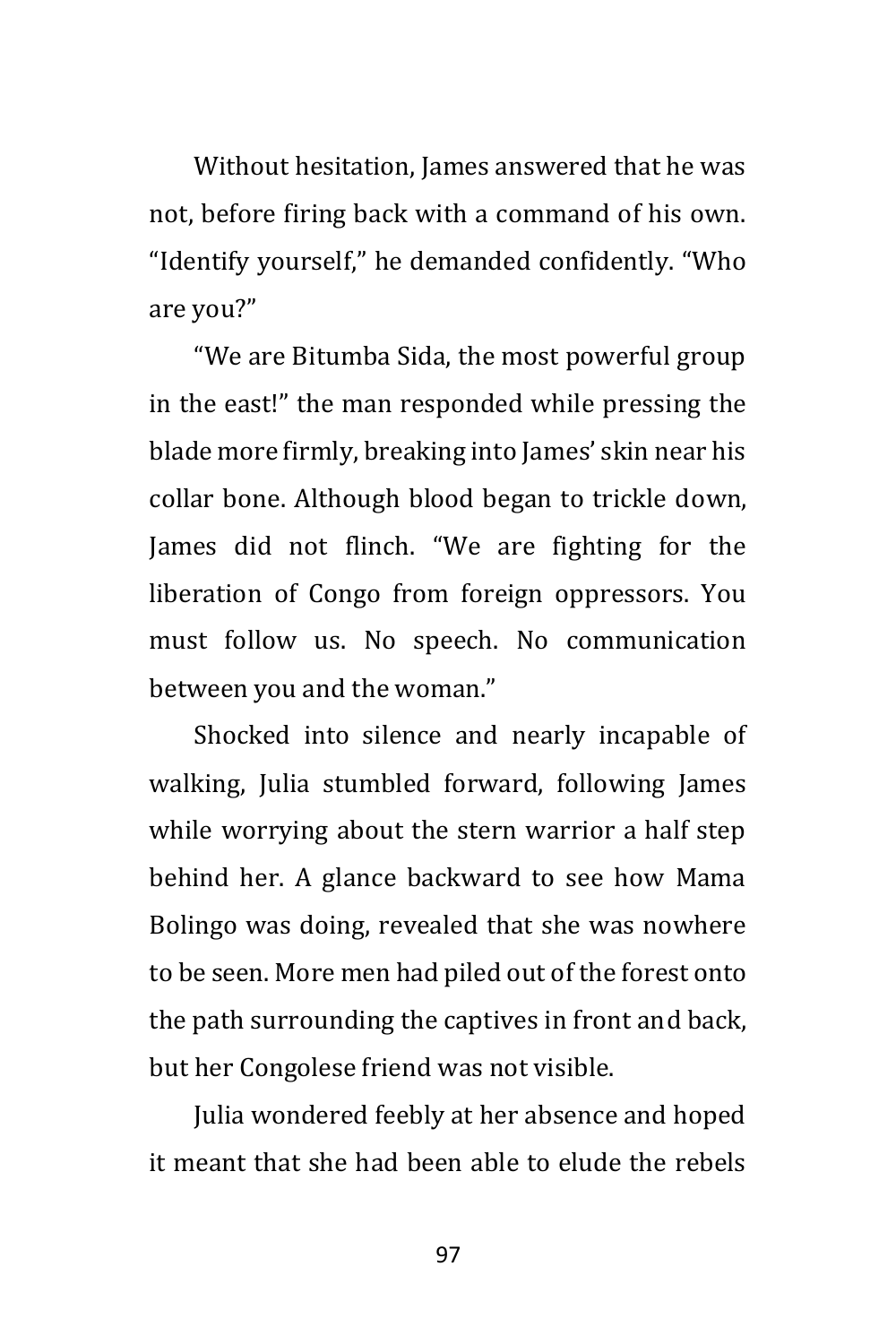Without hesitation, James answered that he was not, before firing back with a command of his own. "Identify yourself," he demanded confidently. "Who are you?"

"We are Bitumba Sida, the most powerful group in the east!" the man responded while pressing the blade more firmly, breaking into James' skin near his collar bone. Although blood began to trickle down, James did not flinch. "We are fighting for the liberation of Congo from foreign oppressors. You must follow us. No speech. No communication between you and the woman."

Shocked into silence and nearly incapable of walking, Julia stumbled forward, following James while worrying about the stern warrior a half step behind her. A glance backward to see how Mama Bolingo was doing, revealed that she was nowhere to be seen. More men had piled out of the forest onto the path surrounding the captives in front and back, but her Congolese friend was not visible.

Julia wondered feebly at her absence and hoped it meant that she had been able to elude the rebels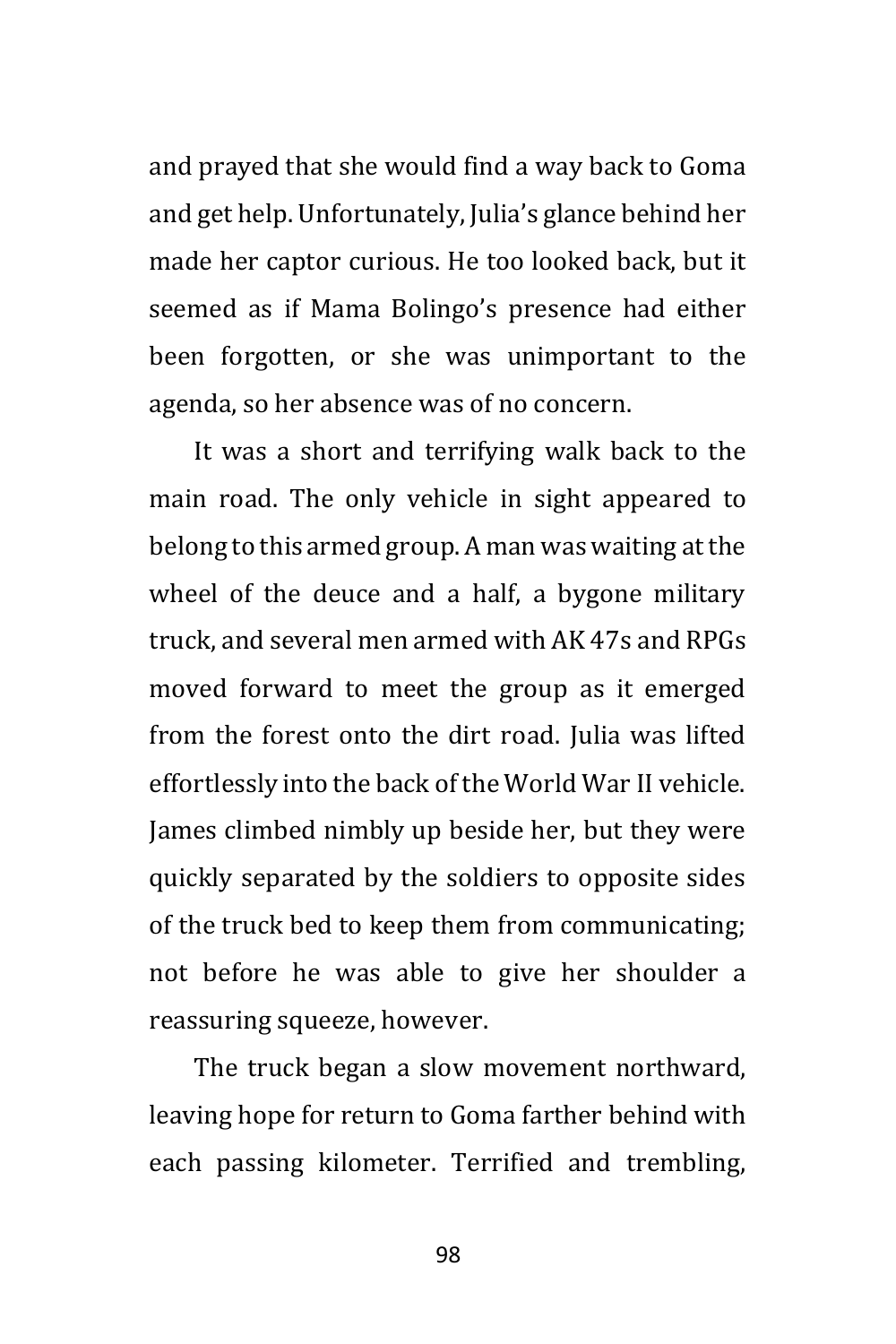and prayed that she would find a way back to Goma and get help. Unfortunately, Julia's glance behind her made her captor curious. He too looked back, but it seemed as if Mama Bolingo's presence had either been forgotten, or she was unimportant to the agenda, so her absence was of no concern.

It was a short and terrifying walk back to the main road. The only vehicle in sight appeared to belong to this armed group. A man was waiting at the wheel of the deuce and a half, a bygone military truck, and several men armed with AK 47s and RPGs moved forward to meet the group as it emerged from the forest onto the dirt road. Julia was lifted effortlessly into the back of the World War II vehicle. James climbed nimbly up beside her, but they were quickly separated by the soldiers to opposite sides of the truck bed to keep them from communicating; not before he was able to give her shoulder a reassuring squeeze, however.

The truck began a slow movement northward, leaving hope for return to Goma farther behind with each passing kilometer. Terrified and trembling,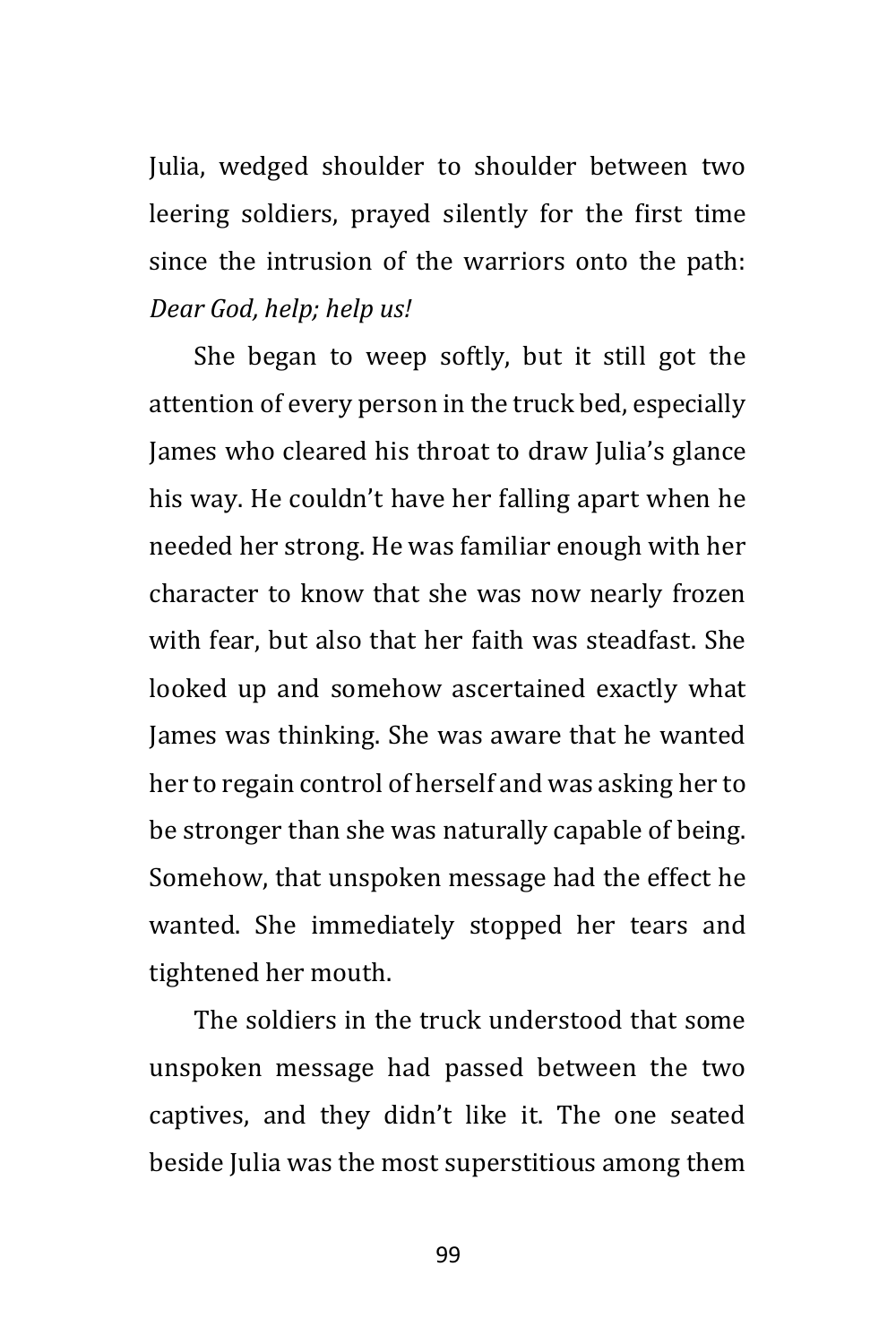Julia, wedged shoulder to shoulder between two leering soldiers, prayed silently for the first time since the intrusion of the warriors onto the path: *Dear God, help; help us!*

She began to weep softly, but it still got the attention of every person in the truck bed, especially James who cleared his throat to draw Julia's glance his way. He couldn't have her falling apart when he needed her strong. He was familiar enough with her character to know that she was now nearly frozen with fear, but also that her faith was steadfast. She looked up and somehow ascertained exactly what James was thinking. She was aware that he wanted her to regain control of herself and was asking her to be stronger than she was naturally capable of being. Somehow, that unspoken message had the effect he wanted. She immediately stopped her tears and tightened her mouth.

The soldiers in the truck understood that some unspoken message had passed between the two captives, and they didn't like it. The one seated beside Julia was the most superstitious among them